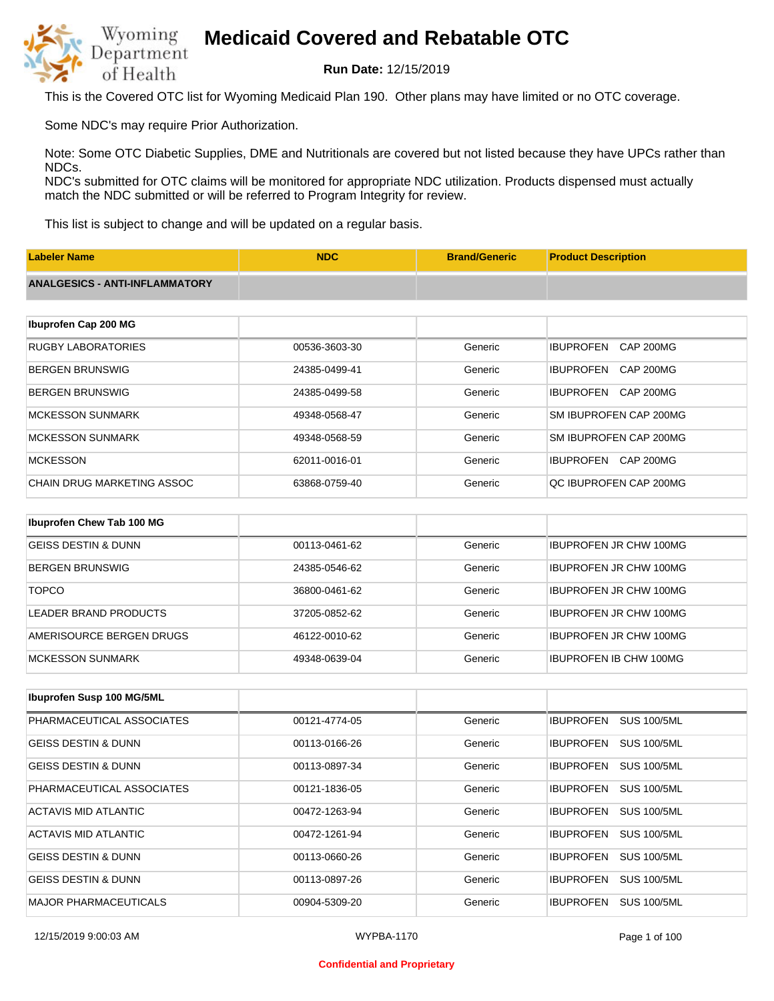

**Run Date:** 12/15/2019

This is the Covered OTC list for Wyoming Medicaid Plan 190. Other plans may have limited or no OTC coverage.

Some NDC's may require Prior Authorization.

Note: Some OTC Diabetic Supplies, DME and Nutritionals are covered but not listed because they have UPCs rather than NDCs.

NDC's submitted for OTC claims will be monitored for appropriate NDC utilization. Products dispensed must actually match the NDC submitted or will be referred to Program Integrity for review.

This list is subject to change and will be updated on a regular basis.

| <b>Labeler Name</b>                   | <b>NDC</b>    | <b>Brand/Generic</b> | <b>Product Description</b>    |
|---------------------------------------|---------------|----------------------|-------------------------------|
| <b>ANALGESICS - ANTI-INFLAMMATORY</b> |               |                      |                               |
|                                       |               |                      |                               |
| Ibuprofen Cap 200 MG                  |               |                      |                               |
| <b>RUGBY LABORATORIES</b>             | 00536-3603-30 | Generic              | <b>IBUPROFEN</b><br>CAP 200MG |
| <b>BERGEN BRUNSWIG</b>                | 24385-0499-41 | Generic              | <b>IBUPROFEN</b><br>CAP 200MG |
| <b>BERGEN BRUNSWIG</b>                | 24385-0499-58 | Generic              | CAP 200MG<br><b>IBUPROFEN</b> |
| <b>MCKESSON SUNMARK</b>               | 49348-0568-47 | Generic              | SM IBUPROFEN CAP 200MG        |
| <b>MCKESSON SUNMARK</b>               | 49348-0568-59 | Generic              | SM IBUPROFEN CAP 200MG        |
| <b>MCKESSON</b>                       | 62011-0016-01 | Generic              | <b>IBUPROFEN</b><br>CAP 200MG |
| <b>CHAIN DRUG MARKETING ASSOC</b>     | 63868-0759-40 | Generic              | QC IBUPROFEN CAP 200MG        |
|                                       |               |                      |                               |
| Ibuprofen Chew Tab 100 MG             |               |                      |                               |
| <b>GEISS DESTIN &amp; DUNN</b>        | 00113-0461-62 | Generic              | <b>IBUPROFEN JR CHW 100MG</b> |

| GLISS DESTIN & DUNN      | <u>UU LIJ-U40 L-UZ</u> | ususu.  | IBUFNUFEN JN UHW TUUMB        |
|--------------------------|------------------------|---------|-------------------------------|
| BERGEN BRUNSWIG          | 24385-0546-62          | Generic | <b>IBUPROFEN JR CHW 100MG</b> |
| <b>TOPCO</b>             | 36800-0461-62          | Generic | <b>IBUPROFEN JR CHW 100MG</b> |
| LEADER BRAND PRODUCTS    | 37205-0852-62          | Generic | <b>IBUPROFEN JR CHW 100MG</b> |
| AMERISOURCE BERGEN DRUGS | 46122-0010-62          | Generic | <b>IBUPROFEN JR CHW 100MG</b> |
| <b>MCKESSON SUNMARK</b>  | 49348-0639-04          | Generic | <b>IBUPROFEN IB CHW 100MG</b> |

| Ibuprofen Susp 100 MG/5ML      |               |         |                                        |
|--------------------------------|---------------|---------|----------------------------------------|
| PHARMACEUTICAL ASSOCIATES      | 00121-4774-05 | Generic | <b>SUS 100/5ML</b><br><b>IBUPROFEN</b> |
| <b>GEISS DESTIN &amp; DUNN</b> | 00113-0166-26 | Generic | <b>SUS 100/5ML</b><br><b>IBUPROFEN</b> |
| <b>GEISS DESTIN &amp; DUNN</b> | 00113-0897-34 | Generic | <b>SUS 100/5ML</b><br><b>IBUPROFEN</b> |
| PHARMACEUTICAL ASSOCIATES      | 00121-1836-05 | Generic | <b>SUS 100/5ML</b><br><b>IBUPROFEN</b> |
| ACTAVIS MID ATLANTIC           | 00472-1263-94 | Generic | <b>IBUPROFEN</b><br><b>SUS 100/5ML</b> |
| ACTAVIS MID ATLANTIC           | 00472-1261-94 | Generic | <b>SUS 100/5ML</b><br><b>IBUPROFEN</b> |
| <b>GEISS DESTIN &amp; DUNN</b> | 00113-0660-26 | Generic | <b>SUS 100/5ML</b><br><b>IBUPROFEN</b> |
| <b>GEISS DESTIN &amp; DUNN</b> | 00113-0897-26 | Generic | <b>IBUPROFEN</b><br><b>SUS 100/5ML</b> |
| <b>MAJOR PHARMACEUTICALS</b>   | 00904-5309-20 | Generic | <b>IBUPROFEN</b><br><b>SUS 100/5ML</b> |

#### **Confidential and Proprietary**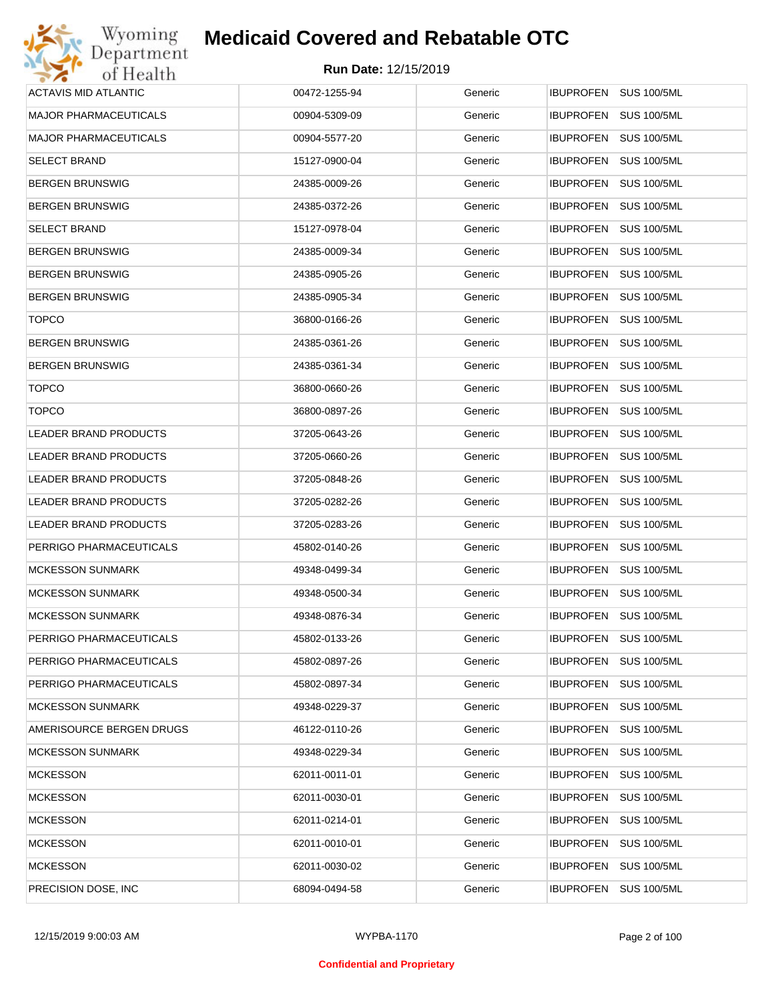| Wyoming                      | <b>Medicaid Covered and Rebatable OTC</b> |         |                                        |
|------------------------------|-------------------------------------------|---------|----------------------------------------|
| Department<br>of Health      | <b>Run Date: 12/15/2019</b>               |         |                                        |
| <b>ACTAVIS MID ATLANTIC</b>  | 00472-1255-94                             | Generic | IBUPROFEN SUS 100/5ML                  |
| <b>MAJOR PHARMACEUTICALS</b> | 00904-5309-09                             | Generic | <b>IBUPROFEN</b><br><b>SUS 100/5ML</b> |
| <b>MAJOR PHARMACEUTICALS</b> | 00904-5577-20                             | Generic | <b>SUS 100/5ML</b><br><b>IBUPROFEN</b> |
| <b>SELECT BRAND</b>          | 15127-0900-04                             | Generic | <b>IBUPROFEN</b><br><b>SUS 100/5ML</b> |
| <b>BERGEN BRUNSWIG</b>       | 24385-0009-26                             | Generic | <b>IBUPROFEN</b><br><b>SUS 100/5ML</b> |
| <b>BERGEN BRUNSWIG</b>       | 24385-0372-26                             | Generic | <b>IBUPROFEN</b><br><b>SUS 100/5ML</b> |
| <b>SELECT BRAND</b>          | 15127-0978-04                             | Generic | <b>IBUPROFEN</b><br><b>SUS 100/5ML</b> |
| <b>BERGEN BRUNSWIG</b>       | 24385-0009-34                             | Generic | <b>IBUPROFEN</b><br><b>SUS 100/5ML</b> |
| <b>BERGEN BRUNSWIG</b>       | 24385-0905-26                             | Generic | <b>IBUPROFEN</b><br><b>SUS 100/5ML</b> |
| <b>BERGEN BRUNSWIG</b>       | 24385-0905-34                             | Generic | <b>IBUPROFEN</b><br><b>SUS 100/5ML</b> |
| <b>TOPCO</b>                 | 36800-0166-26                             | Generic | <b>IBUPROFEN</b><br><b>SUS 100/5ML</b> |
| <b>BERGEN BRUNSWIG</b>       | 24385-0361-26                             | Generic | <b>IBUPROFEN</b><br><b>SUS 100/5ML</b> |
| <b>BERGEN BRUNSWIG</b>       | 24385-0361-34                             | Generic | <b>IBUPROFEN</b><br><b>SUS 100/5ML</b> |
| <b>TOPCO</b>                 | 36800-0660-26                             | Generic | <b>IBUPROFEN</b><br><b>SUS 100/5ML</b> |
| <b>TOPCO</b>                 | 36800-0897-26                             | Generic | <b>IBUPROFEN</b><br><b>SUS 100/5ML</b> |
| <b>LEADER BRAND PRODUCTS</b> | 37205-0643-26                             | Generic | <b>IBUPROFEN</b><br><b>SUS 100/5ML</b> |
| LEADER BRAND PRODUCTS        | 37205-0660-26                             | Generic | <b>IBUPROFEN</b><br><b>SUS 100/5ML</b> |
| LEADER BRAND PRODUCTS        | 37205-0848-26                             | Generic | <b>IBUPROFEN</b><br><b>SUS 100/5ML</b> |
| LEADER BRAND PRODUCTS        | 37205-0282-26                             | Generic | <b>IBUPROFEN</b><br><b>SUS 100/5ML</b> |
| LEADER BRAND PRODUCTS        | 37205-0283-26                             | Generic | <b>IBUPROFEN</b><br><b>SUS 100/5ML</b> |
| PERRIGO PHARMACEUTICALS      | 45802-0140-26                             | Generic | <b>IBUPROFEN</b><br><b>SUS 100/5ML</b> |
| <b>MCKESSON SUNMARK</b>      | 49348-0499-34                             | Generic | IBUPROFEN SUS 100/5ML                  |
| <b>MCKESSON SUNMARK</b>      | 49348-0500-34                             | Generic | IBUPROFEN SUS 100/5ML                  |
| <b>MCKESSON SUNMARK</b>      | 49348-0876-34                             | Generic | <b>IBUPROFEN</b><br><b>SUS 100/5ML</b> |
| PERRIGO PHARMACEUTICALS      | 45802-0133-26                             | Generic | <b>IBUPROFEN</b><br><b>SUS 100/5ML</b> |
| PERRIGO PHARMACEUTICALS      | 45802-0897-26                             | Generic | <b>SUS 100/5ML</b><br><b>IBUPROFEN</b> |
| PERRIGO PHARMACEUTICALS      | 45802-0897-34                             | Generic | <b>IBUPROFEN</b><br><b>SUS 100/5ML</b> |
| <b>MCKESSON SUNMARK</b>      | 49348-0229-37                             | Generic | <b>SUS 100/5ML</b><br><b>IBUPROFEN</b> |
| AMERISOURCE BERGEN DRUGS     | 46122-0110-26                             | Generic | <b>IBUPROFEN</b><br><b>SUS 100/5ML</b> |
| <b>MCKESSON SUNMARK</b>      | 49348-0229-34                             | Generic | <b>IBUPROFEN</b><br><b>SUS 100/5ML</b> |
| <b>MCKESSON</b>              | 62011-0011-01                             | Generic | <b>IBUPROFEN</b><br><b>SUS 100/5ML</b> |
| <b>MCKESSON</b>              | 62011-0030-01                             | Generic | <b>IBUPROFEN</b><br><b>SUS 100/5ML</b> |
| <b>MCKESSON</b>              | 62011-0214-01                             | Generic | <b>IBUPROFEN</b><br><b>SUS 100/5ML</b> |
| <b>MCKESSON</b>              | 62011-0010-01                             | Generic | <b>IBUPROFEN</b><br><b>SUS 100/5ML</b> |
| <b>MCKESSON</b>              | 62011-0030-02                             | Generic | <b>SUS 100/5ML</b><br><b>IBUPROFEN</b> |
| PRECISION DOSE, INC.         | 68094-0494-58                             | Generic | <b>SUS 100/5ML</b><br><b>IBUPROFEN</b> |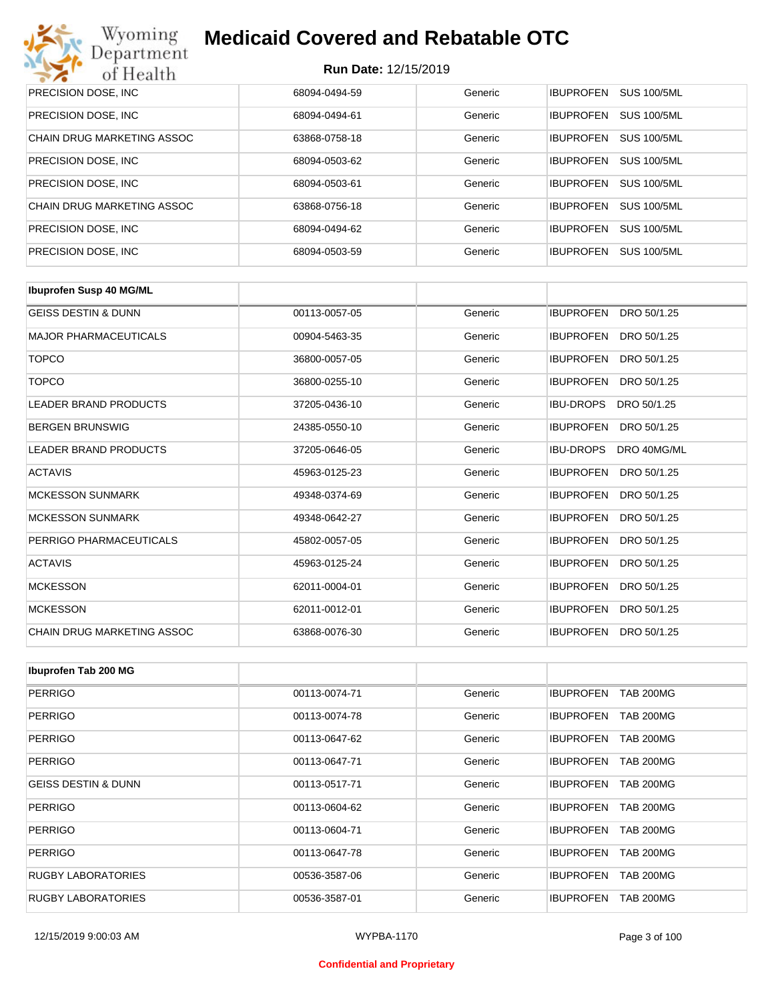| Wyoming<br><b>Medicaid Covered and Rebatable OTC</b><br>Department |                             |         |                  |                    |  |
|--------------------------------------------------------------------|-----------------------------|---------|------------------|--------------------|--|
| of Health                                                          | <b>Run Date: 12/15/2019</b> |         |                  |                    |  |
| PRECISION DOSE, INC.                                               | 68094-0494-59               | Generic | <b>IBUPROFEN</b> | <b>SUS 100/5ML</b> |  |
| PRECISION DOSE, INC.                                               | 68094-0494-61               | Generic | <b>IBUPROFEN</b> | <b>SUS 100/5ML</b> |  |
| CHAIN DRUG MARKETING ASSOC                                         | 63868-0758-18               | Generic | <b>IBUPROFEN</b> | <b>SUS 100/5ML</b> |  |
| PRECISION DOSE, INC.                                               | 68094-0503-62               | Generic | <b>IBUPROFEN</b> | <b>SUS 100/5ML</b> |  |
| PRECISION DOSE, INC.                                               | 68094-0503-61               | Generic | <b>IBUPROFEN</b> | <b>SUS 100/5ML</b> |  |
| CHAIN DRUG MARKETING ASSOC                                         | 63868-0756-18               | Generic | <b>IBUPROFEN</b> | <b>SUS 100/5ML</b> |  |
| PRECISION DOSE, INC.                                               | 68094-0494-62               | Generic | <b>IBUPROFEN</b> | <b>SUS 100/5ML</b> |  |
| PRECISION DOSE, INC.                                               | 68094-0503-59               | Generic | <b>IBUPROFEN</b> | <b>SUS 100/5ML</b> |  |

| <b>Ibuprofen Susp 40 MG/ML</b>    |               |         |                                 |
|-----------------------------------|---------------|---------|---------------------------------|
| <b>GEISS DESTIN &amp; DUNN</b>    | 00113-0057-05 | Generic | <b>IBUPROFEN</b><br>DRO 50/1.25 |
| <b>MAJOR PHARMACEUTICALS</b>      | 00904-5463-35 | Generic | <b>IBUPROFEN</b><br>DRO 50/1.25 |
| <b>TOPCO</b>                      | 36800-0057-05 | Generic | <b>IBUPROFEN</b><br>DRO 50/1.25 |
| <b>TOPCO</b>                      | 36800-0255-10 | Generic | <b>IBUPROFEN</b><br>DRO 50/1.25 |
| <b>LEADER BRAND PRODUCTS</b>      | 37205-0436-10 | Generic | <b>IBU-DROPS</b><br>DRO 50/1.25 |
| <b>BERGEN BRUNSWIG</b>            | 24385-0550-10 | Generic | <b>IBUPROFEN</b><br>DRO 50/1.25 |
| LEADER BRAND PRODUCTS             | 37205-0646-05 | Generic | <b>IBU-DROPS</b><br>DRO 40MG/ML |
| <b>ACTAVIS</b>                    | 45963-0125-23 | Generic | <b>IBUPROFEN</b><br>DRO 50/1.25 |
| <b>MCKESSON SUNMARK</b>           | 49348-0374-69 | Generic | <b>IBUPROFEN</b><br>DRO 50/1.25 |
| <b>MCKESSON SUNMARK</b>           | 49348-0642-27 | Generic | <b>IBUPROFEN</b><br>DRO 50/1.25 |
| PERRIGO PHARMACEUTICALS           | 45802-0057-05 | Generic | <b>IBUPROFEN</b><br>DRO 50/1.25 |
| <b>ACTAVIS</b>                    | 45963-0125-24 | Generic | <b>IBUPROFEN</b><br>DRO 50/1.25 |
| <b>MCKESSON</b>                   | 62011-0004-01 | Generic | <b>IBUPROFEN</b><br>DRO 50/1.25 |
| <b>MCKESSON</b>                   | 62011-0012-01 | Generic | <b>IBUPROFEN</b><br>DRO 50/1.25 |
| <b>CHAIN DRUG MARKETING ASSOC</b> | 63868-0076-30 | Generic | <b>IBUPROFEN</b><br>DRO 50/1.25 |

| Ibuprofen Tab 200 MG           |               |         |                                      |
|--------------------------------|---------------|---------|--------------------------------------|
| <b>PERRIGO</b>                 | 00113-0074-71 | Generic | <b>IBUPROFEN</b><br><b>TAB 200MG</b> |
| <b>PERRIGO</b>                 | 00113-0074-78 | Generic | <b>IBUPROFEN</b><br><b>TAB 200MG</b> |
| <b>PERRIGO</b>                 | 00113-0647-62 | Generic | <b>TAB 200MG</b><br><b>IBUPROFEN</b> |
| <b>PERRIGO</b>                 | 00113-0647-71 | Generic | <b>TAB 200MG</b><br><b>IBUPROFEN</b> |
| <b>GEISS DESTIN &amp; DUNN</b> | 00113-0517-71 | Generic | <b>TAB 200MG</b><br><b>IBUPROFEN</b> |
| <b>PERRIGO</b>                 | 00113-0604-62 | Generic | <b>IBUPROFEN</b><br><b>TAB 200MG</b> |
| <b>PERRIGO</b>                 | 00113-0604-71 | Generic | <b>IBUPROFEN</b><br><b>TAB 200MG</b> |
| <b>PERRIGO</b>                 | 00113-0647-78 | Generic | <b>TAB 200MG</b><br><b>IBUPROFEN</b> |
| <b>RUGBY LABORATORIES</b>      | 00536-3587-06 | Generic | <b>TAB 200MG</b><br><b>IBUPROFEN</b> |
| <b>RUGBY LABORATORIES</b>      | 00536-3587-01 | Generic | <b>TAB 200MG</b><br><b>IBUPROFEN</b> |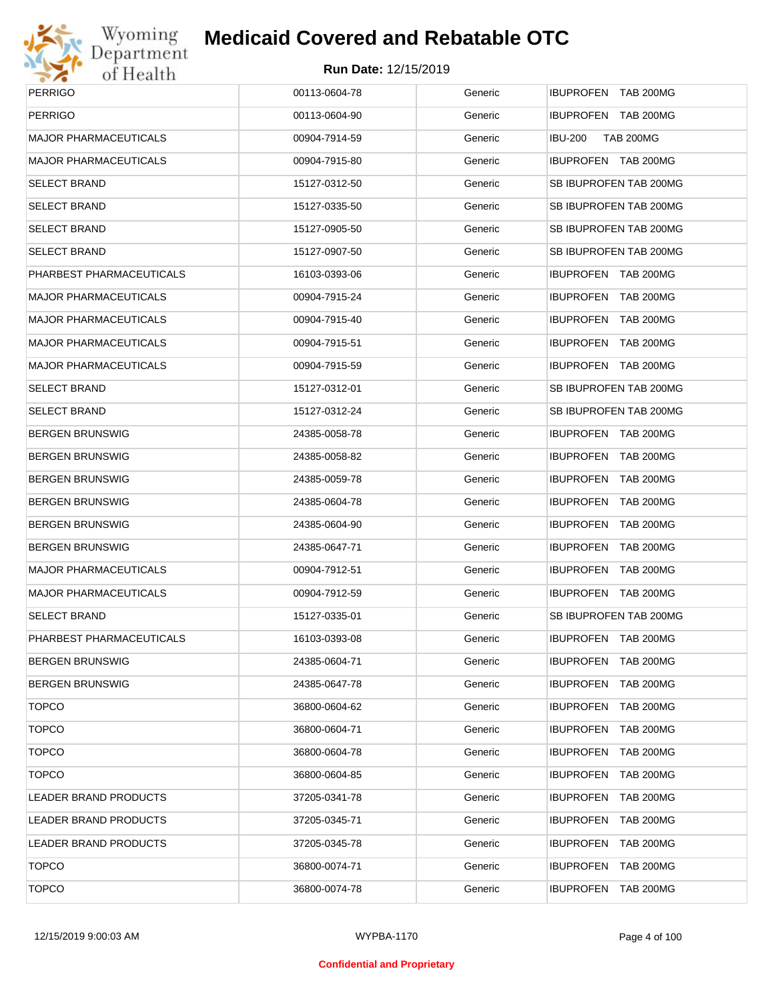

# Wyoming<br>Department<br>of Health

#### **Medicaid Covered and Rebatable OTC**

| <b>PERRIGO</b>               | 00113-0604-78 | Generic | IBUPROFEN TAB 200MG                  |
|------------------------------|---------------|---------|--------------------------------------|
| <b>PERRIGO</b>               | 00113-0604-90 | Generic | IBUPROFEN TAB 200MG                  |
| <b>MAJOR PHARMACEUTICALS</b> | 00904-7914-59 | Generic | <b>IBU-200</b><br><b>TAB 200MG</b>   |
| <b>MAJOR PHARMACEUTICALS</b> | 00904-7915-80 | Generic | IBUPROFEN TAB 200MG                  |
| <b>SELECT BRAND</b>          | 15127-0312-50 | Generic | SB IBUPROFEN TAB 200MG               |
| <b>SELECT BRAND</b>          | 15127-0335-50 | Generic | SB IBUPROFEN TAB 200MG               |
| <b>SELECT BRAND</b>          | 15127-0905-50 | Generic | SB IBUPROFEN TAB 200MG               |
| <b>SELECT BRAND</b>          | 15127-0907-50 | Generic | SB IBUPROFEN TAB 200MG               |
| PHARBEST PHARMACEUTICALS     | 16103-0393-06 | Generic | IBUPROFEN TAB 200MG                  |
| <b>MAJOR PHARMACEUTICALS</b> | 00904-7915-24 | Generic | IBUPROFEN TAB 200MG                  |
| <b>MAJOR PHARMACEUTICALS</b> | 00904-7915-40 | Generic | IBUPROFEN TAB 200MG                  |
| <b>MAJOR PHARMACEUTICALS</b> | 00904-7915-51 | Generic | IBUPROFEN TAB 200MG                  |
| <b>MAJOR PHARMACEUTICALS</b> | 00904-7915-59 | Generic | IBUPROFEN TAB 200MG                  |
| <b>SELECT BRAND</b>          | 15127-0312-01 | Generic | SB IBUPROFEN TAB 200MG               |
| <b>SELECT BRAND</b>          | 15127-0312-24 | Generic | SB IBUPROFEN TAB 200MG               |
| <b>BERGEN BRUNSWIG</b>       | 24385-0058-78 | Generic | IBUPROFEN TAB 200MG                  |
| <b>BERGEN BRUNSWIG</b>       | 24385-0058-82 | Generic | IBUPROFEN TAB 200MG                  |
| <b>BERGEN BRUNSWIG</b>       | 24385-0059-78 | Generic | IBUPROFEN TAB 200MG                  |
| <b>BERGEN BRUNSWIG</b>       | 24385-0604-78 | Generic | IBUPROFEN TAB 200MG                  |
| <b>BERGEN BRUNSWIG</b>       | 24385-0604-90 | Generic | IBUPROFEN TAB 200MG                  |
| <b>BERGEN BRUNSWIG</b>       | 24385-0647-71 | Generic | IBUPROFEN TAB 200MG                  |
| <b>MAJOR PHARMACEUTICALS</b> | 00904-7912-51 | Generic | IBUPROFEN TAB 200MG                  |
| <b>MAJOR PHARMACEUTICALS</b> | 00904-7912-59 | Generic | IBUPROFEN TAB 200MG                  |
| <b>SELECT BRAND</b>          | 15127-0335-01 | Generic | SB IBUPROFEN TAB 200MG               |
| PHARBEST PHARMACEUTICALS     | 16103-0393-08 | Generic | IBUPROFEN TAB 200MG                  |
| <b>BERGEN BRUNSWIG</b>       | 24385-0604-71 | Generic | IBUPROFEN TAB 200MG                  |
| <b>BERGEN BRUNSWIG</b>       | 24385-0647-78 | Generic | IBUPROFEN TAB 200MG                  |
| <b>TOPCO</b>                 | 36800-0604-62 | Generic | IBUPROFEN TAB 200MG                  |
| <b>TOPCO</b>                 | 36800-0604-71 | Generic | IBUPROFEN<br><b>TAB 200MG</b>        |
| <b>TOPCO</b>                 | 36800-0604-78 | Generic | IBUPROFEN TAB 200MG                  |
| <b>TOPCO</b>                 | 36800-0604-85 | Generic | <b>IBUPROFEN</b><br><b>TAB 200MG</b> |
| <b>LEADER BRAND PRODUCTS</b> | 37205-0341-78 | Generic | IBUPROFEN TAB 200MG                  |
| <b>LEADER BRAND PRODUCTS</b> | 37205-0345-71 | Generic | <b>IBUPROFEN</b><br><b>TAB 200MG</b> |
| LEADER BRAND PRODUCTS        | 37205-0345-78 | Generic | IBUPROFEN TAB 200MG                  |
| <b>TOPCO</b>                 | 36800-0074-71 | Generic | <b>IBUPROFEN</b><br><b>TAB 200MG</b> |
| <b>TOPCO</b>                 | 36800-0074-78 | Generic | IBUPROFEN TAB 200MG                  |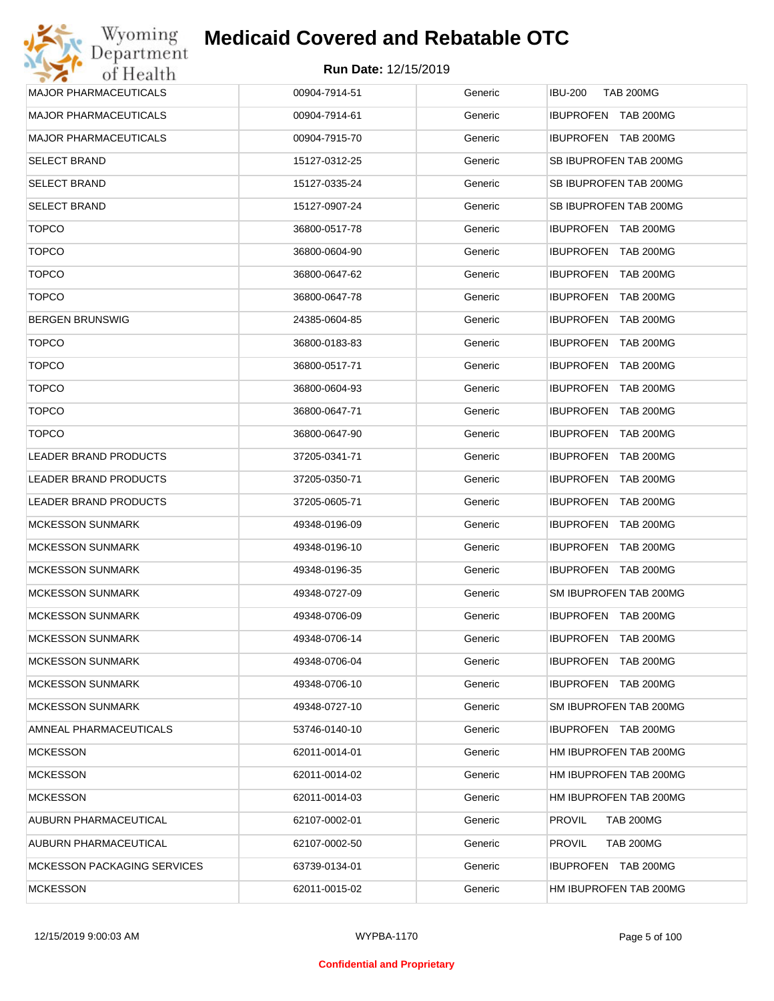

| Wyoming                            | <b>Medicaid Covered and Rebatable OTC</b> |         |                                      |
|------------------------------------|-------------------------------------------|---------|--------------------------------------|
| Department<br>of Health            | <b>Run Date: 12/15/2019</b>               |         |                                      |
| <b>MAJOR PHARMACEUTICALS</b>       | 00904-7914-51                             | Generic | <b>IBU-200</b><br><b>TAB 200MG</b>   |
| <b>MAJOR PHARMACEUTICALS</b>       | 00904-7914-61                             | Generic | IBUPROFEN TAB 200MG                  |
| <b>MAJOR PHARMACEUTICALS</b>       | 00904-7915-70                             | Generic | IBUPROFEN TAB 200MG                  |
| <b>SELECT BRAND</b>                | 15127-0312-25                             | Generic | SB IBUPROFEN TAB 200MG               |
| <b>SELECT BRAND</b>                | 15127-0335-24                             | Generic | SB IBUPROFEN TAB 200MG               |
| <b>SELECT BRAND</b>                | 15127-0907-24                             | Generic | SB IBUPROFEN TAB 200MG               |
| <b>TOPCO</b>                       | 36800-0517-78                             | Generic | <b>IBUPROFEN TAB 200MG</b>           |
| <b>TOPCO</b>                       | 36800-0604-90                             | Generic | IBUPROFEN TAB 200MG                  |
| <b>TOPCO</b>                       | 36800-0647-62                             | Generic | <b>IBUPROFEN</b><br>TAB 200MG        |
| <b>TOPCO</b>                       | 36800-0647-78                             | Generic | <b>IBUPROFEN</b><br><b>TAB 200MG</b> |
| <b>BERGEN BRUNSWIG</b>             | 24385-0604-85                             | Generic | <b>IBUPROFEN</b><br><b>TAB 200MG</b> |
| <b>TOPCO</b>                       | 36800-0183-83                             | Generic | <b>IBUPROFEN</b><br><b>TAB 200MG</b> |
| <b>TOPCO</b>                       | 36800-0517-71                             | Generic | <b>IBUPROFEN</b><br><b>TAB 200MG</b> |
| <b>TOPCO</b>                       | 36800-0604-93                             | Generic | <b>IBUPROFEN</b><br><b>TAB 200MG</b> |
| <b>TOPCO</b>                       | 36800-0647-71                             | Generic | <b>IBUPROFEN</b><br><b>TAB 200MG</b> |
| <b>TOPCO</b>                       | 36800-0647-90                             | Generic | <b>IBUPROFEN</b><br><b>TAB 200MG</b> |
| <b>LEADER BRAND PRODUCTS</b>       | 37205-0341-71                             | Generic | <b>IBUPROFEN</b><br><b>TAB 200MG</b> |
| LEADER BRAND PRODUCTS              | 37205-0350-71                             | Generic | <b>IBUPROFEN</b><br><b>TAB 200MG</b> |
| LEADER BRAND PRODUCTS              | 37205-0605-71                             | Generic | <b>IBUPROFEN</b><br><b>TAB 200MG</b> |
| <b>MCKESSON SUNMARK</b>            | 49348-0196-09                             | Generic | <b>IBUPROFEN</b><br><b>TAB 200MG</b> |
| <b>MCKESSON SUNMARK</b>            | 49348-0196-10                             | Generic | <b>IBUPROFEN</b><br><b>TAB 200MG</b> |
| <b>MCKESSON SUNMARK</b>            | 49348-0196-35                             | Generic | <b>IBUPROFEN TAB 200MG</b>           |
| <b>MCKESSON SUNMARK</b>            | 49348-0727-09                             | Generic | SM IBUPROFEN TAB 200MG               |
| <b>MCKESSON SUNMARK</b>            | 49348-0706-09                             | Generic | IBUPROFEN TAB 200MG                  |
| <b>MCKESSON SUNMARK</b>            | 49348-0706-14                             | Generic | <b>IBUPROFEN</b><br>TAB 200MG        |
| <b>MCKESSON SUNMARK</b>            | 49348-0706-04                             | Generic | <b>IBUPROFEN</b><br>TAB 200MG        |
| <b>MCKESSON SUNMARK</b>            | 49348-0706-10                             | Generic | IBUPROFEN TAB 200MG                  |
| <b>MCKESSON SUNMARK</b>            | 49348-0727-10                             | Generic | SM IBUPROFEN TAB 200MG               |
| AMNEAL PHARMACEUTICALS             | 53746-0140-10                             | Generic | IBUPROFEN TAB 200MG                  |
| <b>MCKESSON</b>                    | 62011-0014-01                             | Generic | HM IBUPROFEN TAB 200MG               |
| <b>MCKESSON</b>                    | 62011-0014-02                             | Generic | HM IBUPROFEN TAB 200MG               |
| <b>MCKESSON</b>                    | 62011-0014-03                             | Generic | HM IBUPROFEN TAB 200MG               |
| AUBURN PHARMACEUTICAL              | 62107-0002-01                             | Generic | <b>PROVIL</b><br><b>TAB 200MG</b>    |
| AUBURN PHARMACEUTICAL              | 62107-0002-50                             | Generic | <b>PROVIL</b><br><b>TAB 200MG</b>    |
| <b>MCKESSON PACKAGING SERVICES</b> | 63739-0134-01                             | Generic | IBUPROFEN TAB 200MG                  |
| <b>MCKESSON</b>                    | 62011-0015-02                             | Generic | HM IBUPROFEN TAB 200MG               |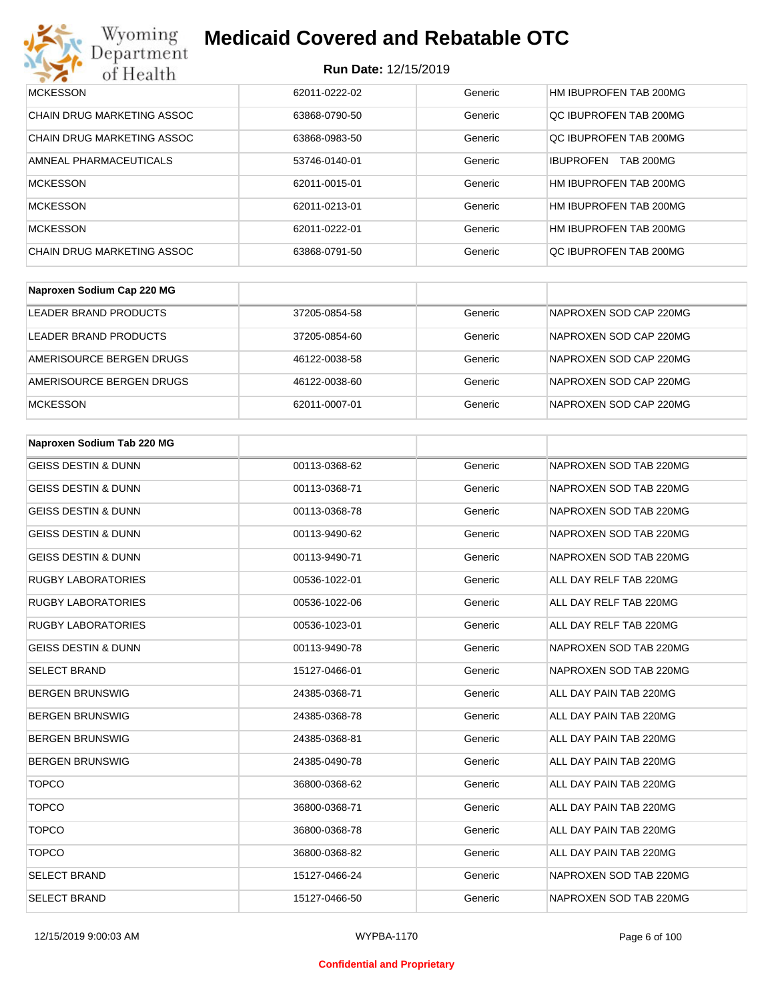| Wyoming<br><b>Medicaid Covered and Rebatable OTC</b><br>Department |                             |         |                                      |  |  |
|--------------------------------------------------------------------|-----------------------------|---------|--------------------------------------|--|--|
| of Health                                                          | <b>Run Date: 12/15/2019</b> |         |                                      |  |  |
| <b>MCKESSON</b>                                                    | 62011-0222-02               | Generic | HM IBUPROFEN TAB 200MG               |  |  |
| CHAIN DRUG MARKETING ASSOC                                         | 63868-0790-50               | Generic | OC IBUPROFEN TAB 200MG               |  |  |
| CHAIN DRUG MARKETING ASSOC                                         | 63868-0983-50               | Generic | OC IBUPROFEN TAB 200MG               |  |  |
| AMNEAL PHARMACEUTICALS                                             | 53746-0140-01               | Generic | <b>IBUPROFEN</b><br><b>TAB 200MG</b> |  |  |
| <b>MCKESSON</b>                                                    | 62011-0015-01               | Generic | HM IBUPROFEN TAB 200MG               |  |  |
| <b>MCKESSON</b>                                                    | 62011-0213-01               | Generic | HM IBUPROFEN TAB 200MG               |  |  |
| <b>MCKESSON</b>                                                    | 62011-0222-01               | Generic | HM IBUPROFEN TAB 200MG               |  |  |
| CHAIN DRUG MARKETING ASSOC                                         | 63868-0791-50               | Generic | OC IBUPROFEN TAB 200MG               |  |  |

| Naproxen Sodium Cap 220 MG |               |         |                        |
|----------------------------|---------------|---------|------------------------|
| LEADER BRAND PRODUCTS      | 37205-0854-58 | Generic | NAPROXEN SOD CAP 220MG |
| LEADER BRAND PRODUCTS      | 37205-0854-60 | Generic | NAPROXEN SOD CAP 220MG |
| AMERISOURCE BERGEN DRUGS   | 46122-0038-58 | Generic | NAPROXEN SOD CAP 220MG |
| AMERISOURCE BERGEN DRUGS   | 46122-0038-60 | Generic | NAPROXEN SOD CAP 220MG |
| <b>MCKESSON</b>            | 62011-0007-01 | Generic | NAPROXEN SOD CAP 220MG |

| Naproxen Sodium Tab 220 MG     |               |         |                        |
|--------------------------------|---------------|---------|------------------------|
| <b>GEISS DESTIN &amp; DUNN</b> | 00113-0368-62 | Generic | NAPROXEN SOD TAB 220MG |
| <b>GEISS DESTIN &amp; DUNN</b> | 00113-0368-71 | Generic | NAPROXEN SOD TAB 220MG |
| <b>GEISS DESTIN &amp; DUNN</b> | 00113-0368-78 | Generic | NAPROXEN SOD TAB 220MG |
| <b>GEISS DESTIN &amp; DUNN</b> | 00113-9490-62 | Generic | NAPROXEN SOD TAB 220MG |
| <b>GEISS DESTIN &amp; DUNN</b> | 00113-9490-71 | Generic | NAPROXEN SOD TAB 220MG |
| <b>RUGBY LABORATORIES</b>      | 00536-1022-01 | Generic | ALL DAY RELF TAB 220MG |
| <b>RUGBY LABORATORIES</b>      | 00536-1022-06 | Generic | ALL DAY RELF TAB 220MG |
| <b>RUGBY LABORATORIES</b>      | 00536-1023-01 | Generic | ALL DAY RELF TAB 220MG |
| <b>GEISS DESTIN &amp; DUNN</b> | 00113-9490-78 | Generic | NAPROXEN SOD TAB 220MG |
| <b>SELECT BRAND</b>            | 15127-0466-01 | Generic | NAPROXEN SOD TAB 220MG |
| <b>BERGEN BRUNSWIG</b>         | 24385-0368-71 | Generic | ALL DAY PAIN TAB 220MG |
| <b>BERGEN BRUNSWIG</b>         | 24385-0368-78 | Generic | ALL DAY PAIN TAB 220MG |
| <b>BERGEN BRUNSWIG</b>         | 24385-0368-81 | Generic | ALL DAY PAIN TAB 220MG |
| <b>BERGEN BRUNSWIG</b>         | 24385-0490-78 | Generic | ALL DAY PAIN TAB 220MG |
| <b>TOPCO</b>                   | 36800-0368-62 | Generic | ALL DAY PAIN TAB 220MG |
| <b>TOPCO</b>                   | 36800-0368-71 | Generic | ALL DAY PAIN TAB 220MG |
| <b>TOPCO</b>                   | 36800-0368-78 | Generic | ALL DAY PAIN TAB 220MG |
| <b>TOPCO</b>                   | 36800-0368-82 | Generic | ALL DAY PAIN TAB 220MG |
| <b>SELECT BRAND</b>            | 15127-0466-24 | Generic | NAPROXEN SOD TAB 220MG |
| <b>SELECT BRAND</b>            | 15127-0466-50 | Generic | NAPROXEN SOD TAB 220MG |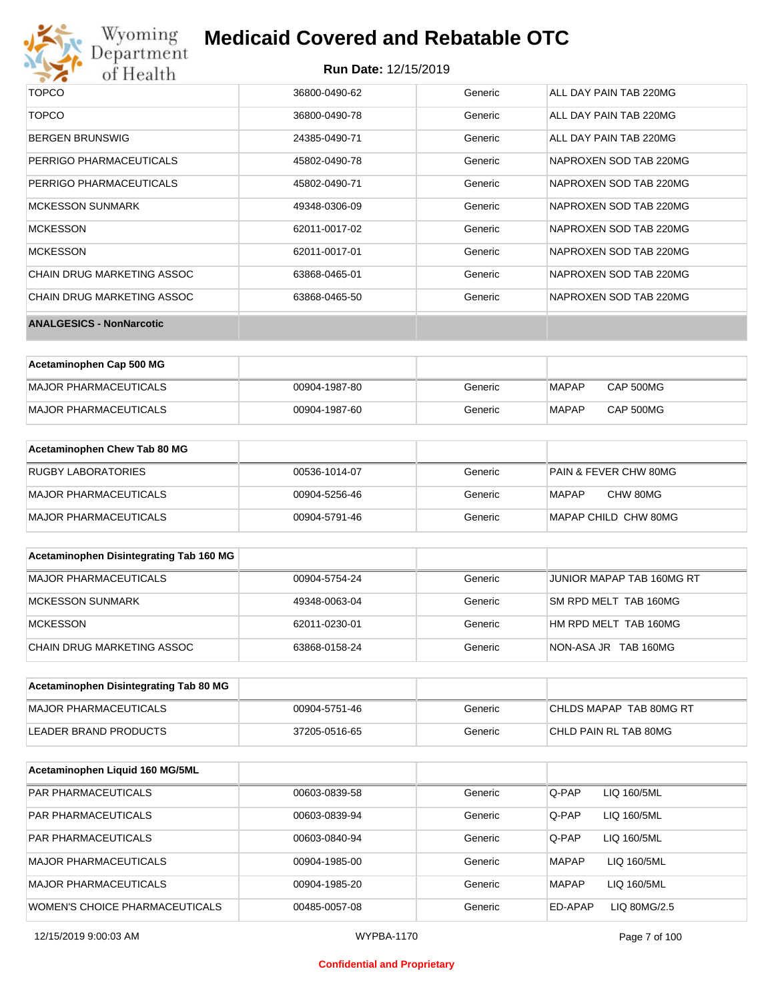

#### **Run Date:** 12/15/2019

| <b>TOPCO</b>                      | 36800-0490-62 | Generic | ALL DAY PAIN TAB 220MG |
|-----------------------------------|---------------|---------|------------------------|
| <b>TOPCO</b>                      | 36800-0490-78 | Generic | ALL DAY PAIN TAB 220MG |
| <b>BERGEN BRUNSWIG</b>            | 24385-0490-71 | Generic | ALL DAY PAIN TAB 220MG |
| PERRIGO PHARMACEUTICALS           | 45802-0490-78 | Generic | NAPROXEN SOD TAB 220MG |
| PERRIGO PHARMACEUTICALS           | 45802-0490-71 | Generic | NAPROXEN SOD TAB 220MG |
| <b>MCKESSON SUNMARK</b>           | 49348-0306-09 | Generic | NAPROXEN SOD TAB 220MG |
| <b>MCKESSON</b>                   | 62011-0017-02 | Generic | NAPROXEN SOD TAB 220MG |
| <b>MCKESSON</b>                   | 62011-0017-01 | Generic | NAPROXEN SOD TAB 220MG |
| CHAIN DRUG MARKETING ASSOC        | 63868-0465-01 | Generic | NAPROXEN SOD TAB 220MG |
| <b>CHAIN DRUG MARKETING ASSOC</b> | 63868-0465-50 | Generic | NAPROXEN SOD TAB 220MG |
| <b>ANALGESICS - NonNarcotic</b>   |               |         |                        |

| Acetaminophen Cap 500 MG |               |         |              |                  |
|--------------------------|---------------|---------|--------------|------------------|
| MAJOR PHARMACEUTICALS    | 00904-1987-80 | Generic | <b>MAPAP</b> | <b>CAP 500MG</b> |
| MAJOR PHARMACEUTICALS    | 00904-1987-60 | Generic | <b>MAPAP</b> | CAP 500MG        |

| Acetaminophen Chew Tab 80 MG |               |         |                       |
|------------------------------|---------------|---------|-----------------------|
| RUGBY LABORATORIES           | 00536-1014-07 | Generic | PAIN & FEVER CHW 80MG |
| MAJOR PHARMACEUTICALS        | 00904-5256-46 | Generic | CHW 80MG<br>MAPAP     |
| MAJOR PHARMACEUTICALS        | 00904-5791-46 | Generic | MAPAP CHILD CHW 80MG  |

| Acetaminophen Disintegrating Tab 160 MG |               |         |                           |
|-----------------------------------------|---------------|---------|---------------------------|
| MAJOR PHARMACEUTICALS                   | 00904-5754-24 | Generic | JUNIOR MAPAP TAB 160MG RT |
| MCKESSON SUNMARK                        | 49348-0063-04 | Generic | SM RPD MELT TAB 160MG     |
| MCKESSON                                | 62011-0230-01 | Generic | HM RPD MELT TAB 160MG     |
| CHAIN DRUG MARKETING ASSOC              | 63868-0158-24 | Generic | NON-ASA JR TAB 160MG      |

| Acetaminophen Disintegrating Tab 80 MG |               |         |                         |
|----------------------------------------|---------------|---------|-------------------------|
| MAJOR PHARMACEUTICALS                  | 00904-5751-46 | Generic | CHLDS MAPAP TAB 80MG RT |
| LEADER BRAND PRODUCTS                  | 37205-0516-65 | Generic | CHLD PAIN RL TAB 80MG   |

| Acetaminophen Liquid 160 MG/5ML |               |         |              |              |
|---------------------------------|---------------|---------|--------------|--------------|
| <b>PAR PHARMACEUTICALS</b>      | 00603-0839-58 | Generic | Q-PAP        | LIQ 160/5ML  |
| <b>PAR PHARMACEUTICALS</b>      | 00603-0839-94 | Generic | Q-PAP        | LIQ 160/5ML  |
| <b>PAR PHARMACEUTICALS</b>      | 00603-0840-94 | Generic | Q-PAP        | LIQ 160/5ML  |
| MAJOR PHARMACEUTICALS           | 00904-1985-00 | Generic | <b>MAPAP</b> | LIQ 160/5ML  |
| MAJOR PHARMACEUTICALS           | 00904-1985-20 | Generic | <b>MAPAP</b> | LIQ 160/5ML  |
| WOMEN'S CHOICE PHARMACEUTICALS  | 00485-0057-08 | Generic | ED-APAP      | LIQ 80MG/2.5 |

#### **Confidential and Proprietary**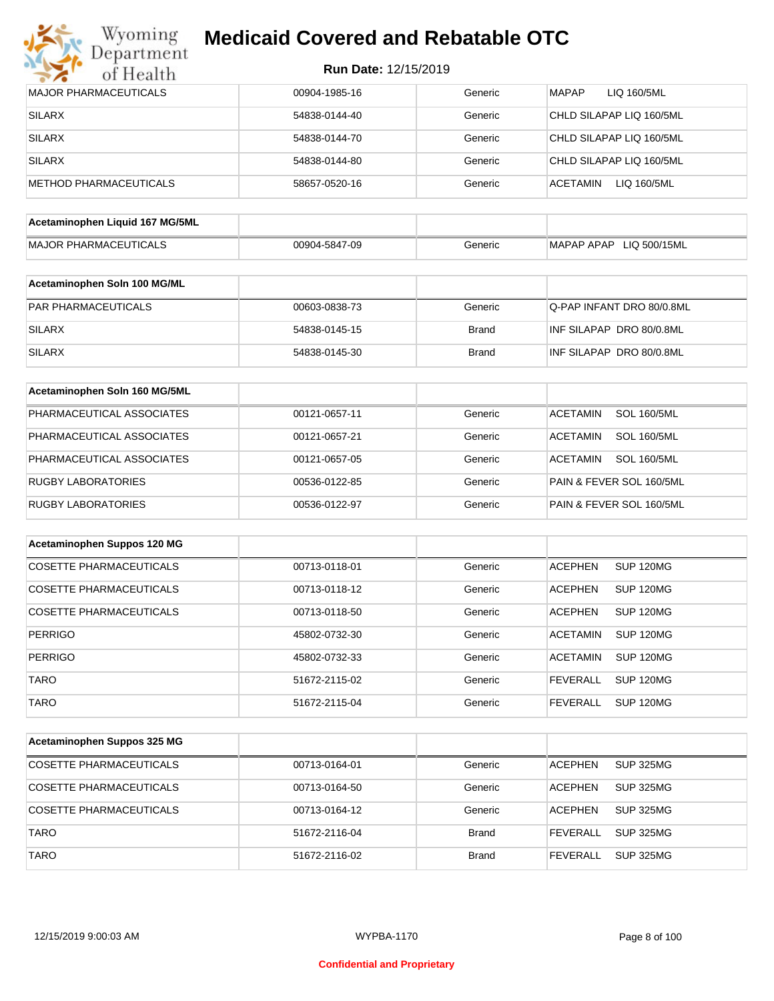

|  | <b>Run Date: 12/15/2019</b> |
|--|-----------------------------|
|--|-----------------------------|

| <b>MAJOR PHARMACEUTICALS</b>    | 00904-1985-16 | Generic      | <b>MAPAP</b><br>LIQ 160/5ML           |
|---------------------------------|---------------|--------------|---------------------------------------|
| <b>SILARX</b>                   | 54838-0144-40 | Generic      | CHLD SILAPAP LIQ 160/5ML              |
| <b>SILARX</b>                   | 54838-0144-70 | Generic      | CHLD SILAPAP LIQ 160/5ML              |
| <b>SILARX</b>                   | 54838-0144-80 | Generic      | CHLD SILAPAP LIQ 160/5ML              |
| <b>METHOD PHARMACEUTICALS</b>   | 58657-0520-16 | Generic      | <b>ACETAMIN</b><br>LIQ 160/5ML        |
|                                 |               |              |                                       |
| Acetaminophen Liquid 167 MG/5ML |               |              |                                       |
| <b>MAJOR PHARMACEUTICALS</b>    | 00904-5847-09 | Generic      | MAPAP APAP LIQ 500/15ML               |
| Acetaminophen Soln 100 MG/ML    |               |              |                                       |
| PAR PHARMACEUTICALS             | 00603-0838-73 | Generic      | Q-PAP INFANT DRO 80/0.8ML             |
| <b>SILARX</b>                   | 54838-0145-15 | <b>Brand</b> | INF SILAPAP DRO 80/0.8ML              |
| <b>SILARX</b>                   | 54838-0145-30 | <b>Brand</b> | INF SILAPAP DRO 80/0.8ML              |
|                                 |               |              |                                       |
| Acetaminophen Soln 160 MG/5ML   |               |              |                                       |
| PHARMACEUTICAL ASSOCIATES       | 00121-0657-11 | Generic      | <b>ACETAMIN</b><br><b>SOL 160/5ML</b> |
| PHARMACEUTICAL ASSOCIATES       | 00121-0657-21 | Generic      | <b>ACETAMIN</b><br><b>SOL 160/5ML</b> |
| PHARMACEUTICAL ASSOCIATES       | 00121-0657-05 | Generic      | <b>ACETAMIN</b><br><b>SOL 160/5ML</b> |
| <b>RUGBY LABORATORIES</b>       | 00536-0122-85 | Generic      | PAIN & FEVER SOL 160/5ML              |
| <b>RUGBY LABORATORIES</b>       | 00536-0122-97 | Generic      | PAIN & FEVER SOL 160/5ML              |
| Acetaminophen Suppos 120 MG     |               |              |                                       |
| <b>COSETTE PHARMACEUTICALS</b>  | 00713-0118-01 | Generic      | <b>ACEPHEN</b><br>SUP 120MG           |
|                                 |               |              |                                       |
| <b>COSETTE PHARMACEUTICALS</b>  | 00713-0118-12 | Generic      | <b>ACEPHEN</b><br>SUP 120MG           |
| <b>COSETTE PHARMACEUTICALS</b>  | 00713-0118-50 | Generic      | <b>ACEPHEN</b><br>SUP 120MG           |
| <b>PERRIGO</b>                  | 45802-0732-30 | Generic      | <b>ACETAMIN</b><br><b>SUP 120MG</b>   |
| <b>PERRIGO</b>                  | 45802-0732-33 | Generic      | <b>ACETAMIN</b><br><b>SUP 120MG</b>   |
| <b>TARO</b>                     | 51672-2115-02 | Generic      | <b>FEVERALL</b><br>SUP 120MG          |
| <b>TARO</b>                     | 51672-2115-04 | Generic      | <b>SUP 120MG</b><br><b>FEVERALL</b>   |
|                                 |               |              |                                       |
| Acetaminophen Suppos 325 MG     |               |              |                                       |
| <b>COSETTE PHARMACEUTICALS</b>  | 00713-0164-01 | Generic      | <b>SUP 325MG</b><br><b>ACEPHEN</b>    |
| <b>COSETTE PHARMACEUTICALS</b>  | 00713-0164-50 | Generic      | <b>ACEPHEN</b><br><b>SUP 325MG</b>    |
| COSETTE PHARMACEUTICALS         | 00713-0164-12 | Generic      | <b>ACEPHEN</b><br><b>SUP 325MG</b>    |
| <b>TARO</b>                     | 51672-2116-04 | <b>Brand</b> | <b>SUP 325MG</b><br><b>FEVERALL</b>   |
| <b>TARO</b>                     | 51672-2116-02 | <b>Brand</b> | <b>SUP 325MG</b><br><b>FEVERALL</b>   |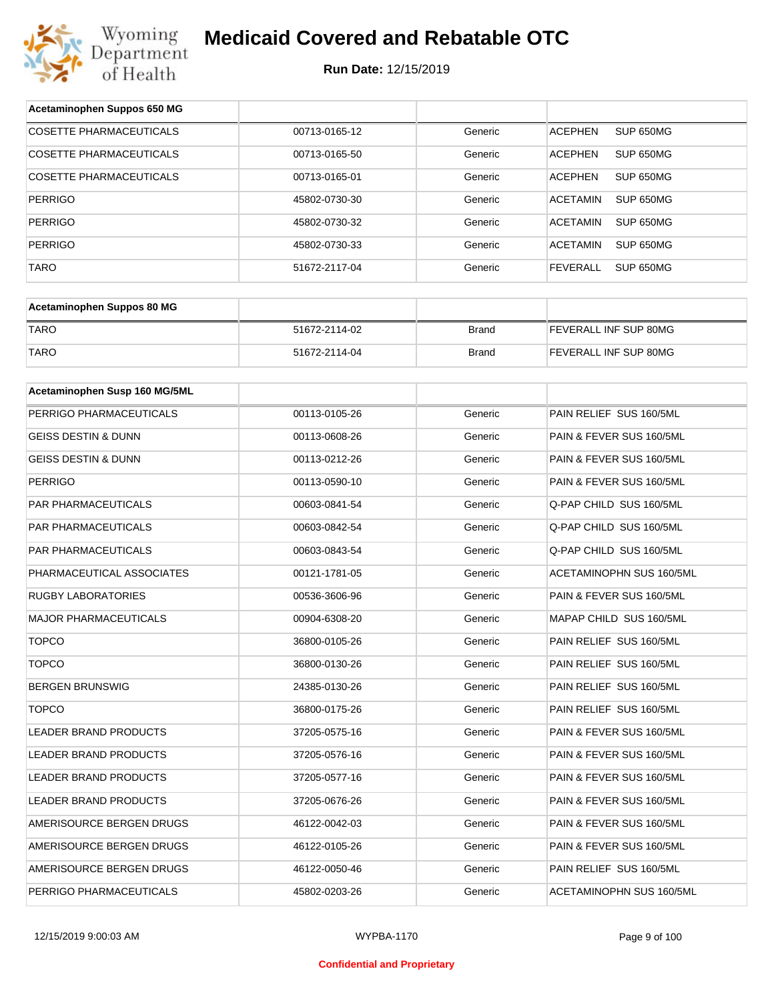

| Acetaminophen Suppos 650 MG    |               |              |                                     |
|--------------------------------|---------------|--------------|-------------------------------------|
| <b>COSETTE PHARMACEUTICALS</b> | 00713-0165-12 | Generic      | SUP 650MG<br><b>ACEPHEN</b>         |
| COSETTE PHARMACEUTICALS        | 00713-0165-50 | Generic      | ACEPHEN<br>SUP 650MG                |
| COSETTE PHARMACEUTICALS        | 00713-0165-01 | Generic      | <b>ACEPHEN</b><br>SUP 650MG         |
| <b>PERRIGO</b>                 | 45802-0730-30 | Generic      | ACETAMIN<br>SUP 650MG               |
| <b>PERRIGO</b>                 | 45802-0730-32 | Generic      | ACETAMIN<br>SUP 650MG               |
| <b>PERRIGO</b>                 | 45802-0730-33 | Generic      | ACETAMIN<br>SUP 650MG               |
| <b>TARO</b>                    | 51672-2117-04 | Generic      | <b>FEVERALL</b><br><b>SUP 650MG</b> |
|                                |               |              |                                     |
| Acetaminophen Suppos 80 MG     |               |              |                                     |
| <b>TARO</b>                    | 51672-2114-02 | <b>Brand</b> | FEVERALL INF SUP 80MG               |
| <b>TARO</b>                    | 51672-2114-04 | <b>Brand</b> | FEVERALL INF SUP 80MG               |
|                                |               |              |                                     |
| Acetaminophen Susp 160 MG/5ML  |               |              |                                     |
| PERRIGO PHARMACEUTICALS        | 00113-0105-26 | Generic      | PAIN RELIEF SUS 160/5ML             |
| GEISS DESTIN & DUNN            | 00113-0608-26 | Generic      | PAIN & FEVER SUS 160/5ML            |
| <b>GEISS DESTIN &amp; DUNN</b> | 00113-0212-26 | Generic      | PAIN & FEVER SUS 160/5ML            |
| <b>PERRIGO</b>                 | 00113-0590-10 | Generic      | PAIN & FEVER SUS 160/5ML            |
| PAR PHARMACEUTICALS            | 00603-0841-54 | Generic      | Q-PAP CHILD SUS 160/5ML             |
| PAR PHARMACEUTICALS            | 00603-0842-54 | Generic      | Q-PAP CHILD SUS 160/5ML             |
| PAR PHARMACEUTICALS            | 00603-0843-54 | Generic      | Q-PAP CHILD SUS 160/5ML             |
| PHARMACEUTICAL ASSOCIATES      | 00121-1781-05 | Generic      | ACETAMINOPHN SUS 160/5ML            |
| <b>RUGBY LABORATORIES</b>      | 00536-3606-96 | Generic      | PAIN & FEVER SUS 160/5ML            |
| <b>MAJOR PHARMACEUTICALS</b>   | 00904-6308-20 | Generic      | MAPAP CHILD SUS 160/5ML             |
| <b>TOPCO</b>                   | 36800-0105-26 | Generic      | PAIN RELIEF SUS 160/5ML             |
| <b>TOPCO</b>                   | 36800-0130-26 | Generic      | PAIN RELIEF SUS 160/5ML             |
| <b>BERGEN BRUNSWIG</b>         | 24385-0130-26 | Generic      | PAIN RELIEF SUS 160/5ML             |
| <b>TOPCO</b>                   | 36800-0175-26 | Generic      | PAIN RELIEF SUS 160/5ML             |
| <b>LEADER BRAND PRODUCTS</b>   | 37205-0575-16 | Generic      | PAIN & FEVER SUS 160/5ML            |
| LEADER BRAND PRODUCTS          | 37205-0576-16 | Generic      | PAIN & FEVER SUS 160/5ML            |
| LEADER BRAND PRODUCTS          | 37205-0577-16 | Generic      | PAIN & FEVER SUS 160/5ML            |
| LEADER BRAND PRODUCTS          | 37205-0676-26 | Generic      | PAIN & FEVER SUS 160/5ML            |
| AMERISOURCE BERGEN DRUGS       | 46122-0042-03 | Generic      | PAIN & FEVER SUS 160/5ML            |
| AMERISOURCE BERGEN DRUGS       | 46122-0105-26 | Generic      | PAIN & FEVER SUS 160/5ML            |
| AMERISOURCE BERGEN DRUGS       | 46122-0050-46 | Generic      | PAIN RELIEF SUS 160/5ML             |
| PERRIGO PHARMACEUTICALS        | 45802-0203-26 | Generic      | ACETAMINOPHN SUS 160/5ML            |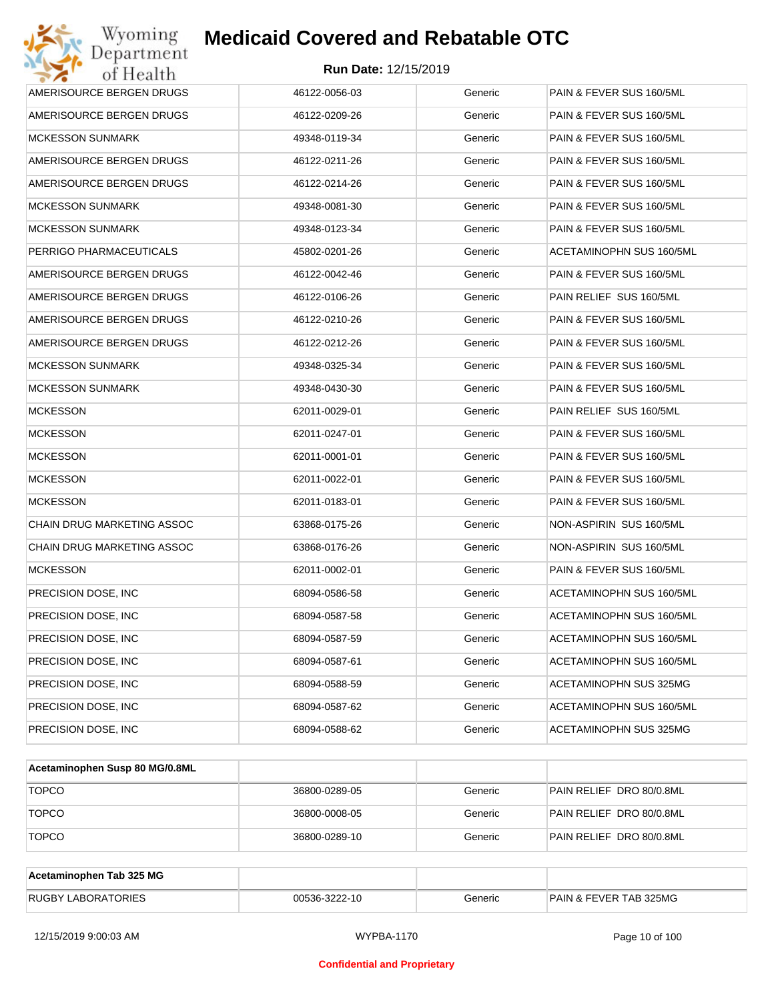

| Wyoming<br>Department      | <b>Medicaid Covered and Rebatable OTC</b> |         |                          |
|----------------------------|-------------------------------------------|---------|--------------------------|
| of Health                  | <b>Run Date: 12/15/2019</b>               |         |                          |
| AMERISOURCE BERGEN DRUGS   | 46122-0056-03                             | Generic | PAIN & FEVER SUS 160/5ML |
| AMERISOURCE BERGEN DRUGS   | 46122-0209-26                             | Generic | PAIN & FEVER SUS 160/5ML |
| <b>MCKESSON SUNMARK</b>    | 49348-0119-34                             | Generic | PAIN & FEVER SUS 160/5ML |
| AMERISOURCE BERGEN DRUGS   | 46122-0211-26                             | Generic | PAIN & FEVER SUS 160/5ML |
| AMERISOURCE BERGEN DRUGS   | 46122-0214-26                             | Generic | PAIN & FEVER SUS 160/5ML |
| MCKESSON SUNMARK           | 49348-0081-30                             | Generic | PAIN & FEVER SUS 160/5ML |
| MCKESSON SUNMARK           | 49348-0123-34                             | Generic | PAIN & FEVER SUS 160/5ML |
| PERRIGO PHARMACEUTICALS    | 45802-0201-26                             | Generic | ACETAMINOPHN SUS 160/5ML |
| AMERISOURCE BERGEN DRUGS   | 46122-0042-46                             | Generic | PAIN & FEVER SUS 160/5ML |
| AMERISOURCE BERGEN DRUGS   | 46122-0106-26                             | Generic | PAIN RELIEF SUS 160/5ML  |
| AMERISOURCE BERGEN DRUGS   | 46122-0210-26                             | Generic | PAIN & FEVER SUS 160/5ML |
| AMERISOURCE BERGEN DRUGS   | 46122-0212-26                             | Generic | PAIN & FEVER SUS 160/5ML |
| <b>MCKESSON SUNMARK</b>    | 49348-0325-34                             | Generic | PAIN & FEVER SUS 160/5ML |
| MCKESSON SUNMARK           | 49348-0430-30                             | Generic | PAIN & FEVER SUS 160/5ML |
| <b>MCKESSON</b>            | 62011-0029-01                             | Generic | PAIN RELIEF SUS 160/5ML  |
| MCKESSON                   | 62011-0247-01                             | Generic | PAIN & FEVER SUS 160/5ML |
| <b>MCKESSON</b>            | 62011-0001-01                             | Generic | PAIN & FEVER SUS 160/5ML |
| <b>MCKESSON</b>            | 62011-0022-01                             | Generic | PAIN & FEVER SUS 160/5ML |
| <b>MCKESSON</b>            | 62011-0183-01                             | Generic | PAIN & FEVER SUS 160/5ML |
| CHAIN DRUG MARKETING ASSOC | 63868-0175-26                             | Generic | NON-ASPIRIN SUS 160/5ML  |
| CHAIN DRUG MARKETING ASSOC | 63868-0176-26                             | Generic | NON-ASPIRIN SUS 160/5ML  |
| <b>MCKESSON</b>            | 62011-0002-01                             | Generic | PAIN & FEVER SUS 160/5ML |
| PRECISION DOSE, INC        | 68094-0586-58                             | Generic | ACETAMINOPHN SUS 160/5ML |
| PRECISION DOSE, INC        | 68094-0587-58                             | Generic | ACETAMINOPHN SUS 160/5ML |
| PRECISION DOSE, INC.       | 68094-0587-59                             | Generic | ACETAMINOPHN SUS 160/5ML |
| PRECISION DOSE, INC.       | 68094-0587-61                             | Generic | ACETAMINOPHN SUS 160/5ML |
| PRECISION DOSE, INC.       | 68094-0588-59                             | Generic | ACETAMINOPHN SUS 325MG   |
| PRECISION DOSE, INC.       | 68094-0587-62                             | Generic | ACETAMINOPHN SUS 160/5ML |
| PRECISION DOSE, INC        | 68094-0588-62                             | Generic | ACETAMINOPHN SUS 325MG   |

| Acetaminophen Susp 80 MG/0.8ML |               |         |                          |
|--------------------------------|---------------|---------|--------------------------|
| <b>TOPCO</b>                   | 36800-0289-05 | Generic | PAIN RELIEF DRO 80/0.8ML |
| <b>TOPCO</b>                   | 36800-0008-05 | Generic | PAIN RELIEF DRO 80/0.8ML |
| <b>TOPCO</b>                   | 36800-0289-10 | Generic | PAIN RELIEF DRO 80/0.8ML |

| Acetaminophen Tab 325 MG  |               |         |                                   |
|---------------------------|---------------|---------|-----------------------------------|
| <b>RUGBY LABORATORIES</b> | 00536-3222-10 | Generic | <b>PAIN &amp; FEVER TAB 325MG</b> |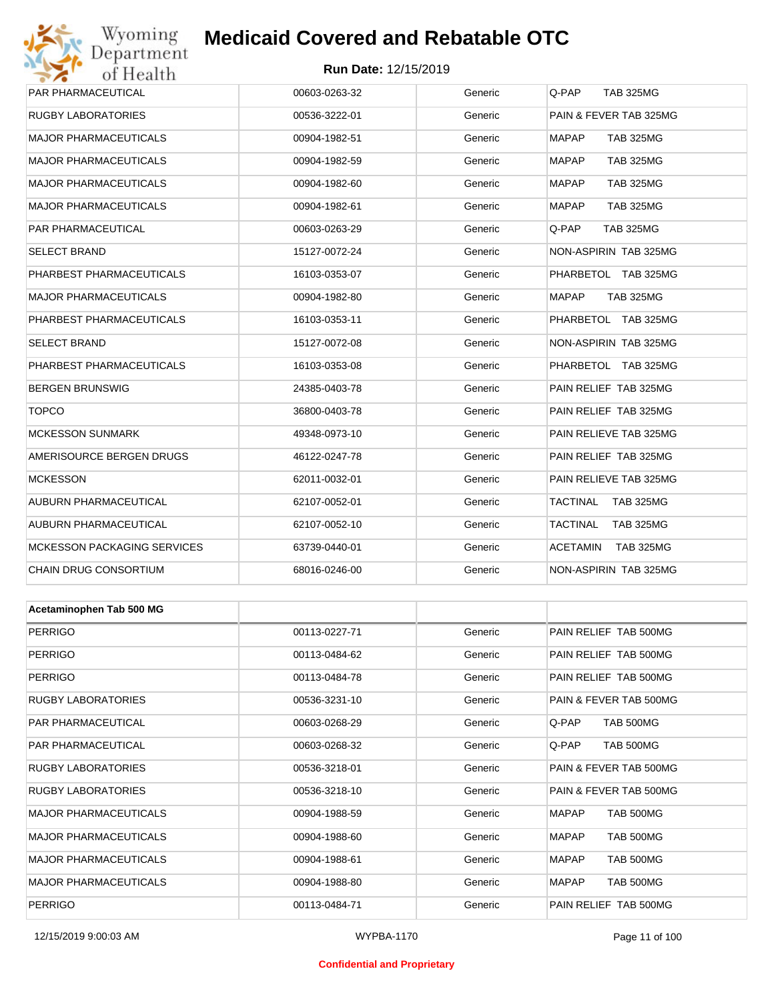## Wyoming<br>Department<br>of Health **Medicaid Covered and Rebatable OTC**

#### **Run Date:** 12/15/2019

| PAR PHARMACEUTICAL                 | 00603-0263-32 | Generic | Q-PAP<br><b>TAB 325MG</b>           |
|------------------------------------|---------------|---------|-------------------------------------|
| <b>RUGBY LABORATORIES</b>          | 00536-3222-01 | Generic | PAIN & FEVER TAB 325MG              |
| <b>MAJOR PHARMACEUTICALS</b>       | 00904-1982-51 | Generic | <b>MAPAP</b><br><b>TAB 325MG</b>    |
| <b>MAJOR PHARMACEUTICALS</b>       | 00904-1982-59 | Generic | <b>MAPAP</b><br><b>TAB 325MG</b>    |
| <b>MAJOR PHARMACEUTICALS</b>       | 00904-1982-60 | Generic | <b>MAPAP</b><br><b>TAB 325MG</b>    |
| <b>MAJOR PHARMACEUTICALS</b>       | 00904-1982-61 | Generic | <b>MAPAP</b><br><b>TAB 325MG</b>    |
| PAR PHARMACEUTICAL                 | 00603-0263-29 | Generic | Q-PAP<br><b>TAB 325MG</b>           |
| <b>SELECT BRAND</b>                | 15127-0072-24 | Generic | NON-ASPIRIN TAB 325MG               |
| PHARBEST PHARMACEUTICALS           | 16103-0353-07 | Generic | PHARBETOL TAB 325MG                 |
| <b>MAJOR PHARMACEUTICALS</b>       | 00904-1982-80 | Generic | <b>MAPAP</b><br><b>TAB 325MG</b>    |
| PHARBEST PHARMACEUTICALS           | 16103-0353-11 | Generic | PHARBETOL TAB 325MG                 |
| <b>SELECT BRAND</b>                | 15127-0072-08 | Generic | <b>NON-ASPIRIN TAB 325MG</b>        |
| PHARBEST PHARMACEUTICALS           | 16103-0353-08 | Generic | PHARBETOL TAB 325MG                 |
| <b>BERGEN BRUNSWIG</b>             | 24385-0403-78 | Generic | PAIN RELIEF TAB 325MG               |
| <b>TOPCO</b>                       | 36800-0403-78 | Generic | PAIN RELIEF TAB 325MG               |
| <b>MCKESSON SUNMARK</b>            | 49348-0973-10 | Generic | PAIN RELIEVE TAB 325MG              |
| AMERISOURCE BERGEN DRUGS           | 46122-0247-78 | Generic | PAIN RELIEF TAB 325MG               |
| <b>MCKESSON</b>                    | 62011-0032-01 | Generic | PAIN RELIEVE TAB 325MG              |
| AUBURN PHARMACEUTICAL              | 62107-0052-01 | Generic | TACTINAL<br>TAB 325MG               |
| AUBURN PHARMACEUTICAL              | 62107-0052-10 | Generic | TACTINAL<br><b>TAB 325MG</b>        |
| <b>MCKESSON PACKAGING SERVICES</b> | 63739-0440-01 | Generic | <b>ACETAMIN</b><br><b>TAB 325MG</b> |
| CHAIN DRUG CONSORTIUM              | 68016-0246-00 | Generic | NON-ASPIRIN TAB 325MG               |
|                                    |               |         |                                     |
| Acetaminophen Tab 500 MG           |               |         |                                     |
| <b>PERRIGO</b>                     | 00113-0227-71 | Generic | PAIN RELIEF TAB 500MG               |
| PERRIGO                            | 00113-0484-62 | Generic | PAIN RELIEF TAB 500MG               |
| <b>PERRIGO</b>                     | 00113-0484-78 | Generic | PAIN RELIEF TAB 500MG               |
| <b>RUGBY LABORATORIES</b>          | 00536-3231-10 | Generic | PAIN & FEVER TAB 500MG              |
| PAR PHARMACEUTICAL                 | 00603-0268-29 | Generic | TAB 500MG<br>Q-PAP                  |
| <b>PAR PHARMACEUTICAL</b>          | 00603-0268-32 | Generic | <b>TAB 500MG</b><br>Q-PAP           |
| RUGBY LABORATORIES                 | 00536-3218-01 | Generic | PAIN & FEVER TAB 500MG              |
| RUGBY LABORATORIES                 | 00536-3218-10 | Generic | PAIN & FEVER TAB 500MG              |
| <b>MAJOR PHARMACEUTICALS</b>       | 00904-1988-59 | Generic | <b>MAPAP</b><br>TAB 500MG           |
| <b>MAJOR PHARMACEUTICALS</b>       | 00904-1988-60 | Generic | <b>MAPAP</b><br>TAB 500MG           |
| <b>MAJOR PHARMACEUTICALS</b>       | 00904-1988-61 | Generic | <b>TAB 500MG</b><br>MAPAP           |
| <b>MAJOR PHARMACEUTICALS</b>       | 00904-1988-80 | Generic | <b>MAPAP</b><br><b>TAB 500MG</b>    |

PERRIGO **12 COMPUTER 19 COMPUTER 100113-0484-71** Generic PAIN RELIEF TAB 500MG

#### **Confidential and Proprietary**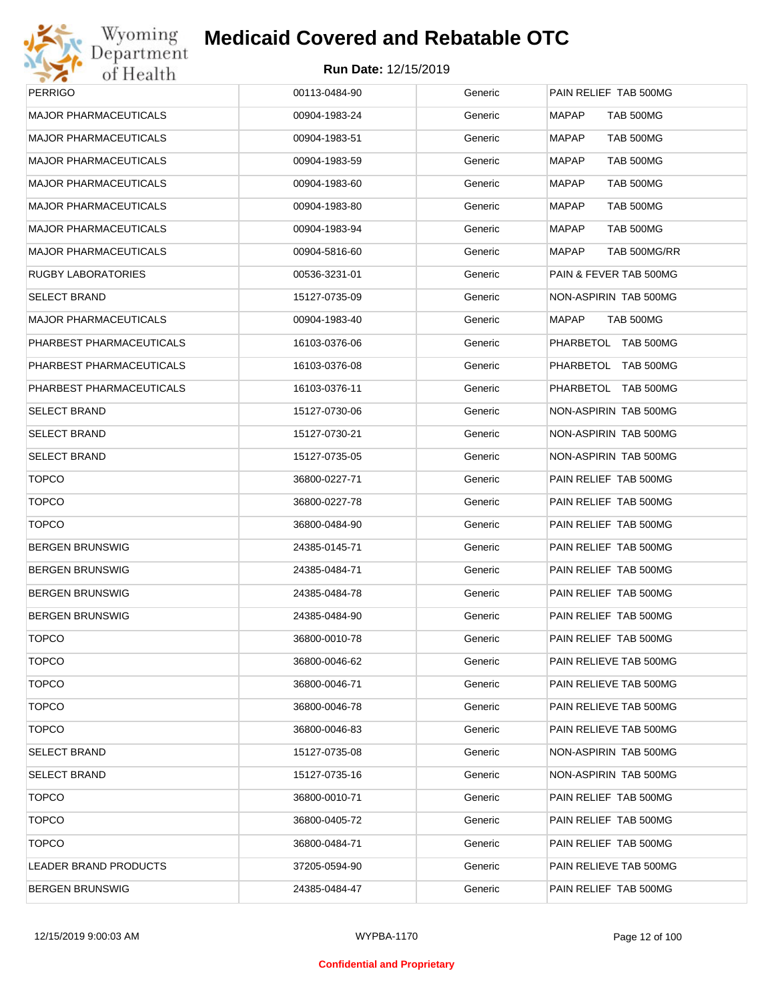

| PERRIGO                  | 00113-0484-90 | Generic | PAIN RELIEF TAB 500MG        |
|--------------------------|---------------|---------|------------------------------|
| MAJOR PHARMACEUTICALS    | 00904-1983-24 | Generic | <b>MAPAP</b><br>TAB 500MG    |
| MAJOR PHARMACEUTICALS    | 00904-1983-51 | Generic | <b>MAPAP</b><br>TAB 500MG    |
| MAJOR PHARMACEUTICALS    | 00904-1983-59 | Generic | <b>MAPAP</b><br>TAB 500MG    |
| MAJOR PHARMACEUTICALS    | 00904-1983-60 | Generic | <b>MAPAP</b><br>TAB 500MG    |
| MAJOR PHARMACEUTICALS    | 00904-1983-80 | Generic | <b>MAPAP</b><br>TAB 500MG    |
| MAJOR PHARMACEUTICALS    | 00904-1983-94 | Generic | <b>MAPAP</b><br>TAB 500MG    |
| MAJOR PHARMACEUTICALS    | 00904-5816-60 | Generic | <b>MAPAP</b><br>TAB 500MG/RR |
| RUGBY LABORATORIES       | 00536-3231-01 | Generic | PAIN & FEVER TAB 500MG       |
| SELECT BRAND             | 15127-0735-09 | Generic | NON-ASPIRIN TAB 500MG        |
| MAJOR PHARMACEUTICALS    | 00904-1983-40 | Generic | TAB 500MG<br>MAPAP           |
| PHARBEST PHARMACEUTICALS | 16103-0376-06 | Generic | PHARBETOL TAB 500MG          |
| PHARBEST PHARMACEUTICALS | 16103-0376-08 | Generic | PHARBETOL TAB 500MG          |
| PHARBEST PHARMACEUTICALS | 16103-0376-11 | Generic | PHARBETOL TAB 500MG          |
| <b>SELECT BRAND</b>      | 15127-0730-06 | Generic | NON-ASPIRIN TAB 500MG        |
| SELECT BRAND             | 15127-0730-21 | Generic | NON-ASPIRIN TAB 500MG        |
| SELECT BRAND             | 15127-0735-05 | Generic | NON-ASPIRIN TAB 500MG        |
| <b>TOPCO</b>             | 36800-0227-71 | Generic | PAIN RELIEF TAB 500MG        |
| <b>TOPCO</b>             | 36800-0227-78 | Generic | PAIN RELIEF TAB 500MG        |
| <b>TOPCO</b>             | 36800-0484-90 | Generic | PAIN RELIEF TAB 500MG        |
| BERGEN BRUNSWIG          | 24385-0145-71 | Generic | PAIN RELIEF TAB 500MG        |
| BERGEN BRUNSWIG          | 24385-0484-71 | Generic | PAIN RELIEF TAB 500MG        |
| BERGEN BRUNSWIG          | 24385-0484-78 | Generic | PAIN RELIEF TAB 500MG        |
| <b>BERGEN BRUNSWIG</b>   | 24385-0484-90 | Generic | PAIN RELIEF TAB 500MG        |
| <b>TOPCO</b>             | 36800-0010-78 | Generic | PAIN RELIEF TAB 500MG        |
| <b>TOPCO</b>             | 36800-0046-62 | Generic | PAIN RELIEVE TAB 500MG       |
| <b>TOPCO</b>             | 36800-0046-71 | Generic | PAIN RELIEVE TAB 500MG       |
| <b>TOPCO</b>             | 36800-0046-78 | Generic | PAIN RELIEVE TAB 500MG       |
| <b>TOPCO</b>             | 36800-0046-83 | Generic | PAIN RELIEVE TAB 500MG       |
| SELECT BRAND             | 15127-0735-08 | Generic | NON-ASPIRIN TAB 500MG        |
| SELECT BRAND             | 15127-0735-16 | Generic | NON-ASPIRIN TAB 500MG        |
| <b>TOPCO</b>             | 36800-0010-71 | Generic | PAIN RELIEF TAB 500MG        |
| <b>TOPCO</b>             | 36800-0405-72 | Generic | PAIN RELIEF TAB 500MG        |
| <b>TOPCO</b>             | 36800-0484-71 | Generic | PAIN RELIEF TAB 500MG        |
| LEADER BRAND PRODUCTS    | 37205-0594-90 | Generic | PAIN RELIEVE TAB 500MG       |
| <b>BERGEN BRUNSWIG</b>   | 24385-0484-47 | Generic | PAIN RELIEF TAB 500MG        |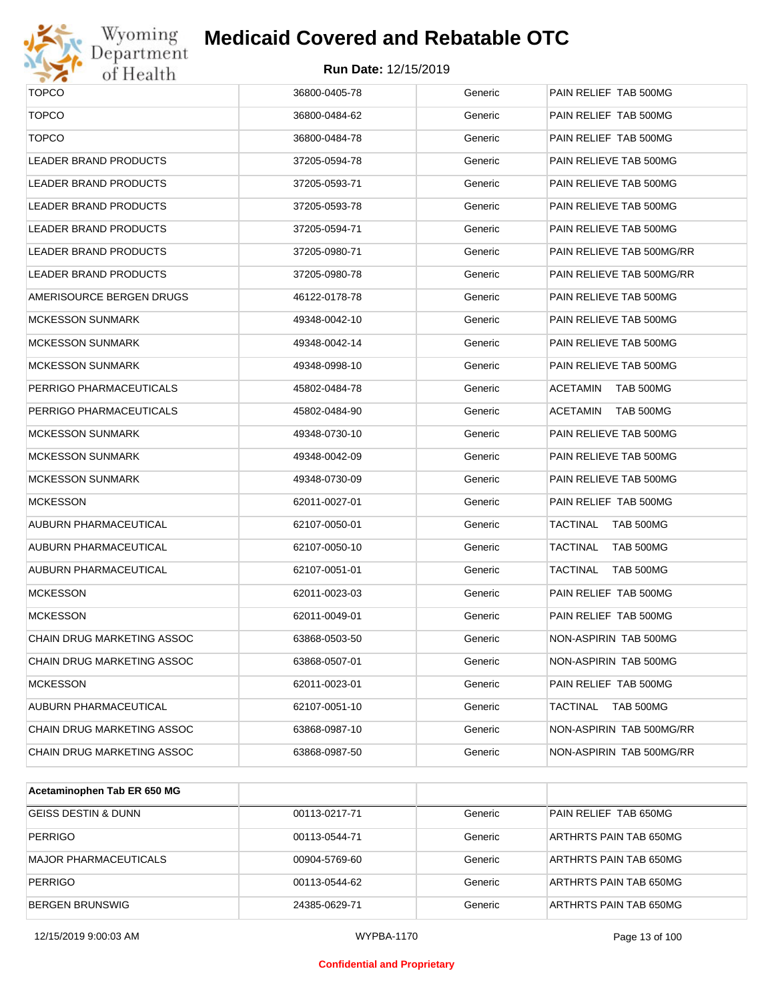

# Wyoming<br>Department<br>of Health

#### **Medicaid Covered and Rebatable OTC**

| <b>TOPCO</b>                      | 36800-0405-78 | Generic | PAIN RELIEF TAB 500MG        |
|-----------------------------------|---------------|---------|------------------------------|
| <b>TOPCO</b>                      | 36800-0484-62 | Generic | PAIN RELIEF TAB 500MG        |
| <b>TOPCO</b>                      | 36800-0484-78 | Generic | PAIN RELIEF TAB 500MG        |
| <b>LEADER BRAND PRODUCTS</b>      | 37205-0594-78 | Generic | PAIN RELIEVE TAB 500MG       |
| <b>LEADER BRAND PRODUCTS</b>      | 37205-0593-71 | Generic | PAIN RELIEVE TAB 500MG       |
| <b>LEADER BRAND PRODUCTS</b>      | 37205-0593-78 | Generic | PAIN RELIEVE TAB 500MG       |
| <b>LEADER BRAND PRODUCTS</b>      | 37205-0594-71 | Generic | PAIN RELIEVE TAB 500MG       |
| <b>LEADER BRAND PRODUCTS</b>      | 37205-0980-71 | Generic | PAIN RELIEVE TAB 500MG/RR    |
| <b>LEADER BRAND PRODUCTS</b>      | 37205-0980-78 | Generic | PAIN RELIEVE TAB 500MG/RR    |
| AMERISOURCE BERGEN DRUGS          | 46122-0178-78 | Generic | PAIN RELIEVE TAB 500MG       |
| <b>MCKESSON SUNMARK</b>           | 49348-0042-10 | Generic | PAIN RELIEVE TAB 500MG       |
| <b>MCKESSON SUNMARK</b>           | 49348-0042-14 | Generic | PAIN RELIEVE TAB 500MG       |
| <b>MCKESSON SUNMARK</b>           | 49348-0998-10 | Generic | PAIN RELIEVE TAB 500MG       |
| PERRIGO PHARMACEUTICALS           | 45802-0484-78 | Generic | <b>ACETAMIN</b><br>TAB 500MG |
| PERRIGO PHARMACEUTICALS           | 45802-0484-90 | Generic | TAB 500MG<br><b>ACETAMIN</b> |
| <b>MCKESSON SUNMARK</b>           | 49348-0730-10 | Generic | PAIN RELIEVE TAB 500MG       |
| <b>MCKESSON SUNMARK</b>           | 49348-0042-09 | Generic | PAIN RELIEVE TAB 500MG       |
| <b>MCKESSON SUNMARK</b>           | 49348-0730-09 | Generic | PAIN RELIEVE TAB 500MG       |
| <b>MCKESSON</b>                   | 62011-0027-01 | Generic | PAIN RELIEF TAB 500MG        |
| AUBURN PHARMACEUTICAL             | 62107-0050-01 | Generic | <b>TACTINAL</b><br>TAB 500MG |
| AUBURN PHARMACEUTICAL             | 62107-0050-10 | Generic | <b>TAB 500MG</b><br>TACTINAL |
| AUBURN PHARMACEUTICAL             | 62107-0051-01 | Generic | <b>TACTINAL</b><br>TAB 500MG |
| <b>MCKESSON</b>                   | 62011-0023-03 | Generic | PAIN RELIEF TAB 500MG        |
| <b>MCKESSON</b>                   | 62011-0049-01 | Generic | PAIN RELIEF TAB 500MG        |
| CHAIN DRUG MARKETING ASSOC        | 63868-0503-50 | Generic | NON-ASPIRIN TAB 500MG        |
| CHAIN DRUG MARKETING ASSOC        | 63868-0507-01 | Generic | NON-ASPIRIN TAB 500MG        |
| <b>MCKESSON</b>                   | 62011-0023-01 | Generic | PAIN RELIEF TAB 500MG        |
| <b>AUBURN PHARMACEUTICAL</b>      | 62107-0051-10 | Generic | <b>TACTINAL</b><br>TAB 500MG |
| <b>CHAIN DRUG MARKETING ASSOC</b> | 63868-0987-10 | Generic | NON-ASPIRIN TAB 500MG/RR     |
| CHAIN DRUG MARKETING ASSOC        | 63868-0987-50 | Generic | NON-ASPIRIN TAB 500MG/RR     |

| Acetaminophen Tab ER 650 MG    |               |         |                        |
|--------------------------------|---------------|---------|------------------------|
| <b>GEISS DESTIN &amp; DUNN</b> | 00113-0217-71 | Generic | PAIN RELIEF TAB 650MG  |
| <b>PERRIGO</b>                 | 00113-0544-71 | Generic | ARTHRTS PAIN TAB 650MG |
| MAJOR PHARMACEUTICALS          | 00904-5769-60 | Generic | ARTHRTS PAIN TAB 650MG |
| <b>PERRIGO</b>                 | 00113-0544-62 | Generic | ARTHRTS PAIN TAB 650MG |
| BERGEN BRUNSWIG                | 24385-0629-71 | Generic | ARTHRTS PAIN TAB 650MG |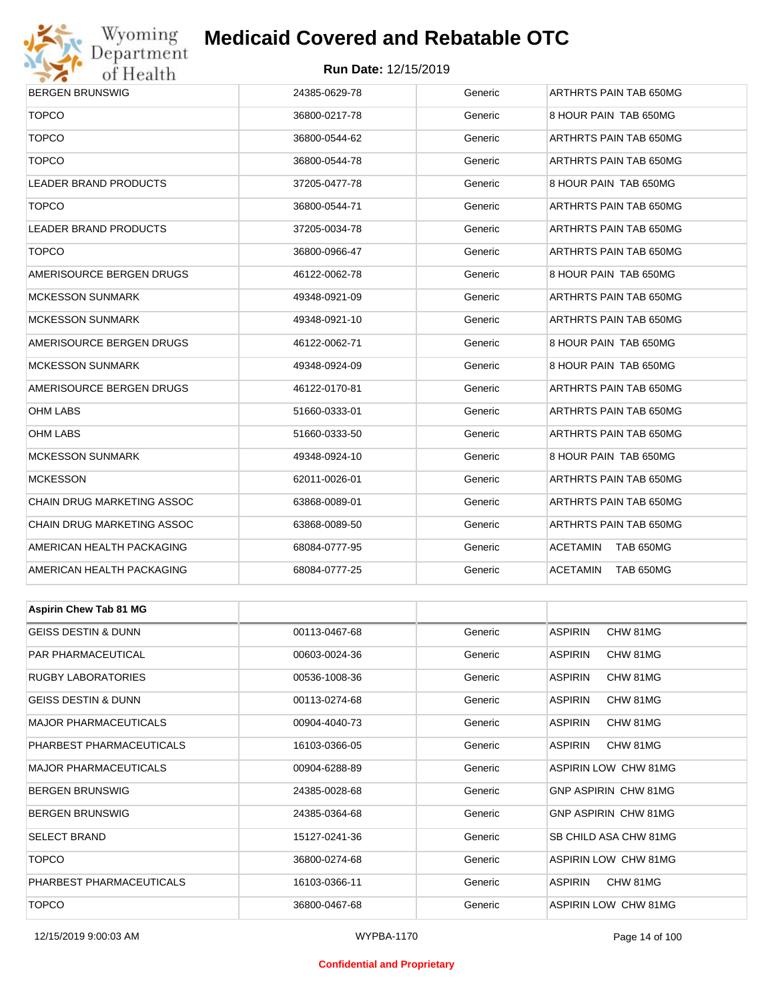

#### **Run Date:** 12/15/2019

| <b>BERGEN BRUNSWIG</b>         | 24385-0629-78 | Generic | ARTHRTS PAIN TAB 650MG     |
|--------------------------------|---------------|---------|----------------------------|
| <b>TOPCO</b>                   | 36800-0217-78 | Generic | 8 HOUR PAIN TAB 650MG      |
| <b>TOPCO</b>                   | 36800-0544-62 | Generic | ARTHRTS PAIN TAB 650MG     |
| <b>TOPCO</b>                   | 36800-0544-78 | Generic | ARTHRTS PAIN TAB 650MG     |
| LEADER BRAND PRODUCTS          | 37205-0477-78 | Generic | 8 HOUR PAIN TAB 650MG      |
| <b>TOPCO</b>                   | 36800-0544-71 | Generic | ARTHRTS PAIN TAB 650MG     |
| LEADER BRAND PRODUCTS          | 37205-0034-78 | Generic | ARTHRTS PAIN TAB 650MG     |
| <b>TOPCO</b>                   | 36800-0966-47 | Generic | ARTHRTS PAIN TAB 650MG     |
| AMERISOURCE BERGEN DRUGS       | 46122-0062-78 | Generic | 8 HOUR PAIN TAB 650MG      |
| <b>MCKESSON SUNMARK</b>        | 49348-0921-09 | Generic | ARTHRTS PAIN TAB 650MG     |
| <b>MCKESSON SUNMARK</b>        | 49348-0921-10 | Generic | ARTHRTS PAIN TAB 650MG     |
| AMERISOURCE BERGEN DRUGS       | 46122-0062-71 | Generic | 8 HOUR PAIN TAB 650MG      |
| <b>MCKESSON SUNMARK</b>        | 49348-0924-09 | Generic | 8 HOUR PAIN TAB 650MG      |
| AMERISOURCE BERGEN DRUGS       | 46122-0170-81 | Generic | ARTHRTS PAIN TAB 650MG     |
| OHM LABS                       | 51660-0333-01 | Generic | ARTHRTS PAIN TAB 650MG     |
| <b>OHM LABS</b>                | 51660-0333-50 | Generic | ARTHRTS PAIN TAB 650MG     |
| <b>MCKESSON SUNMARK</b>        | 49348-0924-10 | Generic | 8 HOUR PAIN TAB 650MG      |
| <b>MCKESSON</b>                | 62011-0026-01 | Generic | ARTHRTS PAIN TAB 650MG     |
| CHAIN DRUG MARKETING ASSOC     | 63868-0089-01 | Generic | ARTHRTS PAIN TAB 650MG     |
| CHAIN DRUG MARKETING ASSOC     | 63868-0089-50 | Generic | ARTHRTS PAIN TAB 650MG     |
| AMERICAN HEALTH PACKAGING      | 68084-0777-95 | Generic | ACETAMIN<br>TAB 650MG      |
| AMERICAN HEALTH PACKAGING      | 68084-0777-25 | Generic | ACETAMIN<br>TAB 650MG      |
|                                |               |         |                            |
| <b>Aspirin Chew Tab 81 MG</b>  |               |         |                            |
| <b>GEISS DESTIN &amp; DUNN</b> | 00113-0467-68 | Generic | <b>ASPIRIN</b><br>CHW 81MG |
| PAR PHARMACEUTICAL             | 00603-0024-36 | Generic | <b>ASPIRIN</b><br>CHW 81MG |
| <b>RUGBY LABORATORIES</b>      | 00536-1008-36 | Generic | ASPIRIN<br>CHW 81MG        |
| <b>GEISS DESTIN &amp; DUNN</b> | 00113-0274-68 | Generic | ASPIRIN<br>CHW 81MG        |
| <b>MAJOR PHARMACEUTICALS</b>   | 00904-4040-73 | Generic | ASPIRIN<br>CHW 81MG        |
| PHARBEST PHARMACEUTICALS       | 16103-0366-05 | Generic | ASPIRIN<br>CHW 81MG        |
| <b>MAJOR PHARMACEUTICALS</b>   | 00904-6288-89 | Generic | ASPIRIN LOW CHW 81MG       |
| <b>BERGEN BRUNSWIG</b>         | 24385-0028-68 | Generic | GNP ASPIRIN CHW 81MG       |
| <b>BERGEN BRUNSWIG</b>         | 24385-0364-68 | Generic | GNP ASPIRIN CHW 81MG       |
| <b>SELECT BRAND</b>            | 15127-0241-36 | Generic | SB CHILD ASA CHW 81MG      |
| <b>TOPCO</b>                   | 36800-0274-68 | Generic | ASPIRIN LOW CHW 81MG       |

12/15/2019 9:00:03 AM WYPBA-1170 Page 14 of 100

PHARBEST PHARMACEUTICALS 16103-0366-11 Generic ASPIRIN CHW 81MG TOPCO 36800-0467-68 Generic ASPIRIN LOW CHW 81MG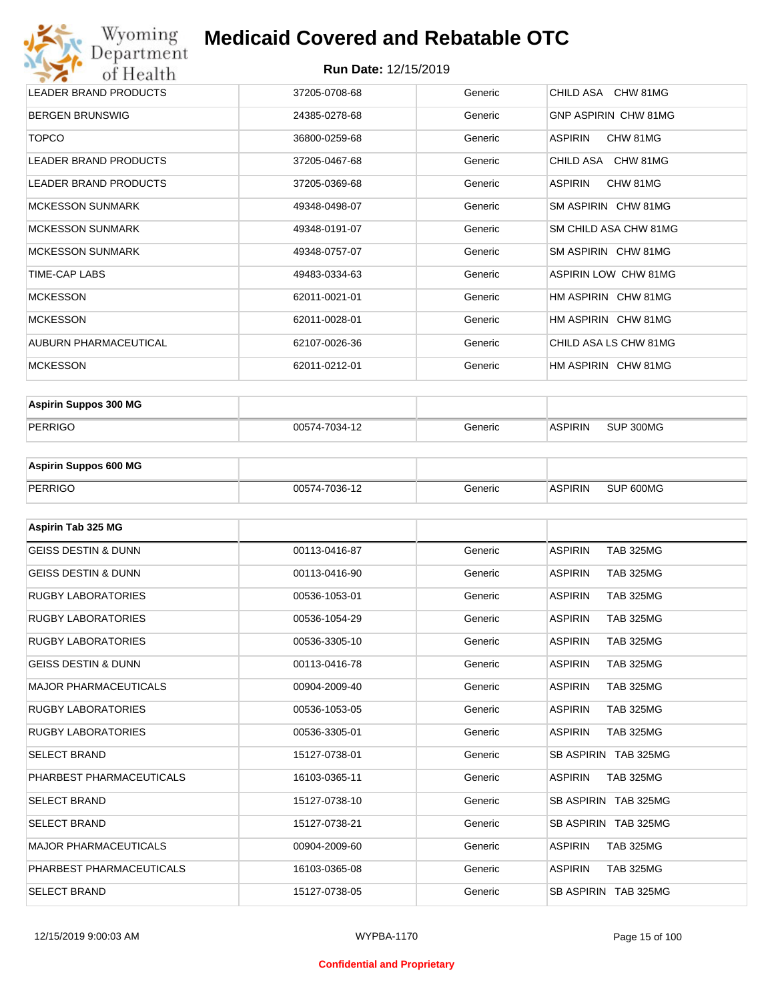#### **Run Date:** 12/15/2019

| Wyoming<br>Department                    | <b>Medicaid Covered and Rebatable OTC</b> |         |                             |  |  |
|------------------------------------------|-------------------------------------------|---------|-----------------------------|--|--|
| <b>Run Date: 12/15/2019</b><br>of Health |                                           |         |                             |  |  |
| <b>LEADER BRAND PRODUCTS</b>             | 37205-0708-68                             | Generic | CHILD ASA CHW 81MG          |  |  |
| <b>BERGEN BRUNSWIG</b>                   | 24385-0278-68                             | Generic | <b>GNP ASPIRIN CHW 81MG</b> |  |  |
| <b>TOPCO</b>                             | 36800-0259-68                             | Generic | <b>ASPIRIN</b><br>CHW 81MG  |  |  |
| <b>LEADER BRAND PRODUCTS</b>             | 37205-0467-68                             | Generic | CHILD ASA CHW 81MG          |  |  |
| <b>LEADER BRAND PRODUCTS</b>             | 37205-0369-68                             | Generic | <b>ASPIRIN</b><br>CHW 81MG  |  |  |
| <b>MCKESSON SUNMARK</b>                  | 49348-0498-07                             | Generic | SM ASPIRIN CHW 81MG         |  |  |
| <b>MCKESSON SUNMARK</b>                  | 49348-0191-07                             | Generic | SM CHILD ASA CHW 81MG       |  |  |
| <b>MCKESSON SUNMARK</b>                  | 49348-0757-07                             | Generic | SM ASPIRIN CHW 81MG         |  |  |
| TIME-CAP LABS                            | 49483-0334-63                             | Generic | <b>ASPIRIN LOW CHW 81MG</b> |  |  |
| <b>MCKESSON</b>                          | 62011-0021-01                             | Generic | HM ASPIRIN CHW 81MG         |  |  |
| <b>MCKESSON</b>                          | 62011-0028-01                             | Generic | HM ASPIRIN CHW 81MG         |  |  |
| AUBURN PHARMACEUTICAL                    | 62107-0026-36                             | Generic | CHILD ASA LS CHW 81MG       |  |  |
| <b>MCKESSON</b>                          | 62011-0212-01                             | Generic | HM ASPIRIN CHW 81MG         |  |  |

| <b>Aspirin Suppos 300 MG</b> |               |         |                |           |
|------------------------------|---------------|---------|----------------|-----------|
| PERRIGO                      | 00574-7034-12 | Generic | <b>ASPIRIN</b> | SUP 300MG |

| <b>Aspirin Suppos 600 MG</b> |               |         |         |           |
|------------------------------|---------------|---------|---------|-----------|
| PERRIGO                      | 00574-7036-12 | าeneric | ASPIRIN | SUP 600MG |

| Aspirin Tab 325 MG             |               |         |                                    |
|--------------------------------|---------------|---------|------------------------------------|
| <b>GEISS DESTIN &amp; DUNN</b> | 00113-0416-87 | Generic | <b>ASPIRIN</b><br><b>TAB 325MG</b> |
| <b>GEISS DESTIN &amp; DUNN</b> | 00113-0416-90 | Generic | <b>ASPIRIN</b><br><b>TAB 325MG</b> |
| <b>RUGBY LABORATORIES</b>      | 00536-1053-01 | Generic | <b>ASPIRIN</b><br><b>TAB 325MG</b> |
| <b>RUGBY LABORATORIES</b>      | 00536-1054-29 | Generic | <b>ASPIRIN</b><br><b>TAB 325MG</b> |
| <b>RUGBY LABORATORIES</b>      | 00536-3305-10 | Generic | <b>ASPIRIN</b><br><b>TAB 325MG</b> |
| <b>GEISS DESTIN &amp; DUNN</b> | 00113-0416-78 | Generic | <b>ASPIRIN</b><br><b>TAB 325MG</b> |
| <b>MAJOR PHARMACEUTICALS</b>   | 00904-2009-40 | Generic | <b>ASPIRIN</b><br><b>TAB 325MG</b> |
| <b>RUGBY LABORATORIES</b>      | 00536-1053-05 | Generic | <b>ASPIRIN</b><br><b>TAB 325MG</b> |
| <b>RUGBY LABORATORIES</b>      | 00536-3305-01 | Generic | <b>ASPIRIN</b><br><b>TAB 325MG</b> |
| <b>SELECT BRAND</b>            | 15127-0738-01 | Generic | SB ASPIRIN TAB 325MG               |
| PHARBEST PHARMACEUTICALS       | 16103-0365-11 | Generic | <b>ASPIRIN</b><br><b>TAB 325MG</b> |
| <b>SELECT BRAND</b>            | 15127-0738-10 | Generic | SB ASPIRIN TAB 325MG               |
| <b>SELECT BRAND</b>            | 15127-0738-21 | Generic | SB ASPIRIN TAB 325MG               |
| <b>MAJOR PHARMACEUTICALS</b>   | 00904-2009-60 | Generic | <b>ASPIRIN</b><br><b>TAB 325MG</b> |
| PHARBEST PHARMACEUTICALS       | 16103-0365-08 | Generic | <b>ASPIRIN</b><br><b>TAB 325MG</b> |
| <b>SELECT BRAND</b>            | 15127-0738-05 | Generic | SB ASPIRIN TAB 325MG               |

#### **Confidential and Proprietary**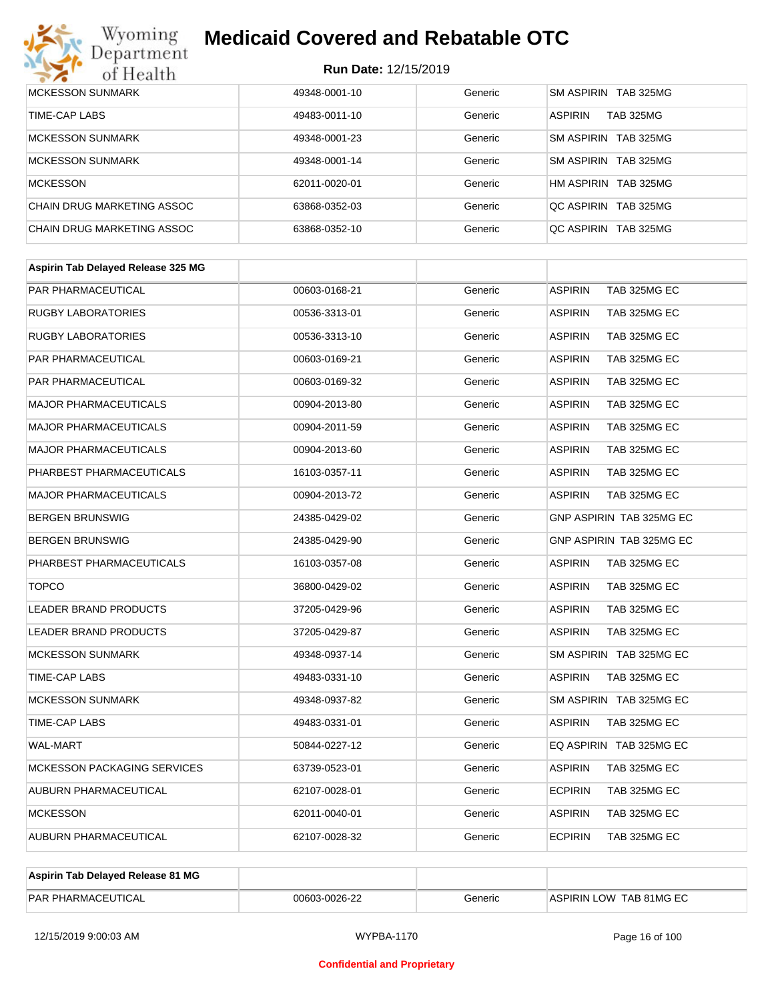# Wyoming<br>Department<br>of Health

## **Medicaid Covered and Rebatable OTC**

| <b>MCKESSON SUNMARK</b>    | 49348-0001-10 | Generic | SM ASPIRIN TAB 325MG               |
|----------------------------|---------------|---------|------------------------------------|
| TIME-CAP LABS              | 49483-0011-10 | Generic | <b>ASPIRIN</b><br><b>TAB 325MG</b> |
| <b>MCKESSON SUNMARK</b>    | 49348-0001-23 | Generic | SM ASPIRIN TAB 325MG               |
| <b>MCKESSON SUNMARK</b>    | 49348-0001-14 | Generic | SM ASPIRIN TAB 325MG               |
| <b>MCKESSON</b>            | 62011-0020-01 | Generic | HM ASPIRIN TAB 325MG               |
| CHAIN DRUG MARKETING ASSOC | 63868-0352-03 | Generic | OC ASPIRIN TAB 325MG               |
| CHAIN DRUG MARKETING ASSOC | 63868-0352-10 | Generic | OC ASPIRIN TAB 325MG               |

| Aspirin Tab Delayed Release 325 MG |               |         |                                |
|------------------------------------|---------------|---------|--------------------------------|
| PAR PHARMACEUTICAL                 | 00603-0168-21 | Generic | <b>ASPIRIN</b><br>TAB 325MG EC |
| <b>RUGBY LABORATORIES</b>          | 00536-3313-01 | Generic | <b>ASPIRIN</b><br>TAB 325MG EC |
| <b>RUGBY LABORATORIES</b>          | 00536-3313-10 | Generic | ASPIRIN<br>TAB 325MG EC        |
| <b>PAR PHARMACEUTICAL</b>          | 00603-0169-21 | Generic | ASPIRIN<br>TAB 325MG EC        |
| <b>PAR PHARMACEUTICAL</b>          | 00603-0169-32 | Generic | ASPIRIN<br>TAB 325MG EC        |
| <b>MAJOR PHARMACEUTICALS</b>       | 00904-2013-80 | Generic | TAB 325MG EC<br><b>ASPIRIN</b> |
| <b>MAJOR PHARMACEUTICALS</b>       | 00904-2011-59 | Generic | ASPIRIN<br>TAB 325MG EC        |
| <b>MAJOR PHARMACEUTICALS</b>       | 00904-2013-60 | Generic | <b>ASPIRIN</b><br>TAB 325MG EC |
| PHARBEST PHARMACEUTICALS           | 16103-0357-11 | Generic | ASPIRIN<br>TAB 325MG EC        |
| <b>MAJOR PHARMACEUTICALS</b>       | 00904-2013-72 | Generic | ASPIRIN<br>TAB 325MG EC        |
| <b>BERGEN BRUNSWIG</b>             | 24385-0429-02 | Generic | GNP ASPIRIN TAB 325MG EC       |
| <b>BERGEN BRUNSWIG</b>             | 24385-0429-90 | Generic | GNP ASPIRIN TAB 325MG EC       |
| PHARBEST PHARMACEUTICALS           | 16103-0357-08 | Generic | ASPIRIN<br>TAB 325MG EC        |
| <b>TOPCO</b>                       | 36800-0429-02 | Generic | <b>ASPIRIN</b><br>TAB 325MG EC |
| <b>LEADER BRAND PRODUCTS</b>       | 37205-0429-96 | Generic | ASPIRIN<br>TAB 325MG EC        |
| LEADER BRAND PRODUCTS              | 37205-0429-87 | Generic | ASPIRIN<br>TAB 325MG EC        |
| <b>MCKESSON SUNMARK</b>            | 49348-0937-14 | Generic | SM ASPIRIN TAB 325MG EC        |
| TIME-CAP LABS                      | 49483-0331-10 | Generic | <b>ASPIRIN</b><br>TAB 325MG EC |
| <b>MCKESSON SUNMARK</b>            | 49348-0937-82 | Generic | SM ASPIRIN TAB 325MG EC        |
| TIME-CAP LABS                      | 49483-0331-01 | Generic | <b>ASPIRIN</b><br>TAB 325MG EC |
| <b>WAL-MART</b>                    | 50844-0227-12 | Generic | EQ ASPIRIN TAB 325MG EC        |
| <b>MCKESSON PACKAGING SERVICES</b> | 63739-0523-01 | Generic | <b>ASPIRIN</b><br>TAB 325MG EC |
| AUBURN PHARMACEUTICAL              | 62107-0028-01 | Generic | <b>ECPIRIN</b><br>TAB 325MG EC |
| <b>MCKESSON</b>                    | 62011-0040-01 | Generic | ASPIRIN<br>TAB 325MG EC        |
| AUBURN PHARMACEUTICAL              | 62107-0028-32 | Generic | <b>ECPIRIN</b><br>TAB 325MG EC |

| Aspirin Tab Delaved Release 81 MG |               |         |                         |
|-----------------------------------|---------------|---------|-------------------------|
| <b>PAR PHARMACEUTICAL</b>         | 00603-0026-22 | Generic | ASPIRIN LOW TAB 81MG EC |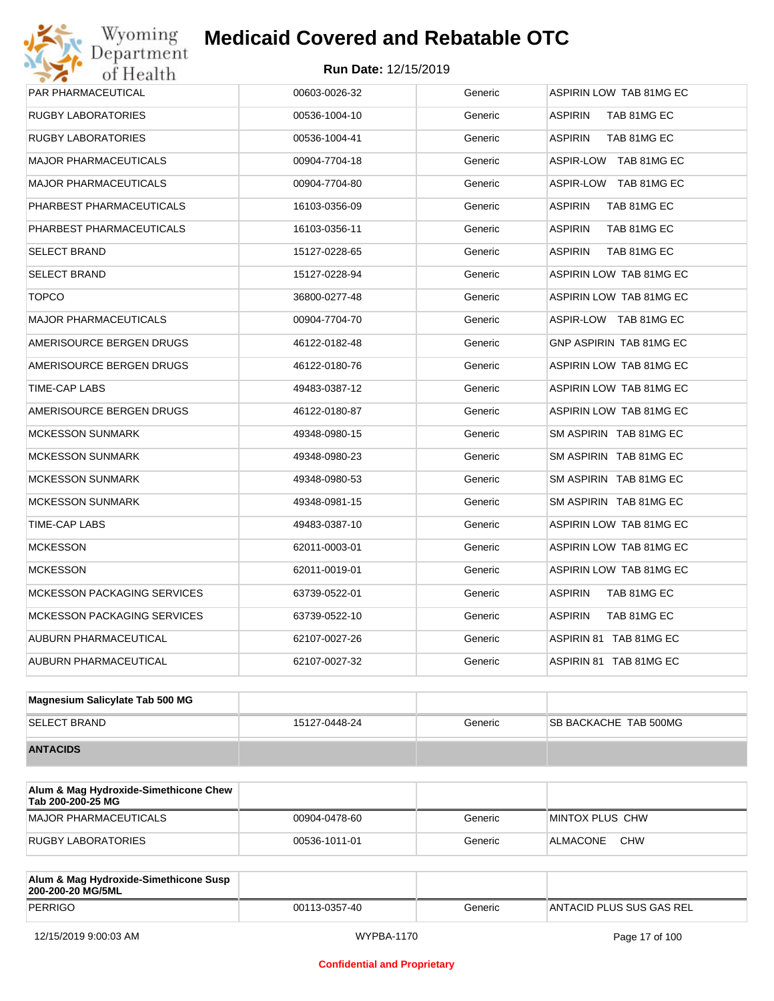| PAR PHARMACEUTICAL                 | 00603-0026-32 | Generic | ASPIRIN LOW TAB 81MG EC       |
|------------------------------------|---------------|---------|-------------------------------|
| RUGBY LABORATORIES                 | 00536-1004-10 | Generic | <b>ASPIRIN</b><br>TAB 81MG EC |
| <b>RUGBY LABORATORIES</b>          | 00536-1004-41 | Generic | <b>ASPIRIN</b><br>TAB 81MG EC |
| <b>MAJOR PHARMACEUTICALS</b>       | 00904-7704-18 | Generic | ASPIR-LOW TAB 81MG EC         |
| <b>MAJOR PHARMACEUTICALS</b>       | 00904-7704-80 | Generic | ASPIR-LOW TAB 81MG EC         |
| PHARBEST PHARMACEUTICALS           | 16103-0356-09 | Generic | <b>ASPIRIN</b><br>TAB 81MG EC |
| PHARBEST PHARMACEUTICALS           | 16103-0356-11 | Generic | <b>ASPIRIN</b><br>TAB 81MG EC |
| <b>SELECT BRAND</b>                | 15127-0228-65 | Generic | <b>ASPIRIN</b><br>TAB 81MG EC |
| <b>SELECT BRAND</b>                | 15127-0228-94 | Generic | ASPIRIN LOW TAB 81MG EC       |
| <b>TOPCO</b>                       | 36800-0277-48 | Generic | ASPIRIN LOW TAB 81MG EC       |
| <b>MAJOR PHARMACEUTICALS</b>       | 00904-7704-70 | Generic | ASPIR-LOW TAB 81MG EC         |
| AMERISOURCE BERGEN DRUGS           | 46122-0182-48 | Generic | GNP ASPIRIN TAB 81MG EC       |
| AMERISOURCE BERGEN DRUGS           | 46122-0180-76 | Generic | ASPIRIN LOW TAB 81MG EC       |
| TIME-CAP LABS                      | 49483-0387-12 | Generic | ASPIRIN LOW TAB 81MG EC       |
| AMERISOURCE BERGEN DRUGS           | 46122-0180-87 | Generic | ASPIRIN LOW TAB 81MG EC       |
| <b>MCKESSON SUNMARK</b>            | 49348-0980-15 | Generic | SM ASPIRIN TAB 81MG EC        |
| <b>MCKESSON SUNMARK</b>            | 49348-0980-23 | Generic | SM ASPIRIN TAB 81MG EC        |
| <b>MCKESSON SUNMARK</b>            | 49348-0980-53 | Generic | SM ASPIRIN TAB 81MG EC        |
| <b>MCKESSON SUNMARK</b>            | 49348-0981-15 | Generic | SM ASPIRIN TAB 81MG EC        |
| TIME-CAP LABS                      | 49483-0387-10 | Generic | ASPIRIN LOW TAB 81MG EC       |
| <b>MCKESSON</b>                    | 62011-0003-01 | Generic | ASPIRIN LOW TAB 81MG EC       |
| <b>MCKESSON</b>                    | 62011-0019-01 | Generic | ASPIRIN LOW TAB 81MG EC       |
| <b>MCKESSON PACKAGING SERVICES</b> | 63739-0522-01 | Generic | <b>ASPIRIN</b><br>TAB 81MG EC |
| <b>MCKESSON PACKAGING SERVICES</b> | 63739-0522-10 | Generic | <b>ASPIRIN</b><br>TAB 81MG EC |
| AUBURN PHARMACEUTICAL              | 62107-0027-26 | Generic | ASPIRIN 81 TAB 81MG EC        |
| <b>AUBURN PHARMACEUTICAL</b>       | 62107-0027-32 | Generic | ASPIRIN 81 TAB 81MG EC        |
|                                    |               |         |                               |

| Magnesium Salicylate Tab 500 MG |               |         |                              |
|---------------------------------|---------------|---------|------------------------------|
| <b>SELECT BRAND</b>             | 15127-0448-24 | Generic | <b>SB BACKACHE TAB 500MG</b> |
| <b>ANTACIDS</b>                 |               |         |                              |

| Alum & Mag Hydroxide-Simethicone Chew<br>Tab 200-200-25 MG |               |         |                        |
|------------------------------------------------------------|---------------|---------|------------------------|
| MAJOR PHARMACEUTICALS                                      | 00904-0478-60 | Generic | MINTOX PLUS CHW        |
| RUGBY LABORATORIES                                         | 00536-1011-01 | Generic | <b>CHW</b><br>ALMACONE |

| Alum & Mag Hydroxide-Simethicone Susp<br>200-200-20 MG/5ML |               |         |                          |
|------------------------------------------------------------|---------------|---------|--------------------------|
| PERRIGO                                                    | 00113-0357-40 | Generic | ANTACID PLUS SUS GAS REL |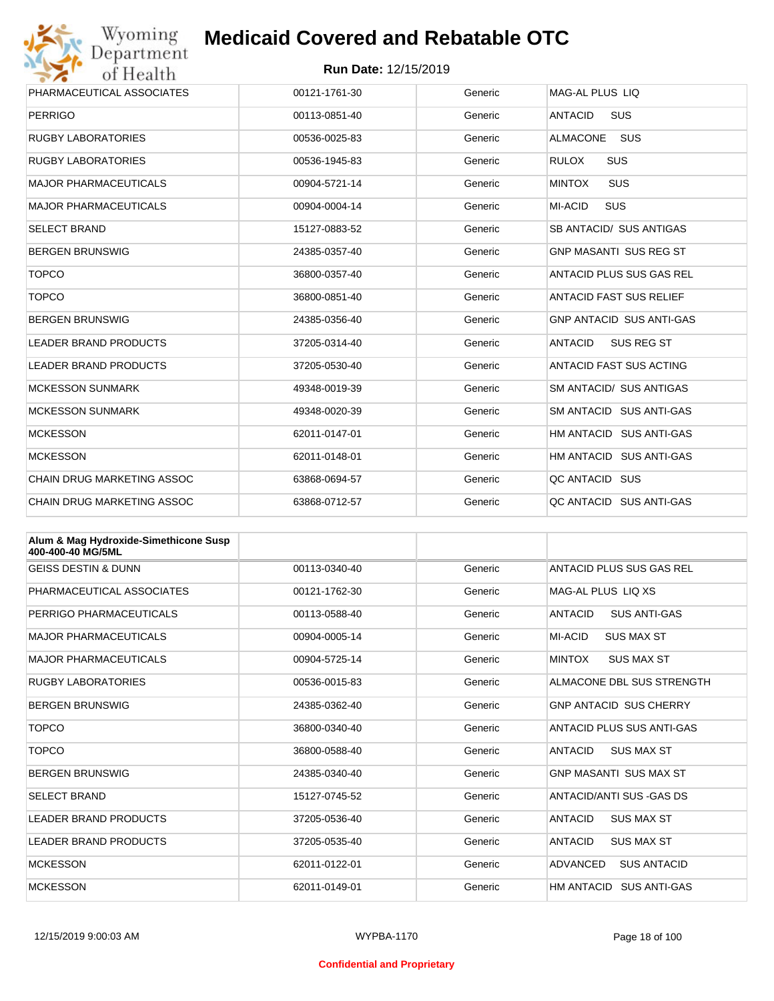

| Wyoming                           | <b>Medicaid Covered and Rebatable OTC</b> |         |                                     |
|-----------------------------------|-------------------------------------------|---------|-------------------------------------|
| Department<br>of Health           | <b>Run Date: 12/15/2019</b>               |         |                                     |
| PHARMACEUTICAL ASSOCIATES         | 00121-1761-30                             | Generic | MAG-AL PLUS LIQ                     |
| <b>PERRIGO</b>                    | 00113-0851-40                             | Generic | <b>ANTACID</b><br><b>SUS</b>        |
| <b>RUGBY LABORATORIES</b>         | 00536-0025-83                             | Generic | <b>ALMACONE</b><br>SUS              |
| <b>RUGBY LABORATORIES</b>         | 00536-1945-83                             | Generic | <b>RULOX</b><br><b>SUS</b>          |
| <b>MAJOR PHARMACEUTICALS</b>      | 00904-5721-14                             | Generic | <b>MINTOX</b><br>SUS                |
| <b>MAJOR PHARMACEUTICALS</b>      | 00904-0004-14                             | Generic | <b>SUS</b><br><b>MI-ACID</b>        |
| <b>SELECT BRAND</b>               | 15127-0883-52                             | Generic | SB ANTACID/ SUS ANTIGAS             |
| <b>BERGEN BRUNSWIG</b>            | 24385-0357-40                             | Generic | <b>GNP MASANTI SUS REG ST</b>       |
| <b>TOPCO</b>                      | 36800-0357-40                             | Generic | ANTACID PLUS SUS GAS REL            |
| <b>TOPCO</b>                      | 36800-0851-40                             | Generic | <b>ANTACID FAST SUS RELIEF</b>      |
| <b>BERGEN BRUNSWIG</b>            | 24385-0356-40                             | Generic | <b>GNP ANTACID SUS ANTI-GAS</b>     |
| <b>LEADER BRAND PRODUCTS</b>      | 37205-0314-40                             | Generic | <b>ANTACID</b><br><b>SUS REG ST</b> |
| <b>LEADER BRAND PRODUCTS</b>      | 37205-0530-40                             | Generic | ANTACID FAST SUS ACTING             |
| <b>MCKESSON SUNMARK</b>           | 49348-0019-39                             | Generic | <b>SM ANTACID/ SUS ANTIGAS</b>      |
| <b>MCKESSON SUNMARK</b>           | 49348-0020-39                             | Generic | SM ANTACID SUS ANTI-GAS             |
| <b>MCKESSON</b>                   | 62011-0147-01                             | Generic | HM ANTACID SUS ANTI-GAS             |
| <b>MCKESSON</b>                   | 62011-0148-01                             | Generic | HM ANTACID SUS ANTI-GAS             |
| CHAIN DRUG MARKETING ASSOC        | 63868-0694-57                             | Generic | QC ANTACID SUS                      |
| <b>CHAIN DRUG MARKETING ASSOC</b> | 63868-0712-57                             | Generic | OC ANTACID SUS ANTI-GAS             |

| Alum & Mag Hydroxide-Simethicone Susp<br>400-400-40 MG/5ML |               |         |                                       |
|------------------------------------------------------------|---------------|---------|---------------------------------------|
| <b>GEISS DESTIN &amp; DUNN</b>                             | 00113-0340-40 | Generic | ANTACID PLUS SUS GAS REL              |
| PHARMACEUTICAL ASSOCIATES                                  | 00121-1762-30 | Generic | MAG-AL PLUS LIQ XS                    |
| PERRIGO PHARMACEUTICALS                                    | 00113-0588-40 | Generic | <b>ANTACID</b><br><b>SUS ANTI-GAS</b> |
| <b>MAJOR PHARMACEUTICALS</b>                               | 00904-0005-14 | Generic | <b>MI-ACID</b><br><b>SUS MAX ST</b>   |
| <b>MAJOR PHARMACEUTICALS</b>                               | 00904-5725-14 | Generic | <b>MINTOX</b><br><b>SUS MAX ST</b>    |
| <b>RUGBY LABORATORIES</b>                                  | 00536-0015-83 | Generic | ALMACONE DBL SUS STRENGTH             |
| <b>BERGEN BRUNSWIG</b>                                     | 24385-0362-40 | Generic | <b>GNP ANTACID SUS CHERRY</b>         |
| <b>TOPCO</b>                                               | 36800-0340-40 | Generic | ANTACID PLUS SUS ANTI-GAS             |
| <b>TOPCO</b>                                               | 36800-0588-40 | Generic | <b>SUS MAX ST</b><br><b>ANTACID</b>   |
| <b>BERGEN BRUNSWIG</b>                                     | 24385-0340-40 | Generic | <b>GNP MASANTI SUS MAX ST</b>         |
| <b>SELECT BRAND</b>                                        | 15127-0745-52 | Generic | ANTACID/ANTI SUS-GAS DS               |
| <b>LEADER BRAND PRODUCTS</b>                               | 37205-0536-40 | Generic | <b>SUS MAX ST</b><br><b>ANTACID</b>   |
| <b>LEADER BRAND PRODUCTS</b>                               | 37205-0535-40 | Generic | <b>ANTACID</b><br><b>SUS MAX ST</b>   |
| <b>MCKESSON</b>                                            | 62011-0122-01 | Generic | ADVANCED<br><b>SUS ANTACID</b>        |
| <b>MCKESSON</b>                                            | 62011-0149-01 | Generic | HM ANTACID SUS ANTI-GAS               |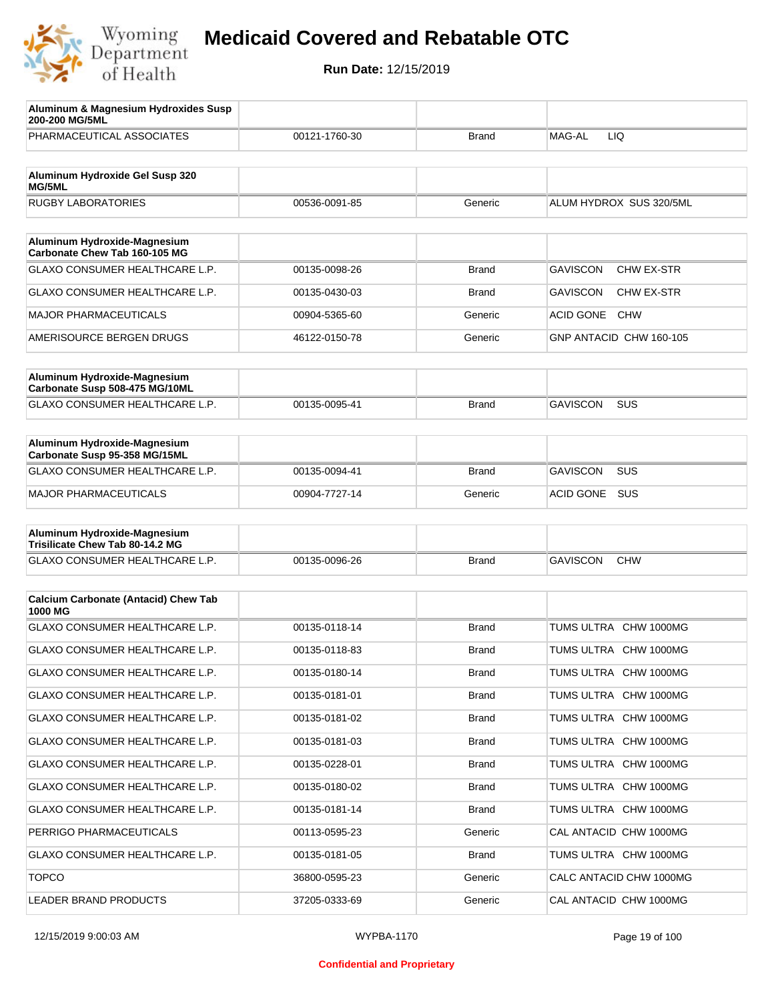

| Aluminum & Magnesium Hydroxides Susp<br>200-200 MG/5ML        |               |              |                                      |
|---------------------------------------------------------------|---------------|--------------|--------------------------------------|
| PHARMACEUTICAL ASSOCIATES                                     | 00121-1760-30 | Brand        | MAG-AL<br>LIQ                        |
| Aluminum Hydroxide Gel Susp 320<br>MG/5ML                     |               |              |                                      |
| <b>RUGBY LABORATORIES</b>                                     | 00536-0091-85 | Generic      | ALUM HYDROX SUS 320/5ML              |
| Aluminum Hydroxide-Magnesium                                  |               |              |                                      |
| Carbonate Chew Tab 160-105 MG                                 |               |              |                                      |
| <b>GLAXO CONSUMER HEALTHCARE L.P.</b>                         | 00135-0098-26 | <b>Brand</b> | <b>GAVISCON</b><br><b>CHW EX-STR</b> |
| <b>GLAXO CONSUMER HEALTHCARE L.P.</b>                         | 00135-0430-03 | Brand        | <b>GAVISCON</b><br>CHW EX-STR        |
| <b>MAJOR PHARMACEUTICALS</b>                                  | 00904-5365-60 | Generic      | <b>ACID GONE</b><br><b>CHW</b>       |
| AMERISOURCE BERGEN DRUGS                                      | 46122-0150-78 | Generic      | GNP ANTACID CHW 160-105              |
| Aluminum Hydroxide-Magnesium                                  |               |              |                                      |
| Carbonate Susp 508-475 MG/10ML                                |               |              |                                      |
| <b>GLAXO CONSUMER HEALTHCARE L.P.</b>                         | 00135-0095-41 | <b>Brand</b> | <b>GAVISCON</b><br><b>SUS</b>        |
|                                                               |               |              |                                      |
| Aluminum Hydroxide-Magnesium<br>Carbonate Susp 95-358 MG/15ML |               |              |                                      |
| GLAXO CONSUMER HEALTHCARE L.P.                                | 00135-0094-41 | Brand        | <b>GAVISCON</b><br><b>SUS</b>        |
| <b>MAJOR PHARMACEUTICALS</b>                                  | 00904-7727-14 | Generic      | SUS<br><b>ACID GONE</b>              |
| Aluminum Hydroxide-Magnesium                                  |               |              |                                      |
| Trisilicate Chew Tab 80-14.2 MG                               |               |              |                                      |
| GLAXO CONSUMER HEALTHCARE L.P.                                | 00135-0096-26 | Brand        | <b>GAVISCON</b><br><b>CHW</b>        |
|                                                               |               |              |                                      |
| <b>Calcium Carbonate (Antacid) Chew Tab</b><br>1000 MG        |               |              |                                      |
| GLAXO CONSUMER HEALTHCARE L.P.                                | 00135-0118-14 | <b>Brand</b> | TUMS ULTRA CHW 1000MG                |
| GLAXO CONSUMER HEALTHCARE L.P.                                | 00135-0118-83 | Brand        | TUMS ULTRA CHW 1000MG                |
| GLAXO CONSUMER HEALTHCARE L.P.                                | 00135-0180-14 | Brand        | TUMS ULTRA CHW 1000MG                |
| <b>GLAXO CONSUMER HEALTHCARE L.P.</b>                         | 00135-0181-01 | <b>Brand</b> | TUMS ULTRA CHW 1000MG                |
| GLAXO CONSUMER HEALTHCARE L.P.                                | 00135-0181-02 | <b>Brand</b> | TUMS ULTRA CHW 1000MG                |
| GLAXO CONSUMER HEALTHCARE L.P.                                | 00135-0181-03 | <b>Brand</b> | TUMS ULTRA CHW 1000MG                |
| GLAXO CONSUMER HEALTHCARE L.P.                                | 00135-0228-01 | <b>Brand</b> | TUMS ULTRA CHW 1000MG                |
| GLAXO CONSUMER HEALTHCARE L.P.                                | 00135-0180-02 | <b>Brand</b> | TUMS ULTRA CHW 1000MG                |
| GLAXO CONSUMER HEALTHCARE L.P.                                | 00135-0181-14 | <b>Brand</b> | TUMS ULTRA CHW 1000MG                |
| PERRIGO PHARMACEUTICALS                                       | 00113-0595-23 | Generic      | CAL ANTACID CHW 1000MG               |
| GLAXO CONSUMER HEALTHCARE L.P.                                | 00135-0181-05 | Brand        | TUMS ULTRA CHW 1000MG                |
| <b>TOPCO</b>                                                  | 36800-0595-23 | Generic      | CALC ANTACID CHW 1000MG              |
| LEADER BRAND PRODUCTS                                         | 37205-0333-69 | Generic      | CAL ANTACID CHW 1000MG               |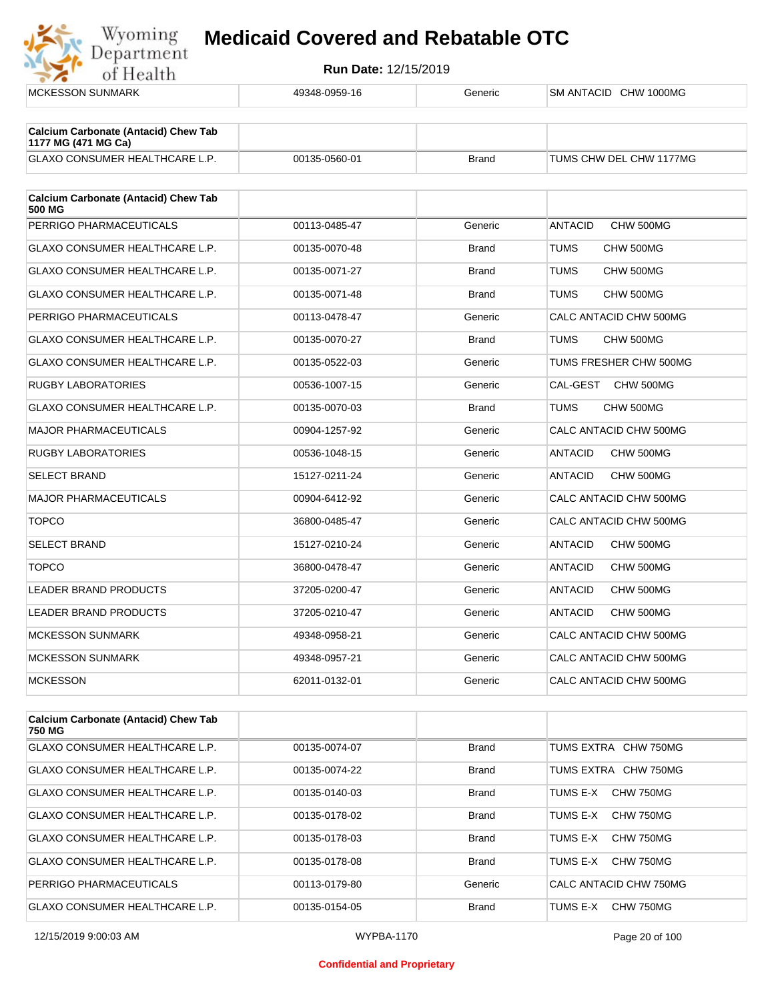

| <b>MCKESSON SUNMARK</b>                                            | 49348-0959-16 | Generic      | SM ANTACID CHW 1000MG       |
|--------------------------------------------------------------------|---------------|--------------|-----------------------------|
| <b>Calcium Carbonate (Antacid) Chew Tab</b><br>1177 MG (471 MG Ca) |               |              |                             |
| <b>GLAXO CONSUMER HEALTHCARE L.P.</b>                              | 00135-0560-01 | <b>Brand</b> | TUMS CHW DEL CHW 1177MG     |
| <b>Calcium Carbonate (Antacid) Chew Tab</b><br><b>500 MG</b>       |               |              |                             |
| PERRIGO PHARMACEUTICALS                                            | 00113-0485-47 | Generic      | CHW 500MG<br><b>ANTACID</b> |
| GLAXO CONSUMER HEALTHCARE L.P.                                     | 00135-0070-48 | <b>Brand</b> | <b>TUMS</b><br>CHW 500MG    |
| GLAXO CONSUMER HEALTHCARE L.P.                                     | 00135-0071-27 | <b>Brand</b> | TUMS<br>CHW 500MG           |
| <b>GLAXO CONSUMER HEALTHCARE L.P.</b>                              | 00135-0071-48 | <b>Brand</b> | TUMS<br>CHW 500MG           |
| PERRIGO PHARMACEUTICALS                                            | 00113-0478-47 | Generic      | CALC ANTACID CHW 500MG      |
| <b>GLAXO CONSUMER HEALTHCARE L.P.</b>                              | 00135-0070-27 | <b>Brand</b> | <b>TUMS</b><br>CHW 500MG    |
| <b>GLAXO CONSUMER HEALTHCARE L.P.</b>                              | 00135-0522-03 | Generic      | TUMS FRESHER CHW 500MG      |
| <b>RUGBY LABORATORIES</b>                                          | 00536-1007-15 | Generic      | CAL-GEST<br>CHW 500MG       |
| GLAXO CONSUMER HEALTHCARE L.P.                                     | 00135-0070-03 | <b>Brand</b> | TUMS<br>CHW 500MG           |
| <b>MAJOR PHARMACEUTICALS</b>                                       | 00904-1257-92 | Generic      | CALC ANTACID CHW 500MG      |
| <b>RUGBY LABORATORIES</b>                                          | 00536-1048-15 | Generic      | <b>ANTACID</b><br>CHW 500MG |
| <b>SELECT BRAND</b>                                                | 15127-0211-24 | Generic      | <b>ANTACID</b><br>CHW 500MG |
| <b>MAJOR PHARMACEUTICALS</b>                                       | 00904-6412-92 | Generic      | CALC ANTACID CHW 500MG      |
| <b>TOPCO</b>                                                       | 36800-0485-47 | Generic      | CALC ANTACID CHW 500MG      |
| <b>SELECT BRAND</b>                                                | 15127-0210-24 | Generic      | ANTACID<br>CHW 500MG        |
| <b>TOPCO</b>                                                       | 36800-0478-47 | Generic      | CHW 500MG<br><b>ANTACID</b> |
| <b>LEADER BRAND PRODUCTS</b>                                       | 37205-0200-47 | Generic      | <b>ANTACID</b><br>CHW 500MG |
| LEADER BRAND PRODUCTS                                              | 37205-0210-47 | Generic      | CHW 500MG<br><b>ANTACID</b> |
| <b>MCKESSON SUNMARK</b>                                            | 49348-0958-21 | Generic      | CALC ANTACID CHW 500MG      |
| <b>MCKESSON SUNMARK</b>                                            | 49348-0957-21 | Generic      | CALC ANTACID CHW 500MG      |
| <b>MCKESSON</b>                                                    | 62011-0132-01 | Generic      | CALC ANTACID CHW 500MG      |
|                                                                    |               |              |                             |
| <b>Calcium Carbonate (Antacid) Chew Tab</b>                        |               |              |                             |

| <b>Calcium Carbonate (Antacid) Chew Tab</b><br>750 MG |               |              |                        |
|-------------------------------------------------------|---------------|--------------|------------------------|
| GLAXO CONSUMER HEALTHCARE L.P.                        | 00135-0074-07 | <b>Brand</b> | TUMS EXTRA CHW 750MG   |
| GLAXO CONSUMER HEALTHCARE L.P.                        | 00135-0074-22 | <b>Brand</b> | TUMS EXTRA CHW 750MG   |
| GLAXO CONSUMER HEALTHCARE L.P.                        | 00135-0140-03 | <b>Brand</b> | CHW 750MG<br>TUMS E-X  |
| GLAXO CONSUMER HEALTHCARE L.P.                        | 00135-0178-02 | <b>Brand</b> | CHW 750MG<br>TUMS E-X  |
| GLAXO CONSUMER HEALTHCARE L.P.                        | 00135-0178-03 | <b>Brand</b> | TUMS E-X<br>CHW 750MG  |
| GLAXO CONSUMER HEALTHCARE L.P.                        | 00135-0178-08 | <b>Brand</b> | CHW 750MG<br>TUMS E-X  |
| PERRIGO PHARMACEUTICALS                               | 00113-0179-80 | Generic      | CALC ANTACID CHW 750MG |
| <b>GLAXO CONSUMER HEALTHCARE L.P.</b>                 | 00135-0154-05 | <b>Brand</b> | CHW 750MG<br>TUMS E-X  |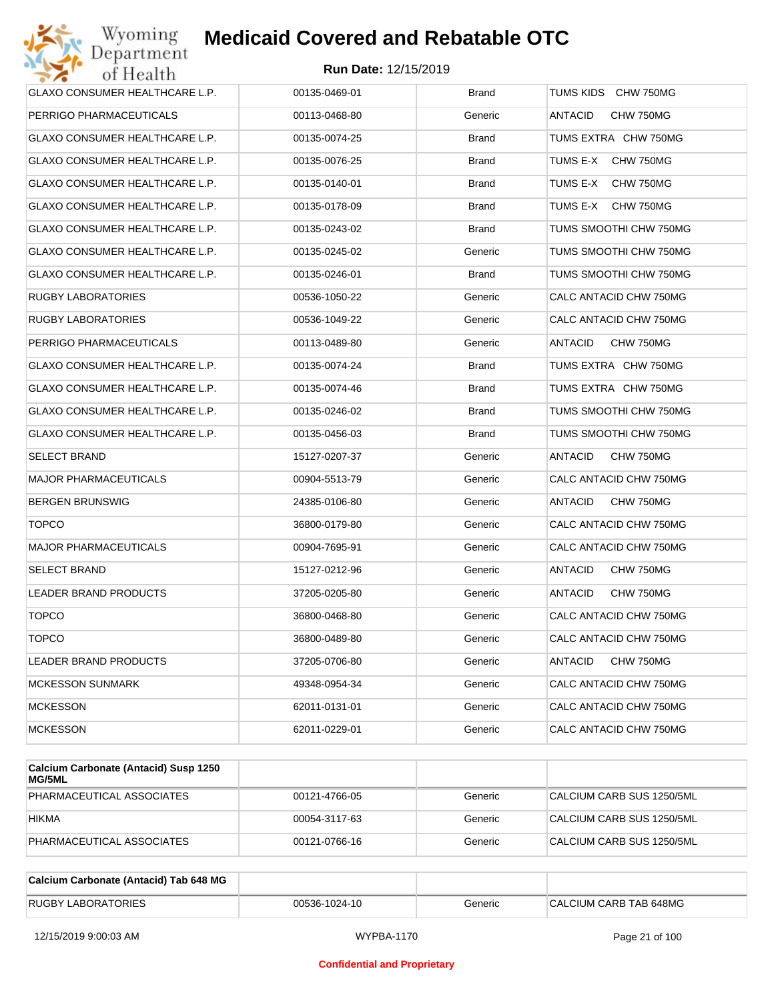

| PERRIGO PHARMACEUTICALS<br>00113-0468-80<br>Generic<br>ANTACID<br>CHW 750MG<br>GLAXO CONSUMER HEALTHCARE L.P.<br>00135-0074-25<br><b>Brand</b><br>TUMS EXTRA CHW 750MG<br>GLAXO CONSUMER HEALTHCARE L.P.<br>00135-0076-25<br><b>Brand</b><br>TUMS E-X<br>CHW 750MG<br>GLAXO CONSUMER HEALTHCARE L.P.<br>TUMS E-X<br>CHW 750MG<br>00135-0140-01<br>Brand<br>GLAXO CONSUMER HEALTHCARE L.P.<br>00135-0178-09<br><b>Brand</b><br>TUMS E-X<br>CHW 750MG<br>GLAXO CONSUMER HEALTHCARE L.P.<br>00135-0243-02<br>TUMS SMOOTHI CHW 750MG<br>Brand<br>GLAXO CONSUMER HEALTHCARE L.P.<br>Generic<br>TUMS SMOOTHI CHW 750MG<br>00135-0245-02<br>GLAXO CONSUMER HEALTHCARE L.P.<br>00135-0246-01<br>Brand<br>TUMS SMOOTHI CHW 750MG<br>RUGBY LABORATORIES<br>00536-1050-22<br>Generic<br>CALC ANTACID CHW 750MG<br>RUGBY LABORATORIES<br>00536-1049-22<br>Generic<br>CALC ANTACID CHW 750MG<br>PERRIGO PHARMACEUTICALS<br>00113-0489-80<br>Generic<br>ANTACID<br>CHW 750MG<br>GLAXO CONSUMER HEALTHCARE L.P.<br>00135-0074-24<br>TUMS EXTRA CHW 750MG<br>Brand<br>GLAXO CONSUMER HEALTHCARE L.P.<br><b>Brand</b><br>TUMS EXTRA CHW 750MG<br>00135-0074-46<br>GLAXO CONSUMER HEALTHCARE L.P.<br>00135-0246-02<br>TUMS SMOOTHI CHW 750MG<br>Brand<br>GLAXO CONSUMER HEALTHCARE L.P.<br>Brand<br>TUMS SMOOTHI CHW 750MG<br>00135-0456-03<br>SELECT BRAND<br>15127-0207-37<br>Generic<br>ANTACID<br>CHW 750MG<br><b>MAJOR PHARMACEUTICALS</b><br>00904-5513-79<br>Generic<br>CALC ANTACID CHW 750MG<br><b>BERGEN BRUNSWIG</b><br>24385-0106-80<br>Generic<br>ANTACID<br>CHW 750MG<br><b>TOPCO</b><br>36800-0179-80<br>Generic<br>CALC ANTACID CHW 750MG<br><b>MAJOR PHARMACEUTICALS</b><br>00904-7695-91<br>Generic<br>CALC ANTACID CHW 750MG<br>SELECT BRAND<br>15127-0212-96<br>Generic<br>ANTACID<br>CHW 750MG<br>LEADER BRAND PRODUCTS<br>37205-0205-80<br>Generic<br>ANTACID<br>CHW 750MG<br><b>TOPCO</b><br>36800-0468-80<br>Generic<br>CALC ANTACID CHW 750MG<br><b>TOPCO</b><br>36800-0489-80<br>Generic<br>CALC ANTACID CHW 750MG<br>37205-0706-80<br><b>ANTACID</b><br>CHW 750MG<br><b>LEADER BRAND PRODUCTS</b><br>Generic<br>CALC ANTACID CHW 750MG<br><b>MCKESSON SUNMARK</b><br>49348-0954-34<br>Generic<br>CALC ANTACID CHW 750MG<br><b>MCKESSON</b><br>62011-0131-01<br>Generic<br><b>MCKESSON</b><br>CALC ANTACID CHW 750MG<br>62011-0229-01<br>Generic | GLAXO CONSUMER HEALTHCARE L.P. | 00135-0469-01 | <b>Brand</b> | TUMS KIDS CHW 750MG |
|----------------------------------------------------------------------------------------------------------------------------------------------------------------------------------------------------------------------------------------------------------------------------------------------------------------------------------------------------------------------------------------------------------------------------------------------------------------------------------------------------------------------------------------------------------------------------------------------------------------------------------------------------------------------------------------------------------------------------------------------------------------------------------------------------------------------------------------------------------------------------------------------------------------------------------------------------------------------------------------------------------------------------------------------------------------------------------------------------------------------------------------------------------------------------------------------------------------------------------------------------------------------------------------------------------------------------------------------------------------------------------------------------------------------------------------------------------------------------------------------------------------------------------------------------------------------------------------------------------------------------------------------------------------------------------------------------------------------------------------------------------------------------------------------------------------------------------------------------------------------------------------------------------------------------------------------------------------------------------------------------------------------------------------------------------------------------------------------------------------------------------------------------------------------------------------------------------------------------------------------------------------------------------------------------------------------------------------------------------|--------------------------------|---------------|--------------|---------------------|
|                                                                                                                                                                                                                                                                                                                                                                                                                                                                                                                                                                                                                                                                                                                                                                                                                                                                                                                                                                                                                                                                                                                                                                                                                                                                                                                                                                                                                                                                                                                                                                                                                                                                                                                                                                                                                                                                                                                                                                                                                                                                                                                                                                                                                                                                                                                                                          |                                |               |              |                     |
|                                                                                                                                                                                                                                                                                                                                                                                                                                                                                                                                                                                                                                                                                                                                                                                                                                                                                                                                                                                                                                                                                                                                                                                                                                                                                                                                                                                                                                                                                                                                                                                                                                                                                                                                                                                                                                                                                                                                                                                                                                                                                                                                                                                                                                                                                                                                                          |                                |               |              |                     |
|                                                                                                                                                                                                                                                                                                                                                                                                                                                                                                                                                                                                                                                                                                                                                                                                                                                                                                                                                                                                                                                                                                                                                                                                                                                                                                                                                                                                                                                                                                                                                                                                                                                                                                                                                                                                                                                                                                                                                                                                                                                                                                                                                                                                                                                                                                                                                          |                                |               |              |                     |
|                                                                                                                                                                                                                                                                                                                                                                                                                                                                                                                                                                                                                                                                                                                                                                                                                                                                                                                                                                                                                                                                                                                                                                                                                                                                                                                                                                                                                                                                                                                                                                                                                                                                                                                                                                                                                                                                                                                                                                                                                                                                                                                                                                                                                                                                                                                                                          |                                |               |              |                     |
|                                                                                                                                                                                                                                                                                                                                                                                                                                                                                                                                                                                                                                                                                                                                                                                                                                                                                                                                                                                                                                                                                                                                                                                                                                                                                                                                                                                                                                                                                                                                                                                                                                                                                                                                                                                                                                                                                                                                                                                                                                                                                                                                                                                                                                                                                                                                                          |                                |               |              |                     |
|                                                                                                                                                                                                                                                                                                                                                                                                                                                                                                                                                                                                                                                                                                                                                                                                                                                                                                                                                                                                                                                                                                                                                                                                                                                                                                                                                                                                                                                                                                                                                                                                                                                                                                                                                                                                                                                                                                                                                                                                                                                                                                                                                                                                                                                                                                                                                          |                                |               |              |                     |
|                                                                                                                                                                                                                                                                                                                                                                                                                                                                                                                                                                                                                                                                                                                                                                                                                                                                                                                                                                                                                                                                                                                                                                                                                                                                                                                                                                                                                                                                                                                                                                                                                                                                                                                                                                                                                                                                                                                                                                                                                                                                                                                                                                                                                                                                                                                                                          |                                |               |              |                     |
|                                                                                                                                                                                                                                                                                                                                                                                                                                                                                                                                                                                                                                                                                                                                                                                                                                                                                                                                                                                                                                                                                                                                                                                                                                                                                                                                                                                                                                                                                                                                                                                                                                                                                                                                                                                                                                                                                                                                                                                                                                                                                                                                                                                                                                                                                                                                                          |                                |               |              |                     |
|                                                                                                                                                                                                                                                                                                                                                                                                                                                                                                                                                                                                                                                                                                                                                                                                                                                                                                                                                                                                                                                                                                                                                                                                                                                                                                                                                                                                                                                                                                                                                                                                                                                                                                                                                                                                                                                                                                                                                                                                                                                                                                                                                                                                                                                                                                                                                          |                                |               |              |                     |
|                                                                                                                                                                                                                                                                                                                                                                                                                                                                                                                                                                                                                                                                                                                                                                                                                                                                                                                                                                                                                                                                                                                                                                                                                                                                                                                                                                                                                                                                                                                                                                                                                                                                                                                                                                                                                                                                                                                                                                                                                                                                                                                                                                                                                                                                                                                                                          |                                |               |              |                     |
|                                                                                                                                                                                                                                                                                                                                                                                                                                                                                                                                                                                                                                                                                                                                                                                                                                                                                                                                                                                                                                                                                                                                                                                                                                                                                                                                                                                                                                                                                                                                                                                                                                                                                                                                                                                                                                                                                                                                                                                                                                                                                                                                                                                                                                                                                                                                                          |                                |               |              |                     |
|                                                                                                                                                                                                                                                                                                                                                                                                                                                                                                                                                                                                                                                                                                                                                                                                                                                                                                                                                                                                                                                                                                                                                                                                                                                                                                                                                                                                                                                                                                                                                                                                                                                                                                                                                                                                                                                                                                                                                                                                                                                                                                                                                                                                                                                                                                                                                          |                                |               |              |                     |
|                                                                                                                                                                                                                                                                                                                                                                                                                                                                                                                                                                                                                                                                                                                                                                                                                                                                                                                                                                                                                                                                                                                                                                                                                                                                                                                                                                                                                                                                                                                                                                                                                                                                                                                                                                                                                                                                                                                                                                                                                                                                                                                                                                                                                                                                                                                                                          |                                |               |              |                     |
|                                                                                                                                                                                                                                                                                                                                                                                                                                                                                                                                                                                                                                                                                                                                                                                                                                                                                                                                                                                                                                                                                                                                                                                                                                                                                                                                                                                                                                                                                                                                                                                                                                                                                                                                                                                                                                                                                                                                                                                                                                                                                                                                                                                                                                                                                                                                                          |                                |               |              |                     |
|                                                                                                                                                                                                                                                                                                                                                                                                                                                                                                                                                                                                                                                                                                                                                                                                                                                                                                                                                                                                                                                                                                                                                                                                                                                                                                                                                                                                                                                                                                                                                                                                                                                                                                                                                                                                                                                                                                                                                                                                                                                                                                                                                                                                                                                                                                                                                          |                                |               |              |                     |
|                                                                                                                                                                                                                                                                                                                                                                                                                                                                                                                                                                                                                                                                                                                                                                                                                                                                                                                                                                                                                                                                                                                                                                                                                                                                                                                                                                                                                                                                                                                                                                                                                                                                                                                                                                                                                                                                                                                                                                                                                                                                                                                                                                                                                                                                                                                                                          |                                |               |              |                     |
|                                                                                                                                                                                                                                                                                                                                                                                                                                                                                                                                                                                                                                                                                                                                                                                                                                                                                                                                                                                                                                                                                                                                                                                                                                                                                                                                                                                                                                                                                                                                                                                                                                                                                                                                                                                                                                                                                                                                                                                                                                                                                                                                                                                                                                                                                                                                                          |                                |               |              |                     |
|                                                                                                                                                                                                                                                                                                                                                                                                                                                                                                                                                                                                                                                                                                                                                                                                                                                                                                                                                                                                                                                                                                                                                                                                                                                                                                                                                                                                                                                                                                                                                                                                                                                                                                                                                                                                                                                                                                                                                                                                                                                                                                                                                                                                                                                                                                                                                          |                                |               |              |                     |
|                                                                                                                                                                                                                                                                                                                                                                                                                                                                                                                                                                                                                                                                                                                                                                                                                                                                                                                                                                                                                                                                                                                                                                                                                                                                                                                                                                                                                                                                                                                                                                                                                                                                                                                                                                                                                                                                                                                                                                                                                                                                                                                                                                                                                                                                                                                                                          |                                |               |              |                     |
|                                                                                                                                                                                                                                                                                                                                                                                                                                                                                                                                                                                                                                                                                                                                                                                                                                                                                                                                                                                                                                                                                                                                                                                                                                                                                                                                                                                                                                                                                                                                                                                                                                                                                                                                                                                                                                                                                                                                                                                                                                                                                                                                                                                                                                                                                                                                                          |                                |               |              |                     |
|                                                                                                                                                                                                                                                                                                                                                                                                                                                                                                                                                                                                                                                                                                                                                                                                                                                                                                                                                                                                                                                                                                                                                                                                                                                                                                                                                                                                                                                                                                                                                                                                                                                                                                                                                                                                                                                                                                                                                                                                                                                                                                                                                                                                                                                                                                                                                          |                                |               |              |                     |
|                                                                                                                                                                                                                                                                                                                                                                                                                                                                                                                                                                                                                                                                                                                                                                                                                                                                                                                                                                                                                                                                                                                                                                                                                                                                                                                                                                                                                                                                                                                                                                                                                                                                                                                                                                                                                                                                                                                                                                                                                                                                                                                                                                                                                                                                                                                                                          |                                |               |              |                     |
|                                                                                                                                                                                                                                                                                                                                                                                                                                                                                                                                                                                                                                                                                                                                                                                                                                                                                                                                                                                                                                                                                                                                                                                                                                                                                                                                                                                                                                                                                                                                                                                                                                                                                                                                                                                                                                                                                                                                                                                                                                                                                                                                                                                                                                                                                                                                                          |                                |               |              |                     |
|                                                                                                                                                                                                                                                                                                                                                                                                                                                                                                                                                                                                                                                                                                                                                                                                                                                                                                                                                                                                                                                                                                                                                                                                                                                                                                                                                                                                                                                                                                                                                                                                                                                                                                                                                                                                                                                                                                                                                                                                                                                                                                                                                                                                                                                                                                                                                          |                                |               |              |                     |
|                                                                                                                                                                                                                                                                                                                                                                                                                                                                                                                                                                                                                                                                                                                                                                                                                                                                                                                                                                                                                                                                                                                                                                                                                                                                                                                                                                                                                                                                                                                                                                                                                                                                                                                                                                                                                                                                                                                                                                                                                                                                                                                                                                                                                                                                                                                                                          |                                |               |              |                     |
|                                                                                                                                                                                                                                                                                                                                                                                                                                                                                                                                                                                                                                                                                                                                                                                                                                                                                                                                                                                                                                                                                                                                                                                                                                                                                                                                                                                                                                                                                                                                                                                                                                                                                                                                                                                                                                                                                                                                                                                                                                                                                                                                                                                                                                                                                                                                                          |                                |               |              |                     |
|                                                                                                                                                                                                                                                                                                                                                                                                                                                                                                                                                                                                                                                                                                                                                                                                                                                                                                                                                                                                                                                                                                                                                                                                                                                                                                                                                                                                                                                                                                                                                                                                                                                                                                                                                                                                                                                                                                                                                                                                                                                                                                                                                                                                                                                                                                                                                          |                                |               |              |                     |
|                                                                                                                                                                                                                                                                                                                                                                                                                                                                                                                                                                                                                                                                                                                                                                                                                                                                                                                                                                                                                                                                                                                                                                                                                                                                                                                                                                                                                                                                                                                                                                                                                                                                                                                                                                                                                                                                                                                                                                                                                                                                                                                                                                                                                                                                                                                                                          |                                |               |              |                     |

| Calcium Carbonate (Antacid) Susp 1250<br><b>MG/5ML</b> |               |         |                           |
|--------------------------------------------------------|---------------|---------|---------------------------|
| PHARMACEUTICAL ASSOCIATES                              | 00121-4766-05 | Generic | CALCIUM CARB SUS 1250/5ML |
| <b>HIKMA</b>                                           | 00054-3117-63 | Generic | CALCIUM CARB SUS 1250/5ML |
| PHARMACEUTICAL ASSOCIATES                              | 00121-0766-16 | Generic | CALCIUM CARB SUS 1250/5ML |

| Calcium Carbonate (Antacid) Tab 648 MG |               |         |                        |
|----------------------------------------|---------------|---------|------------------------|
| <b>RUGBY LABORATORIES</b>              | 00536-1024-10 | Generic | CALCIUM CARB TAB 648MG |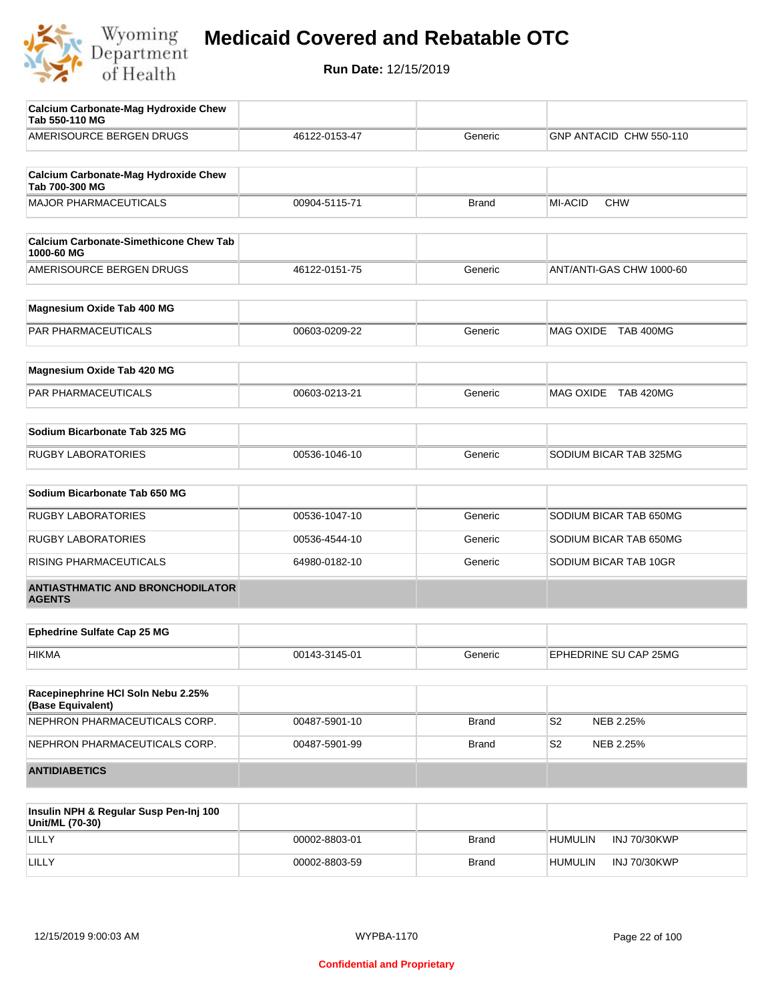

| <b>ANTIDIABETICS</b>                                          |               |              |                             |
|---------------------------------------------------------------|---------------|--------------|-----------------------------|
| NEPHRON PHARMACEUTICALS CORP.                                 | 00487-5901-99 | <b>Brand</b> | S <sub>2</sub><br>NEB 2.25% |
| NEPHRON PHARMACEUTICALS CORP.                                 | 00487-5901-10 | <b>Brand</b> | S <sub>2</sub><br>NEB 2.25% |
| Racepinephrine HCI Soln Nebu 2.25%<br>(Base Equivalent)       |               |              |                             |
| <b>HIKMA</b>                                                  | 00143-3145-01 | Generic      | EPHEDRINE SU CAP 25MG       |
| <b>Ephedrine Sulfate Cap 25 MG</b>                            |               |              |                             |
|                                                               |               |              |                             |
| <b>ANTIASTHMATIC AND BRONCHODILATOR</b><br><b>AGENTS</b>      |               |              |                             |
| RISING PHARMACEUTICALS                                        | 64980-0182-10 | Generic      | SODIUM BICAR TAB 10GR       |
| <b>RUGBY LABORATORIES</b>                                     | 00536-4544-10 | Generic      | SODIUM BICAR TAB 650MG      |
| <b>RUGBY LABORATORIES</b>                                     | 00536-1047-10 | Generic      | SODIUM BICAR TAB 650MG      |
| Sodium Bicarbonate Tab 650 MG                                 |               |              |                             |
|                                                               |               |              |                             |
| <b>RUGBY LABORATORIES</b>                                     | 00536-1046-10 | Generic      | SODIUM BICAR TAB 325MG      |
| Sodium Bicarbonate Tab 325 MG                                 |               |              |                             |
| PAR PHARMACEUTICALS                                           | 00603-0213-21 | Generic      | MAG OXIDE TAB 420MG         |
| Magnesium Oxide Tab 420 MG                                    |               |              |                             |
|                                                               |               |              |                             |
| PAR PHARMACEUTICALS                                           | 00603-0209-22 | Generic      | MAG OXIDE TAB 400MG         |
| Magnesium Oxide Tab 400 MG                                    |               |              |                             |
| AMERISOURCE BERGEN DRUGS                                      | 46122-0151-75 | Generic      | ANT/ANTI-GAS CHW 1000-60    |
| <b>Calcium Carbonate-Simethicone Chew Tab</b><br>1000-60 MG   |               |              |                             |
| <b>MAJOR PHARMACEUTICALS</b>                                  | 00904-5115-71 | Brand        | MI-ACID<br><b>CHW</b>       |
| <b>Calcium Carbonate-Mag Hydroxide Chew</b><br>Tab 700-300 MG |               |              |                             |
| AMERISOURCE BERGEN DRUGS                                      | 46122-0153-47 | Generic      | GNP ANTACID CHW 550-110     |
| Calcium Carbonate-Mag Hydroxide Chew<br>Tab 550-110 MG        |               |              |                             |

| Insulin NPH & Regular Susp Pen-Inj 100<br>Unit/ML (70-30) |               |              |                                       |
|-----------------------------------------------------------|---------------|--------------|---------------------------------------|
| LILLY                                                     | 00002-8803-01 | <b>Brand</b> | <b>INJ 70/30KWP</b><br><b>HUMULIN</b> |
| LILLY                                                     | 00002-8803-59 | <b>Brand</b> | INJ 70/30KWP<br><b>HUMULIN</b>        |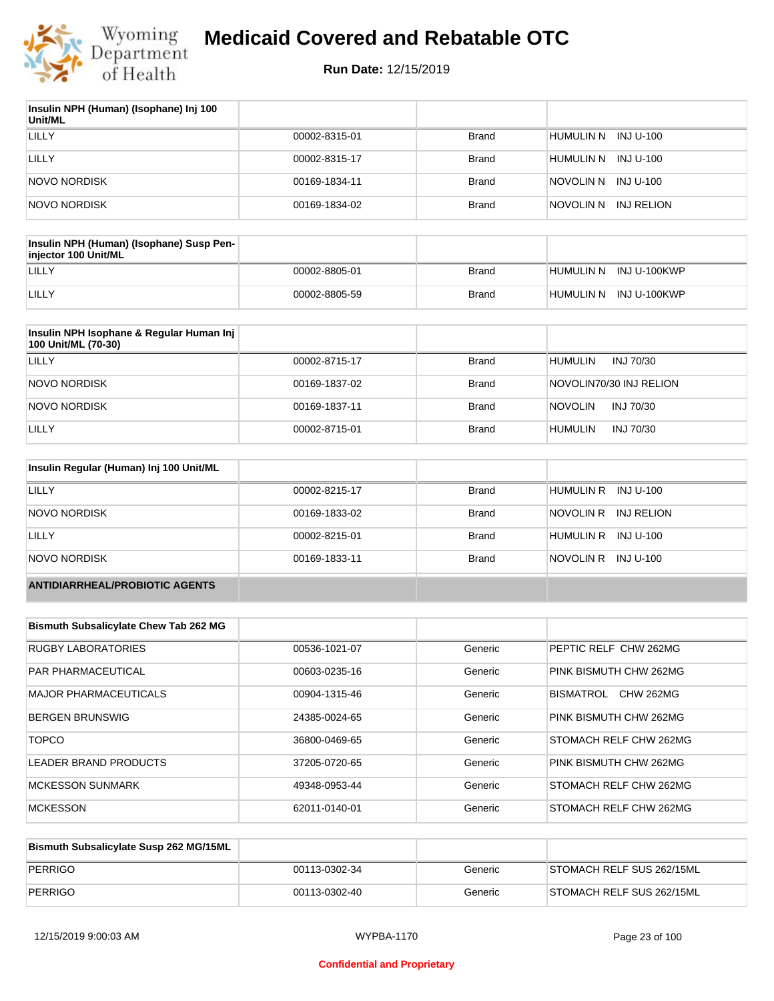

| Insulin NPH (Human) (Isophane) Inj 100<br>Unit/ML |               |              |                         |
|---------------------------------------------------|---------------|--------------|-------------------------|
| LILLY                                             | 00002-8315-01 | <b>Brand</b> | HUMULIN N<br>INJ U-100  |
| LILLY                                             | 00002-8315-17 | <b>Brand</b> | INJ U-100<br>Humulin N  |
| NOVO NORDISK                                      | 00169-1834-11 | <b>Brand</b> | NOVOLIN N INJ U-100     |
| NOVO NORDISK                                      | 00169-1834-02 | <b>Brand</b> | INJ RELION<br>NOVOLIN N |

| <b>Insulin NPH (Human) (Isophane) Susp Pen-</b><br>injector 100 Unit/ML |               |       |                        |
|-------------------------------------------------------------------------|---------------|-------|------------------------|
| LILLY                                                                   | 00002-8805-01 | Brand | HUMULIN N INJ U-100KWP |
| LILLY                                                                   | 00002-8805-59 | Brand | HUMULIN N INJ U-100KWP |

| Insulin NPH Isophane & Regular Human Inj<br>100 Unit/ML (70-30) |               |              |                             |
|-----------------------------------------------------------------|---------------|--------------|-----------------------------|
| LILLY                                                           | 00002-8715-17 | Brand        | <b>HUMULIN</b><br>INJ 70/30 |
| NOVO NORDISK                                                    | 00169-1837-02 | Brand        | NOVOLIN70/30 INJ RELION     |
| NOVO NORDISK                                                    | 00169-1837-11 | <b>Brand</b> | <b>NOVOLIN</b><br>INJ 70/30 |
| LILLY                                                           | 00002-8715-01 | <b>Brand</b> | <b>HUMULIN</b><br>INJ 70/30 |

| Insulin Regular (Human) Inj 100 Unit/ML |               |              |                         |
|-----------------------------------------|---------------|--------------|-------------------------|
| LILLY                                   | 00002-8215-17 | Brand        | HUMULIN R INJ U-100     |
| NOVO NORDISK                            | 00169-1833-02 | <b>Brand</b> | INJ RELION<br>NOVOLIN R |
| LILLY                                   | 00002-8215-01 | <b>Brand</b> | HUMULIN R INJ U-100     |
| NOVO NORDISK                            | 00169-1833-11 | <b>Brand</b> | NOVOLIN R INJ U-100     |
| <b>ANTIDIARRHEAL/PROBIOTIC AGENTS</b>   |               |              |                         |

| <b>Bismuth Subsalicylate Chew Tab 262 MG</b> |               |         |                               |
|----------------------------------------------|---------------|---------|-------------------------------|
| <b>RUGBY LABORATORIES</b>                    | 00536-1021-07 | Generic | PEPTIC RELF CHW 262MG         |
| <b>PAR PHARMACEUTICAL</b>                    | 00603-0235-16 | Generic | PINK BISMUTH CHW 262MG        |
| MAJOR PHARMACEUTICALS                        | 00904-1315-46 | Generic | <b>CHW 262MG</b><br>BISMATROL |
| <b>BERGEN BRUNSWIG</b>                       | 24385-0024-65 | Generic | PINK BISMUTH CHW 262MG        |
| <b>TOPCO</b>                                 | 36800-0469-65 | Generic | STOMACH RELF CHW 262MG        |
| LEADER BRAND PRODUCTS                        | 37205-0720-65 | Generic | PINK BISMUTH CHW 262MG        |
| <b>MCKESSON SUNMARK</b>                      | 49348-0953-44 | Generic | STOMACH RELF CHW 262MG        |
| <b>MCKESSON</b>                              | 62011-0140-01 | Generic | STOMACH RELF CHW 262MG        |

| Bismuth Subsalicylate Susp 262 MG/15ML |               |         |                           |
|----------------------------------------|---------------|---------|---------------------------|
| PERRIGO                                | 00113-0302-34 | Generic | STOMACH RELF SUS 262/15ML |
| PERRIGO                                | 00113-0302-40 | Generic | STOMACH RELF SUS 262/15ML |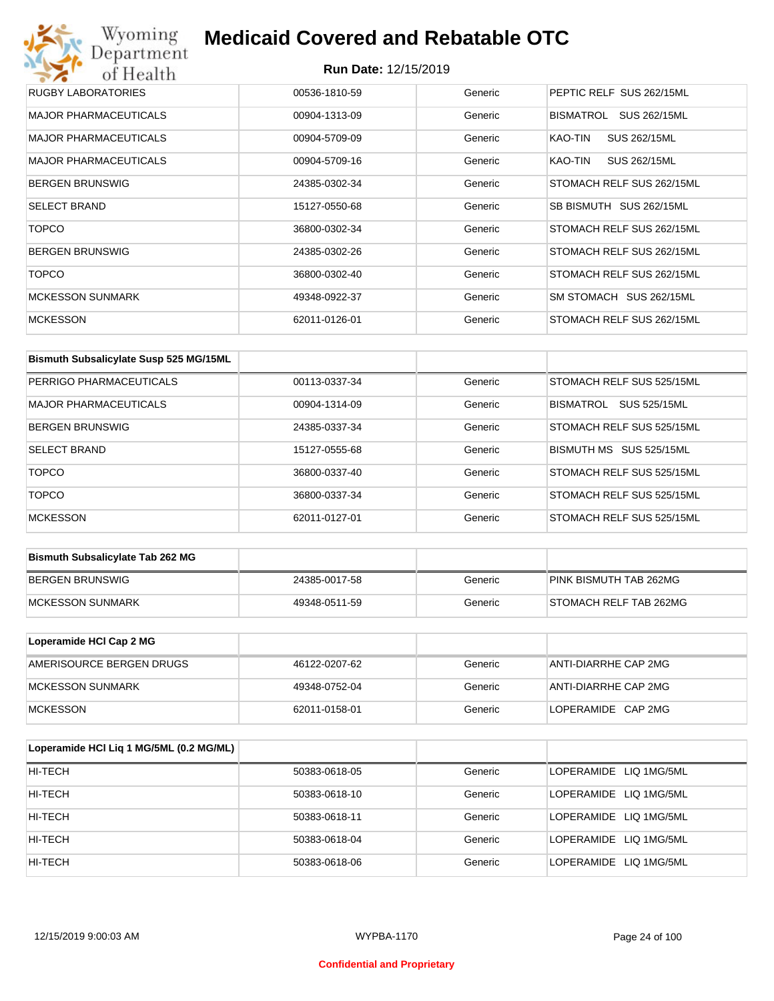| Wyoming<br><b>Medicaid Covered and Rebatable OTC</b><br>Department |                             |         |                           |  |
|--------------------------------------------------------------------|-----------------------------|---------|---------------------------|--|
| of Health                                                          | <b>Run Date: 12/15/2019</b> |         |                           |  |
| <b>RUGBY LABORATORIES</b>                                          | 00536-1810-59               | Generic | PEPTIC RELF SUS 262/15ML  |  |
| <b>MAJOR PHARMACEUTICALS</b>                                       | 00904-1313-09               | Generic | BISMATROL<br>SUS 262/15ML |  |
| MAJOR PHARMACEUTICALS                                              | 00904-5709-09               | Generic | KAO-TIN<br>SUS 262/15ML   |  |
| <b>MAJOR PHARMACEUTICALS</b>                                       | 00904-5709-16               | Generic | KAO-TIN<br>SUS 262/15ML   |  |
| <b>BERGEN BRUNSWIG</b>                                             | 24385-0302-34               | Generic | STOMACH RELF SUS 262/15ML |  |
| <b>SELECT BRAND</b>                                                | 15127-0550-68               | Generic | SB BISMUTH SUS 262/15ML   |  |
| <b>TOPCO</b>                                                       | 36800-0302-34               | Generic | STOMACH RELF SUS 262/15ML |  |
| <b>BERGEN BRUNSWIG</b>                                             | 24385-0302-26               | Generic | STOMACH RELF SUS 262/15ML |  |
| <b>TOPCO</b>                                                       | 36800-0302-40               | Generic | STOMACH RELF SUS 262/15ML |  |
| <b>MCKESSON SUNMARK</b>                                            | 49348-0922-37               | Generic | SM STOMACH SUS 262/15ML   |  |
| <b>MCKESSON</b>                                                    | 62011-0126-01               | Generic | STOMACH RELF SUS 262/15ML |  |

| Bismuth Subsalicylate Susp 525 MG/15ML |               |         |                                  |
|----------------------------------------|---------------|---------|----------------------------------|
| PERRIGO PHARMACEUTICALS                | 00113-0337-34 | Generic | STOMACH RELF SUS 525/15ML        |
| <b>MAJOR PHARMACEUTICALS</b>           | 00904-1314-09 | Generic | <b>SUS 525/15ML</b><br>BISMATROL |
| <b>BERGEN BRUNSWIG</b>                 | 24385-0337-34 | Generic | STOMACH RELF SUS 525/15ML        |
| <b>SELECT BRAND</b>                    | 15127-0555-68 | Generic | BISMUTH MS SUS 525/15ML          |
| <b>TOPCO</b>                           | 36800-0337-40 | Generic | STOMACH RELF SUS 525/15ML        |
| <b>TOPCO</b>                           | 36800-0337-34 | Generic | STOMACH RELF SUS 525/15ML        |
| <b>MCKESSON</b>                        | 62011-0127-01 | Generic | STOMACH RELF SUS 525/15ML        |

| <b>Bismuth Subsalicylate Tab 262 MG</b> |               |         |                        |
|-----------------------------------------|---------------|---------|------------------------|
| BERGEN BRUNSWIG                         | 24385-0017-58 | Generic | PINK BISMUTH TAB 262MG |
| <b>IMCKESSON SUNMARK</b>                | 49348-0511-59 | Generic | STOMACH RELF TAB 262MG |

| Loperamide HCI Cap 2 MG  |               |         |                      |
|--------------------------|---------------|---------|----------------------|
| AMERISOURCE BERGEN DRUGS | 46122-0207-62 | Generic | ANTI-DIARRHE CAP 2MG |
| <b>IMCKESSON SUNMARK</b> | 49348-0752-04 | Generic | ANTI-DIARRHE CAP 2MG |
| <b>IMCKESSON</b>         | 62011-0158-01 | Generic | LOPERAMIDE CAP 2MG   |

| Loperamide HCI Liq 1 MG/5ML (0.2 MG/ML) |               |         |                        |
|-----------------------------------------|---------------|---------|------------------------|
| HI-TECH                                 | 50383-0618-05 | Generic | LOPERAMIDE LIQ 1MG/5ML |
| HI-TECH                                 | 50383-0618-10 | Generic | LOPERAMIDE LIQ 1MG/5ML |
| HI-TECH                                 | 50383-0618-11 | Generic | LOPERAMIDE LIQ 1MG/5ML |
| HI-TECH                                 | 50383-0618-04 | Generic | LOPERAMIDE LIQ 1MG/5ML |
| HI-TECH                                 | 50383-0618-06 | Generic | LOPERAMIDE LIQ 1MG/5ML |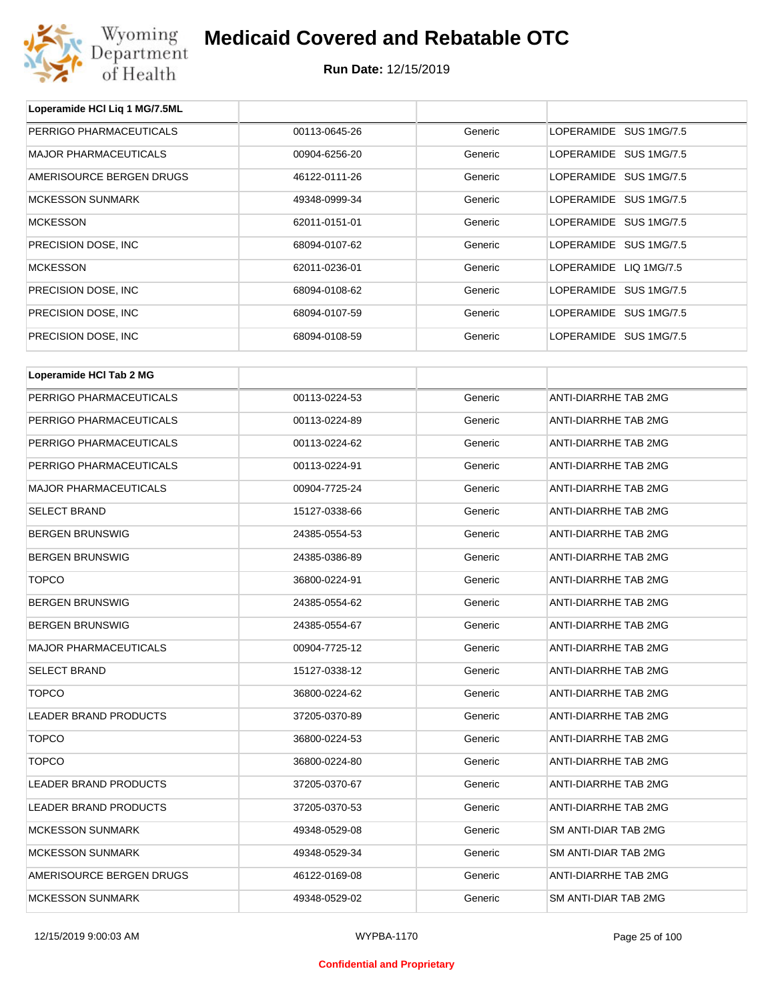

**Loperamide HCl Liq 1 MG/7.5ML**

## **Medicaid Covered and Rebatable OTC**

| PERRIGO PHARMACEUTICALS      | 00113-0645-26 | Generic | LOPERAMIDE SUS 1MG/7.5 |
|------------------------------|---------------|---------|------------------------|
| <b>MAJOR PHARMACEUTICALS</b> | 00904-6256-20 | Generic | LOPERAMIDE SUS 1MG/7.5 |
| AMERISOURCE BERGEN DRUGS     | 46122-0111-26 | Generic | LOPERAMIDE SUS 1MG/7.5 |
| <b>MCKESSON SUNMARK</b>      | 49348-0999-34 | Generic | LOPERAMIDE SUS 1MG/7.5 |
| <b>MCKESSON</b>              | 62011-0151-01 | Generic | LOPERAMIDE SUS 1MG/7.5 |
| PRECISION DOSE, INC          | 68094-0107-62 | Generic | LOPERAMIDE SUS 1MG/7.5 |
| <b>MCKESSON</b>              | 62011-0236-01 | Generic | LOPERAMIDE LIQ 1MG/7.5 |
| PRECISION DOSE, INC.         | 68094-0108-62 | Generic | LOPERAMIDE SUS 1MG/7.5 |
| PRECISION DOSE, INC          | 68094-0107-59 | Generic | LOPERAMIDE SUS 1MG/7.5 |
| PRECISION DOSE, INC          | 68094-0108-59 | Generic | LOPERAMIDE SUS 1MG/7.5 |
| Loperamide HCI Tab 2 MG      |               |         |                        |
|                              |               |         |                        |
| PERRIGO PHARMACEUTICALS      | 00113-0224-53 | Generic | ANTI-DIARRHE TAB 2MG   |
| PERRIGO PHARMACEUTICALS      | 00113-0224-89 | Generic | ANTI-DIARRHE TAB 2MG   |
| PERRIGO PHARMACEUTICALS      | 00113-0224-62 | Generic | ANTI-DIARRHE TAB 2MG   |
| PERRIGO PHARMACEUTICALS      | 00113-0224-91 | Generic | ANTI-DIARRHE TAB 2MG   |
| <b>MAJOR PHARMACEUTICALS</b> | 00904-7725-24 | Generic | ANTI-DIARRHE TAB 2MG   |
| <b>SELECT BRAND</b>          | 15127-0338-66 | Generic | ANTI-DIARRHE TAB 2MG   |
| <b>BERGEN BRUNSWIG</b>       | 24385-0554-53 | Generic | ANTI-DIARRHE TAB 2MG   |
| <b>BERGEN BRUNSWIG</b>       | 24385-0386-89 | Generic | ANTI-DIARRHE TAB 2MG   |
| <b>TOPCO</b>                 | 36800-0224-91 | Generic | ANTI-DIARRHE TAB 2MG   |
| <b>BERGEN BRUNSWIG</b>       | 24385-0554-62 | Generic | ANTI-DIARRHE TAB 2MG   |
| <b>BERGEN BRUNSWIG</b>       | 24385-0554-67 | Generic | ANTI-DIARRHE TAB 2MG   |
| <b>MAJOR PHARMACEUTICALS</b> | 00904-7725-12 | Generic | ANTI-DIARRHE TAB 2MG   |
| <b>SELECT BRAND</b>          | 15127-0338-12 | Generic | ANTI-DIARRHE TAB 2MG   |
| <b>TOPCO</b>                 | 36800-0224-62 | Generic | ANTI-DIARRHE TAB 2MG   |
| LEADER BRAND PRODUCTS        | 37205-0370-89 | Generic | ANTI-DIARRHE TAB 2MG   |
| <b>TOPCO</b>                 | 36800-0224-53 | Generic | ANTI-DIARRHE TAB 2MG   |
| <b>TOPCO</b>                 | 36800-0224-80 | Generic | ANTI-DIARRHE TAB 2MG   |
| LEADER BRAND PRODUCTS        | 37205-0370-67 | Generic | ANTI-DIARRHE TAB 2MG   |
| LEADER BRAND PRODUCTS        | 37205-0370-53 | Generic | ANTI-DIARRHE TAB 2MG   |
| <b>MCKESSON SUNMARK</b>      | 49348-0529-08 | Generic | SM ANTI-DIAR TAB 2MG   |
| <b>MCKESSON SUNMARK</b>      | 49348-0529-34 | Generic | SM ANTI-DIAR TAB 2MG   |
| AMERISOURCE BERGEN DRUGS     | 46122-0169-08 | Generic | ANTI-DIARRHE TAB 2MG   |
| <b>MCKESSON SUNMARK</b>      | 49348-0529-02 | Generic | SM ANTI-DIAR TAB 2MG   |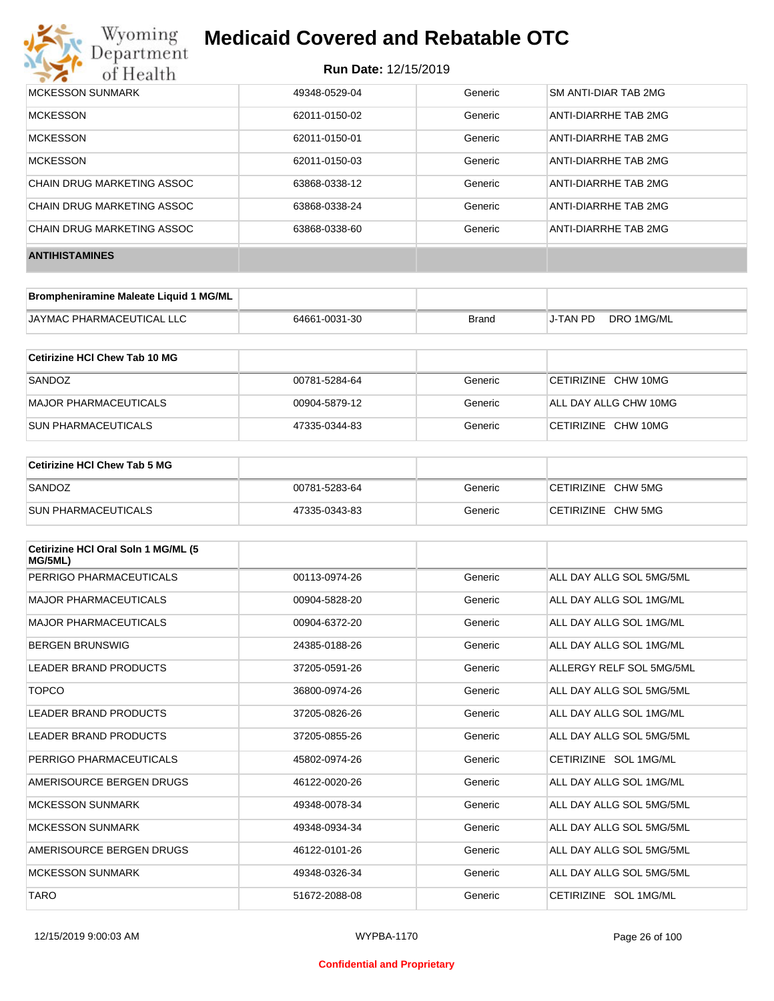

| MCKESSON SUNMARK           | 49348-0529-04 | Generic | SM ANTI-DIAR TAB 2MG |
|----------------------------|---------------|---------|----------------------|
| <b>MCKESSON</b>            | 62011-0150-02 | Generic | ANTI-DIARRHE TAB 2MG |
| <b>MCKESSON</b>            | 62011-0150-01 | Generic | ANTI-DIARRHE TAB 2MG |
| <b>MCKESSON</b>            | 62011-0150-03 | Generic | ANTI-DIARRHE TAB 2MG |
| CHAIN DRUG MARKETING ASSOC | 63868-0338-12 | Generic | ANTI-DIARRHE TAB 2MG |
| CHAIN DRUG MARKETING ASSOC | 63868-0338-24 | Generic | ANTI-DIARRHE TAB 2MG |
| CHAIN DRUG MARKETING ASSOC | 63868-0338-60 | Generic | ANTI-DIARRHE TAB 2MG |
| <b>ANTIHISTAMINES</b>      |               |         |                      |

| Brompheniramine Maleate Liquid 1 MG/ML |               |       |          |            |
|----------------------------------------|---------------|-------|----------|------------|
| JAYMAC PHARMACEUTICAL LLC              | 64661-0031-30 | Brand | J-TAN PD | DRO 1MG/ML |

| Cetirizine HCI Chew Tab 10 MG |               |         |                       |
|-------------------------------|---------------|---------|-----------------------|
| SANDOZ                        | 00781-5284-64 | Generic | CETIRIZINE CHW 10MG   |
| MAJOR PHARMACEUTICALS         | 00904-5879-12 | Generic | ALL DAY ALLG CHW 10MG |
| <b>SUN PHARMACEUTICALS</b>    | 47335-0344-83 | Generic | CETIRIZINE CHW 10MG   |

| <b>Cetirizine HCI Chew Tab 5 MG</b> |               |         |                    |
|-------------------------------------|---------------|---------|--------------------|
| SANDOZ                              | 00781-5283-64 | Generic | CETIRIZINE CHW 5MG |
| <b>SUN PHARMACEUTICALS</b>          | 47335-0343-83 | Generic | CETIRIZINE CHW 5MG |

| Cetirizine HCI Oral Soln 1 MG/ML (5<br>MG/5ML) |               |         |                          |
|------------------------------------------------|---------------|---------|--------------------------|
| PERRIGO PHARMACEUTICALS                        | 00113-0974-26 | Generic | ALL DAY ALLG SOL 5MG/5ML |
| <b>MAJOR PHARMACEUTICALS</b>                   | 00904-5828-20 | Generic | ALL DAY ALLG SOL 1MG/ML  |
| <b>MAJOR PHARMACEUTICALS</b>                   | 00904-6372-20 | Generic | ALL DAY ALLG SOL 1MG/ML  |
| <b>BERGEN BRUNSWIG</b>                         | 24385-0188-26 | Generic | ALL DAY ALLG SOL 1MG/ML  |
| LEADER BRAND PRODUCTS                          | 37205-0591-26 | Generic | ALLERGY RELF SOL 5MG/5ML |
| <b>TOPCO</b>                                   | 36800-0974-26 | Generic | ALL DAY ALLG SOL 5MG/5ML |
| LEADER BRAND PRODUCTS                          | 37205-0826-26 | Generic | ALL DAY ALLG SOL 1MG/ML  |
| LEADER BRAND PRODUCTS                          | 37205-0855-26 | Generic | ALL DAY ALLG SOL 5MG/5ML |
| PERRIGO PHARMACEUTICALS                        | 45802-0974-26 | Generic | CETIRIZINE SOL 1MG/ML    |
| AMERISOURCE BERGEN DRUGS                       | 46122-0020-26 | Generic | ALL DAY ALLG SOL 1MG/ML  |
| <b>MCKESSON SUNMARK</b>                        | 49348-0078-34 | Generic | ALL DAY ALLG SOL 5MG/5ML |
| <b>MCKESSON SUNMARK</b>                        | 49348-0934-34 | Generic | ALL DAY ALLG SOL 5MG/5ML |
| AMERISOURCE BERGEN DRUGS                       | 46122-0101-26 | Generic | ALL DAY ALLG SOL 5MG/5ML |
| <b>MCKESSON SUNMARK</b>                        | 49348-0326-34 | Generic | ALL DAY ALLG SOL 5MG/5ML |
| <b>TARO</b>                                    | 51672-2088-08 | Generic | CETIRIZINE SOL 1MG/ML    |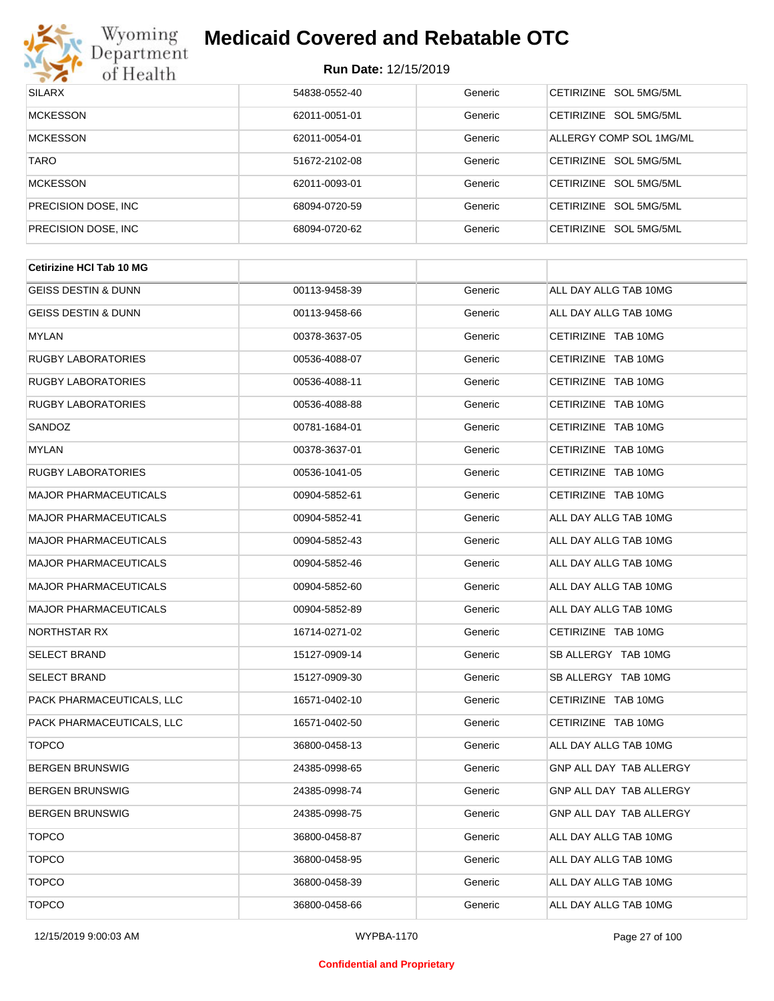

| <b>SILARX</b>        | 54838-0552-40 | Generic | CETIRIZINE SOL 5MG/5ML  |
|----------------------|---------------|---------|-------------------------|
| <b>MCKESSON</b>      | 62011-0051-01 | Generic | CETIRIZINE SOL 5MG/5ML  |
| <b>MCKESSON</b>      | 62011-0054-01 | Generic | ALLERGY COMP SOL 1MG/ML |
| <b>TARO</b>          | 51672-2102-08 | Generic | CETIRIZINE SOL 5MG/5ML  |
| <b>MCKESSON</b>      | 62011-0093-01 | Generic | CETIRIZINE SOL 5MG/5ML  |
| PRECISION DOSE, INC. | 68094-0720-59 | Generic | CETIRIZINE SOL 5MG/5ML  |
| PRECISION DOSE, INC. | 68094-0720-62 | Generic | CETIRIZINE SOL 5MG/5ML  |

| <b>Cetirizine HCI Tab 10 MG</b> |               |         |                         |  |
|---------------------------------|---------------|---------|-------------------------|--|
| <b>GEISS DESTIN &amp; DUNN</b>  | 00113-9458-39 | Generic | ALL DAY ALLG TAB 10MG   |  |
| <b>GEISS DESTIN &amp; DUNN</b>  | 00113-9458-66 | Generic | ALL DAY ALLG TAB 10MG   |  |
| MYLAN                           | 00378-3637-05 | Generic | CETIRIZINE TAB 10MG     |  |
| <b>RUGBY LABORATORIES</b>       | 00536-4088-07 | Generic | CETIRIZINE TAB 10MG     |  |
| RUGBY LABORATORIES              | 00536-4088-11 | Generic | CETIRIZINE TAB 10MG     |  |
| <b>RUGBY LABORATORIES</b>       | 00536-4088-88 | Generic | CETIRIZINE TAB 10MG     |  |
| SANDOZ                          | 00781-1684-01 | Generic | CETIRIZINE TAB 10MG     |  |
| MYLAN                           | 00378-3637-01 | Generic | CETIRIZINE TAB 10MG     |  |
| <b>RUGBY LABORATORIES</b>       | 00536-1041-05 | Generic | CETIRIZINE TAB 10MG     |  |
| <b>MAJOR PHARMACEUTICALS</b>    | 00904-5852-61 | Generic | CETIRIZINE TAB 10MG     |  |
| <b>MAJOR PHARMACEUTICALS</b>    | 00904-5852-41 | Generic | ALL DAY ALLG TAB 10MG   |  |
| <b>MAJOR PHARMACEUTICALS</b>    | 00904-5852-43 | Generic | ALL DAY ALLG TAB 10MG   |  |
| <b>MAJOR PHARMACEUTICALS</b>    | 00904-5852-46 | Generic | ALL DAY ALLG TAB 10MG   |  |
| <b>MAJOR PHARMACEUTICALS</b>    | 00904-5852-60 | Generic | ALL DAY ALLG TAB 10MG   |  |
| <b>MAJOR PHARMACEUTICALS</b>    | 00904-5852-89 | Generic | ALL DAY ALLG TAB 10MG   |  |
| NORTHSTAR RX                    | 16714-0271-02 | Generic | CETIRIZINE TAB 10MG     |  |
| <b>SELECT BRAND</b>             | 15127-0909-14 | Generic | SB ALLERGY TAB 10MG     |  |
| <b>SELECT BRAND</b>             | 15127-0909-30 | Generic | SB ALLERGY TAB 10MG     |  |
| PACK PHARMACEUTICALS, LLC       | 16571-0402-10 | Generic | CETIRIZINE TAB 10MG     |  |
| PACK PHARMACEUTICALS, LLC       | 16571-0402-50 | Generic | CETIRIZINE TAB 10MG     |  |
| <b>TOPCO</b>                    | 36800-0458-13 | Generic | ALL DAY ALLG TAB 10MG   |  |
| <b>BERGEN BRUNSWIG</b>          | 24385-0998-65 | Generic | GNP ALL DAY TAB ALLERGY |  |
| <b>BERGEN BRUNSWIG</b>          | 24385-0998-74 | Generic | GNP ALL DAY TAB ALLERGY |  |
| <b>BERGEN BRUNSWIG</b>          | 24385-0998-75 | Generic | GNP ALL DAY TAB ALLERGY |  |
| <b>TOPCO</b>                    | 36800-0458-87 | Generic | ALL DAY ALLG TAB 10MG   |  |
| <b>TOPCO</b>                    | 36800-0458-95 | Generic | ALL DAY ALLG TAB 10MG   |  |
| <b>TOPCO</b>                    | 36800-0458-39 | Generic | ALL DAY ALLG TAB 10MG   |  |
| <b>TOPCO</b>                    | 36800-0458-66 | Generic | ALL DAY ALLG TAB 10MG   |  |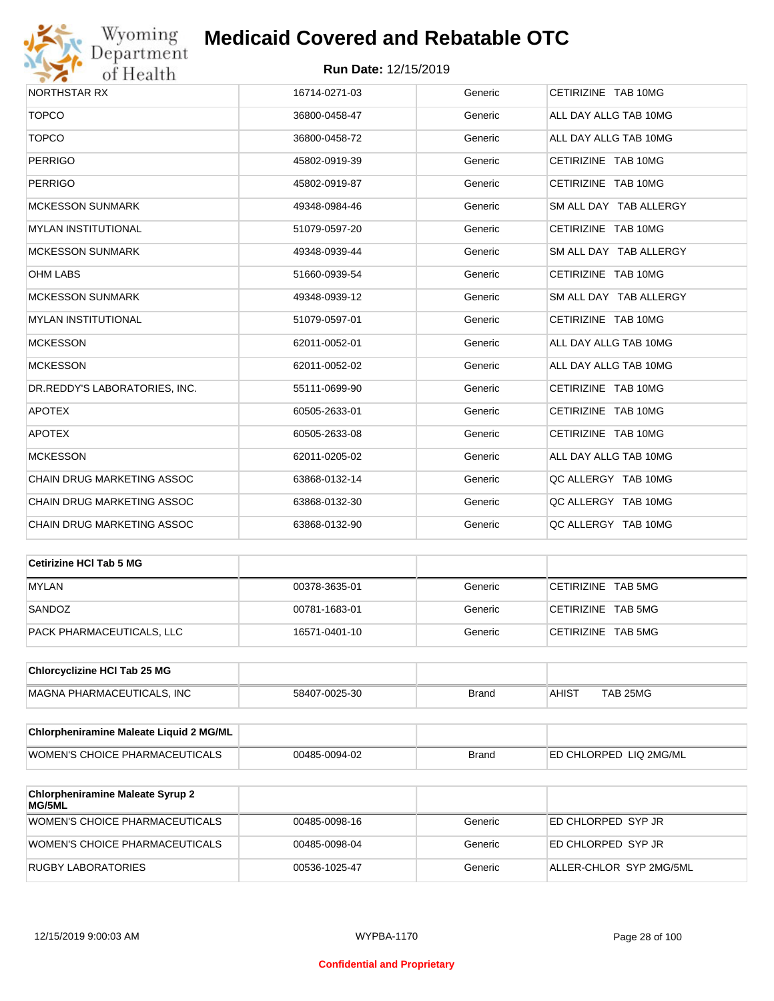

| <b>NORTHSTAR RX</b>           | 16714-0271-03 | Generic | CETIRIZINE TAB 10MG    |
|-------------------------------|---------------|---------|------------------------|
| <b>TOPCO</b>                  | 36800-0458-47 | Generic | ALL DAY ALLG TAB 10MG  |
| <b>TOPCO</b>                  | 36800-0458-72 | Generic | ALL DAY ALLG TAB 10MG  |
| <b>PERRIGO</b>                | 45802-0919-39 | Generic | CETIRIZINE TAB 10MG    |
| <b>PERRIGO</b>                | 45802-0919-87 | Generic | CETIRIZINE TAB 10MG    |
| <b>MCKESSON SUNMARK</b>       | 49348-0984-46 | Generic | SM ALL DAY TAB ALLERGY |
| <b>MYLAN INSTITUTIONAL</b>    | 51079-0597-20 | Generic | CETIRIZINE TAB 10MG    |
| <b>MCKESSON SUNMARK</b>       | 49348-0939-44 | Generic | SM ALL DAY TAB ALLERGY |
| <b>OHM LABS</b>               | 51660-0939-54 | Generic | CETIRIZINE TAB 10MG    |
| <b>MCKESSON SUNMARK</b>       | 49348-0939-12 | Generic | SM ALL DAY TAB ALLERGY |
| <b>MYLAN INSTITUTIONAL</b>    | 51079-0597-01 | Generic | CETIRIZINE TAB 10MG    |
| <b>MCKESSON</b>               | 62011-0052-01 | Generic | ALL DAY ALLG TAB 10MG  |
| <b>MCKESSON</b>               | 62011-0052-02 | Generic | ALL DAY ALLG TAB 10MG  |
| DR.REDDY'S LABORATORIES, INC. | 55111-0699-90 | Generic | CETIRIZINE TAB 10MG    |
| <b>APOTEX</b>                 | 60505-2633-01 | Generic | CETIRIZINE TAB 10MG    |
| <b>APOTEX</b>                 | 60505-2633-08 | Generic | CETIRIZINE TAB 10MG    |
| <b>MCKESSON</b>               | 62011-0205-02 | Generic | ALL DAY ALLG TAB 10MG  |
| CHAIN DRUG MARKETING ASSOC    | 63868-0132-14 | Generic | QC ALLERGY TAB 10MG    |
| CHAIN DRUG MARKETING ASSOC    | 63868-0132-30 | Generic | QC ALLERGY TAB 10MG    |
| CHAIN DRUG MARKETING ASSOC    | 63868-0132-90 | Generic | QC ALLERGY TAB 10MG    |

| Cetirizine HCI Tab 5 MG   |               |         |                    |
|---------------------------|---------------|---------|--------------------|
| <b>MYLAN</b>              | 00378-3635-01 | Generic | CETIRIZINE TAB 5MG |
| SANDOZ                    | 00781-1683-01 | Generic | CETIRIZINE TAB 5MG |
| PACK PHARMACEUTICALS, LLC | 16571-0401-10 | Generic | CETIRIZINE TAB 5MG |

| <b>Chlorcyclizine HCI Tab 25 MG</b> |               |       |       |          |
|-------------------------------------|---------------|-------|-------|----------|
| MAGNA PHARMACEUTICALS. INC          | 58407-0025-30 | Brand | AHIS1 | TAB 25MG |

| Chlorpheniramine Maleate Liquid 2 MG/ML |               |              |                                |
|-----------------------------------------|---------------|--------------|--------------------------------|
| WOMEN'S CHOICE PHARMACEUTICALS          | 00485-0094-02 | <b>Brand</b> | <b>IED CHLORPED LIQ 2MG/ML</b> |

| <b>Chlorpheniramine Maleate Syrup 2</b><br>MG/5ML |               |         |                         |
|---------------------------------------------------|---------------|---------|-------------------------|
| WOMEN'S CHOICE PHARMACEUTICALS                    | 00485-0098-16 | Generic | ED CHLORPED SYP JR      |
| WOMEN'S CHOICE PHARMACEUTICALS                    | 00485-0098-04 | Generic | ED CHLORPED SYP JR      |
| RUGBY LABORATORIES                                | 00536-1025-47 | Generic | ALLER-CHLOR SYP 2MG/5ML |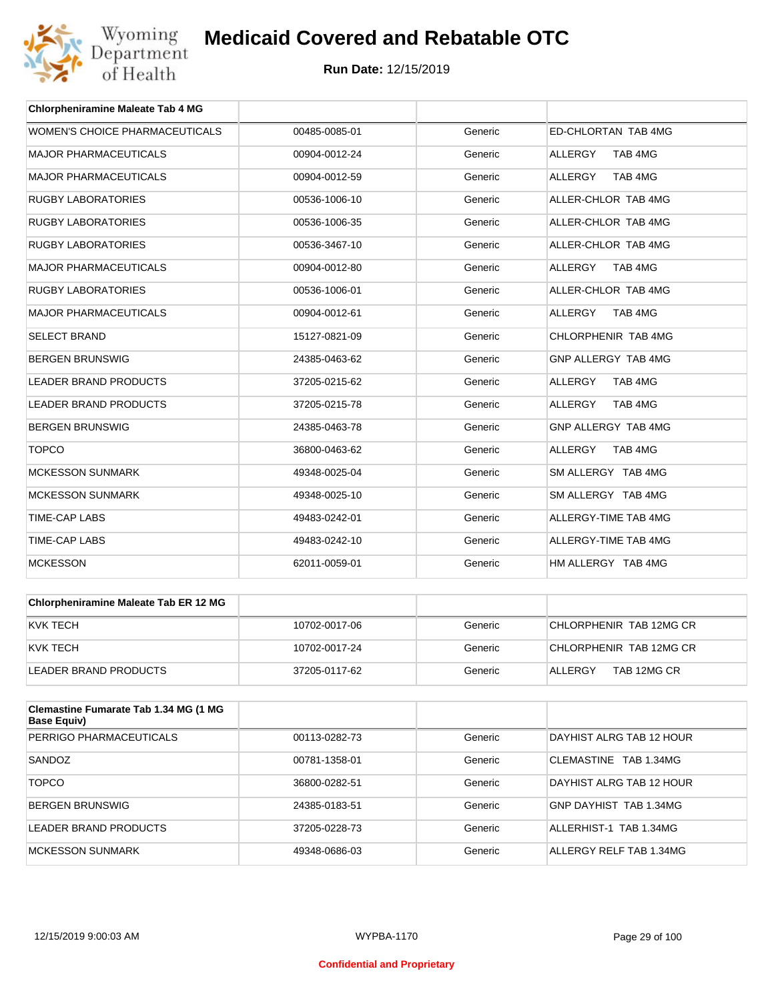

| <b>Chlorpheniramine Maleate Tab 4 MG</b> |               |         |                           |
|------------------------------------------|---------------|---------|---------------------------|
| WOMEN'S CHOICE PHARMACEUTICALS           | 00485-0085-01 | Generic | ED-CHLORTAN TAB 4MG       |
| <b>MAJOR PHARMACEUTICALS</b>             | 00904-0012-24 | Generic | TAB 4MG<br><b>ALLERGY</b> |
| <b>MAJOR PHARMACEUTICALS</b>             | 00904-0012-59 | Generic | TAB 4MG<br><b>ALLERGY</b> |
| <b>RUGBY LABORATORIES</b>                | 00536-1006-10 | Generic | ALLER-CHLOR TAB 4MG       |
| <b>RUGBY LABORATORIES</b>                | 00536-1006-35 | Generic | ALLER-CHLOR TAB 4MG       |
| <b>RUGBY LABORATORIES</b>                | 00536-3467-10 | Generic | ALLER-CHLOR TAB 4MG       |
| <b>MAJOR PHARMACEUTICALS</b>             | 00904-0012-80 | Generic | <b>ALLERGY</b><br>TAB 4MG |
| <b>RUGBY LABORATORIES</b>                | 00536-1006-01 | Generic | ALLER-CHLOR TAB 4MG       |
| <b>MAJOR PHARMACEUTICALS</b>             | 00904-0012-61 | Generic | ALLERGY<br>TAB 4MG        |
| <b>SELECT BRAND</b>                      | 15127-0821-09 | Generic | CHLORPHENIR TAB 4MG       |
| <b>BERGEN BRUNSWIG</b>                   | 24385-0463-62 | Generic | GNP ALLERGY TAB 4MG       |
| <b>LEADER BRAND PRODUCTS</b>             | 37205-0215-62 | Generic | TAB 4MG<br><b>ALLERGY</b> |
| <b>LEADER BRAND PRODUCTS</b>             | 37205-0215-78 | Generic | <b>ALLERGY</b><br>TAB 4MG |
| <b>BERGEN BRUNSWIG</b>                   | 24385-0463-78 | Generic | GNP ALLERGY TAB 4MG       |
| <b>TOPCO</b>                             | 36800-0463-62 | Generic | ALLERGY<br>TAB 4MG        |
| <b>MCKESSON SUNMARK</b>                  | 49348-0025-04 | Generic | SM ALLERGY TAB 4MG        |
| <b>MCKESSON SUNMARK</b>                  | 49348-0025-10 | Generic | SM ALLERGY TAB 4MG        |
| <b>TIME-CAP LABS</b>                     | 49483-0242-01 | Generic | ALLERGY-TIME TAB 4MG      |
| <b>TIME-CAP LABS</b>                     | 49483-0242-10 | Generic | ALLERGY-TIME TAB 4MG      |
| <b>MCKESSON</b>                          | 62011-0059-01 | Generic | HM ALLERGY TAB 4MG        |

| <b>Chlorpheniramine Maleate Tab ER 12 MG</b> |               |         |                         |
|----------------------------------------------|---------------|---------|-------------------------|
| KVK TECH                                     | 10702-0017-06 | Generic | CHLORPHENIR TAB 12MG CR |
| KVK TECH                                     | 10702-0017-24 | Generic | CHLORPHENIR TAB 12MG CR |
| LEADER BRAND PRODUCTS                        | 37205-0117-62 | Generic | TAB 12MG CR<br>ALLERGY  |

| <b>Clemastine Fumarate Tab 1.34 MG (1 MG</b><br><b>Base Equiv)</b> |               |         |                          |
|--------------------------------------------------------------------|---------------|---------|--------------------------|
| PERRIGO PHARMACEUTICALS                                            | 00113-0282-73 | Generic | DAYHIST ALRG TAB 12 HOUR |
| SANDOZ                                                             | 00781-1358-01 | Generic | CLEMASTINE TAB 1.34MG    |
| <b>TOPCO</b>                                                       | 36800-0282-51 | Generic | DAYHIST ALRG TAB 12 HOUR |
| <b>BERGEN BRUNSWIG</b>                                             | 24385-0183-51 | Generic | GNP DAYHIST TAB 1.34MG   |
| LEADER BRAND PRODUCTS                                              | 37205-0228-73 | Generic | ALLERHIST-1 TAB 1.34MG   |
| MCKESSON SUNMARK                                                   | 49348-0686-03 | Generic | ALLERGY RELF TAB 1.34MG  |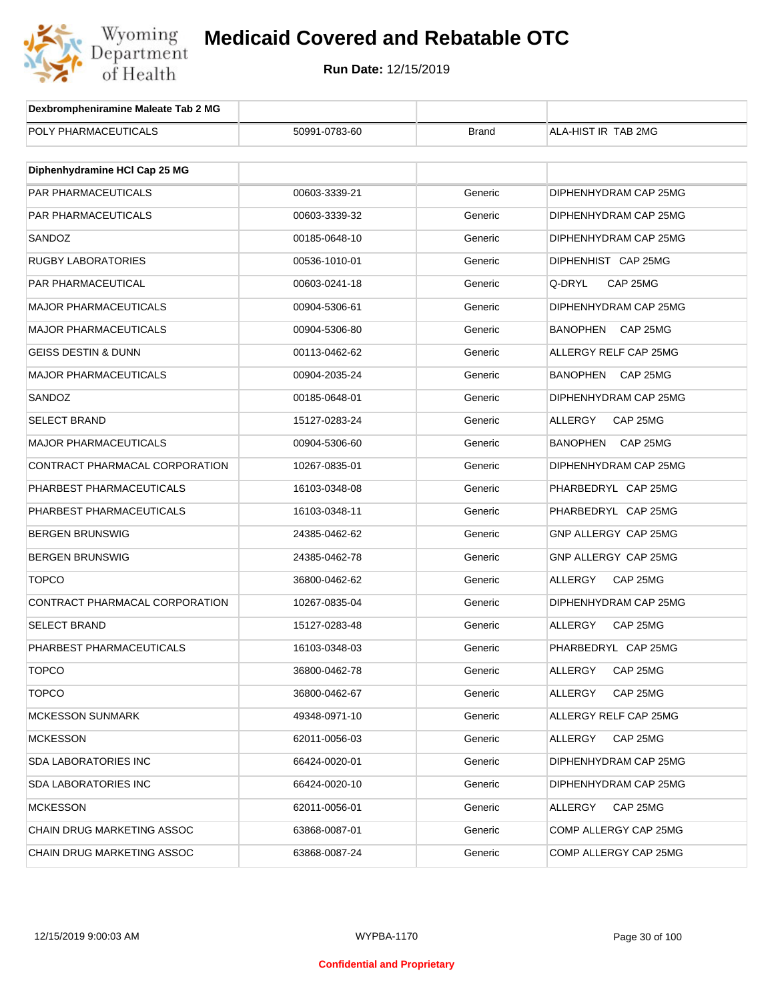

| Dexbrompheniramine Maleate Tab 2 MG |               |              |                             |
|-------------------------------------|---------------|--------------|-----------------------------|
| POLY PHARMACEUTICALS                | 50991-0783-60 | <b>Brand</b> | ALA-HIST IR TAB 2MG         |
|                                     |               |              |                             |
| Diphenhydramine HCI Cap 25 MG       |               |              |                             |
| <b>PAR PHARMACEUTICALS</b>          | 00603-3339-21 | Generic      | DIPHENHYDRAM CAP 25MG       |
| PAR PHARMACEUTICALS                 | 00603-3339-32 | Generic      | DIPHENHYDRAM CAP 25MG       |
| SANDOZ                              | 00185-0648-10 | Generic      | DIPHENHYDRAM CAP 25MG       |
| <b>RUGBY LABORATORIES</b>           | 00536-1010-01 | Generic      | DIPHENHIST CAP 25MG         |
| <b>PAR PHARMACEUTICAL</b>           | 00603-0241-18 | Generic      | Q-DRYL<br>CAP 25MG          |
| <b>MAJOR PHARMACEUTICALS</b>        | 00904-5306-61 | Generic      | DIPHENHYDRAM CAP 25MG       |
| <b>MAJOR PHARMACEUTICALS</b>        | 00904-5306-80 | Generic      | BANOPHEN<br>CAP 25MG        |
| <b>GEISS DESTIN &amp; DUNN</b>      | 00113-0462-62 | Generic      | ALLERGY RELF CAP 25MG       |
| <b>MAJOR PHARMACEUTICALS</b>        | 00904-2035-24 | Generic      | <b>BANOPHEN</b><br>CAP 25MG |
| SANDOZ                              | 00185-0648-01 | Generic      | DIPHENHYDRAM CAP 25MG       |
| <b>SELECT BRAND</b>                 | 15127-0283-24 | Generic      | ALLERGY<br>CAP 25MG         |
| <b>MAJOR PHARMACEUTICALS</b>        | 00904-5306-60 | Generic      | BANOPHEN<br>CAP 25MG        |
| CONTRACT PHARMACAL CORPORATION      | 10267-0835-01 | Generic      | DIPHENHYDRAM CAP 25MG       |
| PHARBEST PHARMACEUTICALS            | 16103-0348-08 | Generic      | PHARBEDRYL CAP 25MG         |
| PHARBEST PHARMACEUTICALS            | 16103-0348-11 | Generic      | PHARBEDRYL CAP 25MG         |
| <b>BERGEN BRUNSWIG</b>              | 24385-0462-62 | Generic      | GNP ALLERGY CAP 25MG        |
| <b>BERGEN BRUNSWIG</b>              | 24385-0462-78 | Generic      | GNP ALLERGY CAP 25MG        |
| <b>TOPCO</b>                        | 36800-0462-62 | Generic      | ALLERGY<br>CAP 25MG         |
| CONTRACT PHARMACAL CORPORATION      | 10267-0835-04 | Generic      | DIPHENHYDRAM CAP 25MG       |
| <b>SELECT BRAND</b>                 | 15127-0283-48 | Generic      | ALLERGY<br>CAP 25MG         |
| PHARBEST PHARMACEUTICALS            | 16103-0348-03 | Generic      | PHARBEDRYL CAP 25MG         |
| TOPCO                               | 36800-0462-78 | Generic      | ALLERGY<br>CAP 25MG         |
| <b>TOPCO</b>                        | 36800-0462-67 | Generic      | ALLERGY<br>CAP 25MG         |
| <b>MCKESSON SUNMARK</b>             | 49348-0971-10 | Generic      | ALLERGY RELF CAP 25MG       |
| <b>MCKESSON</b>                     | 62011-0056-03 | Generic      | CAP 25MG<br>ALLERGY         |
| SDA LABORATORIES INC                | 66424-0020-01 | Generic      | DIPHENHYDRAM CAP 25MG       |
| <b>SDA LABORATORIES INC</b>         | 66424-0020-10 | Generic      | DIPHENHYDRAM CAP 25MG       |
| <b>MCKESSON</b>                     | 62011-0056-01 | Generic      | CAP 25MG<br>ALLERGY         |
| CHAIN DRUG MARKETING ASSOC          | 63868-0087-01 | Generic      | COMP ALLERGY CAP 25MG       |
| CHAIN DRUG MARKETING ASSOC          | 63868-0087-24 | Generic      | COMP ALLERGY CAP 25MG       |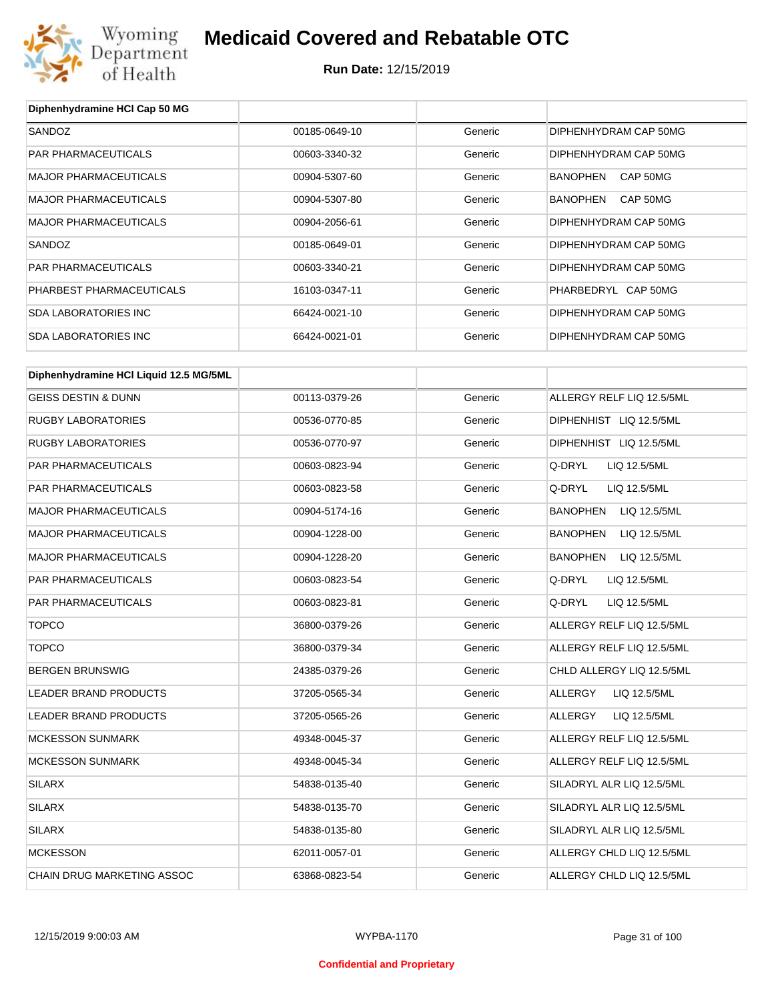

| Diphenhydramine HCI Cap 50 MG          |               |         |                             |
|----------------------------------------|---------------|---------|-----------------------------|
| SANDOZ                                 | 00185-0649-10 | Generic | DIPHENHYDRAM CAP 50MG       |
| PAR PHARMACEUTICALS                    | 00603-3340-32 | Generic | DIPHENHYDRAM CAP 50MG       |
| <b>MAJOR PHARMACEUTICALS</b>           | 00904-5307-60 | Generic | BANOPHEN<br>CAP 50MG        |
| <b>MAJOR PHARMACEUTICALS</b>           | 00904-5307-80 | Generic | <b>BANOPHEN</b><br>CAP 50MG |
| <b>MAJOR PHARMACEUTICALS</b>           | 00904-2056-61 | Generic | DIPHENHYDRAM CAP 50MG       |
| SANDOZ                                 | 00185-0649-01 | Generic | DIPHENHYDRAM CAP 50MG       |
| PAR PHARMACEUTICALS                    | 00603-3340-21 | Generic | DIPHENHYDRAM CAP 50MG       |
| PHARBEST PHARMACEUTICALS               | 16103-0347-11 | Generic | PHARBEDRYL CAP 50MG         |
| <b>SDA LABORATORIES INC</b>            | 66424-0021-10 | Generic | DIPHENHYDRAM CAP 50MG       |
| <b>SDA LABORATORIES INC</b>            | 66424-0021-01 | Generic | DIPHENHYDRAM CAP 50MG       |
| Diphenhydramine HCI Liquid 12.5 MG/5ML |               |         |                             |
| <b>GEISS DESTIN &amp; DUNN</b>         | 00113-0379-26 | Generic | ALLERGY RELF LIQ 12.5/5ML   |
| <b>RUGBY LABORATORIES</b>              | 00536-0770-85 | Generic | DIPHENHIST LIQ 12.5/5ML     |
| <b>RUGBY LABORATORIES</b>              | 00536-0770-97 | Generic | DIPHENHIST LIQ 12.5/5ML     |
| PAR PHARMACEUTICALS                    | 00603-0823-94 | Generic | Q-DRYL<br>LIQ 12.5/5ML      |
| PAR PHARMACEUTICALS                    | 00603-0823-58 | Generic | Q-DRYL<br>LIQ 12.5/5ML      |
| <b>MAJOR PHARMACEUTICALS</b>           | 00904-5174-16 | Generic | BANOPHEN<br>LIQ 12.5/5ML    |
| <b>MAJOR PHARMACEUTICALS</b>           | 00904-1228-00 | Generic | BANOPHEN<br>LIQ 12.5/5ML    |
| <b>MAJOR PHARMACEUTICALS</b>           | 00904-1228-20 | Generic | BANOPHEN<br>LIQ 12.5/5ML    |
| PAR PHARMACEUTICALS                    | 00603-0823-54 | Generic | Q-DRYL<br>LIQ 12.5/5ML      |
| PAR PHARMACEUTICALS                    | 00603-0823-81 | Generic | Q-DRYL<br>LIQ 12.5/5ML      |
| <b>TOPCO</b>                           | 36800-0379-26 | Generic | ALLERGY RELF LIQ 12.5/5ML   |
| <b>TOPCO</b>                           | 36800-0379-34 | Generic | ALLERGY RELF LIQ 12.5/5ML   |
| <b>BERGEN BRUNSWIG</b>                 | 24385-0379-26 | Generic | CHLD ALLERGY LIQ 12.5/5ML   |
| <b>LEADER BRAND PRODUCTS</b>           | 37205-0565-34 | Generic | ALLERGY<br>LIQ 12.5/5ML     |
| LEADER BRAND PRODUCTS                  | 37205-0565-26 | Generic | ALLERGY<br>LIQ 12.5/5ML     |
| <b>MCKESSON SUNMARK</b>                | 49348-0045-37 | Generic | ALLERGY RELF LIQ 12.5/5ML   |
| <b>MCKESSON SUNMARK</b>                | 49348-0045-34 | Generic | ALLERGY RELF LIQ 12.5/5ML   |
| SILARX                                 | 54838-0135-40 | Generic | SILADRYL ALR LIQ 12.5/5ML   |
| SILARX                                 | 54838-0135-70 | Generic | SILADRYL ALR LIQ 12.5/5ML   |
| SILARX                                 | 54838-0135-80 | Generic | SILADRYL ALR LIQ 12.5/5ML   |
| <b>MCKESSON</b>                        | 62011-0057-01 | Generic | ALLERGY CHLD LIQ 12.5/5ML   |
| CHAIN DRUG MARKETING ASSOC             | 63868-0823-54 | Generic | ALLERGY CHLD LIQ 12.5/5ML   |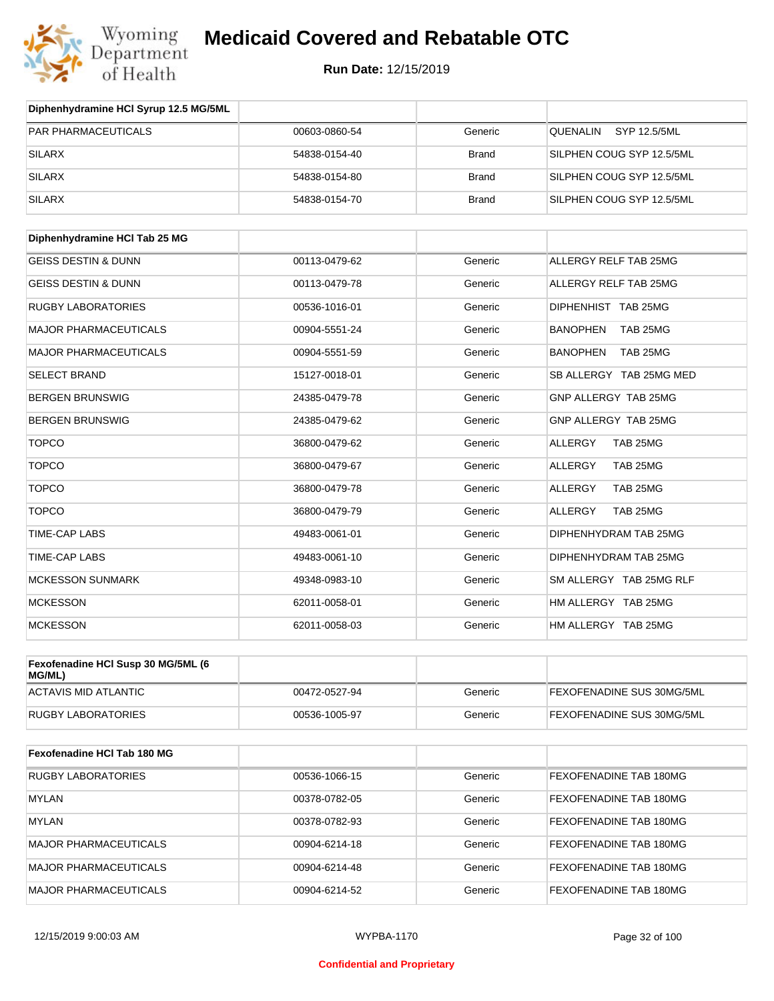

**Run Date:** 12/15/2019

| Diphenhydramine HCI Syrup 12.5 MG/5ML        |               |              |                             |
|----------------------------------------------|---------------|--------------|-----------------------------|
| PAR PHARMACEUTICALS                          | 00603-0860-54 | Generic      | QUENALIN<br>SYP 12.5/5ML    |
| <b>SILARX</b>                                | 54838-0154-40 | <b>Brand</b> | SILPHEN COUG SYP 12.5/5ML   |
| <b>SILARX</b>                                | 54838-0154-80 | <b>Brand</b> | SILPHEN COUG SYP 12.5/5ML   |
| <b>SILARX</b>                                | 54838-0154-70 | <b>Brand</b> | SILPHEN COUG SYP 12.5/5ML   |
| Diphenhydramine HCI Tab 25 MG                |               |              |                             |
| <b>GEISS DESTIN &amp; DUNN</b>               | 00113-0479-62 | Generic      | ALLERGY RELF TAB 25MG       |
| <b>GEISS DESTIN &amp; DUNN</b>               | 00113-0479-78 | Generic      | ALLERGY RELF TAB 25MG       |
| <b>RUGBY LABORATORIES</b>                    | 00536-1016-01 | Generic      | DIPHENHIST TAB 25MG         |
| <b>MAJOR PHARMACEUTICALS</b>                 | 00904-5551-24 | Generic      | <b>BANOPHEN</b><br>TAB 25MG |
| <b>MAJOR PHARMACEUTICALS</b>                 | 00904-5551-59 | Generic      | <b>BANOPHEN</b><br>TAB 25MG |
| <b>SELECT BRAND</b>                          | 15127-0018-01 | Generic      | SB ALLERGY TAB 25MG MED     |
| <b>BERGEN BRUNSWIG</b>                       | 24385-0479-78 | Generic      | GNP ALLERGY TAB 25MG        |
| <b>BERGEN BRUNSWIG</b>                       | 24385-0479-62 | Generic      | GNP ALLERGY TAB 25MG        |
| <b>TOPCO</b>                                 | 36800-0479-62 | Generic      | TAB 25MG<br>ALLERGY         |
| <b>TOPCO</b>                                 | 36800-0479-67 | Generic      | TAB 25MG<br>ALLERGY         |
| <b>TOPCO</b>                                 | 36800-0479-78 | Generic      | TAB 25MG<br><b>ALLERGY</b>  |
| <b>TOPCO</b>                                 | 36800-0479-79 | Generic      | <b>ALLERGY</b><br>TAB 25MG  |
| <b>TIME-CAP LABS</b>                         | 49483-0061-01 | Generic      | DIPHENHYDRAM TAB 25MG       |
| <b>TIME-CAP LABS</b>                         | 49483-0061-10 | Generic      | DIPHENHYDRAM TAB 25MG       |
| <b>MCKESSON SUNMARK</b>                      | 49348-0983-10 | Generic      | SM ALLERGY TAB 25MG RLF     |
| <b>MCKESSON</b>                              | 62011-0058-01 | Generic      | HM ALLERGY TAB 25MG         |
| <b>MCKESSON</b>                              | 62011-0058-03 | Generic      | HM ALLERGY TAB 25MG         |
| Fexofenadine HCI Susp 30 MG/5ML (6<br>MG/ML) |               |              |                             |
| <b>ACTAVIS MID ATLANTIC</b>                  | 00472-0527-94 | Generic      | FEXOFENADINE SUS 30MG/5ML   |
| <b>RUGBY LABORATORIES</b>                    | 00536-1005-97 | Generic      | FEXOFENADINE SUS 30MG/5ML   |
| Fexofenadine HCI Tab 180 MG                  |               |              |                             |
| <b>RUGBY LABORATORIES</b>                    | 00536-1066-15 | Generic      | FEXOFENADINE TAB 180MG      |
| <b>MYLAN</b>                                 | 00378-0782-05 | Generic      | FEXOFENADINE TAB 180MG      |
| <b>MYLAN</b>                                 | 00378-0782-93 | Generic      | FEXOFENADINE TAB 180MG      |
| MAJOR PHARMACEUTICALS                        | 00904-6214-18 | Generic      | FEXOFENADINE TAB 180MG      |

MAJOR PHARMACEUTICALS 00904-6214-48 Generic FEXOFENADINE TAB 180MG MAJOR PHARMACEUTICALS **DO904-6214-52** 00904-6214-52 Generic FEXOFENADINE TAB 180MG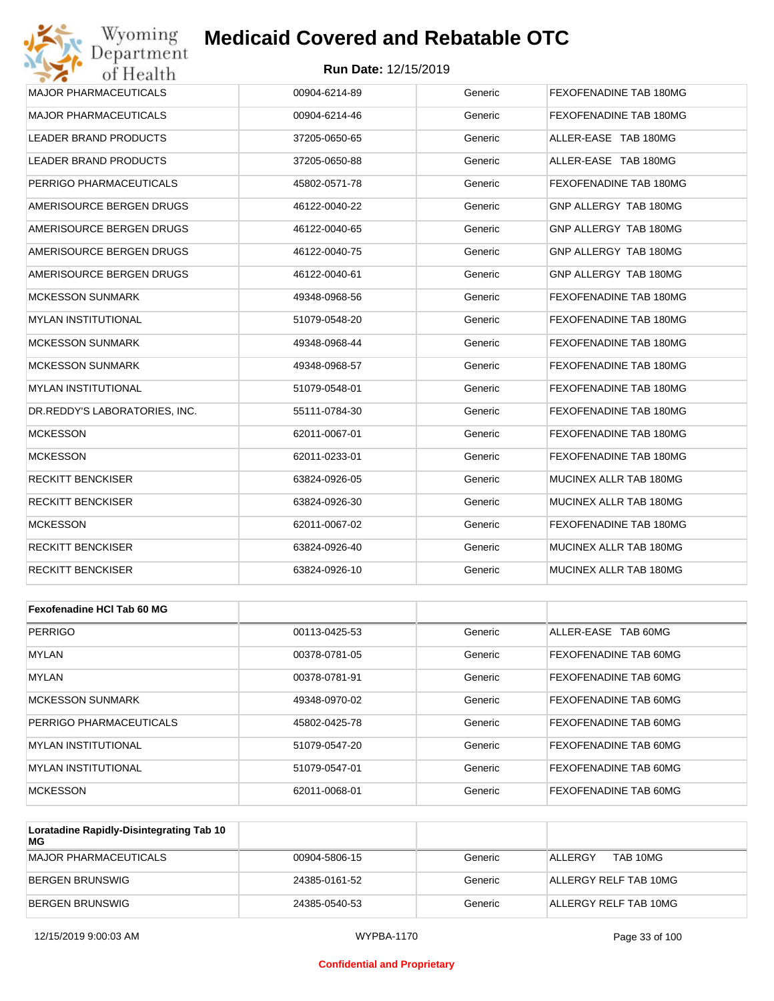

| Wyoming<br>Department         | <b>Medicaid Covered and Rebatable OTC</b> |         |                               |
|-------------------------------|-------------------------------------------|---------|-------------------------------|
| of Health                     | <b>Run Date: 12/15/2019</b>               |         |                               |
| <b>MAJOR PHARMACEUTICALS</b>  | 00904-6214-89                             | Generic | <b>FEXOFENADINE TAB 180MG</b> |
| <b>MAJOR PHARMACEUTICALS</b>  | 00904-6214-46                             | Generic | FEXOFENADINE TAB 180MG        |
| LEADER BRAND PRODUCTS         | 37205-0650-65                             | Generic | ALLER-EASE TAB 180MG          |
| <b>LEADER BRAND PRODUCTS</b>  | 37205-0650-88                             | Generic | ALLER-EASE TAB 180MG          |
| PERRIGO PHARMACEUTICALS       | 45802-0571-78                             | Generic | FEXOFENADINE TAB 180MG        |
| AMERISOURCE BERGEN DRUGS      | 46122-0040-22                             | Generic | GNP ALLERGY TAB 180MG         |
| AMERISOURCE BERGEN DRUGS      | 46122-0040-65                             | Generic | GNP ALLERGY TAB 180MG         |
| AMERISOURCE BERGEN DRUGS      | 46122-0040-75                             | Generic | GNP ALLERGY TAB 180MG         |
| AMERISOURCE BERGEN DRUGS      | 46122-0040-61                             | Generic | GNP ALLERGY TAB 180MG         |
| MCKESSON SUNMARK              | 49348-0968-56                             | Generic | FEXOFENADINE TAB 180MG        |
| <b>MYLAN INSTITUTIONAL</b>    | 51079-0548-20                             | Generic | FEXOFENADINE TAB 180MG        |
| MCKESSON SUNMARK              | 49348-0968-44                             | Generic | <b>FEXOFENADINE TAB 180MG</b> |
| <b>MCKESSON SUNMARK</b>       | 49348-0968-57                             | Generic | <b>FEXOFENADINE TAB 180MG</b> |
| MYLAN INSTITUTIONAL           | 51079-0548-01                             | Generic | FEXOFENADINE TAB 180MG        |
| DR.REDDY'S LABORATORIES, INC. | 55111-0784-30                             | Generic | FEXOFENADINE TAB 180MG        |
| <b>MCKESSON</b>               | 62011-0067-01                             | Generic | FEXOFENADINE TAB 180MG        |
| <b>MCKESSON</b>               | 62011-0233-01                             | Generic | FEXOFENADINE TAB 180MG        |
| <b>RECKITT BENCKISER</b>      | 63824-0926-05                             | Generic | MUCINEX ALLR TAB 180MG        |
| RECKITT BENCKISER             | 63824-0926-30                             | Generic | MUCINEX ALLR TAB 180MG        |
| <b>MCKESSON</b>               | 62011-0067-02                             | Generic | <b>FEXOFENADINE TAB 180MG</b> |
| RECKITT BENCKISER             | 63824-0926-40                             | Generic | MUCINEX ALLR TAB 180MG        |
| RECKITT BENCKISER             | 63824-0926-10                             | Generic | MUCINEX ALLR TAB 180MG        |
| Fexofenadine HCI Tab 60 MG    |                                           |         |                               |
| <b>PERRIGO</b>                | 00113-0425-53                             | Generic | ALLER-EASE TAB 60MG           |
| <b>MYLAN</b>                  | 00378-0781-05                             | Generic | FEXOFENADINE TAB 60MG         |
| <b>MYLAN</b>                  | 00378-0781-91                             | Generic | FEXOFENADINE TAB 60MG         |
| <b>MCKESSON SUNMARK</b>       | 49348-0970-02                             | Generic | FEXOFENADINE TAB 60MG         |

| <b>IMCKESSON SUNMARK</b> | 49348-0970-02 | Generic | <b>FEXOFENADINE TAB 60MG</b> |
|--------------------------|---------------|---------|------------------------------|
| PERRIGO PHARMACEUTICALS  | 45802-0425-78 | Generic | <b>FEXOFENADINE TAB 60MG</b> |
| IMYLAN INSTITUTIONAL     | 51079-0547-20 | Generic | <b>FEXOFENADINE TAB 60MG</b> |
| IMYLAN INSTITUTIONAL     | 51079-0547-01 | Generic | <b>FEXOFENADINE TAB 60MG</b> |
| <b>MCKESSON</b>          | 62011-0068-01 | Generic | <b>FEXOFENADINE TAB 60MG</b> |

| Loratadine Rapidly-Disintegrating Tab 10<br>МG |               |         |                       |
|------------------------------------------------|---------------|---------|-----------------------|
| MAJOR PHARMACEUTICALS                          | 00904-5806-15 | Generic | TAB 10MG<br>ALLERGY   |
| BERGEN BRUNSWIG                                | 24385-0161-52 | Generic | ALLERGY RELF TAB 10MG |
| BERGEN BRUNSWIG                                | 24385-0540-53 | Generic | ALLERGY RELF TAB 10MG |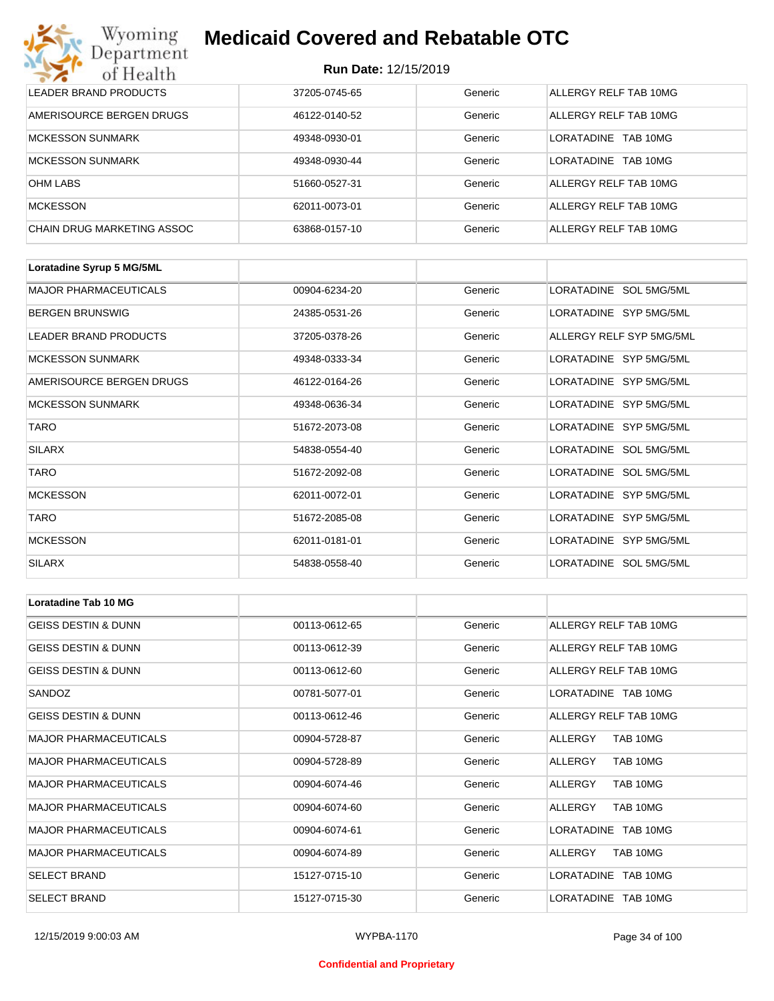| Wyoming<br><b>Medicaid Covered and Rebatable OTC</b><br>Department |                             |         |                               |  |
|--------------------------------------------------------------------|-----------------------------|---------|-------------------------------|--|
| of Health                                                          | <b>Run Date: 12/15/2019</b> |         |                               |  |
| LEADER BRAND PRODUCTS                                              | 37205-0745-65               | Generic | ALLERGY RELF TAB 10MG         |  |
| AMERISOURCE BERGEN DRUGS                                           | 46122-0140-52               | Generic | ALLERGY RELF TAB 10MG         |  |
| <b>MCKESSON SUNMARK</b>                                            | 49348-0930-01               | Generic | <b>LORATADINE</b><br>TAB 10MG |  |
| <b>MCKESSON SUNMARK</b>                                            | 49348-0930-44               | Generic | <b>LORATADINE</b><br>TAB 10MG |  |
| <b>OHM LABS</b>                                                    | 51660-0527-31               | Generic | ALLERGY RELF TAB 10MG         |  |
| <b>MCKESSON</b>                                                    | 62011-0073-01               | Generic | ALLERGY RELF TAB 10MG         |  |
| CHAIN DRUG MARKETING ASSOC                                         | 63868-0157-10               | Generic | ALLERGY RELF TAB 10MG         |  |

| Loratadine Syrup 5 MG/5ML    |               |         |                          |
|------------------------------|---------------|---------|--------------------------|
| <b>MAJOR PHARMACEUTICALS</b> | 00904-6234-20 | Generic | LORATADINE SOL 5MG/5ML   |
| <b>BERGEN BRUNSWIG</b>       | 24385-0531-26 | Generic | LORATADINE SYP 5MG/5ML   |
| LEADER BRAND PRODUCTS        | 37205-0378-26 | Generic | ALLERGY RELF SYP 5MG/5ML |
| <b>MCKESSON SUNMARK</b>      | 49348-0333-34 | Generic | LORATADINE SYP 5MG/5ML   |
| AMERISOURCE BERGEN DRUGS     | 46122-0164-26 | Generic | LORATADINE SYP 5MG/5ML   |
| <b>MCKESSON SUNMARK</b>      | 49348-0636-34 | Generic | LORATADINE SYP 5MG/5ML   |
| <b>TARO</b>                  | 51672-2073-08 | Generic | LORATADINE SYP 5MG/5ML   |
| <b>SILARX</b>                | 54838-0554-40 | Generic | LORATADINE SOL 5MG/5ML   |
| <b>TARO</b>                  | 51672-2092-08 | Generic | LORATADINE SOL 5MG/5ML   |
| <b>MCKESSON</b>              | 62011-0072-01 | Generic | LORATADINE SYP 5MG/5ML   |
| <b>TARO</b>                  | 51672-2085-08 | Generic | LORATADINE SYP 5MG/5ML   |
| <b>MCKESSON</b>              | 62011-0181-01 | Generic | LORATADINE SYP 5MG/5ML   |
| <b>SILARX</b>                | 54838-0558-40 | Generic | LORATADINE SOL 5MG/5ML   |

| <b>Loratadine Tab 10 MG</b>    |               |         |                       |
|--------------------------------|---------------|---------|-----------------------|
| <b>GEISS DESTIN &amp; DUNN</b> | 00113-0612-65 | Generic | ALLERGY RELF TAB 10MG |
| <b>GEISS DESTIN &amp; DUNN</b> | 00113-0612-39 | Generic | ALLERGY RELF TAB 10MG |
| <b>GEISS DESTIN &amp; DUNN</b> | 00113-0612-60 | Generic | ALLERGY RELF TAB 10MG |
| SANDOZ                         | 00781-5077-01 | Generic | LORATADINE TAB 10MG   |
| <b>GEISS DESTIN &amp; DUNN</b> | 00113-0612-46 | Generic | ALLERGY RELF TAB 10MG |
| <b>MAJOR PHARMACEUTICALS</b>   | 00904-5728-87 | Generic | ALLERGY<br>TAB 10MG   |
| <b>MAJOR PHARMACEUTICALS</b>   | 00904-5728-89 | Generic | ALLERGY<br>TAB 10MG   |
| <b>MAJOR PHARMACEUTICALS</b>   | 00904-6074-46 | Generic | TAB 10MG<br>ALLERGY   |
| <b>MAJOR PHARMACEUTICALS</b>   | 00904-6074-60 | Generic | TAB 10MG<br>ALLERGY   |
| <b>MAJOR PHARMACEUTICALS</b>   | 00904-6074-61 | Generic | LORATADINE TAB 10MG   |
| <b>MAJOR PHARMACEUTICALS</b>   | 00904-6074-89 | Generic | TAB 10MG<br>ALLERGY   |
| <b>SELECT BRAND</b>            | 15127-0715-10 | Generic | LORATADINE TAB 10MG   |
| <b>SELECT BRAND</b>            | 15127-0715-30 | Generic | LORATADINE TAB 10MG   |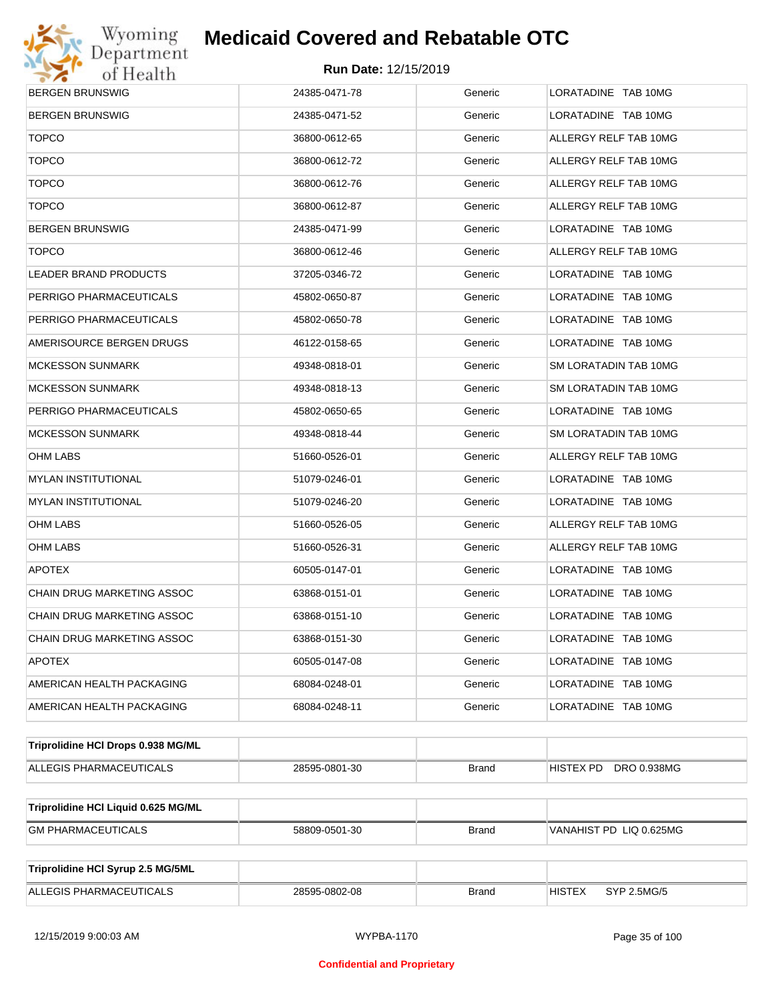

| BERGEN BRUNSWIG                     | 24385-0471-78 | Generic      | LORATADINE TAB 10MG          |  |
|-------------------------------------|---------------|--------------|------------------------------|--|
| BERGEN BRUNSWIG                     | 24385-0471-52 | Generic      | LORATADINE TAB 10MG          |  |
| <b>TOPCO</b>                        | 36800-0612-65 | Generic      | ALLERGY RELF TAB 10MG        |  |
| <b>TOPCO</b>                        | 36800-0612-72 | Generic      | ALLERGY RELF TAB 10MG        |  |
| <b>TOPCO</b>                        | 36800-0612-76 | Generic      | ALLERGY RELF TAB 10MG        |  |
| <b>TOPCO</b>                        | 36800-0612-87 | Generic      | ALLERGY RELF TAB 10MG        |  |
| BERGEN BRUNSWIG                     | 24385-0471-99 | Generic      | LORATADINE TAB 10MG          |  |
| <b>TOPCO</b>                        | 36800-0612-46 | Generic      | ALLERGY RELF TAB 10MG        |  |
| LEADER BRAND PRODUCTS               | 37205-0346-72 | Generic      | LORATADINE TAB 10MG          |  |
| PERRIGO PHARMACEUTICALS             | 45802-0650-87 | Generic      | LORATADINE TAB 10MG          |  |
| PERRIGO PHARMACEUTICALS             | 45802-0650-78 | Generic      | LORATADINE TAB 10MG          |  |
| AMERISOURCE BERGEN DRUGS            | 46122-0158-65 | Generic      | LORATADINE TAB 10MG          |  |
| MCKESSON SUNMARK                    | 49348-0818-01 | Generic      | SM LORATADIN TAB 10MG        |  |
| MCKESSON SUNMARK                    | 49348-0818-13 | Generic      | SM LORATADIN TAB 10MG        |  |
| PERRIGO PHARMACEUTICALS             | 45802-0650-65 | Generic      | LORATADINE TAB 10MG          |  |
| MCKESSON SUNMARK                    | 49348-0818-44 | Generic      | SM LORATADIN TAB 10MG        |  |
| OHM LABS                            | 51660-0526-01 | Generic      | ALLERGY RELF TAB 10MG        |  |
| MYLAN INSTITUTIONAL                 | 51079-0246-01 | Generic      | LORATADINE TAB 10MG          |  |
| MYLAN INSTITUTIONAL                 | 51079-0246-20 | Generic      | LORATADINE TAB 10MG          |  |
| OHM LABS                            | 51660-0526-05 | Generic      | ALLERGY RELF TAB 10MG        |  |
| OHM LABS                            | 51660-0526-31 | Generic      | ALLERGY RELF TAB 10MG        |  |
| APOTEX                              | 60505-0147-01 | Generic      | LORATADINE TAB 10MG          |  |
| CHAIN DRUG MARKETING ASSOC          | 63868-0151-01 | Generic      | LORATADINE TAB 10MG          |  |
| CHAIN DRUG MARKETING ASSOC          | 63868-0151-10 | Generic      | LORATADINE TAB 10MG          |  |
| CHAIN DRUG MARKETING ASSOC          | 63868-0151-30 | Generic      | LORATADINE TAB 10MG          |  |
| <b>APOTEX</b>                       | 60505-0147-08 | Generic      | LORATADINE TAB 10MG          |  |
| AMERICAN HEALTH PACKAGING           | 68084-0248-01 | Generic      | LORATADINE TAB 10MG          |  |
| AMERICAN HEALTH PACKAGING           | 68084-0248-11 | Generic      | LORATADINE TAB 10MG          |  |
| Triprolidine HCI Drops 0.938 MG/ML  |               |              |                              |  |
| ALLEGIS PHARMACEUTICALS             | 28595-0801-30 | <b>Brand</b> | HISTEX PD DRO 0.938MG        |  |
| Triprolidine HCI Liquid 0.625 MG/ML |               |              |                              |  |
| <b>GM PHARMACEUTICALS</b>           | 58809-0501-30 | <b>Brand</b> | VANAHIST PD LIQ 0.625MG      |  |
| Triprolidine HCI Syrup 2.5 MG/5ML   |               |              |                              |  |
| ALLEGIS PHARMACEUTICALS             | 28595-0802-08 | <b>Brand</b> | <b>HISTEX</b><br>SYP 2.5MG/5 |  |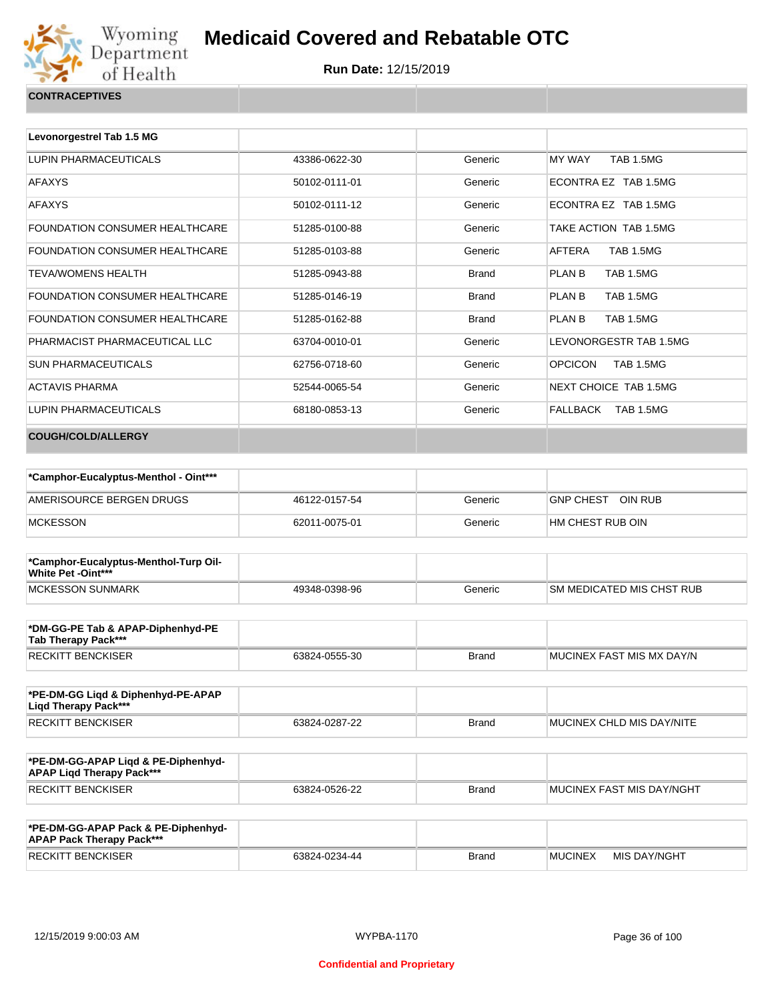

| <b>CONTRACEPTIVES</b> |  |
|-----------------------|--|
|                       |  |

| Levonorgestrel Tab 1.5 MG             |               |              |                                    |
|---------------------------------------|---------------|--------------|------------------------------------|
| LUPIN PHARMACEUTICALS                 | 43386-0622-30 | Generic      | MY WAY<br><b>TAB 1.5MG</b>         |
| <b>AFAXYS</b>                         | 50102-0111-01 | Generic      | ECONTRA EZ TAB 1.5MG               |
| <b>AFAXYS</b>                         | 50102-0111-12 | Generic      | ECONTRA EZ TAB 1.5MG               |
| FOUNDATION CONSUMER HEALTHCARE        | 51285-0100-88 | Generic      | TAKE ACTION TAB 1.5MG              |
| <b>FOUNDATION CONSUMER HEALTHCARE</b> | 51285-0103-88 | Generic      | <b>TAB 1.5MG</b><br>AFTFRA         |
| TFVA/WOMFNS HFAI TH                   | 51285-0943-88 | <b>Brand</b> | PLAN B<br><b>TAB 1.5MG</b>         |
| <b>FOUNDATION CONSUMER HEALTHCARE</b> | 51285-0146-19 | <b>Brand</b> | <b>TAB 1.5MG</b><br>PLAN B         |
| <b>FOUNDATION CONSUMER HEALTHCARE</b> | 51285-0162-88 | <b>Brand</b> | <b>TAB 1.5MG</b><br>PLAN B         |
| PHARMACIST PHARMACEUTICAL LLC         | 63704-0010-01 | Generic      | LEVONORGESTR TAB 1.5MG             |
| <b>SUN PHARMACEUTICALS</b>            | 62756-0718-60 | Generic      | <b>OPCICON</b><br><b>TAB 1.5MG</b> |
| <b>ACTAVIS PHARMA</b>                 | 52544-0065-54 | Generic      | NEXT CHOICE TAB 1.5MG              |
| LUPIN PHARMACEUTICALS                 | 68180-0853-13 | Generic      | FALLBACK TAB 1.5MG                 |
| <b>COUGH/COLD/ALLERGY</b>             |               |              |                                    |

| *Camphor-Eucalyptus-Menthol - Oint*** |               |         |                      |
|---------------------------------------|---------------|---------|----------------------|
| AMERISOURCE BERGEN DRUGS              | 46122-0157-54 | Generic | OIN RUB<br>GNP CHEST |
| <b>MCKESSON</b>                       | 62011-0075-01 | Generic | HM CHEST RUB OIN     |

| *Camphor-Eucalyptus-Menthol-Turp Oil-<br><b>White Pet -Oint***</b> |               |         |                                   |
|--------------------------------------------------------------------|---------------|---------|-----------------------------------|
| MCKESSON SUNMARK                                                   | 49348-0398-96 | Generic | <b>ISM MEDICATED MIS CHST RUB</b> |

| *DM-GG-PE Tab & APAP-Diphenhyd-PE<br>Tab Therapy Pack*** |               |       |                           |
|----------------------------------------------------------|---------------|-------|---------------------------|
| <b>RECKITT BENCKISER</b>                                 | 63824-0555-30 | Brand | MUCINEX FAST MIS MX DAY/N |

| *PE-DM-GG Ligd & Diphenhyd-PE-APAP<br>Ligd Therapy Pack*** |               |              |                           |
|------------------------------------------------------------|---------------|--------------|---------------------------|
| <b>RECKITT BENCKISER</b>                                   | 63824-0287-22 | <b>Brand</b> | MUCINEX CHLD MIS DAY/NITE |

| *PE-DM-GG-APAP Ligd & PE-Diphenhyd-<br><b>APAP Ligd Therapy Pack***</b> |               |       |                             |
|-------------------------------------------------------------------------|---------------|-------|-----------------------------|
| <b>RECKITT BENCKISER</b>                                                | 63824-0526-22 | Brand | I MUCINEX FAST MIS DAY/NGHT |

| *PE-DM-GG-APAP Pack & PE-Diphenhyd-<br><b>APAP Pack Therapy Pack***</b> |               |              |                |              |
|-------------------------------------------------------------------------|---------------|--------------|----------------|--------------|
| <b>RECKITT BENCKISER</b>                                                | 63824-0234-44 | <b>Brand</b> | <b>MUCINEX</b> | MIS DAY/NGHT |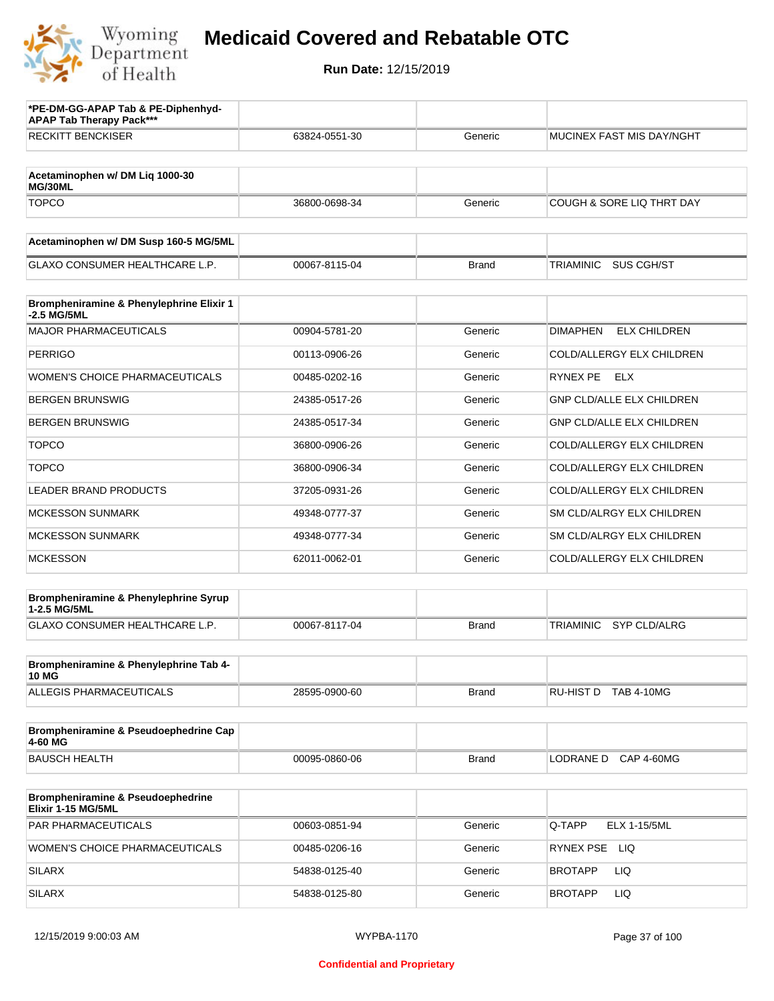

| *PE-DM-GG-APAP Tab & PE-Diphenhyd-<br><b>APAP Tab Therapy Pack***</b> |               |              |                                         |
|-----------------------------------------------------------------------|---------------|--------------|-----------------------------------------|
| <b>RECKITT BENCKISER</b>                                              | 63824-0551-30 | Generic      | MUCINEX FAST MIS DAY/NGHT               |
| Acetaminophen w/ DM Liq 1000-30<br>MG/30ML                            |               |              |                                         |
| <b>TOPCO</b>                                                          | 36800-0698-34 | Generic      | COUGH & SORE LIQ THRT DAY               |
| Acetaminophen w/ DM Susp 160-5 MG/5ML                                 |               |              |                                         |
| <b>GLAXO CONSUMER HEALTHCARE L.P.</b>                                 | 00067-8115-04 | <b>Brand</b> | <b>TRIAMINIC</b><br><b>SUS CGH/ST</b>   |
| Brompheniramine & Phenylephrine Elixir 1<br>-2.5 MG/5ML               |               |              |                                         |
| <b>MAJOR PHARMACEUTICALS</b>                                          | 00904-5781-20 | Generic      | <b>DIMAPHEN</b><br><b>ELX CHILDREN</b>  |
| <b>PERRIGO</b>                                                        | 00113-0906-26 | Generic      | COLD/ALLERGY ELX CHILDREN               |
| <b>WOMEN'S CHOICE PHARMACEUTICALS</b>                                 | 00485-0202-16 | Generic      | RYNEX PE<br>ELX                         |
| <b>BERGEN BRUNSWIG</b>                                                | 24385-0517-26 | Generic      | <b>GNP CLD/ALLE ELX CHILDREN</b>        |
| <b>BERGEN BRUNSWIG</b>                                                | 24385-0517-34 | Generic      | <b>GNP CLD/ALLE ELX CHILDREN</b>        |
| <b>TOPCO</b>                                                          | 36800-0906-26 | Generic      | COLD/ALLERGY ELX CHILDREN               |
| <b>TOPCO</b>                                                          | 36800-0906-34 | Generic      | COLD/ALLERGY ELX CHILDREN               |
| <b>LEADER BRAND PRODUCTS</b>                                          | 37205-0931-26 | Generic      | COLD/ALLERGY ELX CHILDREN               |
| <b>MCKESSON SUNMARK</b>                                               | 49348-0777-37 | Generic      | SM CLD/ALRGY ELX CHILDREN               |
| <b>MCKESSON SUNMARK</b>                                               | 49348-0777-34 | Generic      | SM CLD/ALRGY ELX CHILDREN               |
| <b>MCKESSON</b>                                                       | 62011-0062-01 | Generic      | COLD/ALLERGY ELX CHILDREN               |
| Brompheniramine & Phenylephrine Syrup                                 |               |              |                                         |
| 1-2.5 MG/5ML<br>GLAXO CONSUMER HEALTHCARE L.P.                        | 00067-8117-04 | <b>Brand</b> | <b>SYP CLD/ALRG</b><br><b>TRIAMINIC</b> |
| Brompheniramine & Phenylephrine Tab 4-                                |               |              |                                         |
| <b>10 MG</b><br>ALLEGIS PHARMACEUTICALS                               | 28595-0900-60 | <b>Brand</b> | RU-HIST D TAB 4-10MG                    |
| Brompheniramine & Pseudoephedrine Cap<br>4-60 MG                      |               |              |                                         |
| <b>BAUSCH HEALTH</b>                                                  | 00095-0860-06 | <b>Brand</b> | LODRANE D CAP 4-60MG                    |
| <b>Brompheniramine &amp; Pseudoephedrine</b><br>Elixir 1-15 MG/5ML    |               |              |                                         |
| PAR PHARMACEUTICALS                                                   | 00603-0851-94 | Generic      | Q-TAPP<br><b>ELX 1-15/5ML</b>           |
| WOMEN'S CHOICE PHARMACEUTICALS                                        | 00485-0206-16 | Generic      | RYNEX PSE LIQ                           |
| <b>SILARX</b>                                                         | 54838-0125-40 | Generic      | <b>LIQ</b><br><b>BROTAPP</b>            |
| <b>SILARX</b>                                                         | 54838-0125-80 | Generic      | LIQ<br><b>BROTAPP</b>                   |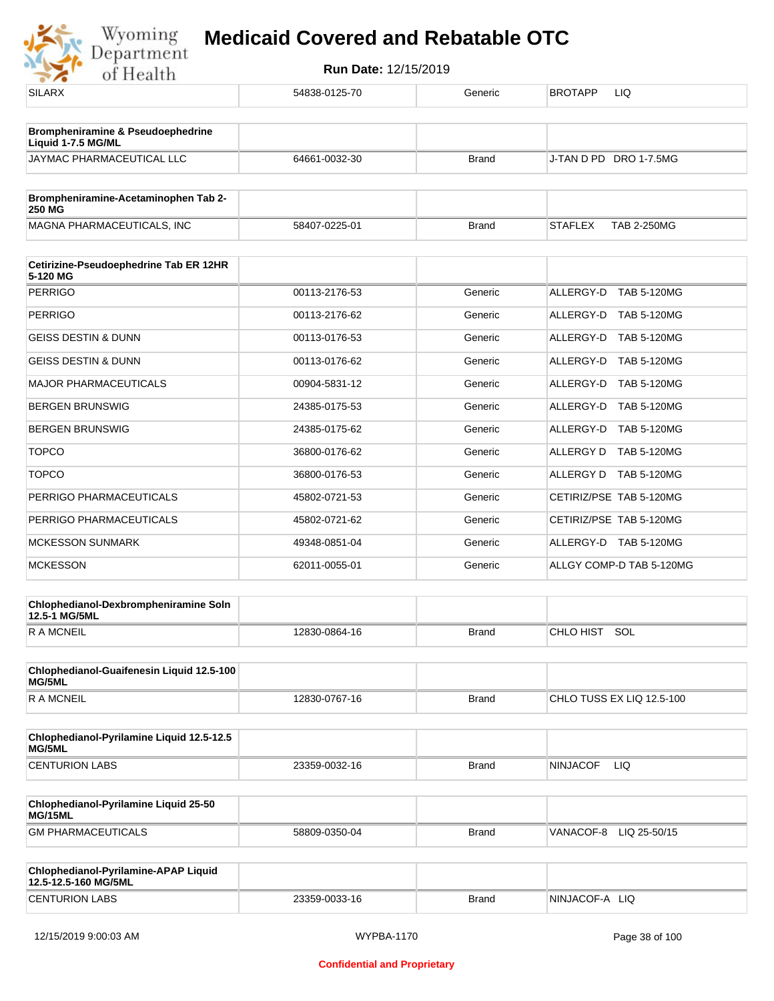

| <b>SILARX</b>                                                | 54838-0125-70 | Generic      | <b>BROTAPP</b><br>LIQ     |
|--------------------------------------------------------------|---------------|--------------|---------------------------|
| Brompheniramine & Pseudoephedrine                            |               |              |                           |
| Liquid 1-7.5 MG/ML                                           |               |              |                           |
| JAYMAC PHARMACEUTICAL LLC                                    | 64661-0032-30 | <b>Brand</b> | J-TAN D PD DRO 1-7.5MG    |
| Brompheniramine-Acetaminophen Tab 2-                         |               |              |                           |
| <b>250 MG</b>                                                |               |              | <b>STAFLEX</b>            |
| MAGNA PHARMACEUTICALS, INC                                   | 58407-0225-01 | <b>Brand</b> | <b>TAB 2-250MG</b>        |
| Cetirizine-Pseudoephedrine Tab ER 12HR<br>5-120 MG           |               |              |                           |
| <b>PERRIGO</b>                                               | 00113-2176-53 | Generic      | ALLERGY-D TAB 5-120MG     |
| <b>PERRIGO</b>                                               | 00113-2176-62 | Generic      | ALLERGY-D TAB 5-120MG     |
| <b>GEISS DESTIN &amp; DUNN</b>                               | 00113-0176-53 | Generic      | ALLERGY-D TAB 5-120MG     |
| <b>GEISS DESTIN &amp; DUNN</b>                               | 00113-0176-62 | Generic      | ALLERGY-D TAB 5-120MG     |
| <b>MAJOR PHARMACEUTICALS</b>                                 | 00904-5831-12 | Generic      | ALLERGY-D TAB 5-120MG     |
| <b>BERGEN BRUNSWIG</b>                                       | 24385-0175-53 | Generic      | ALLERGY-D TAB 5-120MG     |
| <b>BERGEN BRUNSWIG</b>                                       | 24385-0175-62 | Generic      | ALLERGY-D TAB 5-120MG     |
| <b>TOPCO</b>                                                 | 36800-0176-62 | Generic      | ALLERGY D TAB 5-120MG     |
| <b>TOPCO</b>                                                 | 36800-0176-53 | Generic      | ALLERGY D TAB 5-120MG     |
| PERRIGO PHARMACEUTICALS                                      | 45802-0721-53 | Generic      | CETIRIZ/PSE TAB 5-120MG   |
| PERRIGO PHARMACEUTICALS                                      | 45802-0721-62 | Generic      | CETIRIZ/PSE TAB 5-120MG   |
| <b>MCKESSON SUNMARK</b>                                      | 49348-0851-04 | Generic      | ALLERGY-D TAB 5-120MG     |
| <b>MCKESSON</b>                                              | 62011-0055-01 | Generic      | ALLGY COMP-D TAB 5-120MG  |
| Chlophedianol-Dexbrompheniramine Soln<br>12.5-1 MG/5ML       |               |              |                           |
| <b>RAMCNEIL</b>                                              | 12830-0864-16 | <b>Brand</b> | CHLO HIST SOL             |
| Chlophedianol-Guaifenesin Liquid 12.5-100                    |               |              |                           |
| MG/5ML                                                       |               |              |                           |
| <b>RAMCNEIL</b>                                              | 12830-0767-16 | <b>Brand</b> | CHLO TUSS EX LIQ 12.5-100 |
| Chlophedianol-Pyrilamine Liquid 12.5-12.5<br>MG/5ML          |               |              |                           |
| <b>CENTURION LABS</b>                                        | 23359-0032-16 | <b>Brand</b> | <b>NINJACOF</b><br>LIQ.   |
| Chlophedianol-Pyrilamine Liquid 25-50<br>MG/15ML             |               |              |                           |
| <b>GM PHARMACEUTICALS</b>                                    | 58809-0350-04 | <b>Brand</b> | VANACOF-8<br>LIQ 25-50/15 |
| Chlophedianol-Pyrilamine-APAP Liquid<br>12.5-12.5-160 MG/5ML |               |              |                           |
| <b>CENTURION LABS</b>                                        | 23359-0033-16 | <b>Brand</b> | NINJACOF-A LIQ            |
|                                                              |               |              |                           |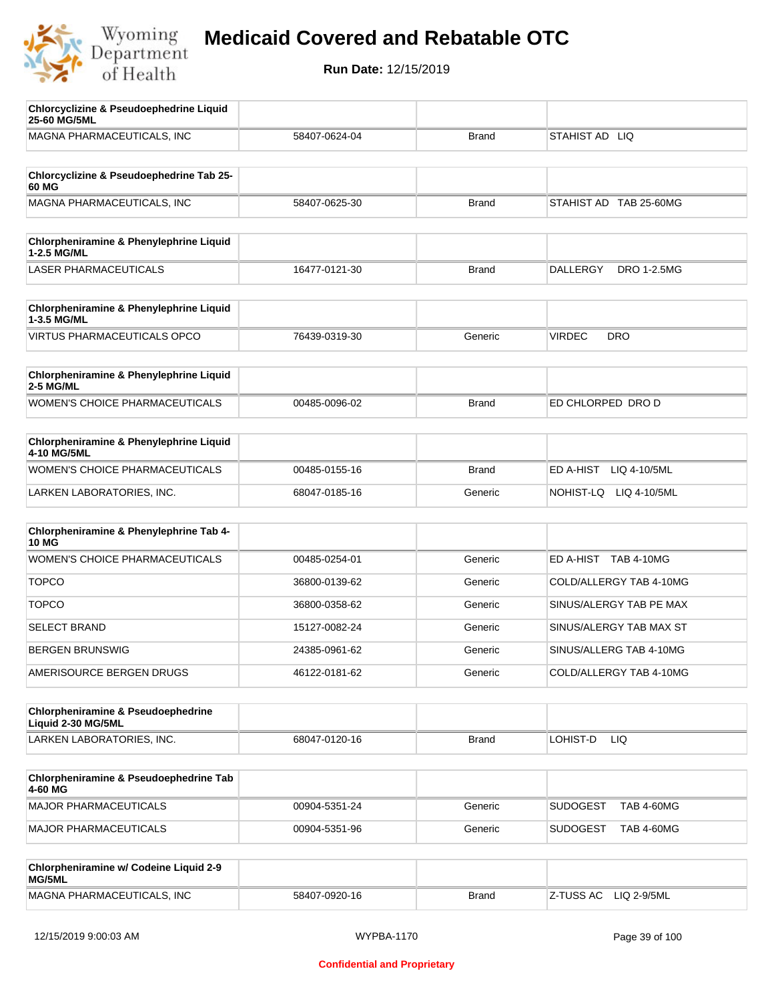

| <b>Chlorcyclizine &amp; Pseudoephedrine Liquid</b><br>25-60 MG/5ML  |               |              |                                       |
|---------------------------------------------------------------------|---------------|--------------|---------------------------------------|
| MAGNA PHARMACEUTICALS, INC                                          | 58407-0624-04 | <b>Brand</b> | STAHIST AD LIQ                        |
| Chlorcyclizine & Pseudoephedrine Tab 25-                            |               |              |                                       |
| 60 MG<br>MAGNA PHARMACEUTICALS, INC                                 | 58407-0625-30 | <b>Brand</b> | STAHIST AD TAB 25-60MG                |
|                                                                     |               |              |                                       |
| <b>Chlorpheniramine &amp; Phenylephrine Liquid</b><br>1-2.5 MG/ML   |               |              |                                       |
| <b>LASER PHARMACEUTICALS</b>                                        | 16477-0121-30 | <b>Brand</b> | <b>DALLERGY</b><br><b>DRO 1-2.5MG</b> |
| Chlorpheniramine & Phenylephrine Liquid<br>1-3.5 MG/ML              |               |              |                                       |
| <b>VIRTUS PHARMACEUTICALS OPCO</b>                                  | 76439-0319-30 | Generic      | <b>VIRDEC</b><br><b>DRO</b>           |
| Chlorpheniramine & Phenylephrine Liquid<br>2-5 MG/ML                |               |              |                                       |
| WOMEN'S CHOICE PHARMACEUTICALS                                      | 00485-0096-02 | <b>Brand</b> | ED CHLORPED DRO D                     |
| Chlorpheniramine & Phenylephrine Liquid<br>4-10 MG/5ML              |               |              |                                       |
| WOMEN'S CHOICE PHARMACEUTICALS                                      | 00485-0155-16 | <b>Brand</b> | ED A-HIST<br>LIQ 4-10/5ML             |
| LARKEN LABORATORIES, INC.                                           | 68047-0185-16 | Generic      | NOHIST-LQ<br>LIQ 4-10/5ML             |
| Chlorpheniramine & Phenylephrine Tab 4-<br><b>10 MG</b>             |               |              |                                       |
| <b>WOMEN'S CHOICE PHARMACEUTICALS</b>                               | 00485-0254-01 | Generic      | ED A-HIST TAB 4-10MG                  |
| <b>TOPCO</b>                                                        | 36800-0139-62 | Generic      | COLD/ALLERGY TAB 4-10MG               |
| <b>TOPCO</b>                                                        | 36800-0358-62 | Generic      | SINUS/ALERGY TAB PE MAX               |
| <b>SELECT BRAND</b>                                                 | 15127-0082-24 | Generic      | SINUS/ALERGY TAB MAX ST               |
| <b>BERGEN BRUNSWIG</b>                                              | 24385-0961-62 | Generic      | SINUS/ALLERG TAB 4-10MG               |
| AMERISOURCE BERGEN DRUGS                                            | 46122-0181-62 | Generic      | COLD/ALLERGY TAB 4-10MG               |
| <b>Chlorpheniramine &amp; Pseudoephedrine</b><br>Liquid 2-30 MG/5ML |               |              |                                       |
| LARKEN LABORATORIES, INC.                                           | 68047-0120-16 | <b>Brand</b> | LOHIST-D<br>LIQ                       |
| Chlorpheniramine & Pseudoephedrine Tab<br>4-60 MG                   |               |              |                                       |
| MAJOR PHARMACEUTICALS                                               | 00904-5351-24 | Generic      | <b>SUDOGEST</b><br><b>TAB 4-60MG</b>  |
| MAJOR PHARMACEUTICALS                                               | 00904-5351-96 | Generic      | <b>SUDOGEST</b><br><b>TAB 4-60MG</b>  |
| Chlorpheniramine w/ Codeine Liquid 2-9<br>MG/5ML                    |               |              |                                       |
| MAGNA PHARMACEUTICALS, INC                                          | 58407-0920-16 | Brand        | Z-TUSS AC<br>LIQ 2-9/5ML              |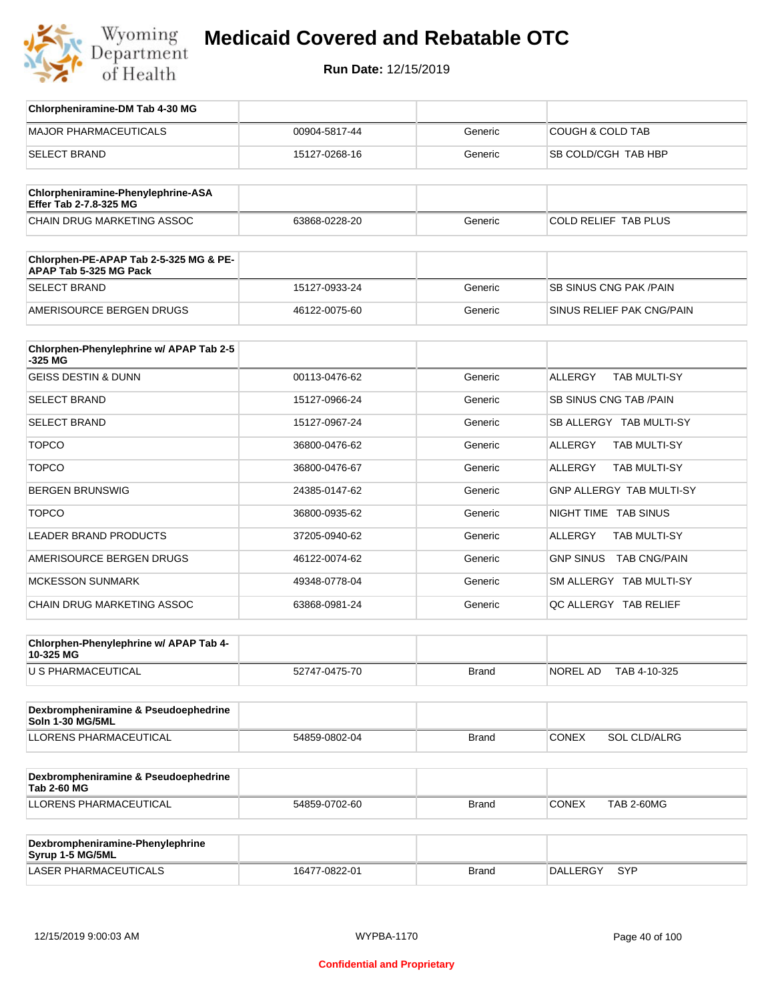

| Chlorpheniramine-DM Tab 4-30 MG                                  |               |              |                                   |
|------------------------------------------------------------------|---------------|--------------|-----------------------------------|
| <b>MAJOR PHARMACEUTICALS</b>                                     | 00904-5817-44 | Generic      | <b>COUGH &amp; COLD TAB</b>       |
| <b>SELECT BRAND</b>                                              | 15127-0268-16 | Generic      | SB COLD/CGH TAB HBP               |
| Chlorpheniramine-Phenylephrine-ASA                               |               |              |                                   |
| Effer Tab 2-7.8-325 MG                                           |               |              |                                   |
| <b>CHAIN DRUG MARKETING ASSOC</b>                                | 63868-0228-20 | Generic      | <b>COLD RELIEF TAB PLUS</b>       |
| Chlorphen-PE-APAP Tab 2-5-325 MG & PE-<br>APAP Tab 5-325 MG Pack |               |              |                                   |
| <b>SELECT BRAND</b>                                              | 15127-0933-24 | Generic      | SB SINUS CNG PAK / PAIN           |
| AMERISOURCE BERGEN DRUGS                                         | 46122-0075-60 | Generic      | SINUS RELIEF PAK CNG/PAIN         |
| Chlorphen-Phenylephrine w/ APAP Tab 2-5                          |               |              |                                   |
| -325 MG                                                          |               |              |                                   |
| <b>GEISS DESTIN &amp; DUNN</b>                                   | 00113-0476-62 | Generic      | ALLERGY<br><b>TAB MULTI-SY</b>    |
| <b>SELECT BRAND</b>                                              | 15127-0966-24 | Generic      | <b>SB SINUS CNG TAB /PAIN</b>     |
| <b>SELECT BRAND</b>                                              | 15127-0967-24 | Generic      | SB ALLERGY TAB MULTI-SY           |
| <b>TOPCO</b>                                                     | 36800-0476-62 | Generic      | ALLERGY<br>TAB MULTI-SY           |
| <b>TOPCO</b>                                                     | 36800-0476-67 | Generic      | ALLERGY<br>TAB MULTI-SY           |
| <b>BERGEN BRUNSWIG</b>                                           | 24385-0147-62 | Generic      | GNP ALLERGY TAB MULTI-SY          |
| <b>TOPCO</b>                                                     | 36800-0935-62 | Generic      | NIGHT TIME TAB SINUS              |
| <b>LEADER BRAND PRODUCTS</b>                                     | 37205-0940-62 | Generic      | ALLERGY<br>TAB MULTI-SY           |
| AMERISOURCE BERGEN DRUGS                                         | 46122-0074-62 | Generic      | <b>GNP SINUS</b><br>TAB CNG/PAIN  |
| <b>MCKESSON SUNMARK</b>                                          | 49348-0778-04 | Generic      | SM ALLERGY TAB MULTI-SY           |
| CHAIN DRUG MARKETING ASSOC                                       | 63868-0981-24 | Generic      | QC ALLERGY TAB RELIEF             |
| Chlorphen-Phenylephrine w/ APAP Tab 4-                           |               |              |                                   |
| 10-325 MG                                                        |               |              |                                   |
| U S PHARMACEUTICAL                                               | 52747-0475-70 | <b>Brand</b> | NOREL AD<br>TAB 4-10-325          |
| Dexbrompheniramine & Pseudoephedrine<br><b>Soln 1-30 MG/5ML</b>  |               |              |                                   |
| <b>LLORENS PHARMACEUTICAL</b>                                    | 54859-0802-04 | <b>Brand</b> | <b>CONEX</b><br>SOL CLD/ALRG      |
|                                                                  |               |              |                                   |
| Dexbrompheniramine & Pseudoephedrine<br><b>Tab 2-60 MG</b>       |               |              |                                   |
| LLORENS PHARMACEUTICAL                                           | 54859-0702-60 | <b>Brand</b> | <b>CONEX</b><br><b>TAB 2-60MG</b> |
|                                                                  |               |              |                                   |
| Dexbrompheniramine-Phenylephrine<br>Syrup 1-5 MG/5ML             |               |              |                                   |
| LASER PHARMACEUTICALS                                            | 16477-0822-01 | <b>Brand</b> | DALLERGY<br>SYP                   |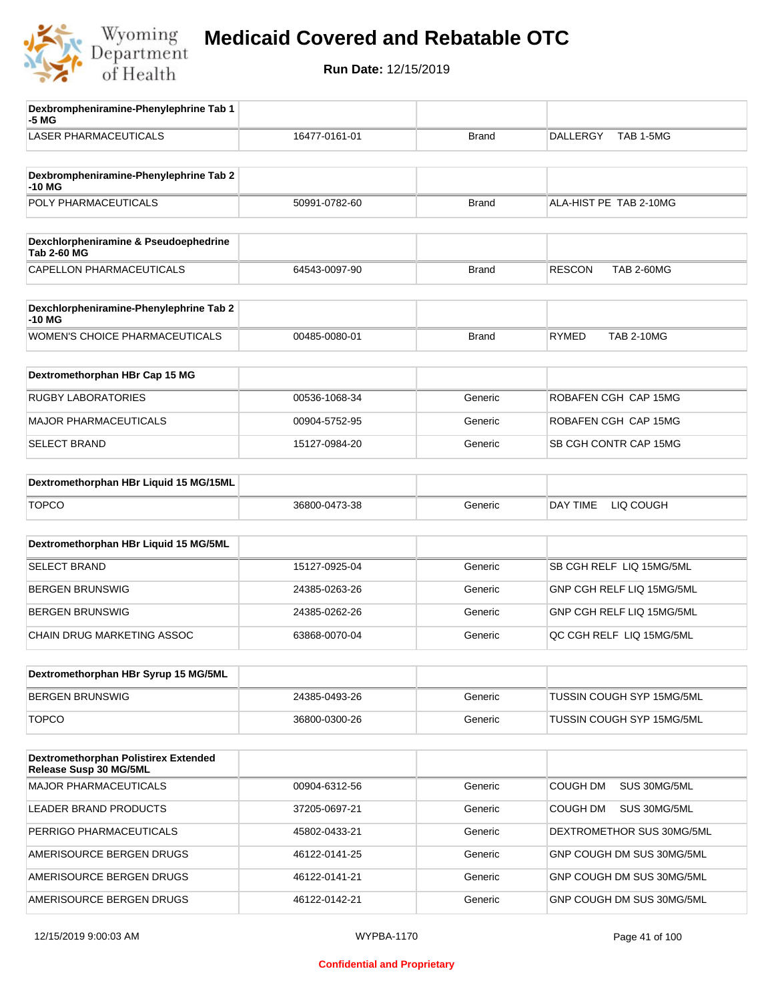

| Dexbrompheniramine-Phenylephrine Tab 1<br>-5 MG                |               |              |                                    |
|----------------------------------------------------------------|---------------|--------------|------------------------------------|
| <b>LASER PHARMACEUTICALS</b>                                   | 16477-0161-01 | <b>Brand</b> | <b>DALLERGY</b><br>TAB 1-5MG       |
| Dexbrompheniramine-Phenylephrine Tab 2<br>$-10M$               |               |              |                                    |
| POLY PHARMACEUTICALS                                           | 50991-0782-60 | <b>Brand</b> | ALA-HIST PE TAB 2-10MG             |
|                                                                |               |              |                                    |
| Dexchlorpheniramine & Pseudoephedrine<br><b>Tab 2-60 MG</b>    |               |              |                                    |
| CAPELLON PHARMACEUTICALS                                       | 64543-0097-90 | Brand        | <b>RESCON</b><br><b>TAB 2-60MG</b> |
| Dexchlorpheniramine-Phenylephrine Tab 2<br>-10 MG              |               |              |                                    |
| <b>WOMEN'S CHOICE PHARMACEUTICALS</b>                          | 00485-0080-01 | <b>Brand</b> | <b>RYMED</b><br><b>TAB 2-10MG</b>  |
| Dextromethorphan HBr Cap 15 MG                                 |               |              |                                    |
| <b>RUGBY LABORATORIES</b>                                      | 00536-1068-34 | Generic      | ROBAFEN CGH CAP 15MG               |
| <b>MAJOR PHARMACEUTICALS</b>                                   | 00904-5752-95 | Generic      | ROBAFEN CGH CAP 15MG               |
| <b>SELECT BRAND</b>                                            | 15127-0984-20 | Generic      | SB CGH CONTR CAP 15MG              |
| Dextromethorphan HBr Liquid 15 MG/15ML                         |               |              |                                    |
| <b>TOPCO</b>                                                   | 36800-0473-38 | Generic      | DAY TIME<br>LIQ COUGH              |
|                                                                |               |              |                                    |
| Dextromethorphan HBr Liquid 15 MG/5ML                          |               |              |                                    |
| <b>SELECT BRAND</b>                                            | 15127-0925-04 | Generic      | SB CGH RELF LIQ 15MG/5ML           |
| <b>BERGEN BRUNSWIG</b>                                         | 24385-0263-26 | Generic      | GNP CGH RELF LIQ 15MG/5ML          |
| <b>BERGEN BRUNSWIG</b>                                         | 24385-0262-26 | Generic      | GNP CGH RELF LIQ 15MG/5ML          |
| CHAIN DRUG MARKETING ASSOC                                     | 63868-0070-04 | Generic      | QC CGH RELF LIQ 15MG/5ML           |
| Dextromethorphan HBr Syrup 15 MG/5ML                           |               |              |                                    |
| <b>BERGEN BRUNSWIG</b>                                         | 24385-0493-26 | Generic      | TUSSIN COUGH SYP 15MG/5ML          |
| <b>TOPCO</b>                                                   | 36800-0300-26 | Generic      | TUSSIN COUGH SYP 15MG/5ML          |
| Dextromethorphan Polistirex Extended<br>Release Susp 30 MG/5ML |               |              |                                    |
| <b>MAJOR PHARMACEUTICALS</b>                                   | 00904-6312-56 | Generic      | COUGH DM<br>SUS 30MG/5ML           |
| LEADER BRAND PRODUCTS                                          | 37205-0697-21 | Generic      | <b>COUGH DM</b><br>SUS 30MG/5ML    |
| PERRIGO PHARMACEUTICALS                                        | 45802-0433-21 | Generic      | DEXTROMETHOR SUS 30MG/5ML          |
| AMERISOURCE BERGEN DRUGS                                       | 46122-0141-25 | Generic      | GNP COUGH DM SUS 30MG/5ML          |
| AMERISOURCE BERGEN DRUGS                                       | 46122-0141-21 | Generic      | GNP COUGH DM SUS 30MG/5ML          |
| AMERISOURCE BERGEN DRUGS                                       | 46122-0142-21 | Generic      | GNP COUGH DM SUS 30MG/5ML          |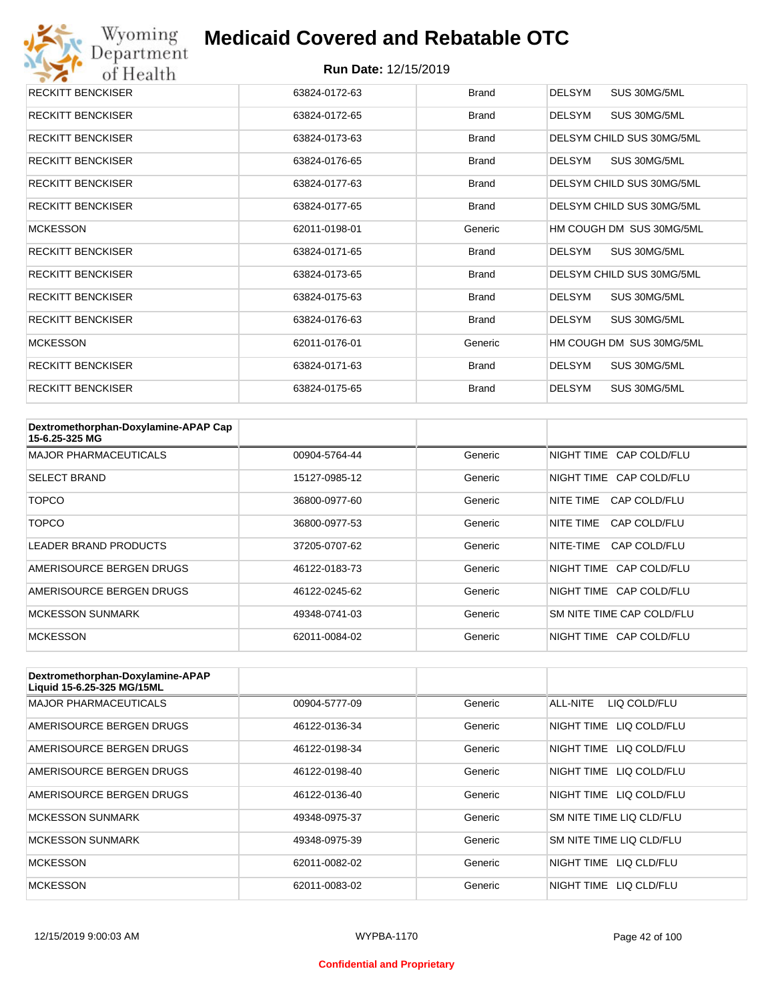

| <b>RECKITT BENCKISER</b> | 63824-0172-63 | <b>Brand</b> | <b>DELSYM</b><br>SUS 30MG/5ML |
|--------------------------|---------------|--------------|-------------------------------|
| <b>RECKITT BENCKISER</b> | 63824-0172-65 | Brand        | SUS 30MG/5ML<br>DELSYM        |
| <b>RECKITT BENCKISER</b> | 63824-0173-63 | Brand        | DELSYM CHILD SUS 30MG/5ML     |
| <b>RECKITT BENCKISER</b> | 63824-0176-65 | Brand        | DELSYM<br>SUS 30MG/5ML        |
| <b>RECKITT BENCKISER</b> | 63824-0177-63 | <b>Brand</b> | DELSYM CHILD SUS 30MG/5ML     |
| <b>RECKITT BENCKISER</b> | 63824-0177-65 | Brand        | DELSYM CHILD SUS 30MG/5ML     |
| <b>MCKESSON</b>          | 62011-0198-01 | Generic      | HM COUGH DM SUS 30MG/5ML      |
| <b>RECKITT BENCKISER</b> | 63824-0171-65 | Brand        | SUS 30MG/5ML<br>DELSYM        |
| <b>RECKITT BENCKISER</b> | 63824-0173-65 | Brand        | DELSYM CHILD SUS 30MG/5ML     |
| <b>RECKITT BENCKISER</b> | 63824-0175-63 | Brand        | DELSYM<br>SUS 30MG/5ML        |
| <b>RECKITT BENCKISER</b> | 63824-0176-63 | Brand        | DELSYM<br>SUS 30MG/5ML        |
| <b>MCKESSON</b>          | 62011-0176-01 | Generic      | HM COUGH DM SUS 30MG/5ML      |
| <b>RECKITT BENCKISER</b> | 63824-0171-63 | Brand        | DELSYM<br>SUS 30MG/5ML        |
| <b>RECKITT BENCKISER</b> | 63824-0175-65 | <b>Brand</b> | DELSYM<br>SUS 30MG/5ML        |

| Dextromethorphan-Doxylamine-APAP Cap<br>15-6.25-325 MG |               |         |                           |
|--------------------------------------------------------|---------------|---------|---------------------------|
| <b>MAJOR PHARMACEUTICALS</b>                           | 00904-5764-44 | Generic | NIGHT TIME CAP COLD/FLU   |
| <b>SELECT BRAND</b>                                    | 15127-0985-12 | Generic | NIGHT TIME CAP COLD/FLU   |
| TOPCO                                                  | 36800-0977-60 | Generic | NITE TIME<br>CAP COLD/FLU |
| TOPCO                                                  | 36800-0977-53 | Generic | NITE TIME<br>CAP COLD/FLU |
| <b>LEADER BRAND PRODUCTS</b>                           | 37205-0707-62 | Generic | NITE-TIME<br>CAP COLD/FLU |
| AMERISOURCE BERGEN DRUGS                               | 46122-0183-73 | Generic | NIGHT TIME CAP COLD/FLU   |
| AMERISOURCE BERGEN DRUGS                               | 46122-0245-62 | Generic | NIGHT TIME CAP COLD/FLU   |
| <b>MCKESSON SUNMARK</b>                                | 49348-0741-03 | Generic | SM NITE TIME CAP COLD/FLU |
| <b>MCKESSON</b>                                        | 62011-0084-02 | Generic | NIGHT TIME CAP COLD/FLU   |

| Dextromethorphan-Doxylamine-APAP<br>Liquid 15-6.25-325 MG/15ML |               |         |                            |
|----------------------------------------------------------------|---------------|---------|----------------------------|
| <b>MAJOR PHARMACEUTICALS</b>                                   | 00904-5777-09 | Generic | ALL-NITE<br>LIQ COLD/FLU   |
| AMERISOURCE BERGEN DRUGS                                       | 46122-0136-34 | Generic | LIQ COLD/FLU<br>NIGHT TIME |
| AMERISOURCE BERGEN DRUGS                                       | 46122-0198-34 | Generic | NIGHT TIME<br>LIQ COLD/FLU |
| AMERISOURCE BERGEN DRUGS                                       | 46122-0198-40 | Generic | NIGHT TIME<br>LIQ COLD/FLU |
| AMERISOURCE BERGEN DRUGS                                       | 46122-0136-40 | Generic | NIGHT TIME LIQ COLD/FLU    |
| <b>MCKESSON SUNMARK</b>                                        | 49348-0975-37 | Generic | SM NITE TIME LIQ CLD/FLU   |
| <b>MCKESSON SUNMARK</b>                                        | 49348-0975-39 | Generic | SM NITE TIME LIQ CLD/FLU   |
| <b>MCKESSON</b>                                                | 62011-0082-02 | Generic | NIGHT TIME LIQ CLD/FLU     |
| <b>MCKESSON</b>                                                | 62011-0083-02 | Generic | NIGHT TIME<br>LIQ CLD/FLU  |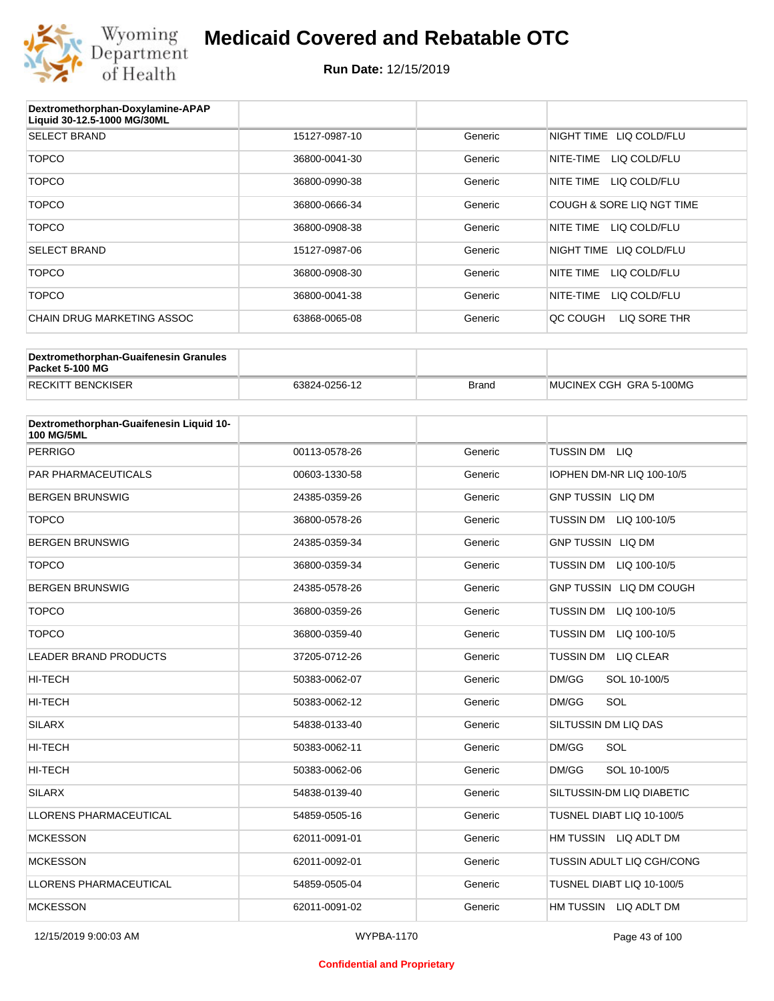

| Dextromethorphan-Doxylamine-APAP<br>Liquid 30-12.5-1000 MG/30ML |               |         |                           |
|-----------------------------------------------------------------|---------------|---------|---------------------------|
| <b>SELECT BRAND</b>                                             | 15127-0987-10 | Generic | NIGHT TIME LIQ COLD/FLU   |
| <b>TOPCO</b>                                                    | 36800-0041-30 | Generic | LIQ COLD/FLU<br>NITE-TIME |
| <b>TOPCO</b>                                                    | 36800-0990-38 | Generic | NITE TIME<br>LIQ COLD/FLU |
| <b>TOPCO</b>                                                    | 36800-0666-34 | Generic | COUGH & SORE LIQ NGT TIME |
| <b>TOPCO</b>                                                    | 36800-0908-38 | Generic | NITE TIME<br>LIQ COLD/FLU |
| <b>SELECT BRAND</b>                                             | 15127-0987-06 | Generic | NIGHT TIME LIQ COLD/FLU   |
| <b>TOPCO</b>                                                    | 36800-0908-30 | Generic | NITE TIME<br>LIQ COLD/FLU |
| <b>TOPCO</b>                                                    | 36800-0041-38 | Generic | NITE-TIME<br>LIQ COLD/FLU |
| <b>CHAIN DRUG MARKETING ASSOC</b>                               | 63868-0065-08 | Generic | LIQ SORE THR<br>OC COUGH  |

| Dextromethorphan-Guaifenesin Granules<br>Packet 5-100 MG |               |              |                         |
|----------------------------------------------------------|---------------|--------------|-------------------------|
| <b>RECKITT BENCKISER</b>                                 | 63824-0256-12 | <b>Brand</b> | MUCINEX CGH GRA 5-100MG |

| Dextromethorphan-Guaifenesin Liquid 10-<br><b>100 MG/5ML</b> |               |         |                                      |
|--------------------------------------------------------------|---------------|---------|--------------------------------------|
| <b>PERRIGO</b>                                               | 00113-0578-26 | Generic | TUSSIN DM LIQ                        |
| <b>PAR PHARMACEUTICALS</b>                                   | 00603-1330-58 | Generic | IOPHEN DM-NR LIQ 100-10/5            |
| <b>BERGEN BRUNSWIG</b>                                       | 24385-0359-26 | Generic | <b>GNP TUSSIN LIQ DM</b>             |
| <b>TOPCO</b>                                                 | 36800-0578-26 | Generic | <b>TUSSIN DM</b><br>LIQ 100-10/5     |
| <b>BERGEN BRUNSWIG</b>                                       | 24385-0359-34 | Generic | <b>GNP TUSSIN LIQ DM</b>             |
| <b>TOPCO</b>                                                 | 36800-0359-34 | Generic | <b>TUSSIN DM</b><br>LIQ 100-10/5     |
| <b>BERGEN BRUNSWIG</b>                                       | 24385-0578-26 | Generic | GNP TUSSIN LIQ DM COUGH              |
| <b>TOPCO</b>                                                 | 36800-0359-26 | Generic | TUSSIN DM LIQ 100-10/5               |
| <b>TOPCO</b>                                                 | 36800-0359-40 | Generic | <b>TUSSIN DM</b><br>LIQ 100-10/5     |
| <b>LEADER BRAND PRODUCTS</b>                                 | 37205-0712-26 | Generic | <b>TUSSIN DM</b><br><b>LIQ CLEAR</b> |
| HI-TECH                                                      | 50383-0062-07 | Generic | DM/GG<br>SOL 10-100/5                |
| HI-TECH                                                      | 50383-0062-12 | Generic | SOL<br>DM/GG                         |
| <b>SILARX</b>                                                | 54838-0133-40 | Generic | SILTUSSIN DM LIQ DAS                 |
| <b>HI-TECH</b>                                               | 50383-0062-11 | Generic | DM/GG<br>SOL                         |
| <b>HI-TECH</b>                                               | 50383-0062-06 | Generic | DM/GG<br>SOL 10-100/5                |
| <b>SILARX</b>                                                | 54838-0139-40 | Generic | SILTUSSIN-DM LIQ DIABETIC            |
| <b>LLORENS PHARMACEUTICAL</b>                                | 54859-0505-16 | Generic | TUSNEL DIABT LIQ 10-100/5            |
| <b>MCKESSON</b>                                              | 62011-0091-01 | Generic | HM TUSSIN LIQ ADLT DM                |
| <b>MCKESSON</b>                                              | 62011-0092-01 | Generic | TUSSIN ADULT LIQ CGH/CONG            |
| <b>LLORENS PHARMACEUTICAL</b>                                | 54859-0505-04 | Generic | TUSNEL DIABT LIQ 10-100/5            |
| <b>MCKESSON</b>                                              | 62011-0091-02 | Generic | HM TUSSIN LIQ ADLT DM                |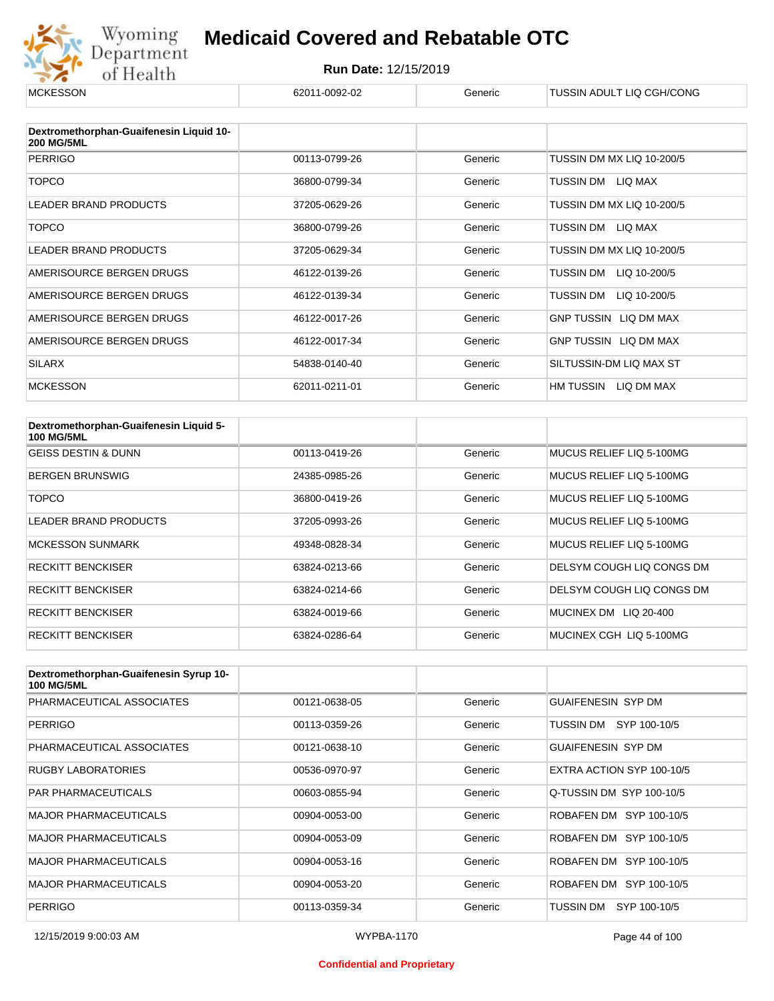

# Wyoming **Medicaid Covered and Rebatable OTC**<br>Department **Run Date: 12/15/2019**<br>of Health **Example 2011-0092-02** Generic FUSSIN ADULT LIQ CGH/CONG **Medicaid Covered and Rebatable OTC**

| <b>MUNESSUN</b>                                              | 02011-0092-02 | Generic | TUSSIN ADULT LIU UGH/UUNG    |
|--------------------------------------------------------------|---------------|---------|------------------------------|
|                                                              |               |         |                              |
| Dextromethorphan-Guaifenesin Liquid 10-<br><b>200 MG/5ML</b> |               |         |                              |
| <b>PERRIGO</b>                                               | 00113-0799-26 | Generic | TUSSIN DM MX LIQ 10-200/5    |
| <b>TOPCO</b>                                                 | 36800-0799-34 | Generic | LIQ MAX<br>TUSSIN DM         |
| <b>LEADER BRAND PRODUCTS</b>                                 | 37205-0629-26 | Generic | TUSSIN DM MX LIQ 10-200/5    |
| <b>TOPCO</b>                                                 | 36800-0799-26 | Generic | TUSSIN DM<br>LIQ MAX         |
| <b>LEADER BRAND PRODUCTS</b>                                 | 37205-0629-34 | Generic | TUSSIN DM MX LIQ 10-200/5    |
| AMERISOURCE BERGEN DRUGS                                     | 46122-0139-26 | Generic | TUSSIN DM<br>LIQ 10-200/5    |
| AMERISOURCE BERGEN DRUGS                                     | 46122-0139-34 | Generic | TUSSIN DM<br>LIQ 10-200/5    |
| AMERISOURCE BERGEN DRUGS                                     | 46122-0017-26 | Generic | <b>GNP TUSSIN LIQ DM MAX</b> |
| AMERISOURCE BERGEN DRUGS                                     | 46122-0017-34 | Generic | GNP TUSSIN LIQ DM MAX        |
| <b>SILARX</b>                                                | 54838-0140-40 | Generic | SILTUSSIN-DM LIQ MAX ST      |
| <b>MCKESSON</b>                                              | 62011-0211-01 | Generic | HM TUSSIN<br>LIQ DM MAX      |

| Dextromethorphan-Guaifenesin Liquid 5-<br><b>100 MG/5ML</b> |               |         |                           |
|-------------------------------------------------------------|---------------|---------|---------------------------|
| <b>GEISS DESTIN &amp; DUNN</b>                              | 00113-0419-26 | Generic | MUCUS RELIEF LIQ 5-100MG  |
| <b>BERGEN BRUNSWIG</b>                                      | 24385-0985-26 | Generic | MUCUS RELIEF LIQ 5-100MG  |
| TOPCO                                                       | 36800-0419-26 | Generic | MUCUS RELIEF LIQ 5-100MG  |
| LEADER BRAND PRODUCTS                                       | 37205-0993-26 | Generic | MUCUS RELIEF LIQ 5-100MG  |
| <b>MCKESSON SUNMARK</b>                                     | 49348-0828-34 | Generic | MUCUS RELIEF LIQ 5-100MG  |
| <b>RECKITT BENCKISER</b>                                    | 63824-0213-66 | Generic | DELSYM COUGH LIQ CONGS DM |
| <b>RECKITT BENCKISER</b>                                    | 63824-0214-66 | Generic | DELSYM COUGH LIQ CONGS DM |
| <b>RECKITT BENCKISER</b>                                    | 63824-0019-66 | Generic | MUCINEX DM LIQ 20-400     |
| <b>RECKITT BENCKISER</b>                                    | 63824-0286-64 | Generic | MUCINEX CGH LIQ 5-100MG   |

| Dextromethorphan-Guaifenesin Syrup 10-<br><b>100 MG/5ML</b> |               |         |                           |
|-------------------------------------------------------------|---------------|---------|---------------------------|
| PHARMACEUTICAL ASSOCIATES                                   | 00121-0638-05 | Generic | <b>GUAIFENESIN SYP DM</b> |
| <b>PERRIGO</b>                                              | 00113-0359-26 | Generic | TUSSIN DM SYP 100-10/5    |
| PHARMACEUTICAL ASSOCIATES                                   | 00121-0638-10 | Generic | <b>GUAIFENESIN SYP DM</b> |
| <b>RUGBY LABORATORIES</b>                                   | 00536-0970-97 | Generic | EXTRA ACTION SYP 100-10/5 |
| <b>PAR PHARMACEUTICALS</b>                                  | 00603-0855-94 | Generic | Q-TUSSIN DM SYP 100-10/5  |
| <b>MAJOR PHARMACEUTICALS</b>                                | 00904-0053-00 | Generic | ROBAFEN DM SYP 100-10/5   |
| <b>MAJOR PHARMACEUTICALS</b>                                | 00904-0053-09 | Generic | ROBAFEN DM SYP 100-10/5   |
| <b>MAJOR PHARMACEUTICALS</b>                                | 00904-0053-16 | Generic | ROBAFEN DM SYP 100-10/5   |
| <b>MAJOR PHARMACEUTICALS</b>                                | 00904-0053-20 | Generic | ROBAFEN DM SYP 100-10/5   |
| <b>PERRIGO</b>                                              | 00113-0359-34 | Generic | SYP 100-10/5<br>TUSSIN DM |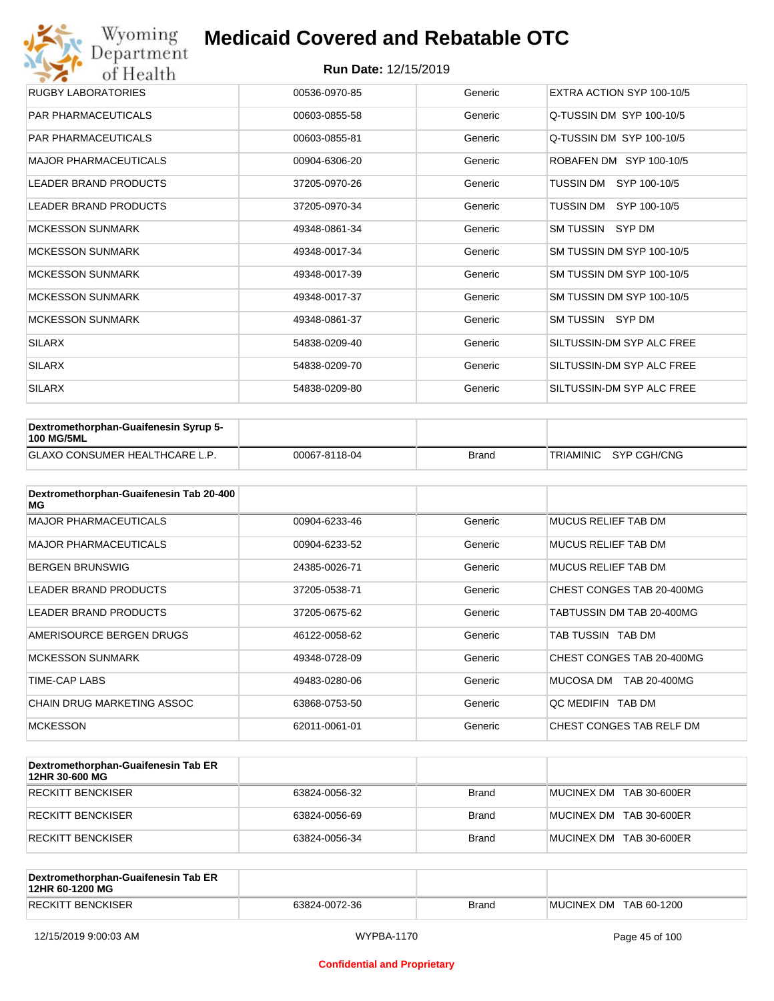| Wyoming<br>Department        | <b>Medicaid Covered and Rebatable OTC</b> |         |                           |  |  |  |
|------------------------------|-------------------------------------------|---------|---------------------------|--|--|--|
| of Health                    | <b>Run Date: 12/15/2019</b>               |         |                           |  |  |  |
| <b>RUGBY LABORATORIES</b>    | 00536-0970-85                             | Generic | EXTRA ACTION SYP 100-10/5 |  |  |  |
| <b>PAR PHARMACEUTICALS</b>   | 00603-0855-58                             | Generic | Q-TUSSIN DM SYP 100-10/5  |  |  |  |
| <b>PAR PHARMACEUTICALS</b>   | 00603-0855-81                             | Generic | Q-TUSSIN DM SYP 100-10/5  |  |  |  |
| <b>MAJOR PHARMACEUTICALS</b> | 00904-6306-20                             | Generic | ROBAFEN DM SYP 100-10/5   |  |  |  |
| <b>LEADER BRAND PRODUCTS</b> | 37205-0970-26                             | Generic | SYP 100-10/5<br>TUSSIN DM |  |  |  |
| <b>LEADER BRAND PRODUCTS</b> | 37205-0970-34                             | Generic | TUSSIN DM<br>SYP 100-10/5 |  |  |  |
| <b>MCKESSON SUNMARK</b>      | 49348-0861-34                             | Generic | SM TUSSIN SYP DM          |  |  |  |
| <b>MCKESSON SUNMARK</b>      | 49348-0017-34                             | Generic | SM TUSSIN DM SYP 100-10/5 |  |  |  |
| <b>MCKESSON SUNMARK</b>      | 49348-0017-39                             | Generic | SM TUSSIN DM SYP 100-10/5 |  |  |  |
| <b>MCKESSON SUNMARK</b>      | 49348-0017-37                             | Generic | SM TUSSIN DM SYP 100-10/5 |  |  |  |
| <b>MCKESSON SUNMARK</b>      | 49348-0861-37                             | Generic | SM TUSSIN SYP DM          |  |  |  |
| <b>SILARX</b>                | 54838-0209-40                             | Generic | SILTUSSIN-DM SYP ALC FREE |  |  |  |
| <b>SILARX</b>                | 54838-0209-70                             | Generic | SILTUSSIN-DM SYP ALC FREE |  |  |  |
| <b>SILARX</b>                | 54838-0209-80                             | Generic | SILTUSSIN-DM SYP ALC FREE |  |  |  |

| Dextromethorphan-Guaifenesin Syrup 5-<br><b>100 MG/5ML</b> |               |       |                       |
|------------------------------------------------------------|---------------|-------|-----------------------|
| <b>GLAXO CONSUMER HEALTHCARE L.P.</b>                      | 00067-8118-04 | Brand | TRIAMINIC SYP CGH/CNG |

| Dextromethorphan-Guaifenesin Tab 20-400<br>MG |               |         |                            |
|-----------------------------------------------|---------------|---------|----------------------------|
| <b>MAJOR PHARMACEUTICALS</b>                  | 00904-6233-46 | Generic | <b>MUCUS RELIEF TAB DM</b> |
| <b>MAJOR PHARMACEUTICALS</b>                  | 00904-6233-52 | Generic | MUCUS RELIEF TAB DM        |
| <b>BERGEN BRUNSWIG</b>                        | 24385-0026-71 | Generic | <b>MUCUS RELIEF TAB DM</b> |
| <b>LEADER BRAND PRODUCTS</b>                  | 37205-0538-71 | Generic | CHEST CONGES TAB 20-400MG  |
| <b>LEADER BRAND PRODUCTS</b>                  | 37205-0675-62 | Generic | TABTUSSIN DM TAB 20-400MG  |
| AMERISOURCE BERGEN DRUGS                      | 46122-0058-62 | Generic | TAB TUSSIN TAB DM          |
| <b>MCKESSON SUNMARK</b>                       | 49348-0728-09 | Generic | CHEST CONGES TAB 20-400MG  |
| TIME-CAP LABS                                 | 49483-0280-06 | Generic | MUCOSA DM<br>TAB 20-400MG  |
| CHAIN DRUG MARKETING ASSOC                    | 63868-0753-50 | Generic | OC MEDIFIN TAB DM          |
| <b>MCKESSON</b>                               | 62011-0061-01 | Generic | CHEST CONGES TAB RELF DM   |

| Dextromethorphan-Guaifenesin Tab ER<br>12HR 30-600 MG |               |              |                         |
|-------------------------------------------------------|---------------|--------------|-------------------------|
| RECKITT BENCKISER                                     | 63824-0056-32 | <b>Brand</b> | MUCINEX DM TAB 30-600ER |
| RECKITT BENCKISER                                     | 63824-0056-69 | <b>Brand</b> | MUCINEX DM TAB 30-600ER |
| RECKITT BENCKISER                                     | 63824-0056-34 | <b>Brand</b> | MUCINEX DM TAB 30-600ER |

| Dextromethorphan-Guaifenesin Tab ER<br>12HR 60-1200 MG |               |       |                        |
|--------------------------------------------------------|---------------|-------|------------------------|
| <b>RECKITT BENCKISER</b>                               | 63824-0072-36 | Brand | MUCINEX DM TAB 60-1200 |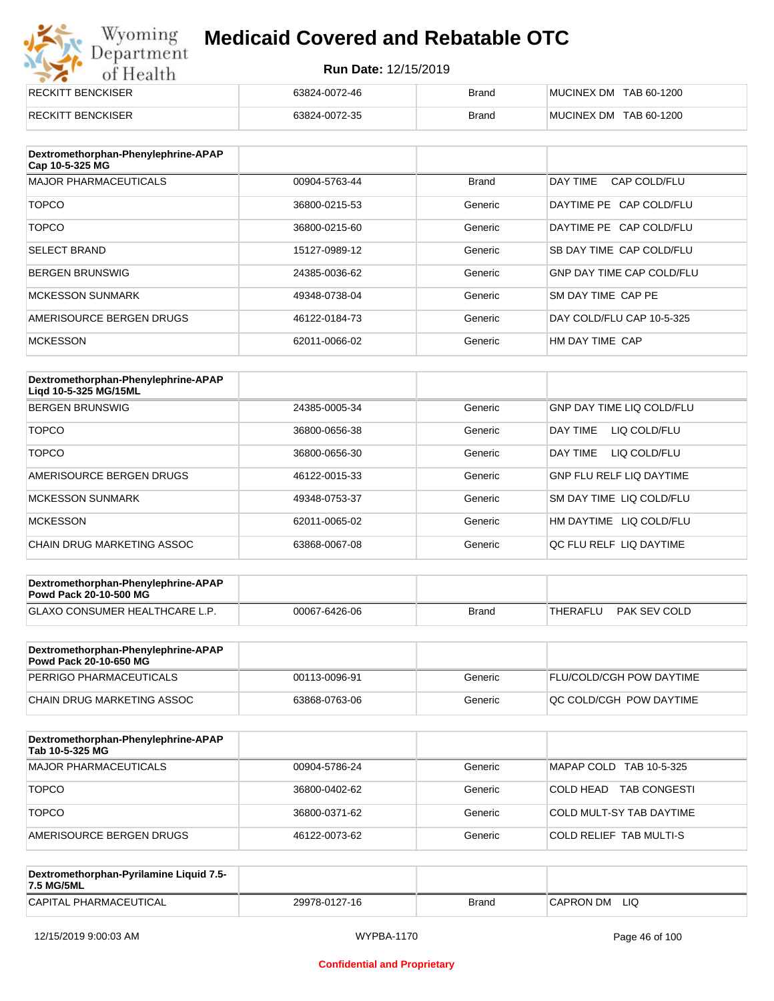## Wyoming<br>Department<br>of Health **Medicaid Covered and Rebatable OTC**

| <b>RECKITT BENCKISER</b> | 63824-0072-46 | <b>Brand</b> | MUCINEX DM TAB 60-1200 |
|--------------------------|---------------|--------------|------------------------|
| <b>RECKITT BENCKISER</b> | 63824-0072-35 | <b>Brand</b> | MUCINEX DM TAB 60-1200 |

| Dextromethorphan-Phenylephrine-APAP<br>Cap 10-5-325 MG |               |              |                                  |
|--------------------------------------------------------|---------------|--------------|----------------------------------|
| <b>MAJOR PHARMACEUTICALS</b>                           | 00904-5763-44 | <b>Brand</b> | DAY TIME<br>CAP COLD/FLU         |
| <b>TOPCO</b>                                           | 36800-0215-53 | Generic      | DAYTIME PE CAP COLD/FLU          |
| <b>TOPCO</b>                                           | 36800-0215-60 | Generic      | DAYTIME PE CAP COLD/FLU          |
| <b>SELECT BRAND</b>                                    | 15127-0989-12 | Generic      | SB DAY TIME CAP COLD/FLU         |
| <b>BERGEN BRUNSWIG</b>                                 | 24385-0036-62 | Generic      | <b>GNP DAY TIME CAP COLD/FLU</b> |
| <b>MCKESSON SUNMARK</b>                                | 49348-0738-04 | Generic      | SM DAY TIME CAP PE               |
| AMERISOURCE BERGEN DRUGS                               | 46122-0184-73 | Generic      | DAY COLD/FLU CAP 10-5-325        |
| <b>MCKESSON</b>                                        | 62011-0066-02 | Generic      | HM DAY TIME CAP                  |

| Dextromethorphan-Phenylephrine-APAP<br>Ligd 10-5-325 MG/15ML |               |         |                                  |
|--------------------------------------------------------------|---------------|---------|----------------------------------|
| <b>BERGEN BRUNSWIG</b>                                       | 24385-0005-34 | Generic | <b>GNP DAY TIME LIQ COLD/FLU</b> |
| <b>TOPCO</b>                                                 | 36800-0656-38 | Generic | LIQ COLD/FLU<br>DAY TIMF         |
| <b>TOPCO</b>                                                 | 36800-0656-30 | Generic | DAY TIME<br>LIQ COLD/FLU         |
| AMERISOURCE BERGEN DRUGS                                     | 46122-0015-33 | Generic | <b>GNP FLU RELF LIQ DAYTIME</b>  |
| <b>MCKESSON SUNMARK</b>                                      | 49348-0753-37 | Generic | SM DAY TIME LIQ COLD/FLU         |
| <b>MCKESSON</b>                                              | 62011-0065-02 | Generic | LIQ COLD/FLU<br>HM DAYTIME       |
| CHAIN DRUG MARKETING ASSOC                                   | 63868-0067-08 | Generic | OC FLU RELF LIO DAYTIME          |

| Dextromethorphan-Phenylephrine-APAP<br><b>Powd Pack 20-10-500 MG</b> |               |              |          |              |
|----------------------------------------------------------------------|---------------|--------------|----------|--------------|
| <b>GLAXO CONSUMER HEALTHCARE L.P.</b>                                | 00067-6426-06 | <b>Brand</b> | THERAFLU | PAK SEV COLD |
|                                                                      |               |              |          |              |

| Dextromethorphan-Phenylephrine-APAP<br><b>Powd Pack 20-10-650 MG</b> |               |         |                                 |
|----------------------------------------------------------------------|---------------|---------|---------------------------------|
| PERRIGO PHARMACEUTICALS                                              | 00113-0096-91 | Generic | <b>FLU/COLD/CGH POW DAYTIME</b> |
| CHAIN DRUG MARKETING ASSOC                                           | 63868-0763-06 | Generic | OC COLD/CGH POW DAYTIME         |

| Dextromethorphan-Phenylephrine-APAP<br>Tab 10-5-325 MG |               |         |                                  |
|--------------------------------------------------------|---------------|---------|----------------------------------|
| MAJOR PHARMACEUTICALS                                  | 00904-5786-24 | Generic | MAPAP COLD TAB 10-5-325          |
| <b>TOPCO</b>                                           | 36800-0402-62 | Generic | COLD HEAD<br><b>TAB CONGESTI</b> |
| <b>TOPCO</b>                                           | 36800-0371-62 | Generic | COLD MULT-SY TAB DAYTIME         |
| AMERISOURCE BERGEN DRUGS                               | 46122-0073-62 | Generic | COLD RELIEF TAB MULTI-S          |

| Dextromethorphan-Pyrilamine Liquid 7.5-<br>7.5 MG/5ML |               |       |                  |
|-------------------------------------------------------|---------------|-------|------------------|
| CAPITAL PHARMACEUTICAL                                | 29978-0127-16 | Brand | LIQ<br>CAPRON DM |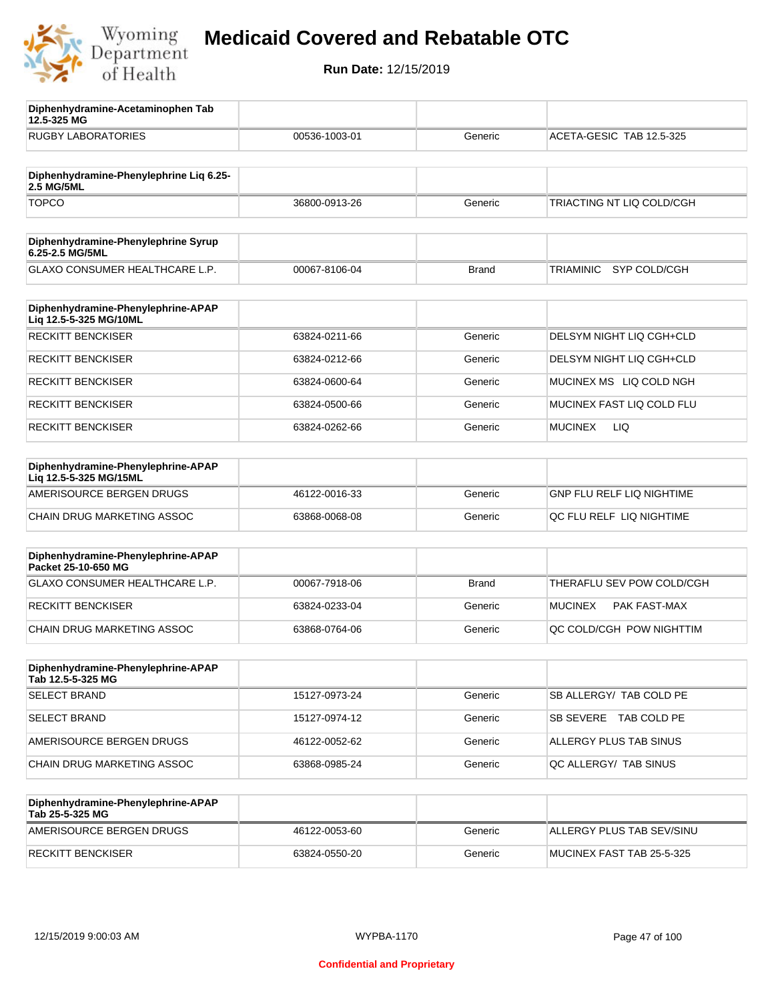

**12.5-325 MG**

**Diphenhydramine-Acetaminophen Tab** 

## **Medicaid Covered and Rebatable OTC**

| <b>RUGBY LABORATORIES</b>                                    | 00536-1003-01 | Generic      | ACETA-GESIC TAB 12.5-325         |
|--------------------------------------------------------------|---------------|--------------|----------------------------------|
| Diphenhydramine-Phenylephrine Lig 6.25-<br>2.5 MG/5ML        |               |              |                                  |
| <b>TOPCO</b>                                                 | 36800-0913-26 | Generic      | TRIACTING NT LIQ COLD/CGH        |
| Diphenhydramine-Phenylephrine Syrup<br>6.25-2.5 MG/5ML       |               |              |                                  |
| GLAXO CONSUMER HEALTHCARE L.P.                               | 00067-8106-04 | <b>Brand</b> | <b>TRIAMINIC</b><br>SYP COLD/CGH |
| Diphenhydramine-Phenylephrine-APAP<br>Liq 12.5-5-325 MG/10ML |               |              |                                  |
| <b>RECKITT BENCKISER</b>                                     | 63824-0211-66 | Generic      | DELSYM NIGHT LIQ CGH+CLD         |
| <b>RECKITT BENCKISER</b>                                     | 63824-0212-66 | Generic      | DELSYM NIGHT LIQ CGH+CLD         |
| <b>RECKITT BENCKISER</b>                                     | 63824-0600-64 | Generic      | MUCINEX MS LIQ COLD NGH          |
| <b>RECKITT BENCKISER</b>                                     | 63824-0500-66 | Generic      | MUCINEX FAST LIQ COLD FLU        |
| <b>RECKITT BENCKISER</b>                                     | 63824-0262-66 | Generic      | <b>MUCINEX</b><br>LIQ            |
| Diphenhydramine-Phenylephrine-APAP<br>Liq 12.5-5-325 MG/15ML |               |              |                                  |
| AMERISOURCE BERGEN DRUGS                                     | 46122-0016-33 | Generic      | <b>GNP FLU RELF LIQ NIGHTIME</b> |
| CHAIN DRUG MARKETING ASSOC                                   | 63868-0068-08 | Generic      | QC FLU RELF LIQ NIGHTIME         |
| Diphenhydramine-Phenylephrine-APAP<br>Packet 25-10-650 MG    |               |              |                                  |
| GLAXO CONSUMER HEALTHCARE L.P.                               | 00067-7918-06 | <b>Brand</b> | THERAFLU SEV POW COLD/CGH        |
| <b>RECKITT BENCKISER</b>                                     | 63824-0233-04 | Generic      | <b>MUCINEX</b><br>PAK FAST-MAX   |
| CHAIN DRUG MARKETING ASSOC                                   | 63868-0764-06 | Generic      | QC COLD/CGH POW NIGHTTIM         |
| Diphenhydramine-Phenylephrine-APAP<br>Tab 12.5-5-325 MG      |               |              |                                  |
| <b>SELECT BRAND</b>                                          | 15127-0973-24 | Generic      | SB ALLERGY/ TAB COLD PE          |
| <b>SELECT BRAND</b>                                          | 15127-0974-12 | Generic      | SB SEVERE TAB COLD PE            |
| AMERISOURCE BERGEN DRUGS                                     | 46122-0052-62 | Generic      | ALLERGY PLUS TAB SINUS           |
| CHAIN DRUG MARKETING ASSOC                                   | 63868-0985-24 | Generic      | QC ALLERGY/ TAB SINUS            |
| Diphenhydramine-Phenylephrine-APAP<br>Tab 25-5-325 MG        |               |              |                                  |
| AMERISOURCE BERGEN DRUGS                                     | 46122-0053-60 | Generic      | ALLERGY PLUS TAB SEV/SINU        |
| <b>RECKITT BENCKISER</b>                                     | 63824-0550-20 | Generic      | MUCINEX FAST TAB 25-5-325        |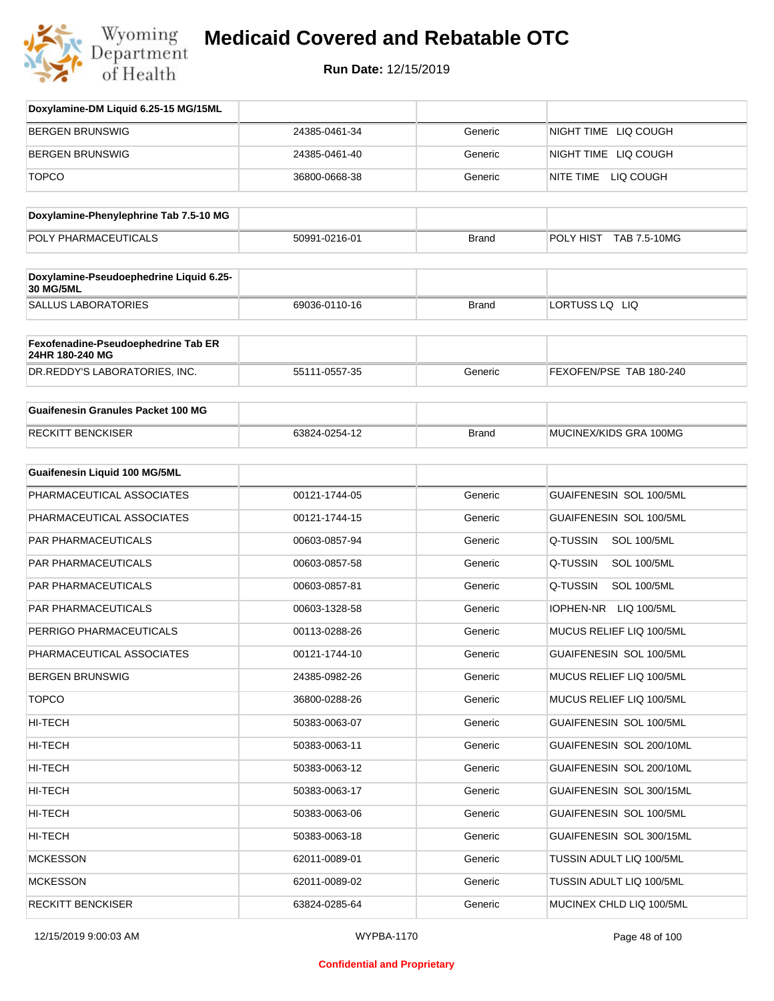

| Doxylamine-DM Liquid 6.25-15 MG/15ML                   |               |              |                                |
|--------------------------------------------------------|---------------|--------------|--------------------------------|
| <b>BERGEN BRUNSWIG</b>                                 | 24385-0461-34 | Generic      | NIGHT TIME LIQ COUGH           |
| <b>BERGEN BRUNSWIG</b>                                 | 24385-0461-40 | Generic      | NIGHT TIME LIQ COUGH           |
| <b>TOPCO</b>                                           | 36800-0668-38 | Generic      | NITE TIME LIQ COUGH            |
| Doxylamine-Phenylephrine Tab 7.5-10 MG                 |               |              |                                |
| POLY PHARMACEUTICALS                                   | 50991-0216-01 | <b>Brand</b> | POLY HIST TAB 7.5-10MG         |
| Doxylamine-Pseudoephedrine Liquid 6.25-<br>30 MG/5ML   |               |              |                                |
| <b>SALLUS LABORATORIES</b>                             | 69036-0110-16 | <b>Brand</b> | LORTUSS LQ LIQ                 |
| Fexofenadine-Pseudoephedrine Tab ER<br>24HR 180-240 MG |               |              |                                |
| DR.REDDY'S LABORATORIES, INC.                          | 55111-0557-35 | Generic      | FEXOFEN/PSE TAB 180-240        |
| <b>Guaifenesin Granules Packet 100 MG</b>              |               |              |                                |
| <b>RECKITT BENCKISER</b>                               | 63824-0254-12 | <b>Brand</b> | MUCINEX/KIDS GRA 100MG         |
| <b>Guaifenesin Liquid 100 MG/5ML</b>                   |               |              |                                |
| PHARMACEUTICAL ASSOCIATES                              | 00121-1744-05 | Generic      | GUAIFENESIN SOL 100/5ML        |
| PHARMACEUTICAL ASSOCIATES                              | 00121-1744-15 | Generic      | GUAIFENESIN SOL 100/5ML        |
| PAR PHARMACEUTICALS                                    | 00603-0857-94 | Generic      | Q-TUSSIN<br><b>SOL 100/5ML</b> |
| PAR PHARMACEUTICALS                                    | 00603-0857-58 | Generic      | Q-TUSSIN<br><b>SOL 100/5ML</b> |
| PAR PHARMACEUTICALS                                    | 00603-0857-81 | Generic      | Q-TUSSIN<br><b>SOL 100/5ML</b> |
| PAR PHARMACEUTICALS                                    | 00603-1328-58 | Generic      | IOPHEN-NR LIQ 100/5ML          |
| PERRIGO PHARMACEUTICALS                                | 00113-0288-26 | Generic      | MUCUS RELIEF LIQ 100/5ML       |
| PHARMACEUTICAL ASSOCIATES                              | 00121-1744-10 | Generic      | GUAIFENESIN SOL 100/5ML        |
| <b>BERGEN BRUNSWIG</b>                                 | 24385-0982-26 | Generic      | MUCUS RELIEF LIQ 100/5ML       |
| <b>TOPCO</b>                                           | 36800-0288-26 | Generic      | MUCUS RELIEF LIQ 100/5ML       |
| <b>HI-TECH</b>                                         | 50383-0063-07 | Generic      | GUAIFENESIN SOL 100/5ML        |
| <b>HI-TECH</b>                                         | 50383-0063-11 | Generic      | GUAIFENESIN SOL 200/10ML       |
| <b>HI-TECH</b>                                         | 50383-0063-12 | Generic      | GUAIFENESIN SOL 200/10ML       |
| <b>HI-TECH</b>                                         | 50383-0063-17 | Generic      | GUAIFENESIN SOL 300/15ML       |
| <b>HI-TECH</b>                                         | 50383-0063-06 | Generic      | GUAIFENESIN SOL 100/5ML        |
| HI-TECH                                                | 50383-0063-18 | Generic      | GUAIFENESIN SOL 300/15ML       |
| <b>MCKESSON</b>                                        | 62011-0089-01 | Generic      | TUSSIN ADULT LIQ 100/5ML       |
| <b>MCKESSON</b>                                        | 62011-0089-02 | Generic      | TUSSIN ADULT LIQ 100/5ML       |
| <b>RECKITT BENCKISER</b>                               | 63824-0285-64 | Generic      | MUCINEX CHLD LIQ 100/5ML       |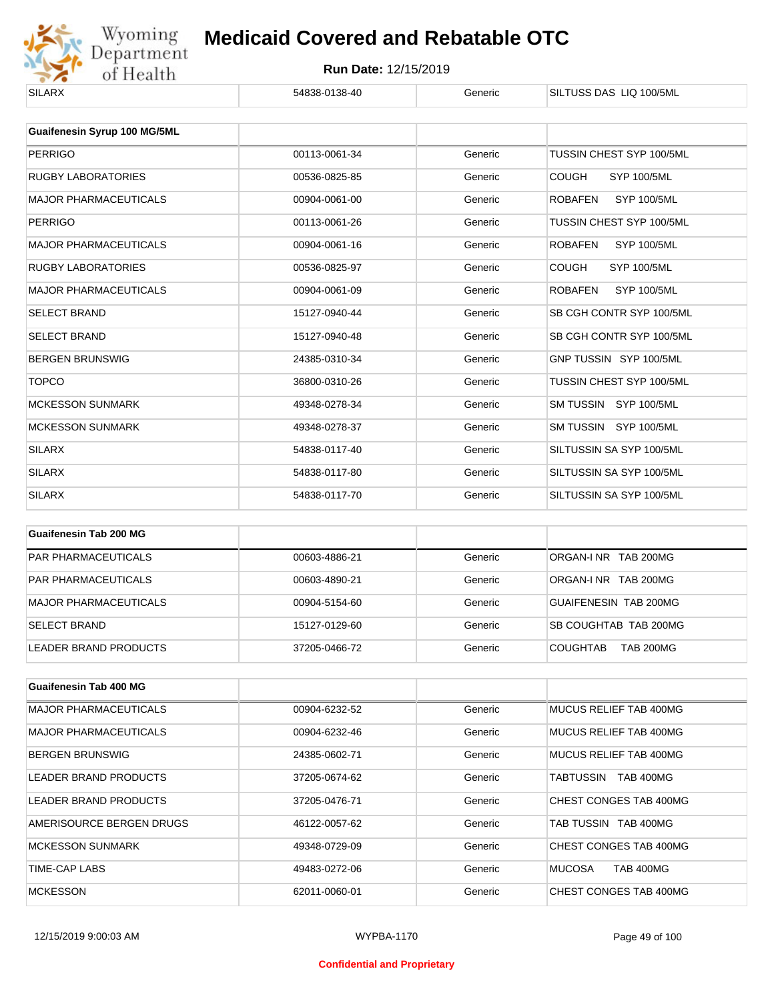

| 00113-0061-34 | Generic | TUSSIN CHEST SYP 100/5ML             |
|---------------|---------|--------------------------------------|
| 00536-0825-85 | Generic | <b>COUGH</b><br><b>SYP 100/5ML</b>   |
| 00904-0061-00 | Generic | <b>ROBAFEN</b><br><b>SYP 100/5ML</b> |
| 00113-0061-26 | Generic | TUSSIN CHEST SYP 100/5ML             |
| 00904-0061-16 | Generic | <b>ROBAFEN</b><br>SYP 100/5ML        |
| 00536-0825-97 | Generic | <b>COUGH</b><br><b>SYP 100/5ML</b>   |
| 00904-0061-09 | Generic | <b>ROBAFEN</b><br><b>SYP 100/5ML</b> |
| 15127-0940-44 | Generic | SB CGH CONTR SYP 100/5ML             |
| 15127-0940-48 | Generic | SB CGH CONTR SYP 100/5ML             |
| 24385-0310-34 | Generic | GNP TUSSIN SYP 100/5ML               |
| 36800-0310-26 | Generic | TUSSIN CHEST SYP 100/5ML             |
| 49348-0278-34 | Generic | SM TUSSIN SYP 100/5ML                |
| 49348-0278-37 | Generic | SM TUSSIN SYP 100/5ML                |
| 54838-0117-40 | Generic | SILTUSSIN SA SYP 100/5ML             |
| 54838-0117-80 | Generic | SILTUSSIN SA SYP 100/5ML             |
| 54838-0117-70 | Generic | SILTUSSIN SA SYP 100/5ML             |
|               |         |                                      |

| Guaifenesin Tab 200 MG     |               |         |                                     |
|----------------------------|---------------|---------|-------------------------------------|
| <b>PAR PHARMACEUTICALS</b> | 00603-4886-21 | Generic | ORGAN-LNR TAB 200MG                 |
| <b>PAR PHARMACEUTICALS</b> | 00603-4890-21 | Generic | ORGAN-LNR TAB 200MG                 |
| MAJOR PHARMACEUTICALS      | 00904-5154-60 | Generic | GUAIFENESIN TAB 200MG               |
| <b>SELECT BRAND</b>        | 15127-0129-60 | Generic | SB COUGHTAB TAB 200MG               |
| LEADER BRAND PRODUCTS      | 37205-0466-72 | Generic | <b>TAB 200MG</b><br><b>COUGHTAB</b> |

| Guaifenesin Tab 400 MG       |               |         |                                   |
|------------------------------|---------------|---------|-----------------------------------|
| <b>MAJOR PHARMACEUTICALS</b> | 00904-6232-52 | Generic | MUCUS RELIEF TAB 400MG            |
| <b>MAJOR PHARMACEUTICALS</b> | 00904-6232-46 | Generic | MUCUS RELIEF TAB 400MG            |
| <b>BERGEN BRUNSWIG</b>       | 24385-0602-71 | Generic | MUCUS RELIEF TAB 400MG            |
| LEADER BRAND PRODUCTS        | 37205-0674-62 | Generic | <b>TAB 400MG</b><br>TABTUSSIN     |
| LEADER BRAND PRODUCTS        | 37205-0476-71 | Generic | CHEST CONGES TAB 400MG            |
| AMERISOURCE BERGEN DRUGS     | 46122-0057-62 | Generic | TAB TUSSIN TAB 400MG              |
| <b>MCKESSON SUNMARK</b>      | 49348-0729-09 | Generic | CHEST CONGES TAB 400MG            |
| TIME-CAP LABS                | 49483-0272-06 | Generic | <b>MUCOSA</b><br><b>TAB 400MG</b> |
| <b>MCKESSON</b>              | 62011-0060-01 | Generic | CHEST CONGES TAB 400MG            |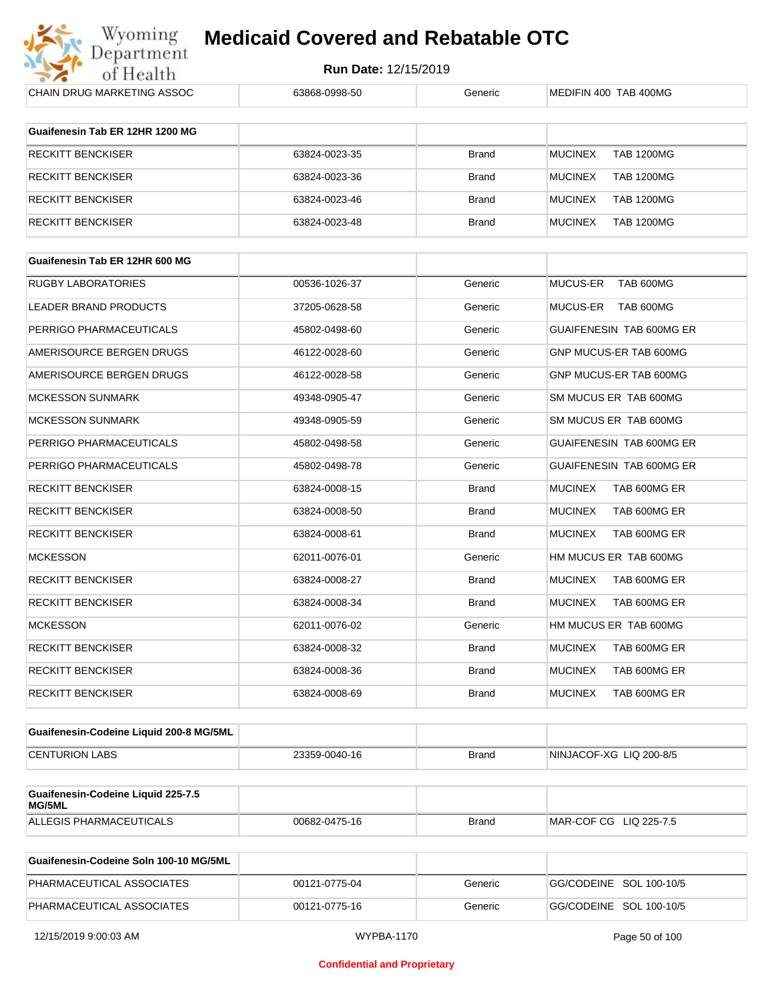

| CHAIN DRUG MARKETING ASSOC                   | 63868-0998-50 | Generic      | MEDIFIN 400 TAB 400MG               |
|----------------------------------------------|---------------|--------------|-------------------------------------|
| Guaifenesin Tab ER 12HR 1200 MG              |               |              |                                     |
| <b>RECKITT BENCKISER</b>                     | 63824-0023-35 | <b>Brand</b> | <b>TAB 1200MG</b><br><b>MUCINEX</b> |
| <b>RECKITT BENCKISER</b>                     | 63824-0023-36 | <b>Brand</b> | <b>MUCINEX</b><br><b>TAB 1200MG</b> |
| <b>RECKITT BENCKISER</b>                     | 63824-0023-46 | <b>Brand</b> | <b>MUCINEX</b><br><b>TAB 1200MG</b> |
| <b>RECKITT BENCKISER</b>                     | 63824-0023-48 | <b>Brand</b> | <b>MUCINEX</b><br><b>TAB 1200MG</b> |
|                                              |               |              |                                     |
| Guaifenesin Tab ER 12HR 600 MG               |               |              |                                     |
| <b>RUGBY LABORATORIES</b>                    | 00536-1026-37 | Generic      | MUCUS-ER<br>TAB 600MG               |
| LEADER BRAND PRODUCTS                        | 37205-0628-58 | Generic      | MUCUS-ER<br>TAB 600MG               |
| PERRIGO PHARMACEUTICALS                      | 45802-0498-60 | Generic      | GUAIFENESIN TAB 600MG ER            |
| AMERISOURCE BERGEN DRUGS                     | 46122-0028-60 | Generic      | GNP MUCUS-ER TAB 600MG              |
| AMERISOURCE BERGEN DRUGS                     | 46122-0028-58 | Generic      | GNP MUCUS-ER TAB 600MG              |
| <b>MCKESSON SUNMARK</b>                      | 49348-0905-47 | Generic      | SM MUCUS ER TAB 600MG               |
| <b>MCKESSON SUNMARK</b>                      | 49348-0905-59 | Generic      | SM MUCUS ER TAB 600MG               |
| PERRIGO PHARMACEUTICALS                      | 45802-0498-58 | Generic      | GUAIFENESIN TAB 600MG ER            |
| PERRIGO PHARMACEUTICALS                      | 45802-0498-78 | Generic      | <b>GUAIFENESIN TAB 600MG ER</b>     |
| <b>RECKITT BENCKISER</b>                     | 63824-0008-15 | <b>Brand</b> | TAB 600MG ER<br><b>MUCINEX</b>      |
| <b>RECKITT BENCKISER</b>                     | 63824-0008-50 | <b>Brand</b> | TAB 600MG ER<br><b>MUCINEX</b>      |
| <b>RECKITT BENCKISER</b>                     | 63824-0008-61 | <b>Brand</b> | TAB 600MG ER<br><b>MUCINEX</b>      |
| <b>MCKESSON</b>                              | 62011-0076-01 | Generic      | HM MUCUS ER TAB 600MG               |
| <b>RECKITT BENCKISER</b>                     | 63824-0008-27 | <b>Brand</b> | TAB 600MG ER<br><b>MUCINEX</b>      |
| <b>RECKITT BENCKISER</b>                     | 63824-0008-34 | <b>Brand</b> | TAB 600MG ER<br><b>MUCINEX</b>      |
| <b>MCKESSON</b>                              | 62011-0076-02 | Generic      | HM MUCUS ER TAB 600MG               |
| RECKITT BENCKISER                            | 63824-0008-32 | Brand        | MUCINEX<br>TAB 600MG ER             |
| <b>RECKITT BENCKISER</b>                     | 63824-0008-36 | <b>Brand</b> | <b>MUCINEX</b><br>TAB 600MG ER      |
| <b>RECKITT BENCKISER</b>                     | 63824-0008-69 | <b>Brand</b> | <b>MUCINEX</b><br>TAB 600MG ER      |
|                                              |               |              |                                     |
| Guaifenesin-Codeine Liquid 200-8 MG/5ML      |               |              |                                     |
| <b>CENTURION LABS</b>                        | 23359-0040-16 | <b>Brand</b> | NINJACOF-XG LIQ 200-8/5             |
| Guaifenesin-Codeine Liquid 225-7.5<br>MG/5ML |               |              |                                     |
| ALLEGIS PHARMACEUTICALS                      | 00682-0475-16 | <b>Brand</b> | MAR-COF CG LIQ 225-7.5              |
| Guaifonesin-Codeine Soln 100-10 MC/EML       |               |              |                                     |

| Guaifenesin-Codeine Soln 100-10 MG/5ML |               |         |                         |
|----------------------------------------|---------------|---------|-------------------------|
| PHARMACEUTICAL ASSOCIATES              | 00121-0775-04 | Generic | GG/CODEINE SOL 100-10/5 |
| PHARMACEUTICAL ASSOCIATES              | 00121-0775-16 | Generic | GG/CODEINE SOL 100-10/5 |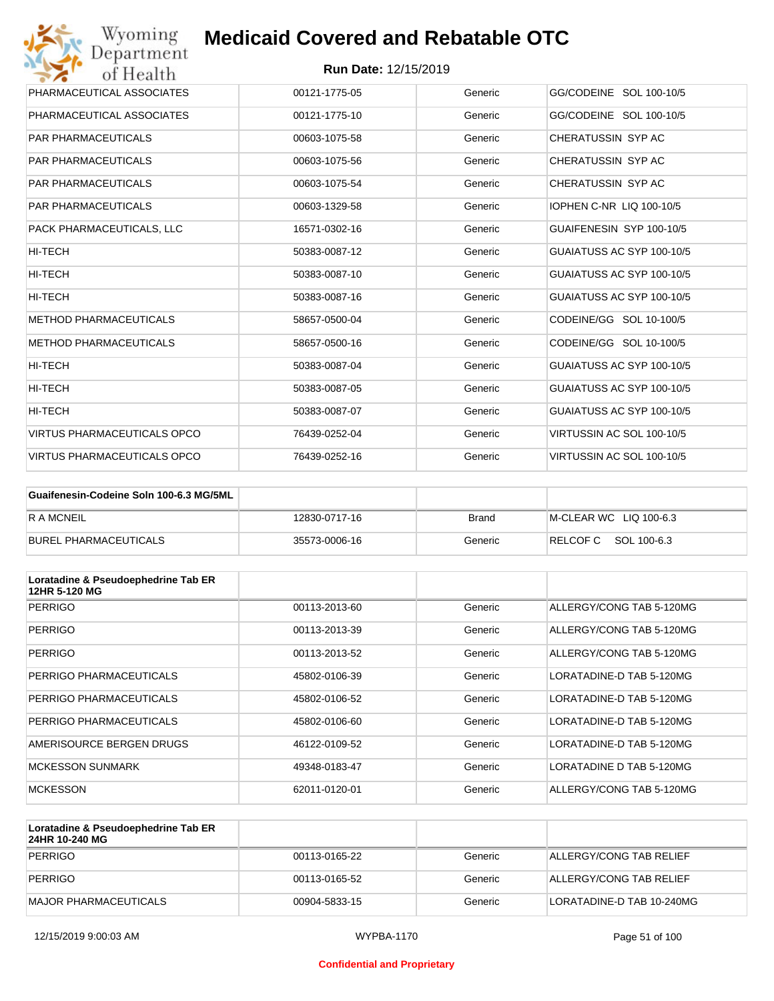

| Wyoming<br>Department              | <b>Medicaid Covered and Rebatable OTC</b> |         |                                 |
|------------------------------------|-------------------------------------------|---------|---------------------------------|
| of Health                          | <b>Run Date: 12/15/2019</b>               |         |                                 |
| PHARMACEUTICAL ASSOCIATES          | 00121-1775-05                             | Generic | GG/CODEINE SOL 100-10/5         |
| PHARMACEUTICAL ASSOCIATES          | 00121-1775-10                             | Generic | GG/CODEINE SOL 100-10/5         |
| <b>PAR PHARMACEUTICALS</b>         | 00603-1075-58                             | Generic | CHERATUSSIN SYP AC              |
| <b>PAR PHARMACEUTICALS</b>         | 00603-1075-56                             | Generic | CHERATUSSIN SYP AC              |
| <b>PAR PHARMACEUTICALS</b>         | 00603-1075-54                             | Generic | CHERATUSSIN SYP AC              |
| <b>PAR PHARMACEUTICALS</b>         | 00603-1329-58                             | Generic | <b>IOPHEN C-NR LIQ 100-10/5</b> |
| PACK PHARMACEUTICALS, LLC          | 16571-0302-16                             | Generic | GUAIFENESIN SYP 100-10/5        |
| <b>HI-TECH</b>                     | 50383-0087-12                             | Generic | GUAIATUSS AC SYP 100-10/5       |
| HI-TECH                            | 50383-0087-10                             | Generic | GUAIATUSS AC SYP 100-10/5       |
| HI-TECH                            | 50383-0087-16                             | Generic | GUAIATUSS AC SYP 100-10/5       |
| <b>METHOD PHARMACEUTICALS</b>      | 58657-0500-04                             | Generic | CODEINE/GG SOL 10-100/5         |
| <b>METHOD PHARMACEUTICALS</b>      | 58657-0500-16                             | Generic | CODEINE/GG SOL 10-100/5         |
| HI-TECH                            | 50383-0087-04                             | Generic | GUAIATUSS AC SYP 100-10/5       |
| HI-TECH                            | 50383-0087-05                             | Generic | GUAIATUSS AC SYP 100-10/5       |
| HI-TECH                            | 50383-0087-07                             | Generic | GUAIATUSS AC SYP 100-10/5       |
| <b>VIRTUS PHARMACEUTICALS OPCO</b> | 76439-0252-04                             | Generic | VIRTUSSIN AC SOL 100-10/5       |
| <b>VIRTUS PHARMACEUTICALS OPCO</b> | 76439-0252-16                             | Generic | VIRTUSSIN AC SOL 100-10/5       |

| Guaifenesin-Codeine Soln 100-6.3 MG/5ML |               |         |                        |
|-----------------------------------------|---------------|---------|------------------------|
| <b>RAMCNEIL</b>                         | 12830-0717-16 | Brand   | M-CLEAR WC LIQ 100-6.3 |
| BUREL PHARMACEUTICALS                   | 35573-0006-16 | Generic | RELCOFC SOL 100-6.3    |

| Loratadine & Pseudoephedrine Tab ER<br>12HR 5-120 MG |               |         |                          |
|------------------------------------------------------|---------------|---------|--------------------------|
| <b>PERRIGO</b>                                       | 00113-2013-60 | Generic | ALLERGY/CONG TAB 5-120MG |
| <b>PERRIGO</b>                                       | 00113-2013-39 | Generic | ALLERGY/CONG TAB 5-120MG |
| <b>PERRIGO</b>                                       | 00113-2013-52 | Generic | ALLERGY/CONG TAB 5-120MG |
| PERRIGO PHARMACEUTICALS                              | 45802-0106-39 | Generic | LORATADINE-D TAB 5-120MG |
| PERRIGO PHARMACEUTICALS                              | 45802-0106-52 | Generic | LORATADINE-D TAB 5-120MG |
| PERRIGO PHARMACEUTICALS                              | 45802-0106-60 | Generic | LORATADINE-D TAB 5-120MG |
| AMERISOURCE BERGEN DRUGS                             | 46122-0109-52 | Generic | LORATADINE-D TAB 5-120MG |
| <b>MCKESSON SUNMARK</b>                              | 49348-0183-47 | Generic | LORATADINE D TAB 5-120MG |
| <b>MCKESSON</b>                                      | 62011-0120-01 | Generic | ALLERGY/CONG TAB 5-120MG |

| Loratadine & Pseudoephedrine Tab ER<br>24HR 10-240 MG |               |         |                           |
|-------------------------------------------------------|---------------|---------|---------------------------|
| PERRIGO                                               | 00113-0165-22 | Generic | ALLERGY/CONG TAB RELIEF   |
| PERRIGO                                               | 00113-0165-52 | Generic | ALLERGY/CONG TAB RELIEF   |
| IMAJOR PHARMACEUTICALS                                | 00904-5833-15 | Generic | LORATADINE-D TAB 10-240MG |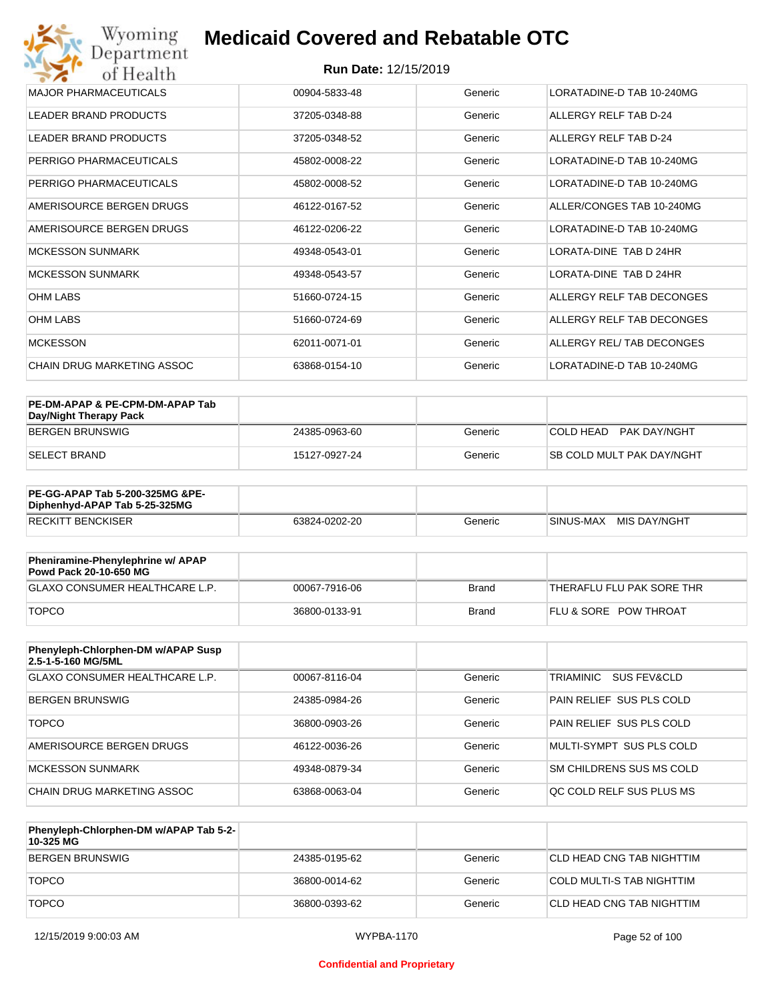| Wyoming<br>Department        | <b>Medicaid Covered and Rebatable OTC</b> |         |                           |  |  |  |
|------------------------------|-------------------------------------------|---------|---------------------------|--|--|--|
| of Health                    | <b>Run Date: 12/15/2019</b>               |         |                           |  |  |  |
| <b>MAJOR PHARMACEUTICALS</b> | 00904-5833-48                             | Generic | LORATADINE-D TAB 10-240MG |  |  |  |
| <b>LEADER BRAND PRODUCTS</b> | 37205-0348-88                             | Generic | ALLERGY RELF TAB D-24     |  |  |  |
| <b>LEADER BRAND PRODUCTS</b> | 37205-0348-52                             | Generic | ALLERGY RELF TAB D-24     |  |  |  |
| PERRIGO PHARMACEUTICALS      | 45802-0008-22                             | Generic | LORATADINE-D TAB 10-240MG |  |  |  |
| PERRIGO PHARMACEUTICALS      | 45802-0008-52                             | Generic | LORATADINE-D TAB 10-240MG |  |  |  |
| AMERISOURCE BERGEN DRUGS     | 46122-0167-52                             | Generic | ALLER/CONGES TAB 10-240MG |  |  |  |
| AMERISOURCE BERGEN DRUGS     | 46122-0206-22                             | Generic | LORATADINE-D TAB 10-240MG |  |  |  |
| <b>MCKESSON SUNMARK</b>      | 49348-0543-01                             | Generic | LORATA-DINE TAB D 24HR    |  |  |  |
| <b>MCKESSON SUNMARK</b>      | 49348-0543-57                             | Generic | LORATA-DINE TAB D 24HR    |  |  |  |
| <b>OHM LABS</b>              | 51660-0724-15                             | Generic | ALLERGY RELF TAB DECONGES |  |  |  |
| <b>OHM LABS</b>              | 51660-0724-69                             | Generic | ALLERGY RELF TAB DECONGES |  |  |  |
| <b>MCKESSON</b>              | 62011-0071-01                             | Generic | ALLERGY REL/TAB DECONGES  |  |  |  |
| CHAIN DRUG MARKETING ASSOC   | 63868-0154-10                             | Generic | LORATADINE-D TAB 10-240MG |  |  |  |

| PE-DM-APAP & PE-CPM-DM-APAP Tab<br>Day/Night Therapy Pack |               |         |                                  |
|-----------------------------------------------------------|---------------|---------|----------------------------------|
| BERGEN BRUNSWIG                                           | 24385-0963-60 | Generic | COLD HEAD PAK DAY/NGHT           |
| ISELECT BRAND                                             | 15127-0927-24 | Generic | <b>SB COLD MULT PAK DAY/NGHT</b> |

| <b>PE-GG-APAP Tab 5-200-325MG &amp;PE-</b><br>Diphenhyd-APAP Tab 5-25-325MG |               |         |                           |
|-----------------------------------------------------------------------------|---------------|---------|---------------------------|
| <b>RECKITT BENCKISER</b>                                                    | 63824-0202-20 | Generic | MIS DAY/NGHT<br>SINUS-MAX |

| Pheniramine-Phenylephrine w/ APAP<br>Powd Pack 20-10-650 MG |               |       |                                  |
|-------------------------------------------------------------|---------------|-------|----------------------------------|
| GLAXO CONSUMER HEALTHCARE L.P.                              | 00067-7916-06 | Brand | 'THERAFLU FLU PAK SORE THR       |
| <b>TOPCO</b>                                                | 36800-0133-91 | Brand | <b>FLU &amp; SORE POW THROAT</b> |

| Phenyleph-Chlorphen-DM w/APAP Susp<br>2.5-1-5-160 MG/5ML |               |         |                                     |
|----------------------------------------------------------|---------------|---------|-------------------------------------|
| <b>GLAXO CONSUMER HEALTHCARE L.P.</b>                    | 00067-8116-04 | Generic | TRIAMINIC<br><b>SUS FEV&amp;CLD</b> |
| <b>BERGEN BRUNSWIG</b>                                   | 24385-0984-26 | Generic | PAIN RELIEF SUS PLS COLD            |
| <b>TOPCO</b>                                             | 36800-0903-26 | Generic | PAIN RELIEF SUS PLS COLD            |
| AMERISOURCE BERGEN DRUGS                                 | 46122-0036-26 | Generic | MULTI-SYMPT SUS PLS COLD            |
| MCKESSON SUNMARK                                         | 49348-0879-34 | Generic | SM CHILDRENS SUS MS COLD            |
| CHAIN DRUG MARKETING ASSOC                               | 63868-0063-04 | Generic | OC COLD RELF SUS PLUS MS            |

| Phenyleph-Chlorphen-DM w/APAP Tab 5-2-<br>10-325 MG |               |         |                            |
|-----------------------------------------------------|---------------|---------|----------------------------|
| BERGEN BRUNSWIG                                     | 24385-0195-62 | Generic | ICLD HEAD CNG TAB NIGHTTIM |
| <b>TOPCO</b>                                        | 36800-0014-62 | Generic | COLD MULTI-S TAB NIGHTTIM  |
| <b>TOPCO</b>                                        | 36800-0393-62 | Generic | CLD HEAD CNG TAB NIGHTTIM  |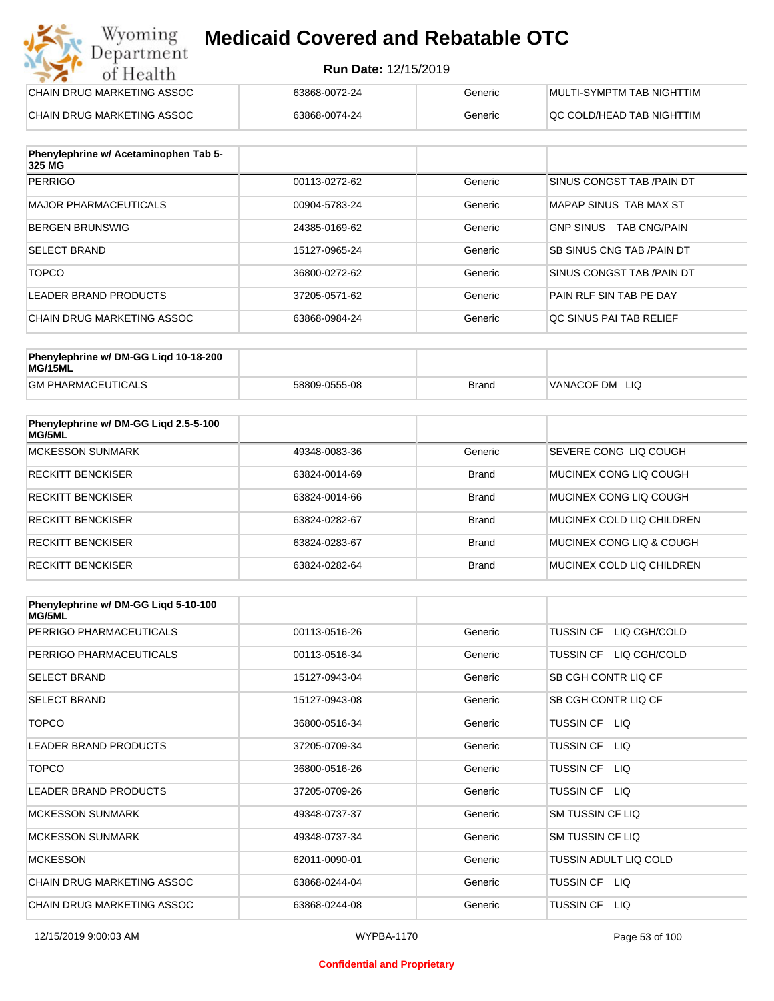#### **Run Date:** 12/15/2019

| Wyoming<br><b>Medicaid Covered and Rebatable OTC</b><br>Department |                             |         |                           |  |
|--------------------------------------------------------------------|-----------------------------|---------|---------------------------|--|
| of Health                                                          | <b>Run Date: 12/15/2019</b> |         |                           |  |
| CHAIN DRUG MARKETING ASSOC                                         | 63868-0072-24               | Generic | MULTI-SYMPTM TAB NIGHTTIM |  |
| CHAIN DRUG MARKETING ASSOC                                         | 63868-0074-24               | Generic | QC COLD/HEAD TAB NIGHTTIM |  |

| Phenylephrine w/ Acetaminophen Tab 5-<br>325 MG |               |         |                                         |
|-------------------------------------------------|---------------|---------|-----------------------------------------|
| <b>PERRIGO</b>                                  | 00113-0272-62 | Generic | SINUS CONGST TAB / PAIN DT              |
| MAJOR PHARMACEUTICALS                           | 00904-5783-24 | Generic | MAPAP SINUS TAB MAX ST                  |
| <b>BERGEN BRUNSWIG</b>                          | 24385-0169-62 | Generic | <b>GNP SINUS</b><br><b>TAB CNG/PAIN</b> |
| <b>SELECT BRAND</b>                             | 15127-0965-24 | Generic | SB SINUS CNG TAB / PAIN DT              |
| <b>TOPCO</b>                                    | 36800-0272-62 | Generic | SINUS CONGST TAB /PAIN DT               |
| LEADER BRAND PRODUCTS                           | 37205-0571-62 | Generic | PAIN RLF SIN TAB PE DAY                 |
| CHAIN DRUG MARKETING ASSOC                      | 63868-0984-24 | Generic | OC SINUS PAI TAB RELIEF                 |

| Phenylephrine w/ DM-GG Ligd 10-18-200<br>MG/15ML |               |              |                   |
|--------------------------------------------------|---------------|--------------|-------------------|
| <b>GM PHARMACEUTICALS</b>                        | 58809-0555-08 | <b>Brand</b> | VANACOF DM<br>LIQ |

| Phenylephrine w/ DM-GG Ligd 2.5-5-100<br>MG/5ML |               |              |                           |
|-------------------------------------------------|---------------|--------------|---------------------------|
| <b>MCKESSON SUNMARK</b>                         | 49348-0083-36 | Generic      | SEVERE CONG LIQ COUGH     |
| <b>RECKITT BENCKISER</b>                        | 63824-0014-69 | <b>Brand</b> | MUCINEX CONG LIO COUGH    |
| <b>RECKITT BENCKISER</b>                        | 63824-0014-66 | <b>Brand</b> | MUCINEX CONG LIO COUGH    |
| <b>RECKITT BENCKISER</b>                        | 63824-0282-67 | <b>Brand</b> | MUCINEX COLD LIQ CHILDREN |
| <b>RECKITT BENCKISER</b>                        | 63824-0283-67 | <b>Brand</b> | MUCINEX CONG LIO & COUGH  |
| RECKITT BENCKISER                               | 63824-0282-64 | <b>Brand</b> | MUCINEX COLD LIQ CHILDREN |

| Phenylephrine w/ DM-GG Ligd 5-10-100<br><b>MG/5ML</b> |               |         |                                  |
|-------------------------------------------------------|---------------|---------|----------------------------------|
| PERRIGO PHARMACEUTICALS                               | 00113-0516-26 | Generic | LIQ CGH/COLD<br>TUSSIN CF        |
| PERRIGO PHARMACEUTICALS                               | 00113-0516-34 | Generic | LIQ CGH/COLD<br><b>TUSSIN CF</b> |
| <b>SELECT BRAND</b>                                   | 15127-0943-04 | Generic | SB CGH CONTR LIQ CF              |
| <b>SELECT BRAND</b>                                   | 15127-0943-08 | Generic | SB CGH CONTR LIQ CF              |
| <b>TOPCO</b>                                          | 36800-0516-34 | Generic | TUSSIN CF LIQ                    |
| <b>LEADER BRAND PRODUCTS</b>                          | 37205-0709-34 | Generic | <b>TUSSIN CF</b><br>LIQ.         |
| <b>TOPCO</b>                                          | 36800-0516-26 | Generic | <b>TUSSIN CF</b><br>LIQ.         |
| <b>LEADER BRAND PRODUCTS</b>                          | 37205-0709-26 | Generic | TUSSIN CF LIQ                    |
| <b>MCKESSON SUNMARK</b>                               | 49348-0737-37 | Generic | <b>SM TUSSIN CF LIQ</b>          |
| <b>MCKESSON SUNMARK</b>                               | 49348-0737-34 | Generic | <b>SM TUSSIN CF LIQ</b>          |
| <b>MCKESSON</b>                                       | 62011-0090-01 | Generic | TUSSIN ADULT LIQ COLD            |
| CHAIN DRUG MARKETING ASSOC                            | 63868-0244-04 | Generic | TUSSIN CF<br>LIQ.                |
| CHAIN DRUG MARKETING ASSOC                            | 63868-0244-08 | Generic | <b>TUSSIN CF</b><br>LIQ.         |

#### **Confidential and Proprietary**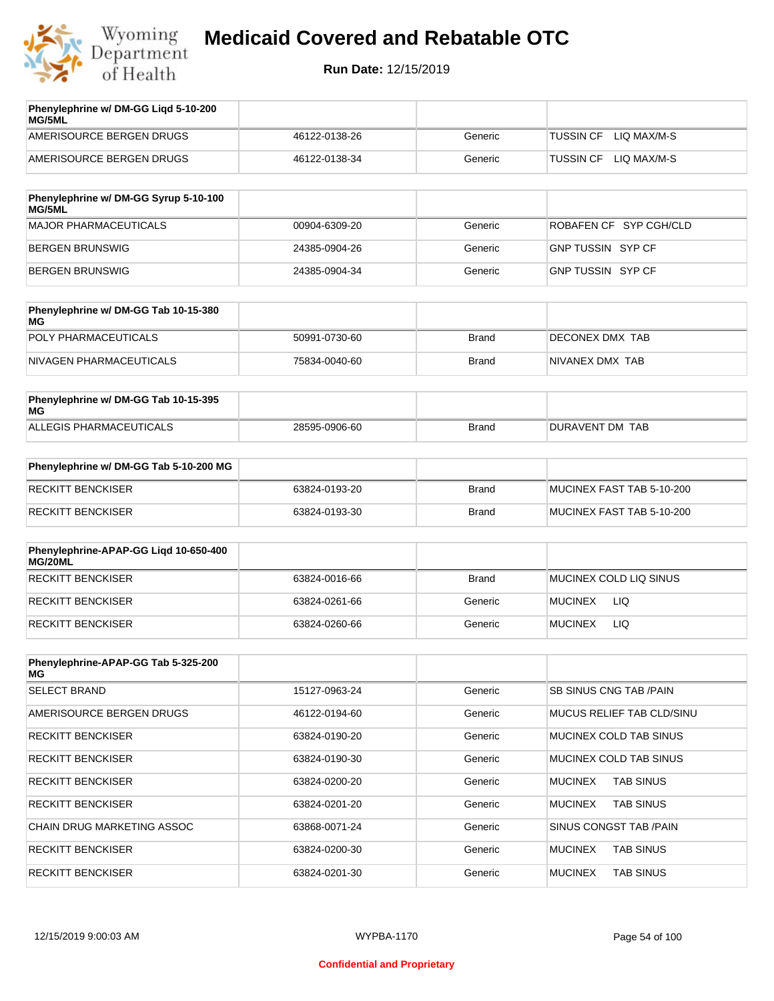

| Phenylephrine w/ DM-GG Ligd 5-10-200<br><b>MG/5ML</b> |               |         |                                 |
|-------------------------------------------------------|---------------|---------|---------------------------------|
| AMERISOURCE BERGEN DRUGS                              | 46122-0138-26 | Generic | LIO MAX/M-S<br><b>TUSSIN CF</b> |
| AMERISOURCE BERGEN DRUGS                              | 46122-0138-34 | Generic | LIO MAX/M-S<br><b>TUSSIN CF</b> |
|                                                       |               |         |                                 |

| Phenylephrine w/ DM-GG Syrup 5-10-100<br>MG/5ML |               |         |                          |
|-------------------------------------------------|---------------|---------|--------------------------|
| MAJOR PHARMACEUTICALS                           | 00904-6309-20 | Generic | ROBAFEN CF SYP CGH/CLD   |
| BERGEN BRUNSWIG                                 | 24385-0904-26 | Generic | <b>GNP TUSSIN SYP CF</b> |
| BERGEN BRUNSWIG                                 | 24385-0904-34 | Generic | GNP TUSSIN SYP CF        |

| Phenylephrine w/ DM-GG Tab 10-15-380<br>MG |               |              |                 |
|--------------------------------------------|---------------|--------------|-----------------|
| POLY PHARMACEUTICALS                       | 50991-0730-60 | <b>Brand</b> | DECONEX DMX TAB |
| NIVAGEN PHARMACEUTICALS                    | 75834-0040-60 | Brand        | NIVANEX DMX TAB |

| Phenylephrine w/ DM-GG Tab 10-15-395<br>MG |               |       |                 |
|--------------------------------------------|---------------|-------|-----------------|
| ALLEGIS PHARMACEUTICALS                    | 28595-0906-60 | Brand | DURAVENT DM TAB |

| Phenylephrine w/ DM-GG Tab 5-10-200 MG |               |       |                           |
|----------------------------------------|---------------|-------|---------------------------|
| RECKITT BENCKISER                      | 63824-0193-20 | Brand | MUCINEX FAST TAB 5-10-200 |
| RECKITT BENCKISER                      | 63824-0193-30 | Brand | MUCINEX FAST TAB 5-10-200 |

| Phenylephrine-APAP-GG Ligd 10-650-400<br>MG/20ML |               |              |                        |
|--------------------------------------------------|---------------|--------------|------------------------|
| RECKITT BENCKISER                                | 63824-0016-66 | <b>Brand</b> | MUCINEX COLD LIQ SINUS |
| RECKITT BENCKISER                                | 63824-0261-66 | Generic      | <b>MUCINEX</b><br>LIQ  |
| RECKITT BENCKISER                                | 63824-0260-66 | Generic      | LIQ<br><b>MUCINEX</b>  |

| Phenylephrine-APAP-GG Tab 5-325-200<br>MG |               |         |                                    |
|-------------------------------------------|---------------|---------|------------------------------------|
| <b>SELECT BRAND</b>                       | 15127-0963-24 | Generic | SB SINUS CNG TAB /PAIN             |
| AMERISOURCE BERGEN DRUGS                  | 46122-0194-60 | Generic | MUCUS RELIEF TAB CLD/SINU          |
| <b>RECKITT BENCKISER</b>                  | 63824-0190-20 | Generic | MUCINEX COLD TAB SINUS             |
| <b>RECKITT BENCKISER</b>                  | 63824-0190-30 | Generic | MUCINEX COLD TAB SINUS             |
| <b>RECKITT BENCKISER</b>                  | 63824-0200-20 | Generic | <b>TAB SINUS</b><br><b>MUCINEX</b> |
| <b>RECKITT BENCKISER</b>                  | 63824-0201-20 | Generic | <b>TAB SINUS</b><br><b>MUCINEX</b> |
| <b>CHAIN DRUG MARKETING ASSOC</b>         | 63868-0071-24 | Generic | SINUS CONGST TAB /PAIN             |
| <b>RECKITT BENCKISER</b>                  | 63824-0200-30 | Generic | <b>MUCINEX</b><br><b>TAB SINUS</b> |
| <b>RECKITT BENCKISER</b>                  | 63824-0201-30 | Generic | <b>MUCINEX</b><br><b>TAB SINUS</b> |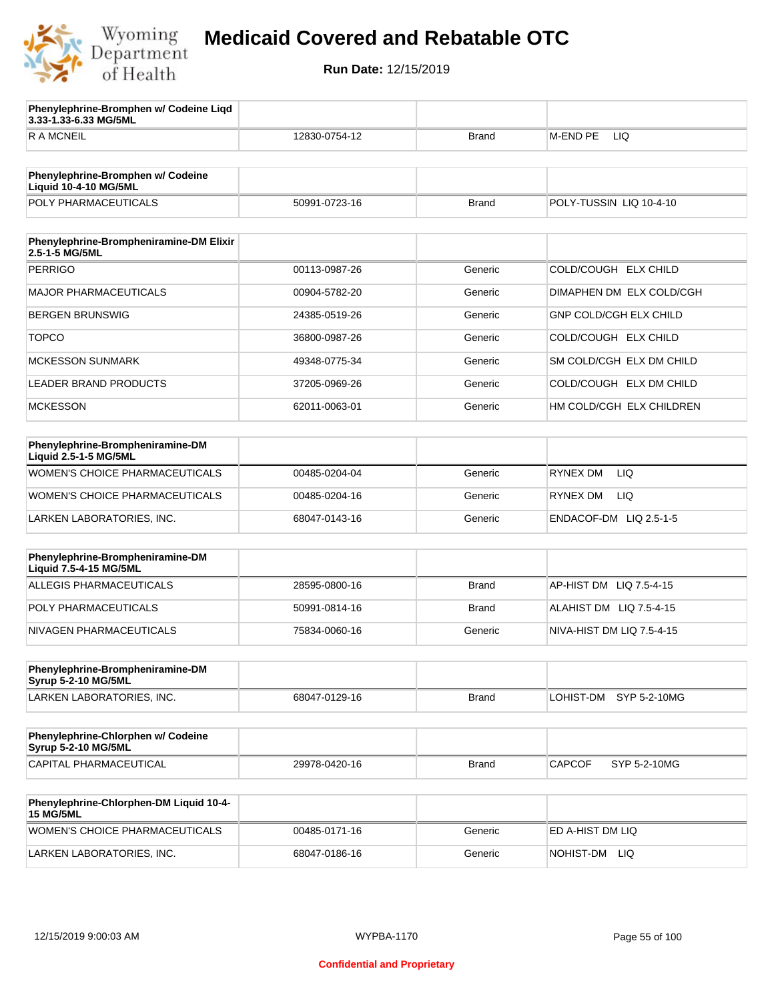

**3.33-1.33-6.33 MG/5ML**

**Phenylephrine-Bromphen w/ Codeine Liqd** 

## **Medicaid Covered and Rebatable OTC**

| <b>RAMCNEIL</b>                                                   | 12830-0754-12 | <b>Brand</b> | M-END PE<br>LIQ.              |
|-------------------------------------------------------------------|---------------|--------------|-------------------------------|
|                                                                   |               |              |                               |
| Phenylephrine-Bromphen w/ Codeine<br><b>Liquid 10-4-10 MG/5ML</b> |               |              |                               |
| POLY PHARMACEUTICALS                                              | 50991-0723-16 | <b>Brand</b> | POLY-TUSSIN LIQ 10-4-10       |
|                                                                   |               |              |                               |
| Phenylephrine-Brompheniramine-DM Elixir<br>2.5-1-5 MG/5ML         |               |              |                               |
| <b>PERRIGO</b>                                                    | 00113-0987-26 | Generic      | COLD/COUGH ELX CHILD          |
| <b>MAJOR PHARMACEUTICALS</b>                                      | 00904-5782-20 | Generic      | DIMAPHEN DM ELX COLD/CGH      |
| <b>BERGEN BRUNSWIG</b>                                            | 24385-0519-26 | Generic      | <b>GNP COLD/CGH ELX CHILD</b> |
| <b>TOPCO</b>                                                      | 36800-0987-26 | Generic      | COLD/COUGH ELX CHILD          |
| <b>MCKESSON SUNMARK</b>                                           | 49348-0775-34 | Generic      | SM COLD/CGH ELX DM CHILD      |
| LEADER BRAND PRODUCTS                                             | 37205-0969-26 | Generic      | COLD/COUGH ELX DM CHILD       |
| <b>MCKESSON</b>                                                   | 62011-0063-01 | Generic      | HM COLD/CGH ELX CHILDREN      |
|                                                                   |               |              |                               |
| Phenylephrine-Brompheniramine-DM<br>Liquid 2.5-1-5 MG/5ML         |               |              |                               |
| WOMEN'S CHOICE PHARMACEUTICALS                                    | 00485-0204-04 | Generic      | <b>LIQ</b><br><b>RYNEX DM</b> |
| WOMEN'S CHOICE PHARMACEUTICALS                                    | 00485-0204-16 | Generic      | <b>RYNEX DM</b><br>LIQ.       |
| LARKEN LABORATORIES, INC.                                         | 68047-0143-16 | Generic      | ENDACOF-DM LIQ 2.5-1-5        |
| Phenylephrine-Brompheniramine-DM                                  |               |              |                               |
| Liquid 7.5-4-15 MG/5ML                                            |               |              |                               |
| ALLEGIS PHARMACEUTICALS                                           | 28595-0800-16 | <b>Brand</b> | AP-HIST DM LIQ 7.5-4-15       |
| POLY PHARMACEUTICALS                                              | 50991-0814-16 | <b>Brand</b> | ALAHIST DM LIQ 7.5-4-15       |
| NIVAGEN PHARMACEUTICALS                                           | 75834-0060-16 | Generic      | NIVA-HIST DM LIQ 7.5-4-15     |
| Phenylephrine-Brompheniramine-DM                                  |               |              |                               |
| <b>Syrup 5-2-10 MG/5ML</b>                                        |               |              |                               |
| LARKEN LABORATORIES, INC.                                         | 68047-0129-16 | <b>Brand</b> | LOHIST-DM<br>SYP 5-2-10MG     |
|                                                                   |               |              |                               |
| Phenylephrine-Chlorphen w/ Codeine<br>Syrup 5-2-10 MG/5ML         |               |              |                               |
| CAPITAL PHARMACEUTICAL                                            | 29978-0420-16 | <b>Brand</b> | <b>CAPCOF</b><br>SYP 5-2-10MG |
| Phenylephrine-Chlorphen-DM Liquid 10-4-                           |               |              |                               |
| <b>15 MG/5ML</b>                                                  |               |              |                               |
| WOMEN'S CHOICE PHARMACEUTICALS                                    | 00485-0171-16 | Generic      | ED A-HIST DM LIQ              |
| LARKEN LABORATORIES, INC.                                         | 68047-0186-16 | Generic      | NOHIST-DM LIQ                 |
|                                                                   |               |              |                               |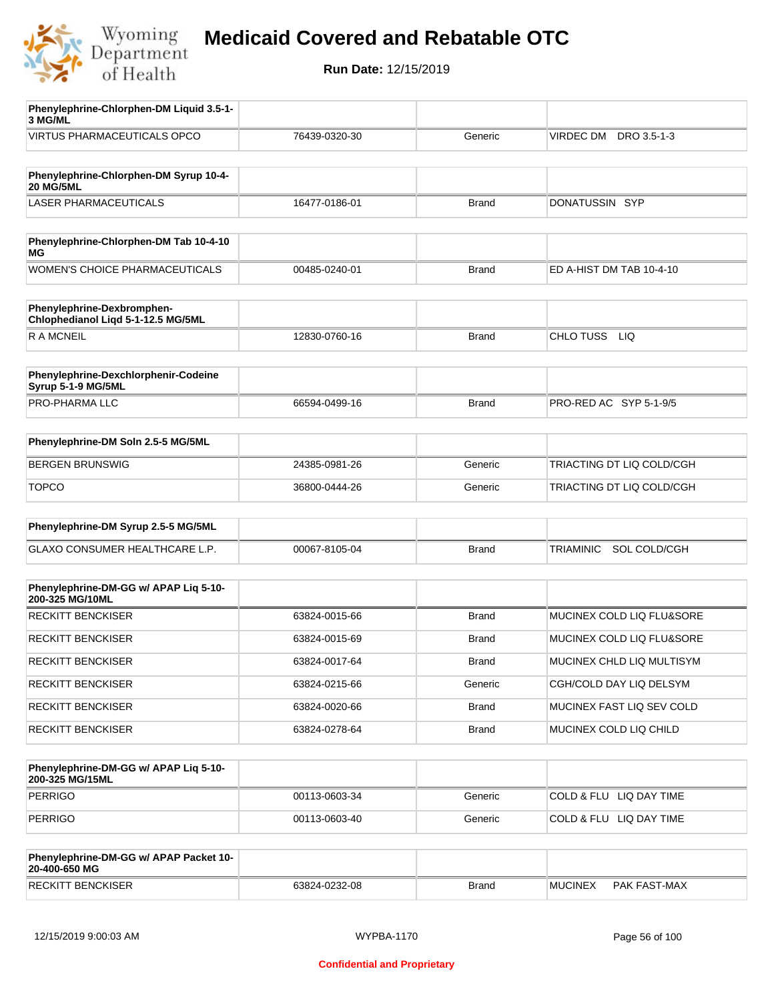

**Run Date:** 12/15/2019

| Phenylephrine-Chlorphen-DM Liquid 3.5-1-<br>3 MG/ML              |               |              |                           |
|------------------------------------------------------------------|---------------|--------------|---------------------------|
| <b>VIRTUS PHARMACEUTICALS OPCO</b>                               | 76439-0320-30 | Generic      | VIRDEC DM DRO 3.5-1-3     |
|                                                                  |               |              |                           |
| Phenylephrine-Chlorphen-DM Syrup 10-4-<br><b>20 MG/5ML</b>       |               |              |                           |
| LASER PHARMACEUTICALS                                            | 16477-0186-01 | <b>Brand</b> | DONATUSSIN SYP            |
|                                                                  |               |              |                           |
| Phenylephrine-Chlorphen-DM Tab 10-4-10<br>МG                     |               |              |                           |
| WOMEN'S CHOICE PHARMACEUTICALS                                   | 00485-0240-01 | <b>Brand</b> | ED A-HIST DM TAB 10-4-10  |
| Phenylephrine-Dexbromphen-<br>Chlophedianol Liqd 5-1-12.5 MG/5ML |               |              |                           |
| R A MCNEIL                                                       | 12830-0760-16 | <b>Brand</b> | CHLO TUSS<br>LIQ          |
| Phenylephrine-Dexchlorphenir-Codeine                             |               |              |                           |
| Syrup 5-1-9 MG/5ML                                               |               |              |                           |
| PRO-PHARMA LLC                                                   | 66594-0499-16 | <b>Brand</b> | PRO-RED AC SYP 5-1-9/5    |
| Phenylephrine-DM Soln 2.5-5 MG/5ML                               |               |              |                           |
| <b>BERGEN BRUNSWIG</b>                                           | 24385-0981-26 | Generic      | TRIACTING DT LIQ COLD/CGH |
| <b>TOPCO</b>                                                     | 36800-0444-26 | Generic      | TRIACTING DT LIQ COLD/CGH |
|                                                                  |               |              |                           |
| Phenylephrine-DM Syrup 2.5-5 MG/5ML                              |               |              |                           |
| GLAXO CONSUMER HEALTHCARE L.P.                                   | 00067-8105-04 | <b>Brand</b> | SOL COLD/CGH<br>TRIAMINIC |
| Phenylephrine-DM-GG w/ APAP Liq 5-10-<br>200-325 MG/10ML         |               |              |                           |
| <b>RECKITT BENCKISER</b>                                         | 63824-0015-66 | <b>Brand</b> | MUCINEX COLD LIQ FLU&SORE |
| <b>RECKITT BENCKISER</b>                                         | 63824-0015-69 | Brand        | MUCINEX COLD LIQ FLU&SORE |
| RECKITT BENCKISER                                                | 63824-0017-64 | <b>Brand</b> | MUCINEX CHLD LIQ MULTISYM |
| <b>RECKITT BENCKISER</b>                                         | 63824-0215-66 | Generic      | CGH/COLD DAY LIQ DELSYM   |
| <b>RECKITT BENCKISER</b>                                         | 63824-0020-66 | <b>Brand</b> | MUCINEX FAST LIQ SEV COLD |
| RECKITT BENCKISER                                                | 63824-0278-64 | Brand        | MUCINEX COLD LIQ CHILD    |
| Phenylephrine-DM-GG w/ APAP Liq 5-10-                            |               |              |                           |
| 200-325 MG/15ML<br><b>PERRIGO</b>                                |               |              |                           |
|                                                                  | 00113-0603-34 | Generic      | COLD & FLU LIQ DAY TIME   |
| <b>PERRIGO</b>                                                   | 00113-0603-40 | Generic      | COLD & FLU LIQ DAY TIME   |
| Phenylephrine-DM-GG w/ APAP Packet 10-<br>20-400-650 MG          |               |              |                           |

RECKITT BENCKISER **EXAMPLE 1999** 63824-0232-08 Brand Brand MUCINEX PAK FAST-MAX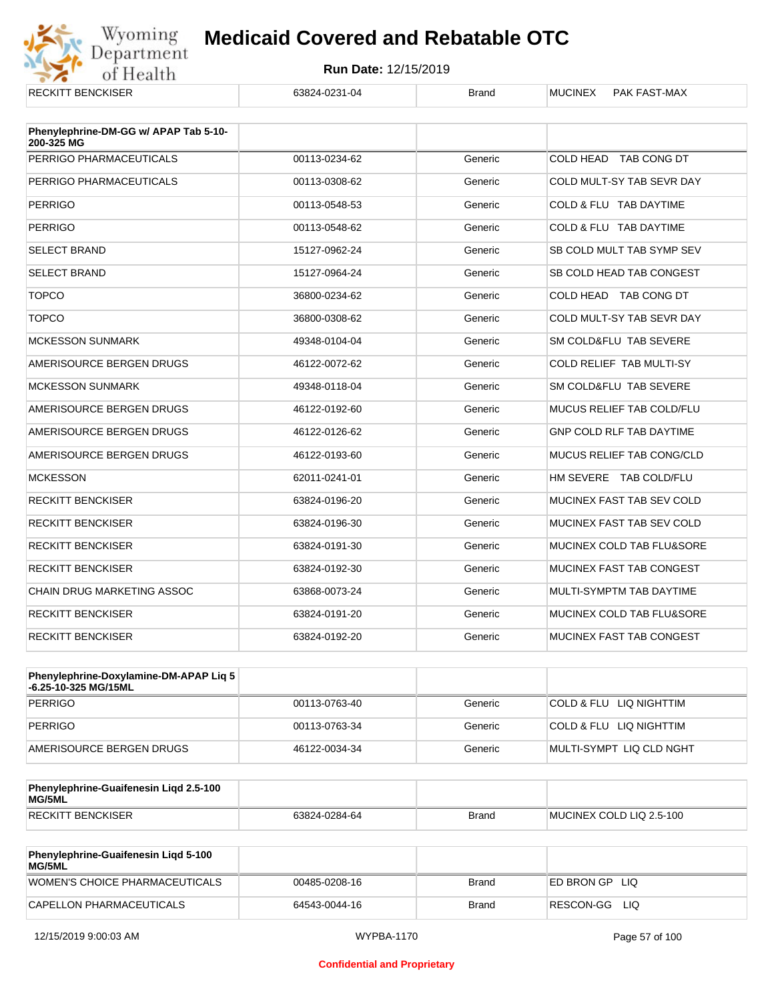

| NLVNI I DLIVVNJEN                                   | UJ024-02J I-04 | pialiu  | <b>IVIUUIIVLA</b><br><b>FAN FAO FIVIAA</b> |
|-----------------------------------------------------|----------------|---------|--------------------------------------------|
| Phenylephrine-DM-GG w/ APAP Tab 5-10-<br>200-325 MG |                |         |                                            |
| PERRIGO PHARMACEUTICALS                             | 00113-0234-62  | Generic | COLD HEAD TAB CONG DT                      |
| PERRIGO PHARMACEUTICALS                             | 00113-0308-62  | Generic | COLD MULT-SY TAB SEVR DAY                  |
| <b>PERRIGO</b>                                      | 00113-0548-53  | Generic | COLD & FLU TAB DAYTIME                     |
| <b>PERRIGO</b>                                      | 00113-0548-62  | Generic | COLD & FLU TAB DAYTIME                     |
| <b>SELECT BRAND</b>                                 | 15127-0962-24  | Generic | SB COLD MULT TAB SYMP SEV                  |
| <b>SELECT BRAND</b>                                 | 15127-0964-24  | Generic | SB COLD HEAD TAB CONGEST                   |
| <b>TOPCO</b>                                        | 36800-0234-62  | Generic | COLD HEAD TAB CONG DT                      |
| <b>TOPCO</b>                                        | 36800-0308-62  | Generic | COLD MULT-SY TAB SEVR DAY                  |
| <b>MCKESSON SUNMARK</b>                             | 49348-0104-04  | Generic | SM COLD&FLU TAB SEVERE                     |
| AMERISOURCE BERGEN DRUGS                            | 46122-0072-62  | Generic | COLD RELIEF TAB MULTI-SY                   |
| <b>MCKESSON SUNMARK</b>                             | 49348-0118-04  | Generic | SM COLD&FLU TAB SEVERE                     |
| AMERISOURCE BERGEN DRUGS                            | 46122-0192-60  | Generic | MUCUS RELIEF TAB COLD/FLU                  |
| AMERISOURCE BERGEN DRUGS                            | 46122-0126-62  | Generic | <b>GNP COLD RLF TAB DAYTIME</b>            |
| AMERISOURCE BERGEN DRUGS                            | 46122-0193-60  | Generic | MUCUS RELIEF TAB CONG/CLD                  |
| <b>MCKESSON</b>                                     | 62011-0241-01  | Generic | HM SEVERE TAB COLD/FLU                     |
| <b>RECKITT BENCKISER</b>                            | 63824-0196-20  | Generic | MUCINEX FAST TAB SEV COLD                  |
| <b>RECKITT BENCKISER</b>                            | 63824-0196-30  | Generic | MUCINEX FAST TAB SEV COLD                  |
| <b>RECKITT BENCKISER</b>                            | 63824-0191-30  | Generic | MUCINEX COLD TAB FLU&SORE                  |
| <b>RECKITT BENCKISER</b>                            | 63824-0192-30  | Generic | MUCINEX FAST TAB CONGEST                   |
| <b>CHAIN DRUG MARKETING ASSOC</b>                   | 63868-0073-24  | Generic | MULTI-SYMPTM TAB DAYTIME                   |
| <b>RECKITT BENCKISER</b>                            | 63824-0191-20  | Generic | MUCINEX COLD TAB FLU&SORE                  |
| <b>RECKITT BENCKISER</b>                            | 63824-0192-20  | Generic | MUCINEX FAST TAB CONGEST                   |

| Phenylephrine-Doxylamine-DM-APAP Liq 5<br>-6.25-10-325 MG/15ML |               |         |                          |
|----------------------------------------------------------------|---------------|---------|--------------------------|
| PERRIGO                                                        | 00113-0763-40 | Generic | COLD & FLU LIQ NIGHTTIM  |
| PERRIGO                                                        | 00113-0763-34 | Generic | COLD & FLU LIQ NIGHTTIM  |
| AMERISOURCE BERGEN DRUGS                                       | 46122-0034-34 | Generic | MULTI-SYMPT LIQ CLD NGHT |

| Phenylephrine-Guaifenesin Ligd 2.5-100<br>MG/5ML |               |              |                          |
|--------------------------------------------------|---------------|--------------|--------------------------|
| RECKITT BENCKISER                                | 63824-0284-64 | <b>Brand</b> | MUCINEX COLD LIQ 2.5-100 |

| <b>Phenylephrine-Guaifenesin Ligd 5-100</b><br><b>MG/5ML</b> |               |       |                    |
|--------------------------------------------------------------|---------------|-------|--------------------|
| WOMEN'S CHOICE PHARMACEUTICALS                               | 00485-0208-16 | Brand | ED BRON GP<br>-LIQ |
| CAPELLON PHARMACEUTICALS                                     | 64543-0044-16 | Brand | RESCON-GG<br>LIQ   |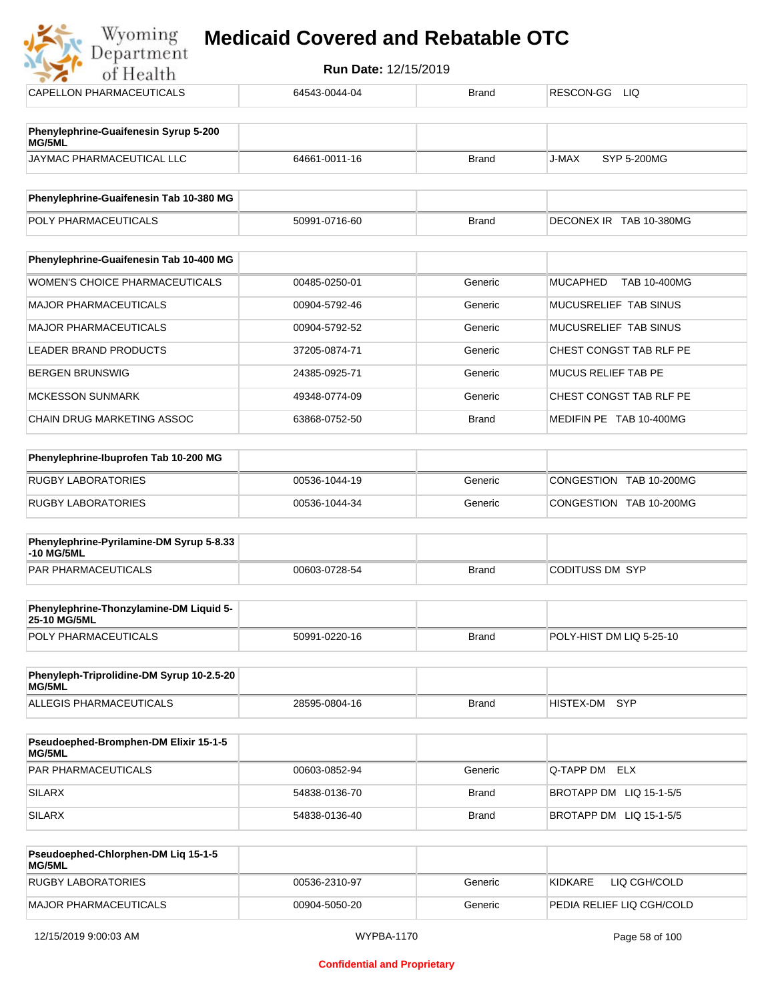

Wyoming

| Phenylephrine-Guaifenesin Tab 10-400 MG |               |              |                          |
|-----------------------------------------|---------------|--------------|--------------------------|
| WOMEN'S CHOICE PHARMACEUTICALS          | 00485-0250-01 | Generic      | TAB 10-400MG<br>MUCAPHED |
|                                         |               |              |                          |
| MAJOR PHARMACEUTICALS                   | 00904-5792-46 | Generic      | MUCUSRELIEF TAB SINUS    |
| <b>MAJOR PHARMACEUTICALS</b>            | 00904-5792-52 | Generic      | MUCUSRELIEF TAB SINUS    |
| LEADER BRAND PRODUCTS                   | 37205-0874-71 | Generic      | CHEST CONGST TAB RLF PE  |
| <b>BERGEN BRUNSWIG</b>                  | 24385-0925-71 | Generic      | MUCUS RELIEF TAB PE      |
| <b>MCKESSON SUNMARK</b>                 | 49348-0774-09 | Generic      | CHEST CONGST TAB RLF PE  |
| CHAIN DRUG MARKETING ASSOC              | 63868-0752-50 | <b>Brand</b> | MEDIFIN PE TAB 10-400MG  |

| Phenylephrine-Ibuprofen Tab 10-200 MG |               |         |                         |
|---------------------------------------|---------------|---------|-------------------------|
| RUGBY LABORATORIES                    | 00536-1044-19 | Generic | CONGESTION TAB 10-200MG |
| RUGBY LABORATORIES                    | 00536-1044-34 | Generic | CONGESTION TAB 10-200MG |

| Phenylephrine-Pyrilamine-DM Syrup 5-8.33<br>-10 MG/5ML |               |       |                  |
|--------------------------------------------------------|---------------|-------|------------------|
| PAR PHARMACEUTICALS                                    | 00603-0728-54 | Brand | CODITUSS DM_SYP_ |

| <b>Phenylephrine-Thonzylamine-DM Liquid 5-</b><br><b>25-10 MG/5ML</b> |               |       |                          |
|-----------------------------------------------------------------------|---------------|-------|--------------------------|
| <b>POLY PHARMACEUTICALS</b>                                           | 50991-0220-16 | Brand | POLY-HIST DM LIQ 5-25-10 |

| Phenyleph-Triprolidine-DM Syrup 10-2.5-20<br>MG/5ML |               |       |               |  |
|-----------------------------------------------------|---------------|-------|---------------|--|
| ALLEGIS PHARMACEUTICALS                             | 28595-0804-16 | Brand | HISTEX-DM SYP |  |

| <b>Pseudoephed-Bromphen-DM Elixir 15-1-5</b><br>MG/5ML |               |              |                         |
|--------------------------------------------------------|---------------|--------------|-------------------------|
| <b>PAR PHARMACEUTICALS</b>                             | 00603-0852-94 | Generic      | <b>Q-TAPP DM ELX</b>    |
| SILARX                                                 | 54838-0136-70 | Brand        | BROTAPP DM LIQ 15-1-5/5 |
| SILARX                                                 | 54838-0136-40 | <b>Brand</b> | BROTAPP DM LIQ 15-1-5/5 |

| Pseudoephed-Chlorphen-DM Lig 15-1-5<br><b>MG/5ML</b> |               |         |                           |
|------------------------------------------------------|---------------|---------|---------------------------|
| RUGBY LABORATORIES                                   | 00536-2310-97 | Generic | KIDKARE<br>LIQ CGH/COLD   |
| MAJOR PHARMACEUTICALS                                | 00904-5050-20 | Generic | PEDIA RELIEF LIQ CGH/COLD |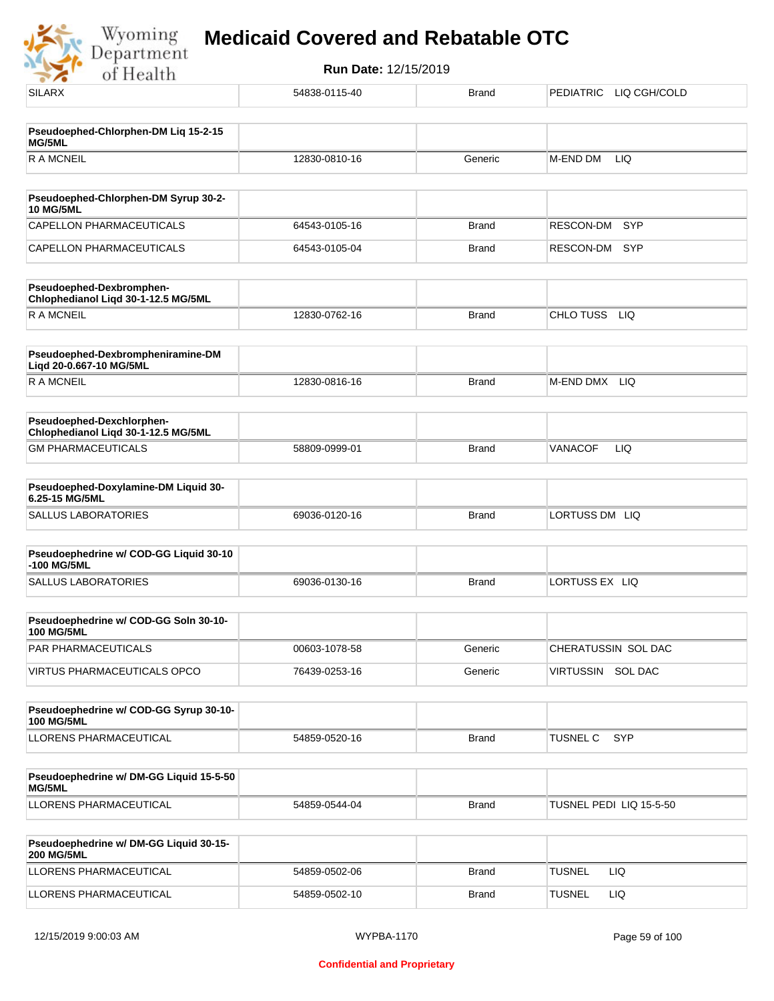

| <b>SILARX</b>                                                    | 54838-0115-40 | <b>Brand</b> | <b>PEDIATRIC</b><br>LIQ CGH/COLD |
|------------------------------------------------------------------|---------------|--------------|----------------------------------|
|                                                                  |               |              |                                  |
| Pseudoephed-Chlorphen-DM Liq 15-2-15<br>MG/5ML                   |               |              |                                  |
| <b>RAMCNEIL</b>                                                  | 12830-0810-16 | Generic      | <b>LIQ</b><br>M-END DM           |
| Pseudoephed-Chlorphen-DM Syrup 30-2-                             |               |              |                                  |
| <b>10 MG/5ML</b>                                                 |               |              |                                  |
| <b>CAPELLON PHARMACEUTICALS</b>                                  | 64543-0105-16 | <b>Brand</b> | <b>SYP</b><br>RESCON-DM          |
| CAPELLON PHARMACEUTICALS                                         | 64543-0105-04 | <b>Brand</b> | RESCON-DM<br><b>SYP</b>          |
| Pseudoephed-Dexbromphen-<br>Chlophedianol Liqd 30-1-12.5 MG/5ML  |               |              |                                  |
| <b>RAMCNEIL</b>                                                  | 12830-0762-16 | <b>Brand</b> | CHLO TUSS<br><b>LIQ</b>          |
| Pseudoephed-Dexbrompheniramine-DM<br>Liqd 20-0.667-10 MG/5ML     |               |              |                                  |
| <b>RAMCNEIL</b>                                                  | 12830-0816-16 | <b>Brand</b> | M-END DMX LIQ                    |
| Pseudoephed-Dexchlorphen-<br>Chlophedianol Liqd 30-1-12.5 MG/5ML |               |              |                                  |
| <b>GM PHARMACEUTICALS</b>                                        | 58809-0999-01 | <b>Brand</b> | <b>VANACOF</b><br>LIQ            |
| Pseudoephed-Doxylamine-DM Liquid 30-<br>6.25-15 MG/5ML           |               |              |                                  |
| <b>SALLUS LABORATORIES</b>                                       | 69036-0120-16 | <b>Brand</b> | LORTUSS DM LIQ                   |
| Pseudoephedrine w/ COD-GG Liquid 30-10                           |               |              |                                  |
| -100 MG/5ML                                                      |               |              |                                  |
| <b>SALLUS LABORATORIES</b>                                       | 69036-0130-16 | <b>Brand</b> | LORTUSS EX LIQ                   |
| Pseudoephedrine w/ COD-GG Soln 30-10-<br><b>100 MG/5ML</b>       |               |              |                                  |
| PAR PHARMACEUTICALS                                              | 00603-1078-58 | Generic      | CHERATUSSIN SOL DAC              |
| VIRTUS PHARMACEUTICALS OPCO                                      | 76439-0253-16 | Generic      | VIRTUSSIN SOL DAC                |
| Pseudoephedrine w/ COD-GG Syrup 30-10-                           |               |              |                                  |
| <b>100 MG/5ML</b>                                                |               |              |                                  |
| LLORENS PHARMACEUTICAL                                           | 54859-0520-16 | <b>Brand</b> | <b>SYP</b><br><b>TUSNEL C</b>    |
| Pseudoephedrine w/ DM-GG Liquid 15-5-50<br>MG/5ML                |               |              |                                  |
| LLORENS PHARMACEUTICAL                                           | 54859-0544-04 | Brand        | TUSNEL PEDI LIQ 15-5-50          |
| Pseudoephedrine w/ DM-GG Liquid 30-15-<br><b>200 MG/5ML</b>      |               |              |                                  |
| LLORENS PHARMACEUTICAL                                           | 54859-0502-06 | Brand        | <b>TUSNEL</b><br>LIQ             |
| LLORENS PHARMACEUTICAL                                           | 54859-0502-10 | <b>Brand</b> | <b>TUSNEL</b><br>LIQ             |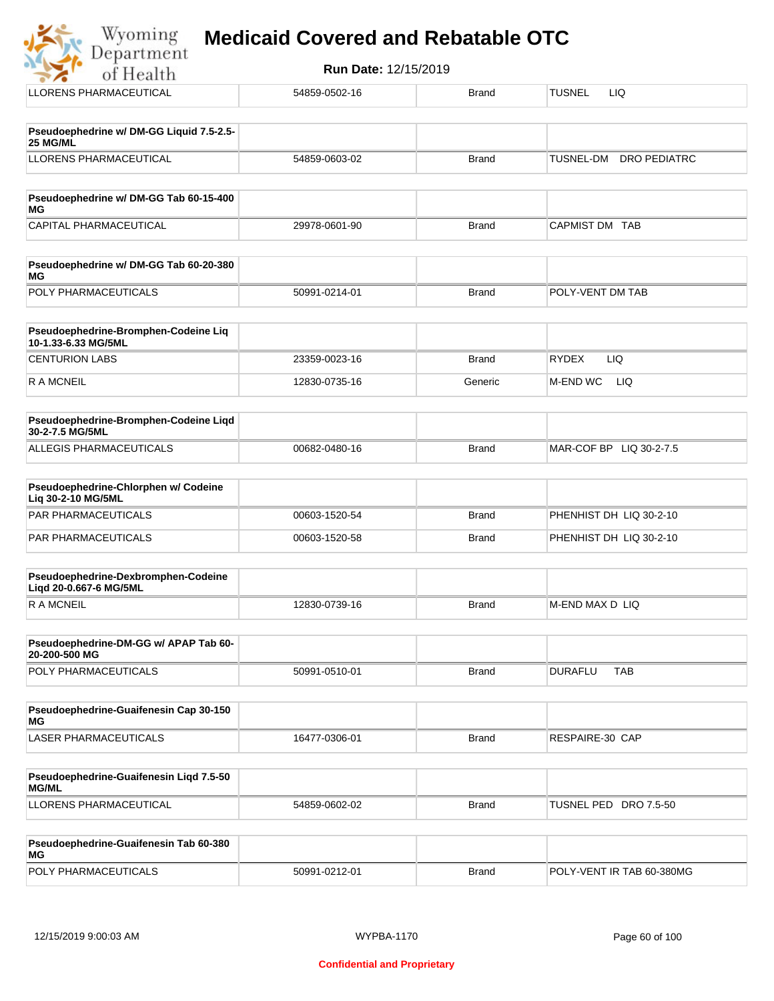

| Pseudoephedrine w/ DM-GG Tab 60-15-400<br>MG |               |       |                |
|----------------------------------------------|---------------|-------|----------------|
| CAPITAL PHARMACEUTICAL                       | 29978-0601-90 | Brand | CAPMIST DM TAB |

| <b>Pseudoephedrine w/ DM-GG Tab 60-20-380</b><br>MG |               |       |                  |
|-----------------------------------------------------|---------------|-------|------------------|
| <b>POLY PHARMACEUTICALS</b>                         | 50991-0214-01 | Brand | POLY-VENT DM TAB |

| Pseudoephedrine-Bromphen-Codeine Lig<br>10-1.33-6.33 MG/5ML |               |         |                     |
|-------------------------------------------------------------|---------------|---------|---------------------|
| <b>CENTURION LABS</b>                                       | 23359-0023-16 | Brand   | <b>RYDEX</b><br>LIQ |
| R A MCNEIL                                                  | 12830-0735-16 | Generic | M-END WC<br>LIQ     |

| <b>Pseudoephedrine-Bromphen-Codeine Ligd</b><br>30-2-7.5 MG/5ML |               |              |                         |
|-----------------------------------------------------------------|---------------|--------------|-------------------------|
| ALLEGIS PHARMACEUTICALS                                         | 00682-0480-16 | <b>Brand</b> | MAR-COF BP LIQ 30-2-7.5 |

| <b>Pseudoephedrine-Chlorphen w/ Codeine</b><br>Lig 30-2-10 MG/5ML |               |              |                         |
|-------------------------------------------------------------------|---------------|--------------|-------------------------|
| PAR PHARMACEUTICALS                                               | 00603-1520-54 | <b>Brand</b> | PHENHIST DH LIQ 30-2-10 |
| PAR PHARMACEUTICALS                                               | 00603-1520-58 | <b>Brand</b> | PHENHIST DH LIQ 30-2-10 |

| Pseudoephedrine-Dexbromphen-Codeine<br>Ligd 20-0.667-6 MG/5ML |               |       |                  |
|---------------------------------------------------------------|---------------|-------|------------------|
| R A MCNEIL                                                    | 12830-0739-16 | Brand | IM-END MAX D LIQ |

| Pseudoephedrine-DM-GG w/ APAP Tab 60-<br>20-200-500 MG |               |       |                |     |
|--------------------------------------------------------|---------------|-------|----------------|-----|
| <b>POLY PHARMACEUTICALS</b>                            | 50991-0510-01 | Brand | <b>DURAFLU</b> | TAB |

| Pseudoephedrine-Guaifenesin Cap 30-150<br>MG |               |              |                 |
|----------------------------------------------|---------------|--------------|-----------------|
| LASER PHARMACEUTICALS                        | 16477-0306-01 | <b>Brand</b> | RESPAIRE-30 CAP |

| Pseudoephedrine-Guaifenesin Ligd 7.5-50<br><b>MG/ML</b> |               |              |                          |
|---------------------------------------------------------|---------------|--------------|--------------------------|
| LLORENS PHARMACEUTICAL                                  | 54859-0602-02 | <b>Brand</b> | TUSNEL PED<br>DRO 7.5-50 |

| Pseudoephedrine-Guaifenesin Tab 60-380<br>MG |               |       |                           |
|----------------------------------------------|---------------|-------|---------------------------|
| <b>POLY PHARMACEUTICALS</b>                  | 50991-0212-01 | Brand | POLY-VENT IR TAB 60-380MG |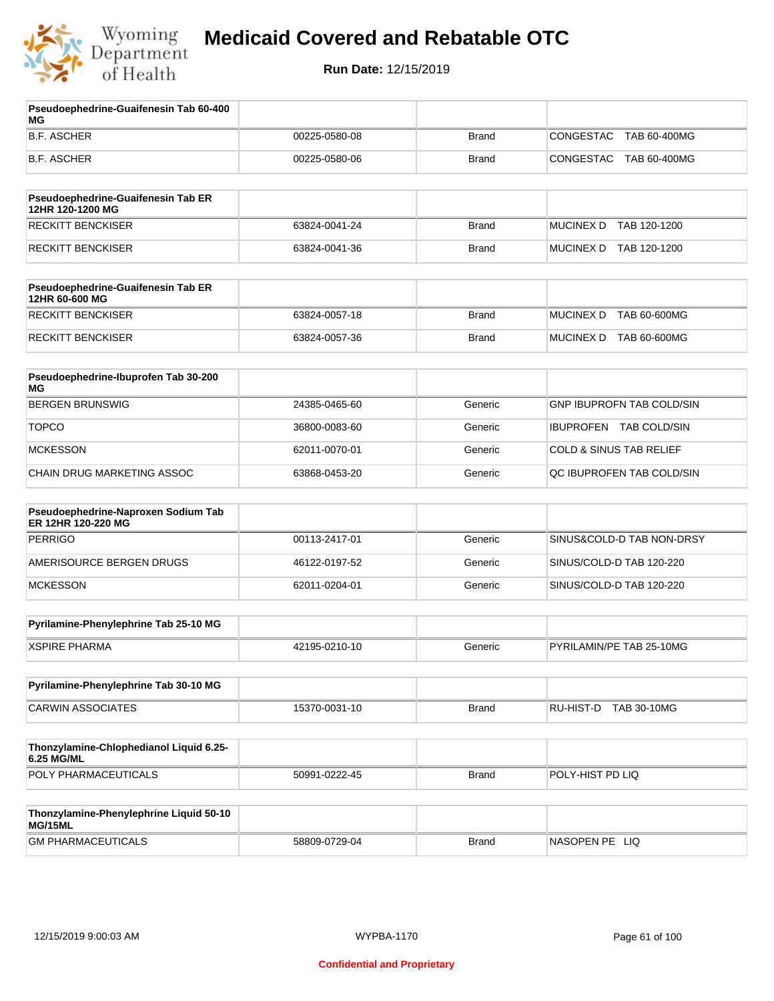

**Run Date:** 12/15/2019

| Pseudoephedrine-Guaifenesin Tab 60-400<br>МG              |               |              |                                    |
|-----------------------------------------------------------|---------------|--------------|------------------------------------|
| <b>B.F. ASCHER</b>                                        | 00225-0580-08 | <b>Brand</b> | CONGESTAC<br>TAB 60-400MG          |
| <b>B.F. ASCHER</b>                                        | 00225-0580-06 | <b>Brand</b> | CONGESTAC<br>TAB 60-400MG          |
| Pseudoephedrine-Guaifenesin Tab ER<br>12HR 120-1200 MG    |               |              |                                    |
| <b>RECKITT BENCKISER</b>                                  | 63824-0041-24 | <b>Brand</b> | <b>MUCINEX D</b><br>TAB 120-1200   |
| RECKITT BENCKISER                                         | 63824-0041-36 | <b>Brand</b> | MUCINEX D TAB 120-1200             |
| Pseudoephedrine-Guaifenesin Tab ER<br>12HR 60-600 MG      |               |              |                                    |
| <b>RECKITT BENCKISER</b>                                  | 63824-0057-18 | <b>Brand</b> | <b>MUCINEX D</b><br>TAB 60-600MG   |
| <b>RECKITT BENCKISER</b>                                  | 63824-0057-36 | <b>Brand</b> | MUCINEX D TAB 60-600MG             |
| Pseudoephedrine-Ibuprofen Tab 30-200<br><b>MG</b>         |               |              |                                    |
| <b>BERGEN BRUNSWIG</b>                                    | 24385-0465-60 | Generic      | <b>GNP IBUPROFN TAB COLD/SIN</b>   |
| <b>TOPCO</b>                                              | 36800-0083-60 | Generic      | IBUPROFEN TAB COLD/SIN             |
| <b>MCKESSON</b>                                           | 62011-0070-01 | Generic      | <b>COLD &amp; SINUS TAB RELIEF</b> |
| CHAIN DRUG MARKETING ASSOC                                | 63868-0453-20 | Generic      | QC IBUPROFEN TAB COLD/SIN          |
| Pseudoephedrine-Naproxen Sodium Tab<br>ER 12HR 120-220 MG |               |              |                                    |
| <b>PERRIGO</b>                                            | 00113-2417-01 | Generic      | SINUS&COLD-D TAB NON-DRSY          |
| AMERISOURCE BERGEN DRUGS                                  | 46122-0197-52 | Generic      | SINUS/COLD-D TAB 120-220           |
| <b>MCKESSON</b>                                           | 62011-0204-01 | Generic      | SINUS/COLD-D TAB 120-220           |
| Pyrilamine-Phenylephrine Tab 25-10 MG                     |               |              |                                    |
| <b>XSPIRE PHARMA</b>                                      | 42195-0210-10 | Generic      | PYRILAMIN/PE TAB 25-10MG           |
| Pyrilamine-Phenylephrine Tab 30-10 MG                     |               |              |                                    |
| <b>CARWIN ASSOCIATES</b>                                  | 15370-0031-10 | <b>Brand</b> | RU-HIST-D<br><b>TAB 30-10MG</b>    |
| Thonzylamine-Chlophedianol Liquid 6.25-<br>6.25 MG/ML     |               |              |                                    |
| POLY PHARMACEUTICALS                                      | 50991-0222-45 | <b>Brand</b> | POLY-HIST PD LIQ                   |
| Thonzylamine-Phenylephrine Liquid 50-10<br>MG/15ML        |               |              |                                    |
| <b>GM PHARMACEUTICALS</b>                                 | 58809-0729-04 | <b>Brand</b> | NASOPEN PE LIQ                     |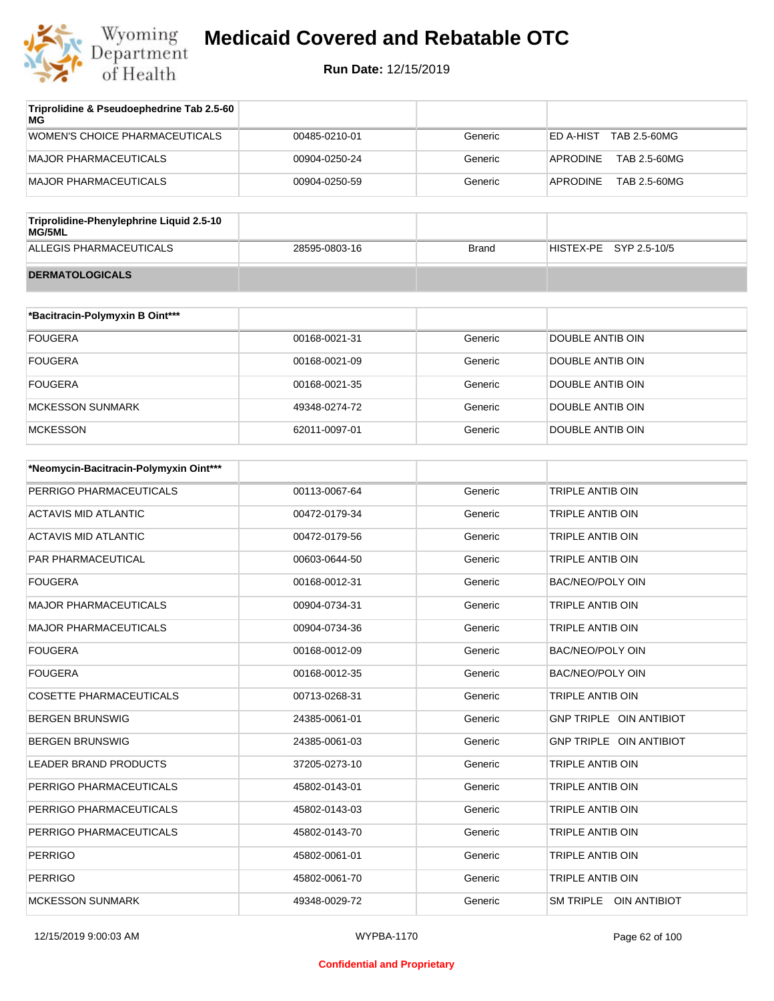

| Triprolidine & Pseudoephedrine Tab 2.5-60<br>МG    |               |              |                                 |
|----------------------------------------------------|---------------|--------------|---------------------------------|
| WOMEN'S CHOICE PHARMACEUTICALS                     | 00485-0210-01 | Generic      | ED A-HIST<br>TAB 2.5-60MG       |
| <b>MAJOR PHARMACEUTICALS</b>                       | 00904-0250-24 | Generic      | <b>APRODINE</b><br>TAB 2.5-60MG |
| <b>MAJOR PHARMACEUTICALS</b>                       | 00904-0250-59 | Generic      | <b>APRODINE</b><br>TAB 2.5-60MG |
|                                                    |               |              |                                 |
| Triprolidine-Phenylephrine Liquid 2.5-10<br>MG/5ML |               |              |                                 |
| ALLEGIS PHARMACEUTICALS                            | 28595-0803-16 | <b>Brand</b> | HISTEX-PE<br>SYP 2.5-10/5       |
| <b>DERMATOLOGICALS</b>                             |               |              |                                 |
|                                                    |               |              |                                 |
| *Bacitracin-Polymyxin B Oint***                    |               |              |                                 |
| <b>FOUGERA</b>                                     | 00168-0021-31 | Generic      | DOUBLE ANTIB OIN                |
| <b>FOUGERA</b>                                     | 00168-0021-09 | Generic      | DOUBLE ANTIB OIN                |

| FOUGERA          | 00168-0021-09 | Generic | <b>DOUBLE ANTIB OIN</b> |
|------------------|---------------|---------|-------------------------|
| FOUGERA          | 00168-0021-35 | Generic | DOUBLE ANTIB OIN        |
| MCKESSON SUNMARK | 49348-0274-72 | Generic | DOUBLE ANTIB OIN        |
| <b>MCKESSON</b>  | 62011-0097-01 | Generic | DOUBLE ANTIB OIN        |

| *Neomycin-Bacitracin-Polymyxin Oint*** |               |         |                         |
|----------------------------------------|---------------|---------|-------------------------|
| PERRIGO PHARMACEUTICALS                | 00113-0067-64 | Generic | TRIPLE ANTIB OIN        |
| <b>ACTAVIS MID ATLANTIC</b>            | 00472-0179-34 | Generic | <b>TRIPLE ANTIB OIN</b> |
| <b>ACTAVIS MID ATLANTIC</b>            | 00472-0179-56 | Generic | TRIPLE ANTIB OIN        |
| <b>PAR PHARMACEUTICAL</b>              | 00603-0644-50 | Generic | TRIPLE ANTIB OIN        |
| <b>FOUGERA</b>                         | 00168-0012-31 | Generic | <b>BAC/NEO/POLY OIN</b> |
| <b>MAJOR PHARMACEUTICALS</b>           | 00904-0734-31 | Generic | TRIPLE ANTIB OIN        |
| <b>MAJOR PHARMACEUTICALS</b>           | 00904-0734-36 | Generic | <b>TRIPLE ANTIB OIN</b> |
| <b>FOUGERA</b>                         | 00168-0012-09 | Generic | <b>BAC/NEO/POLY OIN</b> |
| <b>FOUGERA</b>                         | 00168-0012-35 | Generic | <b>BAC/NEO/POLY OIN</b> |
| <b>COSETTE PHARMACEUTICALS</b>         | 00713-0268-31 | Generic | <b>TRIPLE ANTIB OIN</b> |
| <b>BERGEN BRUNSWIG</b>                 | 24385-0061-01 | Generic | GNP TRIPLE OIN ANTIBIOT |
| <b>BERGEN BRUNSWIG</b>                 | 24385-0061-03 | Generic | GNP TRIPLE OIN ANTIBIOT |
| <b>LEADER BRAND PRODUCTS</b>           | 37205-0273-10 | Generic | TRIPLE ANTIB OIN        |
| PERRIGO PHARMACEUTICALS                | 45802-0143-01 | Generic | TRIPLE ANTIB OIN        |
| PERRIGO PHARMACEUTICALS                | 45802-0143-03 | Generic | <b>TRIPLE ANTIB OIN</b> |
| PERRIGO PHARMACEUTICALS                | 45802-0143-70 | Generic | <b>TRIPLE ANTIB OIN</b> |
| <b>PERRIGO</b>                         | 45802-0061-01 | Generic | <b>TRIPLE ANTIB OIN</b> |
| <b>PERRIGO</b>                         | 45802-0061-70 | Generic | TRIPLE ANTIB OIN        |
| <b>MCKESSON SUNMARK</b>                | 49348-0029-72 | Generic | SM TRIPLE OIN ANTIBIOT  |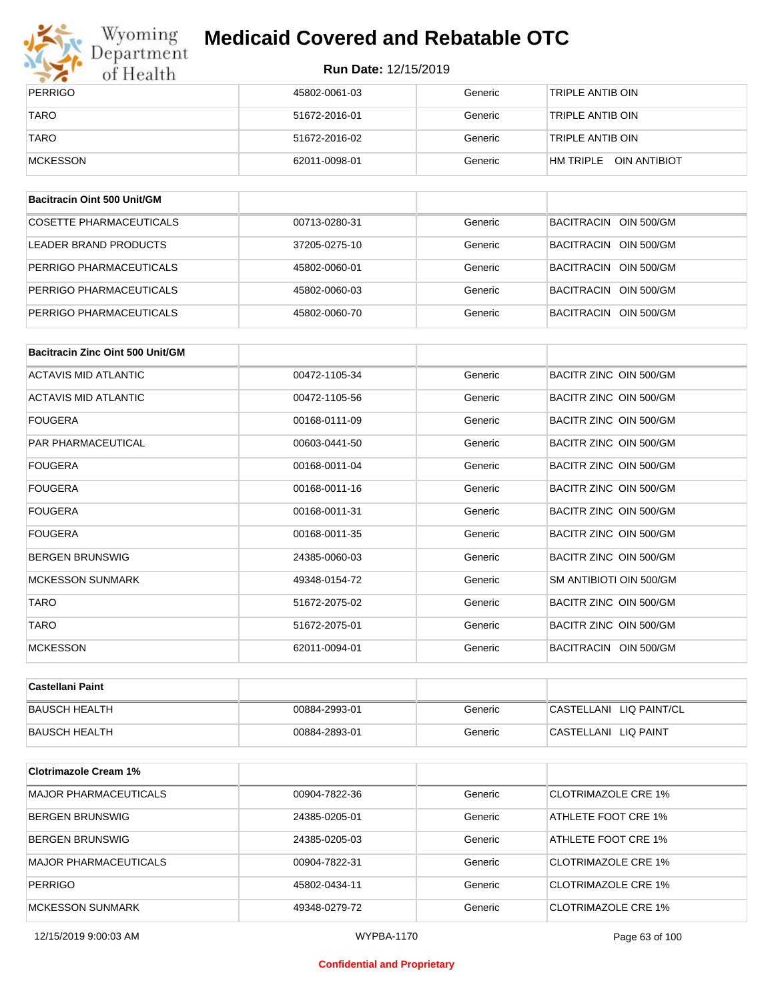

# Wyoming<br>Department<br>of Health

## **Medicaid Covered and Rebatable OTC**

**Run Date:** 12/15/2019

| PERRIGO     | 45802-0061-03 | Generic | 'TRIPLE ANTIB OIN         |
|-------------|---------------|---------|---------------------------|
| <b>TARO</b> | 51672-2016-01 | Generic | 'TRIPLE ANTIB OIN         |
| <b>TARO</b> | 51672-2016-02 | Generic | 'TRIPLE ANTIB OIN         |
| MCKESSON    | 62011-0098-01 | Generic | OIN ANTIBIOT<br>HM TRIPLE |

| Bacitracin Oint 500 Unit/GM |               |         |                       |
|-----------------------------|---------------|---------|-----------------------|
| COSETTE PHARMACEUTICALS     | 00713-0280-31 | Generic | BACITRACIN OIN 500/GM |
| LEADER BRAND PRODUCTS       | 37205-0275-10 | Generic | BACITRACIN OIN 500/GM |
| PERRIGO PHARMACEUTICALS     | 45802-0060-01 | Generic | BACITRACIN OIN 500/GM |
| PERRIGO PHARMACEUTICALS     | 45802-0060-03 | Generic | BACITRACIN OIN 500/GM |
| PERRIGO PHARMACEUTICALS     | 45802-0060-70 | Generic | BACITRACIN OIN 500/GM |

| Bacitracin Zinc Oint 500 Unit/GM |               |         |                         |
|----------------------------------|---------------|---------|-------------------------|
| <b>ACTAVIS MID ATLANTIC</b>      | 00472-1105-34 | Generic | BACITR ZINC OIN 500/GM  |
| <b>ACTAVIS MID ATLANTIC</b>      | 00472-1105-56 | Generic | BACITR ZINC OIN 500/GM  |
| <b>FOUGERA</b>                   | 00168-0111-09 | Generic | BACITR ZINC OIN 500/GM  |
| <b>PAR PHARMACEUTICAL</b>        | 00603-0441-50 | Generic | BACITR ZINC OIN 500/GM  |
| <b>FOUGERA</b>                   | 00168-0011-04 | Generic | BACITR ZINC OIN 500/GM  |
| <b>FOUGERA</b>                   | 00168-0011-16 | Generic | BACITR ZINC OIN 500/GM  |
| <b>FOUGERA</b>                   | 00168-0011-31 | Generic | BACITR ZINC OIN 500/GM  |
| <b>FOUGERA</b>                   | 00168-0011-35 | Generic | BACITR ZINC OIN 500/GM  |
| <b>BERGEN BRUNSWIG</b>           | 24385-0060-03 | Generic | BACITR ZINC OIN 500/GM  |
| <b>MCKESSON SUNMARK</b>          | 49348-0154-72 | Generic | SM ANTIBIOTI OIN 500/GM |
| <b>TARO</b>                      | 51672-2075-02 | Generic | BACITR ZINC OIN 500/GM  |
| <b>TARO</b>                      | 51672-2075-01 | Generic | BACITR ZINC OIN 500/GM  |
| <b>MCKESSON</b>                  | 62011-0094-01 | Generic | BACITRACIN OIN 500/GM   |

| ∣Castellani Paint    |               |         |                         |
|----------------------|---------------|---------|-------------------------|
| <b>BAUSCH HEALTH</b> | 00884-2993-01 | Generic | CASTELLANI LIQ PAINT/CL |
| <b>BAUSCH HEALTH</b> | 00884-2893-01 | Generic | CASTELLANI LIQ PAINT    |

| <b>Clotrimazole Cream 1%</b> |               |         |                            |
|------------------------------|---------------|---------|----------------------------|
| <b>MAJOR PHARMACEUTICALS</b> | 00904-7822-36 | Generic | CLOTRIMAZOLE CRE 1%        |
| <b>BERGEN BRUNSWIG</b>       | 24385-0205-01 | Generic | ATHLETE FOOT CRE 1%        |
| <b>BERGEN BRUNSWIG</b>       | 24385-0205-03 | Generic | ATHLETE FOOT CRE 1%        |
| <b>MAJOR PHARMACEUTICALS</b> | 00904-7822-31 | Generic | CLOTRIMAZOLE CRE 1%        |
| <b>PERRIGO</b>               | 45802-0434-11 | Generic | CLOTRIMAZOLE CRE 1%        |
| MCKESSON SUNMARK             | 49348-0279-72 | Generic | <b>CLOTRIMAZOLE CRE 1%</b> |

12/15/2019 9:00:03 AM WYPBA-1170 Page 63 of 100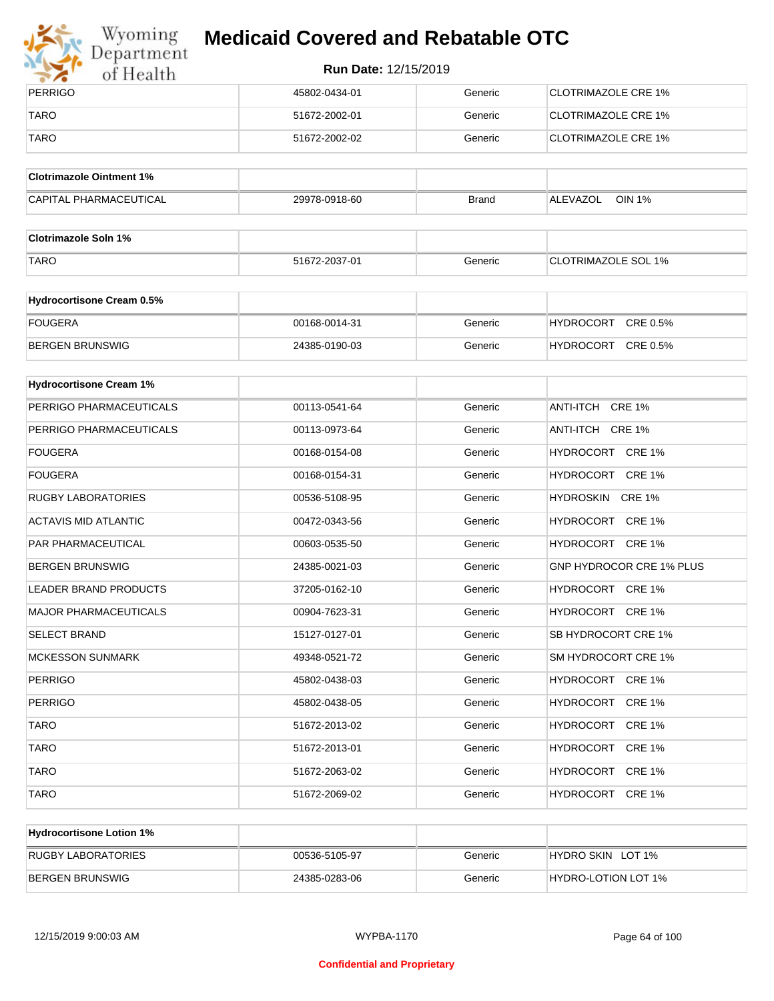

# Wyoming<br>Department<br>of Health

## **Medicaid Covered and Rebatable OTC**

| PERRIGO     | 45802-0434-01 | Generic | CLOTRIMAZOLE CRE 1%         |
|-------------|---------------|---------|-----------------------------|
| <b>TARO</b> | 51672-2002-01 | Generic | CLOTRIMAZOLE CRE 1%         |
| <b>TARO</b> | 51672-2002-02 | Generic | <b>ICLOTRIMAZOLE CRE 1%</b> |

| <b>Clotrimazole Ointment 1%</b> |               |              |                    |
|---------------------------------|---------------|--------------|--------------------|
| <b>CAPITAL PHARMACEUTICAL</b>   | 29978-0918-60 | <b>Brand</b> | OIN 1%<br>ALEVAZOL |

| <b>Clotrimazole Soln 1%</b> |               |         |                            |
|-----------------------------|---------------|---------|----------------------------|
| <b>TARO</b>                 | 51672-2037-01 | Generic | <b>CLOTRIMAZOLE SOL 1%</b> |

| Hydrocortisone Cream 0.5% |               |         |                              |
|---------------------------|---------------|---------|------------------------------|
| FOUGERA                   | 00168-0014-31 | Generic | CRE 0.5%<br><b>HYDROCORT</b> |
| BERGEN BRUNSWIG           | 24385-0190-03 | Generic | CRE 0.5%<br><b>HYDROCORT</b> |

| <b>Hydrocortisone Cream 1%</b> |               |         |                                   |
|--------------------------------|---------------|---------|-----------------------------------|
| PERRIGO PHARMACEUTICALS        | 00113-0541-64 | Generic | ANTI-ITCH CRE 1%                  |
| PERRIGO PHARMACEUTICALS        | 00113-0973-64 | Generic | ANTI-ITCH CRE 1%                  |
| <b>FOUGERA</b>                 | 00168-0154-08 | Generic | HYDROCORT CRE 1%                  |
| <b>FOUGERA</b>                 | 00168-0154-31 | Generic | HYDROCORT CRE 1%                  |
| <b>RUGBY LABORATORIES</b>      | 00536-5108-95 | Generic | HYDROSKIN CRE 1%                  |
| <b>ACTAVIS MID ATLANTIC</b>    | 00472-0343-56 | Generic | HYDROCORT CRE 1%                  |
| PAR PHARMACEUTICAL             | 00603-0535-50 | Generic | HYDROCORT CRE 1%                  |
| <b>BERGEN BRUNSWIG</b>         | 24385-0021-03 | Generic | <b>GNP HYDROCOR CRE 1% PLUS</b>   |
| <b>LEADER BRAND PRODUCTS</b>   | 37205-0162-10 | Generic | HYDROCORT CRE 1%                  |
| <b>MAJOR PHARMACEUTICALS</b>   | 00904-7623-31 | Generic | HYDROCORT CRE 1%                  |
| <b>SELECT BRAND</b>            | 15127-0127-01 | Generic | SB HYDROCORT CRE 1%               |
| <b>MCKESSON SUNMARK</b>        | 49348-0521-72 | Generic | SM HYDROCORT CRE 1%               |
| <b>PERRIGO</b>                 | 45802-0438-03 | Generic | HYDROCORT CRE 1%                  |
| <b>PERRIGO</b>                 | 45802-0438-05 | Generic | HYDROCORT CRE 1%                  |
| <b>TARO</b>                    | 51672-2013-02 | Generic | HYDROCORT CRE 1%                  |
| <b>TARO</b>                    | 51672-2013-01 | Generic | <b>HYDROCORT</b><br><b>CRE 1%</b> |
| <b>TARO</b>                    | 51672-2063-02 | Generic | HYDROCORT CRE 1%                  |
| <b>TARO</b>                    | 51672-2069-02 | Generic | HYDROCORT CRE 1%                  |

| <b>Hydrocortisone Lotion 1%</b> |               |         |                            |
|---------------------------------|---------------|---------|----------------------------|
| RUGBY LABORATORIES              | 00536-5105-97 | Generic | HYDRO SKIN LOT 1%          |
| BERGEN BRUNSWIG                 | 24385-0283-06 | Generic | <b>HYDRO-LOTION LOT 1%</b> |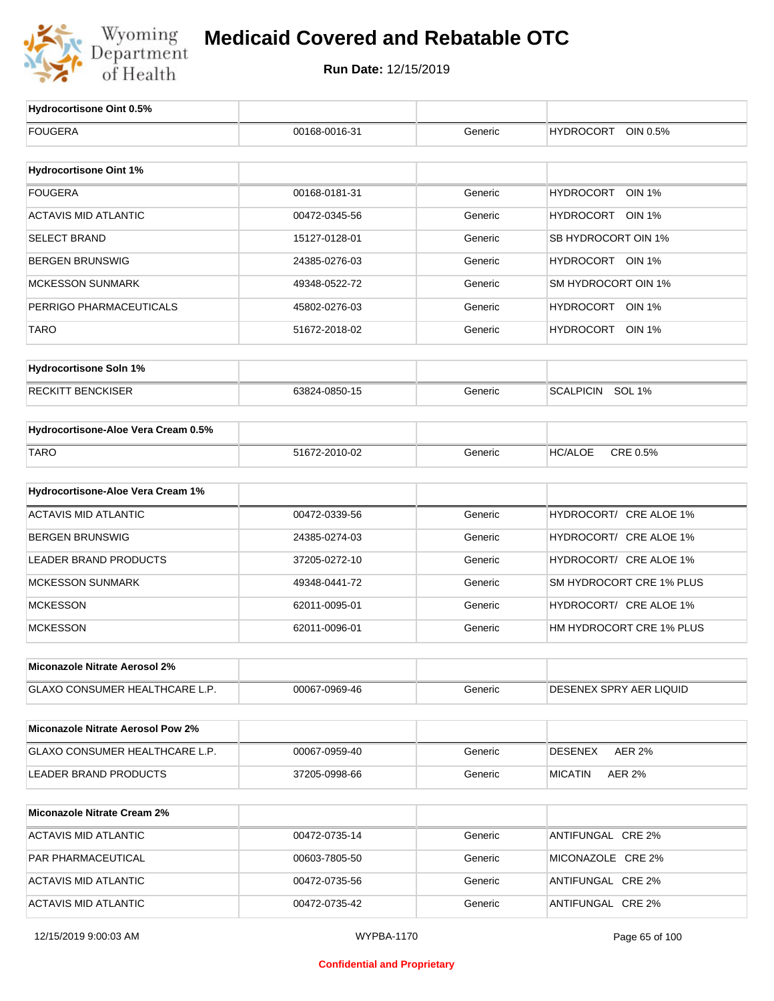

| Hydrocortisone Oint 0.5%                 |                   |         |                                   |
|------------------------------------------|-------------------|---------|-----------------------------------|
| <b>FOUGERA</b>                           | 00168-0016-31     | Generic | <b>HYDROCORT</b><br>OIN 0.5%      |
|                                          |                   |         |                                   |
| <b>Hydrocortisone Oint 1%</b>            |                   |         |                                   |
| <b>FOUGERA</b>                           | 00168-0181-31     | Generic | <b>HYDROCORT</b><br><b>OIN 1%</b> |
| <b>ACTAVIS MID ATLANTIC</b>              | 00472-0345-56     | Generic | HYDROCORT OIN 1%                  |
| <b>SELECT BRAND</b>                      | 15127-0128-01     | Generic | SB HYDROCORT OIN 1%               |
| <b>BERGEN BRUNSWIG</b>                   | 24385-0276-03     | Generic | HYDROCORT OIN 1%                  |
| <b>MCKESSON SUNMARK</b>                  | 49348-0522-72     | Generic | SM HYDROCORT OIN 1%               |
| PERRIGO PHARMACEUTICALS                  | 45802-0276-03     | Generic | HYDROCORT OIN 1%                  |
| <b>TARO</b>                              | 51672-2018-02     | Generic | HYDROCORT OIN 1%                  |
| <b>Hydrocortisone Soln 1%</b>            |                   |         |                                   |
| <b>RECKITT BENCKISER</b>                 | 63824-0850-15     | Generic | SCALPICIN SOL 1%                  |
| Hydrocortisone-Aloe Vera Cream 0.5%      |                   |         |                                   |
| <b>TARO</b>                              | 51672-2010-02     | Generic | CRE 0.5%<br><b>HC/ALOE</b>        |
|                                          |                   |         |                                   |
| Hydrocortisone-Aloe Vera Cream 1%        |                   |         |                                   |
| <b>ACTAVIS MID ATLANTIC</b>              | 00472-0339-56     | Generic | HYDROCORT/ CRE ALOE 1%            |
| <b>BERGEN BRUNSWIG</b>                   | 24385-0274-03     | Generic | HYDROCORT/ CRE ALOE 1%            |
| LEADER BRAND PRODUCTS                    | 37205-0272-10     | Generic | HYDROCORT/ CRE ALOE 1%            |
| <b>MCKESSON SUNMARK</b>                  | 49348-0441-72     | Generic | SM HYDROCORT CRE 1% PLUS          |
| <b>MCKESSON</b>                          | 62011-0095-01     | Generic | HYDROCORT/ CRE ALOE 1%            |
| <b>MCKESSON</b>                          | 62011-0096-01     | Generic | HM HYDROCORT CRE 1% PLUS          |
| Miconazole Nitrate Aerosol 2%            |                   |         |                                   |
| GLAXO CONSUMER HEALTHCARE L.P.           | 00067-0969-46     | Generic | <b>DESENEX SPRY AER LIQUID</b>    |
| <b>Miconazole Nitrate Aerosol Pow 2%</b> |                   |         |                                   |
| GLAXO CONSUMER HEALTHCARE L.P.           | 00067-0959-40     | Generic | <b>DESENEX</b><br><b>AER 2%</b>   |
| LEADER BRAND PRODUCTS                    | 37205-0998-66     | Generic | <b>MICATIN</b><br>AER 2%          |
|                                          |                   |         |                                   |
| <b>Miconazole Nitrate Cream 2%</b>       |                   |         |                                   |
| <b>ACTAVIS MID ATLANTIC</b>              | 00472-0735-14     | Generic | ANTIFUNGAL CRE 2%                 |
| PAR PHARMACEUTICAL                       | 00603-7805-50     | Generic | MICONAZOLE CRE 2%                 |
| <b>ACTAVIS MID ATLANTIC</b>              | 00472-0735-56     | Generic | ANTIFUNGAL CRE 2%                 |
| <b>ACTAVIS MID ATLANTIC</b>              | 00472-0735-42     | Generic | ANTIFUNGAL CRE 2%                 |
| 12/15/2019 9:00:03 AM                    | <b>WYPBA-1170</b> |         | Page 65 of 100                    |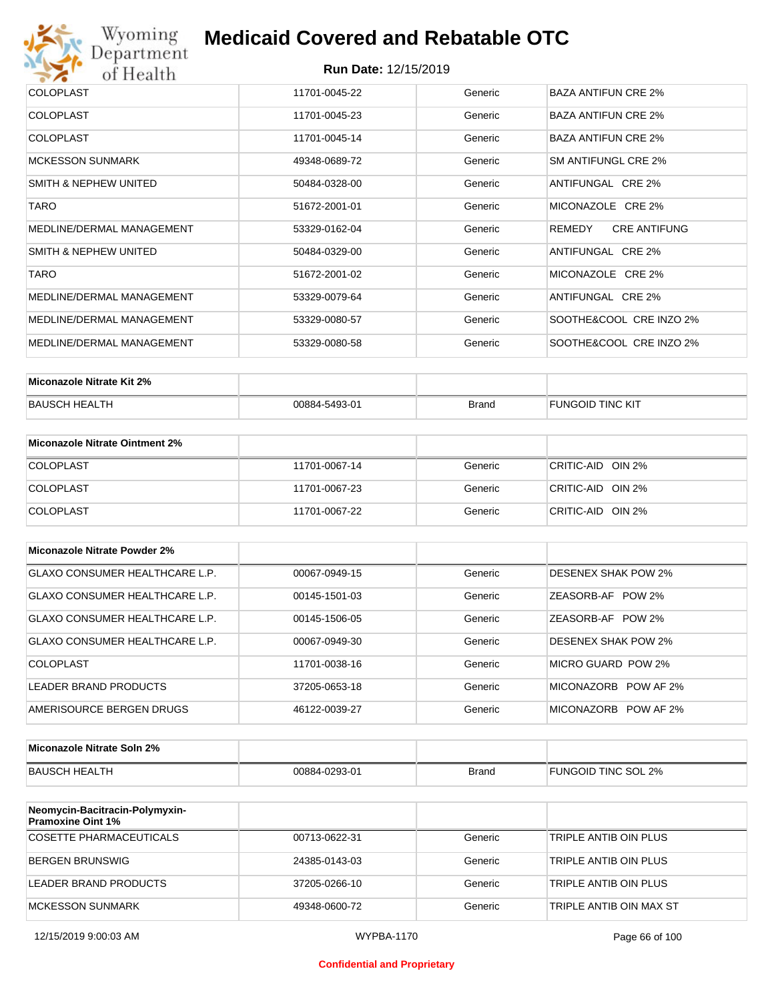

| <b>COLOPLAST</b>          | 11701-0045-22 | Generic | <b>BAZA ANTIFUN CRE 2%</b>    |
|---------------------------|---------------|---------|-------------------------------|
| <b>COLOPLAST</b>          | 11701-0045-23 | Generic | <b>BAZA ANTIFUN CRE 2%</b>    |
| <b>COLOPLAST</b>          | 11701-0045-14 | Generic | <b>BAZA ANTIFUN CRE 2%</b>    |
| <b>MCKESSON SUNMARK</b>   | 49348-0689-72 | Generic | SM ANTIFUNGL CRE 2%           |
| SMITH & NEPHEW UNITED     | 50484-0328-00 | Generic | ANTIFUNGAL CRE 2%             |
| <b>TARO</b>               | 51672-2001-01 | Generic | MICONAZOLE CRE 2%             |
| MEDLINE/DERMAL MANAGEMENT | 53329-0162-04 | Generic | <b>CRE ANTIFUNG</b><br>REMEDY |
| SMITH & NEPHEW UNITED     | 50484-0329-00 | Generic | ANTIFUNGAL CRE 2%             |
| <b>TARO</b>               | 51672-2001-02 | Generic | MICONAZOLE CRE 2%             |
| MEDLINE/DERMAL MANAGEMENT | 53329-0079-64 | Generic | ANTIFUNGAL CRE 2%             |
| MEDLINE/DERMAL MANAGEMENT | 53329-0080-57 | Generic | SOOTHE&COOL CRE INZO 2%       |
| MEDLINE/DERMAL MANAGEMENT | 53329-0080-58 | Generic | SOOTHE&COOL CRE INZO 2%       |

| Miconazole Nitrate Kit 2% |               |              |                  |
|---------------------------|---------------|--------------|------------------|
| BAUSCH HEALTH             | 00884-5493-01 | <b>Brand</b> | FUNGOID TINC KIT |

| Miconazole Nitrate Ointment 2% |               |         |                   |
|--------------------------------|---------------|---------|-------------------|
| <b>COLOPLAST</b>               | 11701-0067-14 | Generic | CRITIC-AID OIN 2% |
| <b>COLOPLAST</b>               | 11701-0067-23 | Generic | CRITIC-AID OIN 2% |
| <b>COLOPLAST</b>               | 11701-0067-22 | Generic | CRITIC-AID OIN 2% |

| Miconazole Nitrate Powder 2%   |               |         |                            |
|--------------------------------|---------------|---------|----------------------------|
| GLAXO CONSUMER HEALTHCARE L.P. | 00067-0949-15 | Generic | DESENEX SHAK POW 2%        |
| GLAXO CONSUMER HEALTHCARE L.P. | 00145-1501-03 | Generic | ZEASORB-AF POW 2%          |
| GLAXO CONSUMER HEALTHCARE L.P. | 00145-1506-05 | Generic | ZEASORB-AF POW 2%          |
| GLAXO CONSUMER HEALTHCARE L.P. | 00067-0949-30 | Generic | <b>DESENEX SHAK POW 2%</b> |
| COLOPLAST                      | 11701-0038-16 | Generic | MICRO GUARD POW 2%         |
| LEADER BRAND PRODUCTS          | 37205-0653-18 | Generic | MICONAZORB POW AF 2%       |
| AMERISOURCE BERGEN DRUGS       | 46122-0039-27 | Generic | MICONAZORB POW AF 2%       |

| Miconazole Nitrate Soln 2% |               |       |                     |
|----------------------------|---------------|-------|---------------------|
| BAUSCH HEALTH              | 00884-0293-01 | Brand | FUNGOID TINC SOL 2% |

| Neomycin-Bacitracin-Polymyxin-<br><b>Pramoxine Oint 1%</b> |               |         |                         |
|------------------------------------------------------------|---------------|---------|-------------------------|
| COSETTE PHARMACEUTICALS                                    | 00713-0622-31 | Generic | TRIPLE ANTIB OIN PLUS   |
| BERGEN BRUNSWIG                                            | 24385-0143-03 | Generic | TRIPLE ANTIB OIN PLUS   |
| LEADER BRAND PRODUCTS                                      | 37205-0266-10 | Generic | TRIPLE ANTIB OIN PLUS   |
| MCKESSON SUNMARK                                           | 49348-0600-72 | Generic | TRIPLE ANTIB OIN MAX ST |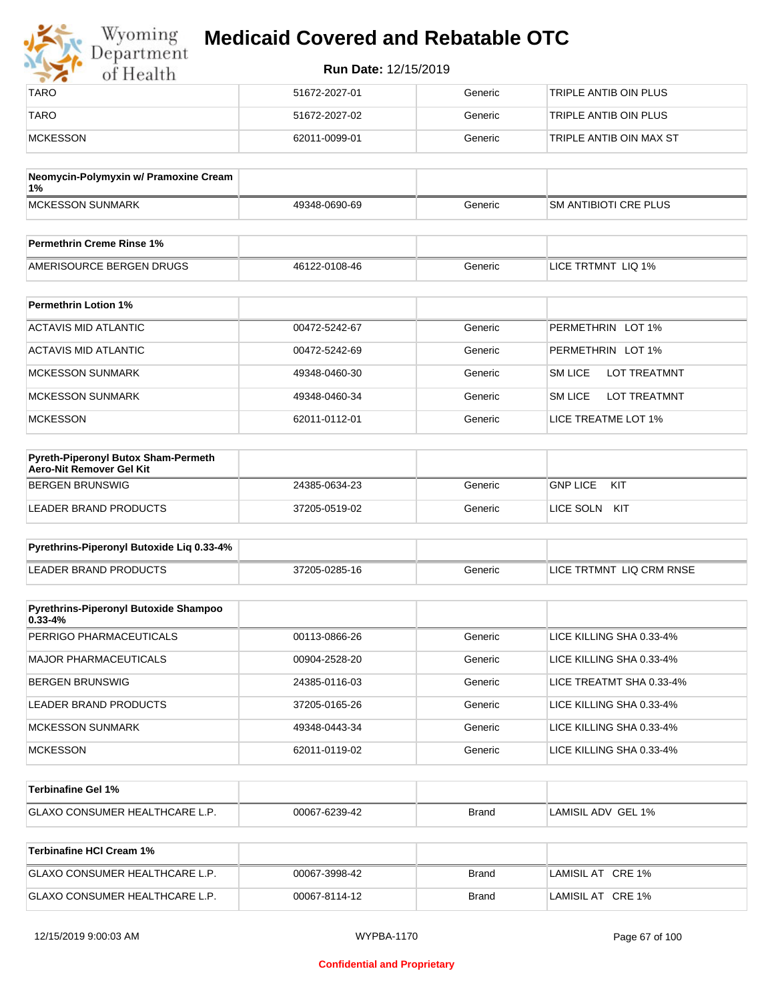| Wyoming<br>Department | <b>Medicaid Covered and Rebatable OTC</b> |         |                         |  |
|-----------------------|-------------------------------------------|---------|-------------------------|--|
| of Health             | <b>Run Date: 12/15/2019</b>               |         |                         |  |
| <b>TARO</b>           | 51672-2027-01                             | Generic | TRIPLE ANTIB OIN PLUS   |  |
| <b>TARO</b>           | 51672-2027-02                             | Generic | TRIPLE ANTIB OIN PLUS   |  |
| <b>MCKESSON</b>       | 62011-0099-01                             | Generic | TRIPLE ANTIB OIN MAX ST |  |

| Neomycin-Polymyxin w/ Pramoxine Cream<br>1% |               |         |                       |
|---------------------------------------------|---------------|---------|-----------------------|
| MCKESSON SUNMARK                            | 49348-0690-69 | Generic | SM ANTIBIOTI CRE PLUS |
|                                             |               |         |                       |
| <b>Permethrin Creme Rinse 1%</b>            |               |         |                       |

| Permethrin Greine Rinse 176 |               |         |                         |
|-----------------------------|---------------|---------|-------------------------|
| AMERISOURCE BERGEN DRUGS    | 46122-0108-46 | Beneric | ∵ LIQ 1%<br>LICE TRTMNT |

| <b>Permethrin Lotion 1%</b> |               |         |                                       |
|-----------------------------|---------------|---------|---------------------------------------|
| ACTAVIS MID ATLANTIC        | 00472-5242-67 | Generic | PERMETHRIN LOT 1%                     |
| ACTAVIS MID ATLANTIC        | 00472-5242-69 | Generic | PERMETHRIN LOT 1%                     |
| <b>MCKESSON SUNMARK</b>     | 49348-0460-30 | Generic | <b>LOT TREATMNT</b><br><b>SM LICE</b> |
| <b>MCKESSON SUNMARK</b>     | 49348-0460-34 | Generic | <b>SM LICE</b><br><b>LOT TREATMNT</b> |
| <b>MCKESSON</b>             | 62011-0112-01 | Generic | LICE TREATME LOT 1%                   |

| <b>Pyreth-Piperonyl Butox Sham-Permeth</b><br>Aero-Nit Remover Gel Kit |               |         |                        |
|------------------------------------------------------------------------|---------------|---------|------------------------|
| BERGEN BRUNSWIG                                                        | 24385-0634-23 | Generic | <b>GNP LICE</b><br>KIT |
| LEADER BRAND PRODUCTS                                                  | 37205-0519-02 | Generic | LICE SOLN<br>KIT       |

| Pyrethrins-Piperonyl Butoxide Lig 0.33-4% |               |         |                          |
|-------------------------------------------|---------------|---------|--------------------------|
| LEADER BRAND PRODUCTS                     | 37205-0285-16 | Generic | LICE TRTMNT LIQ CRM RNSE |

| <b>Pyrethrins-Piperonyl Butoxide Shampoo</b><br>$0.33 - 4%$ |               |         |                          |
|-------------------------------------------------------------|---------------|---------|--------------------------|
| PERRIGO PHARMACEUTICALS                                     | 00113-0866-26 | Generic | LICE KILLING SHA 0.33-4% |
| MAJOR PHARMACEUTICALS                                       | 00904-2528-20 | Generic | LICE KILLING SHA 0.33-4% |
| BERGEN BRUNSWIG                                             | 24385-0116-03 | Generic | LICE TREATMT SHA 0.33-4% |
| LEADER BRAND PRODUCTS                                       | 37205-0165-26 | Generic | LICE KILLING SHA 0.33-4% |
| <b>MCKESSON SUNMARK</b>                                     | 49348-0443-34 | Generic | LICE KILLING SHA 0.33-4% |
| <b>MCKESSON</b>                                             | 62011-0119-02 | Generic | LICE KILLING SHA 0.33-4% |

| Terbinafine Gel 1%                    |               |              |                    |
|---------------------------------------|---------------|--------------|--------------------|
| <b>GLAXO CONSUMER HEALTHCARE L.P.</b> | 00067-6239-42 | <b>Brand</b> | LAMISIL ADV GEL 1% |

| Terbinafine HCI Cream 1%              |               |       |                   |
|---------------------------------------|---------------|-------|-------------------|
| <b>GLAXO CONSUMER HEALTHCARE L.P.</b> | 00067-3998-42 | Brand | LAMISIL AT CRE 1% |
| <b>GLAXO CONSUMER HEALTHCARE L.P.</b> | 00067-8114-12 | Brand | LAMISIL AT CRE 1% |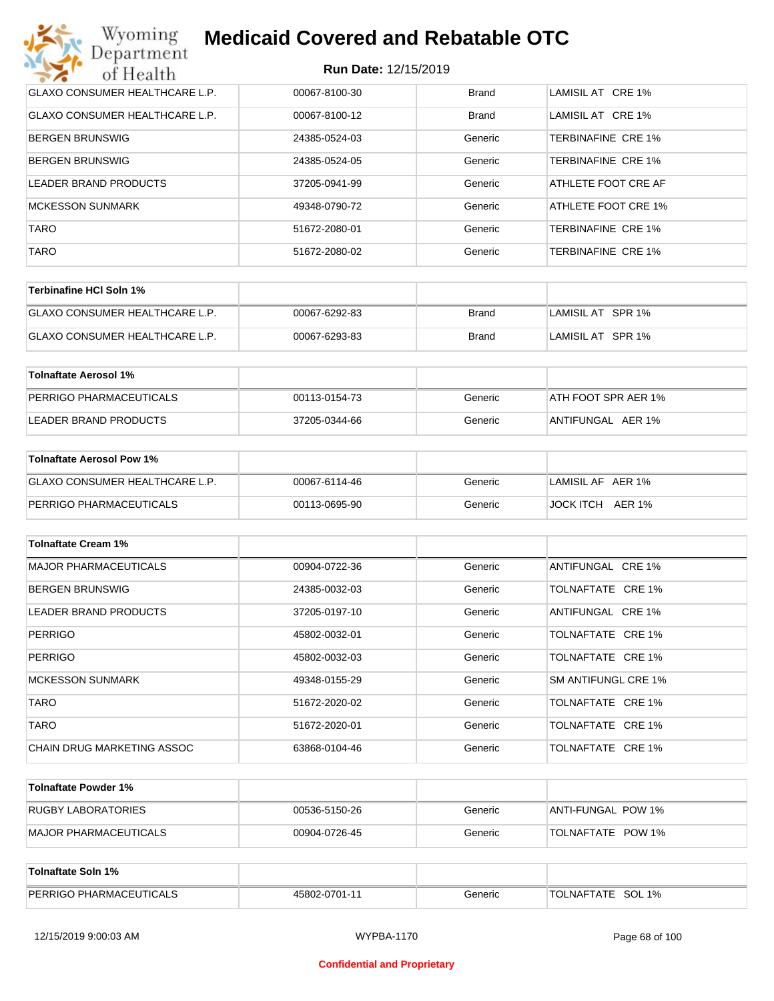| Wyoming<br><b>Medicaid Covered and Rebatable OTC</b><br>Department |                             |              |                           |  |
|--------------------------------------------------------------------|-----------------------------|--------------|---------------------------|--|
| of Health                                                          | <b>Run Date: 12/15/2019</b> |              |                           |  |
| <b>GLAXO CONSUMER HEALTHCARE L.P.</b>                              | 00067-8100-30               | <b>Brand</b> | LAMISIL AT CRE 1%         |  |
| <b>GLAXO CONSUMER HEALTHCARE L.P.</b>                              | 00067-8100-12               | Brand        | LAMISIL AT CRE 1%         |  |
| <b>BERGEN BRUNSWIG</b>                                             | 24385-0524-03               | Generic      | <b>TERBINAFINE CRE 1%</b> |  |
| <b>BERGEN BRUNSWIG</b>                                             | 24385-0524-05               | Generic      | <b>TERBINAFINE CRE 1%</b> |  |
| LEADER BRAND PRODUCTS                                              | 37205-0941-99               | Generic      | ATHLETE FOOT CRE AF       |  |
| <b>MCKESSON SUNMARK</b>                                            | 49348-0790-72               | Generic      | ATHLETE FOOT CRE 1%       |  |
| <b>TARO</b>                                                        | 51672-2080-01               | Generic      | <b>TERBINAFINE CRE 1%</b> |  |
| <b>TARO</b>                                                        | 51672-2080-02               | Generic      | <b>TERBINAFINE CRE 1%</b> |  |

| Terbinafine HCI Soln 1%               |               |       |                   |
|---------------------------------------|---------------|-------|-------------------|
| <b>GLAXO CONSUMER HEALTHCARE L.P.</b> | 00067-6292-83 | Brand | LAMISIL AT SPR 1% |
| GLAXO CONSUMER HEALTHCARE L.P.        | 00067-6293-83 | Brand | LAMISIL AT SPR 1% |

| Tolnaftate Aerosol 1%   |               |         |                     |
|-------------------------|---------------|---------|---------------------|
| PERRIGO PHARMACEUTICALS | 00113-0154-73 | Generic | ATH FOOT SPR AER 1% |
| LEADER BRAND PRODUCTS   | 37205-0344-66 | Generic | ANTIFUNGAL AER 1%   |

| Tolnaftate Aerosol Pow 1%      |               |         |                   |
|--------------------------------|---------------|---------|-------------------|
| GLAXO CONSUMER HEALTHCARE L.P. | 00067-6114-46 | Generic | LAMISIL AF AER 1% |
| PERRIGO PHARMACEUTICALS        | 00113-0695-90 | Generic | JOCK ITCH AER 1%  |

| <b>Tolnaftate Cream 1%</b>   |               |         |                     |
|------------------------------|---------------|---------|---------------------|
| <b>MAJOR PHARMACEUTICALS</b> | 00904-0722-36 | Generic | ANTIFUNGAL CRE 1%   |
| <b>BERGEN BRUNSWIG</b>       | 24385-0032-03 | Generic | TOLNAFTATE CRE 1%   |
| <b>LEADER BRAND PRODUCTS</b> | 37205-0197-10 | Generic | ANTIFUNGAL CRE 1%   |
| <b>PERRIGO</b>               | 45802-0032-01 | Generic | TOLNAFTATE CRE 1%   |
| <b>PERRIGO</b>               | 45802-0032-03 | Generic | TOLNAFTATE CRE 1%   |
| <b>MCKESSON SUNMARK</b>      | 49348-0155-29 | Generic | SM ANTIFUNGL CRE 1% |
| <b>TARO</b>                  | 51672-2020-02 | Generic | TOLNAFTATE CRE 1%   |
| <b>TARO</b>                  | 51672-2020-01 | Generic | TOLNAFTATE CRE 1%   |
| CHAIN DRUG MARKETING ASSOC   | 63868-0104-46 | Generic | TOLNAFTATE CRE 1%   |

| Tolnaftate Powder 1%  |               |         |                     |
|-----------------------|---------------|---------|---------------------|
| RUGBY LABORATORIES    | 00536-5150-26 | Generic | IANTI-FUNGAL POW 1% |
| MAJOR PHARMACEUTICALS | 00904-0726-45 | Generic | TOLNAFTATE POW 1%   |

| <b>Tolnaftate Soln 1%</b>      |               |         |                   |
|--------------------------------|---------------|---------|-------------------|
| <b>PERRIGO PHARMACEUTICALS</b> | 45802-0701-11 | Generic | TOLNAFTATE SOL 1% |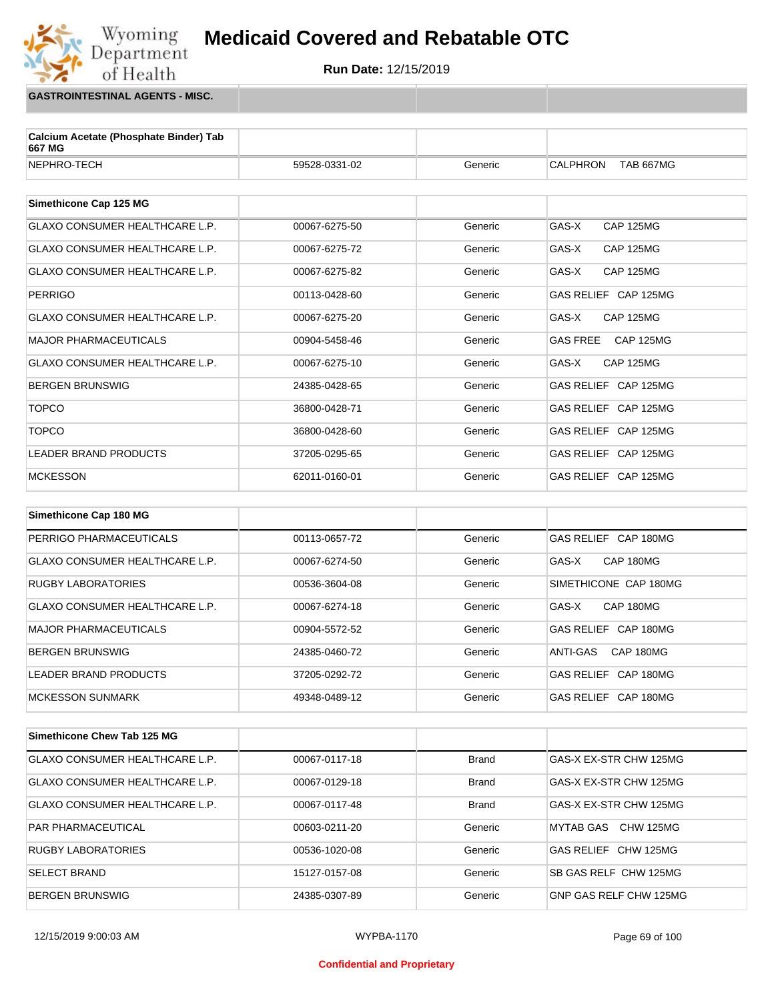## Wyoming<br>Department<br>of Health **Medicaid Covered and Rebatable OTC**



**GASTROINTESTINAL AGENTS - MISC.**

| Calcium Acetate (Phosphate Binder) Tab<br>667 MG |               |         |                                     |
|--------------------------------------------------|---------------|---------|-------------------------------------|
| NEPHRO-TECH                                      | 59528-0331-02 | Generic | <b>CALPHRON</b><br><b>TAB 667MG</b> |
|                                                  |               |         |                                     |
| Simethicone Cap 125 MG                           |               |         |                                     |
| <b>GLAXO CONSUMER HEALTHCARE L.P.</b>            | 00067-6275-50 | Generic | GAS-X<br><b>CAP 125MG</b>           |
| <b>GLAXO CONSUMER HEALTHCARE L.P.</b>            | 00067-6275-72 | Generic | GAS-X<br><b>CAP 125MG</b>           |
| GLAXO CONSUMER HEALTHCARE L.P.                   | 00067-6275-82 | Generic | GAS-X<br><b>CAP 125MG</b>           |
| <b>PERRIGO</b>                                   | 00113-0428-60 | Generic | GAS RELIEF CAP 125MG                |
| <b>GLAXO CONSUMER HEALTHCARE L.P.</b>            | 00067-6275-20 | Generic | GAS-X<br>CAP 125MG                  |
| <b>MAJOR PHARMACEUTICALS</b>                     | 00904-5458-46 | Generic | <b>GAS FREE</b><br><b>CAP 125MG</b> |
| <b>GLAXO CONSUMER HEALTHCARE L.P.</b>            | 00067-6275-10 | Generic | GAS-X<br><b>CAP 125MG</b>           |
| <b>BERGEN BRUNSWIG</b>                           | 24385-0428-65 | Generic | GAS RELIEF CAP 125MG                |
| <b>TOPCO</b>                                     | 36800-0428-71 | Generic | GAS RELIEF CAP 125MG                |
| <b>TOPCO</b>                                     | 36800-0428-60 | Generic | GAS RELIEF CAP 125MG                |
| <b>LEADER BRAND PRODUCTS</b>                     | 37205-0295-65 | Generic | GAS RELIEF CAP 125MG                |
| <b>MCKESSON</b>                                  | 62011-0160-01 | Generic | GAS RELIEF CAP 125MG                |
|                                                  |               |         |                                     |
| Simethicone Cap 180 MG                           |               |         |                                     |
| PERRIGO PHARMACEUTICALS                          | 00113-0657-72 | Generic | GAS RELIEF CAP 180MG                |
| <b>GLAXO CONSUMER HEALTHCARE L.P.</b>            | 00067-6274-50 | Generic | GAS-X<br>CAP 180MG                  |
| <b>RUGBY LABORATORIES</b>                        | 00536-3604-08 | Generic | SIMETHICONE CAP 180MG               |
| <b>GLAXO CONSUMER HEALTHCARE L.P.</b>            | 00067-6274-18 | Generic | GAS-X<br>CAP 180MG                  |
| <b>MAJOR PHARMACEUTICALS</b>                     | 00904-5572-52 | Generic | GAS RELIEF CAP 180MG                |
| <b>BERGEN BRUNSWIG</b>                           | 24385-0460-72 | Generic | <b>ANTI-GAS</b><br>CAP 180MG        |
| LEADER BRAND PRODUCTS                            | 37205-0292-72 | Generic | GAS RELIEF CAP 180MG                |
| <b>MCKESSON SUNMARK</b>                          | 49348-0489-12 | Generic | GAS RELIEF CAP 180MG                |

| Simethicone Chew Tab 125 MG           |               |              |                                |
|---------------------------------------|---------------|--------------|--------------------------------|
| <b>GLAXO CONSUMER HEALTHCARE L.P.</b> | 00067-0117-18 | <b>Brand</b> | GAS-X EX-STR CHW 125MG         |
| <b>GLAXO CONSUMER HEALTHCARE L.P.</b> | 00067-0129-18 | <b>Brand</b> | GAS-X EX-STR CHW 125MG         |
| <b>GLAXO CONSUMER HEALTHCARE L.P.</b> | 00067-0117-48 | <b>Brand</b> | GAS-X EX-STR CHW 125MG         |
| <b>PAR PHARMACEUTICAL</b>             | 00603-0211-20 | Generic      | CHW 125MG<br>MYTAB GAS         |
| <b>RUGBY LABORATORIES</b>             | 00536-1020-08 | Generic      | <b>GAS RELIEF</b><br>CHW 125MG |
| <b>SELECT BRAND</b>                   | 15127-0157-08 | Generic      | SB GAS RELF CHW 125MG          |
| <b>BERGEN BRUNSWIG</b>                | 24385-0307-89 | Generic      | GNP GAS RELF CHW 125MG         |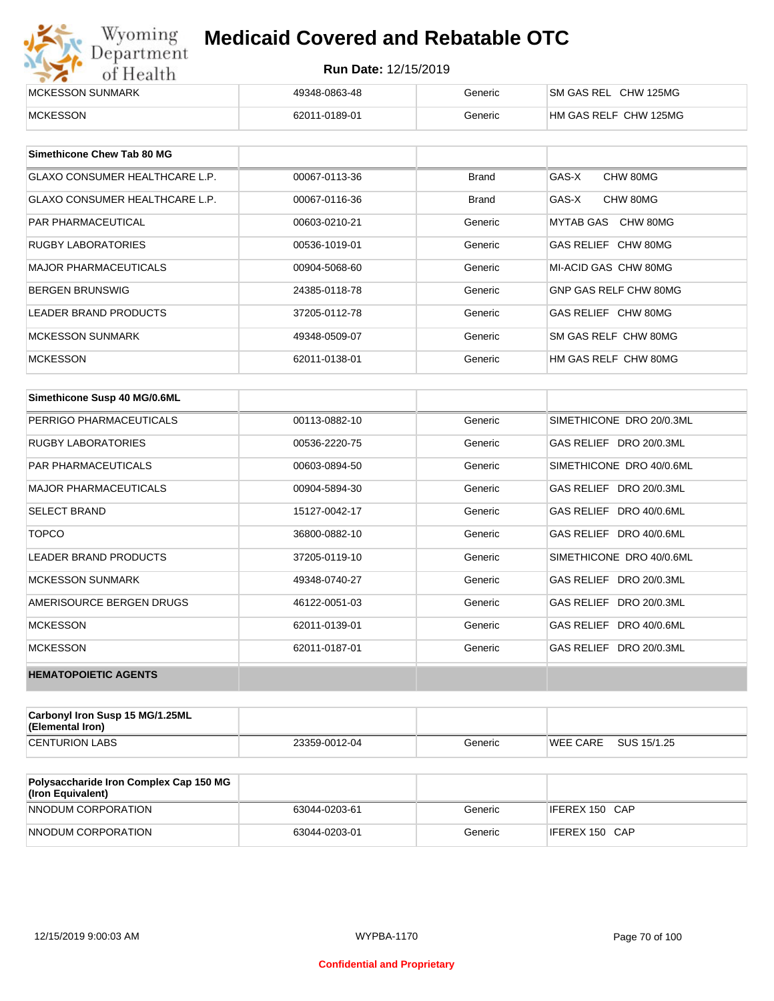| Wyoming                  | <b>Medicaid Covered and Rebatable OTC</b><br>Department<br><b>Run Date: 12/15/2019</b><br>of Health |         |                       |  |
|--------------------------|-----------------------------------------------------------------------------------------------------|---------|-----------------------|--|
|                          |                                                                                                     |         |                       |  |
| <b>IMCKESSON SUNMARK</b> | 49348-0863-48                                                                                       | Generic | SM GAS REL CHW 125MG  |  |
| <b>IMCKESSON</b>         | 62011-0189-01                                                                                       | Generic | HM GAS RELF CHW 125MG |  |

| Simethicone Chew Tab 80 MG            |               |              |                       |
|---------------------------------------|---------------|--------------|-----------------------|
| GLAXO CONSUMER HEALTHCARE L.P.        | 00067-0113-36 | <b>Brand</b> | GAS-X<br>CHW 80MG     |
| <b>GLAXO CONSUMER HEALTHCARE L.P.</b> | 00067-0116-36 | <b>Brand</b> | GAS-X<br>CHW 80MG     |
| <b>PAR PHARMACEUTICAL</b>             | 00603-0210-21 | Generic      | CHW 80MG<br>MYTAB GAS |
| RUGBY LABORATORIES                    | 00536-1019-01 | Generic      | GAS RELIEF CHW 80MG   |
| <b>MAJOR PHARMACEUTICALS</b>          | 00904-5068-60 | Generic      | MI-ACID GAS CHW 80MG  |
| <b>BERGEN BRUNSWIG</b>                | 24385-0118-78 | Generic      | GNP GAS RELF CHW 80MG |
| <b>LEADER BRAND PRODUCTS</b>          | 37205-0112-78 | Generic      | GAS RELIEF CHW 80MG   |
| <b>MCKESSON SUNMARK</b>               | 49348-0509-07 | Generic      | SM GAS RELF CHW 80MG  |
| <b>MCKESSON</b>                       | 62011-0138-01 | Generic      | HM GAS RELF CHW 80MG  |

| Simethicone Susp 40 MG/0.6ML |               |         |                            |
|------------------------------|---------------|---------|----------------------------|
| PERRIGO PHARMACEUTICALS      | 00113-0882-10 | Generic | SIMETHICONE DRO 20/0.3ML   |
| <b>RUGBY LABORATORIES</b>    | 00536-2220-75 | Generic | GAS RELIEF DRO 20/0.3ML    |
| <b>PAR PHARMACEUTICALS</b>   | 00603-0894-50 | Generic | SIMETHICONE DRO 40/0.6ML   |
| <b>MAJOR PHARMACEUTICALS</b> | 00904-5894-30 | Generic | GAS RELIEF DRO 20/0.3ML    |
| <b>SELECT BRAND</b>          | 15127-0042-17 | Generic | GAS RELIEF DRO 40/0.6ML    |
| <b>TOPCO</b>                 | 36800-0882-10 | Generic | GAS RELIEF DRO 40/0.6ML    |
| LEADER BRAND PRODUCTS        | 37205-0119-10 | Generic | SIMETHICONE DRO 40/0.6ML   |
| <b>MCKESSON SUNMARK</b>      | 49348-0740-27 | Generic | GAS RELIEF DRO 20/0.3ML    |
| AMERISOURCE BERGEN DRUGS     | 46122-0051-03 | Generic | GAS RELIEF<br>DRO 20/0.3ML |
| <b>MCKESSON</b>              | 62011-0139-01 | Generic | GAS RELIEF DRO 40/0.6ML    |
| <b>MCKESSON</b>              | 62011-0187-01 | Generic | GAS RELIEF<br>DRO 20/0.3ML |
| <b>HEMATOPOIETIC AGENTS</b>  |               |         |                            |

| Carbonyl Iron Susp 15 MG/1.25ML<br>(Elemental Iron) |               |         |                 |             |
|-----------------------------------------------------|---------------|---------|-----------------|-------------|
| <b>CENTURION LABS</b>                               | 23359-0012-04 | Generic | <b>WEE CARE</b> | SUS 15/1.25 |

| Polysaccharide Iron Complex Cap 150 MG<br>(Iron Equivalent) |               |         |                |
|-------------------------------------------------------------|---------------|---------|----------------|
| NNODUM CORPORATION                                          | 63044-0203-61 | Generic | IFEREX 150 CAP |
| NNODUM CORPORATION                                          | 63044-0203-01 | Generic | IFEREX 150 CAP |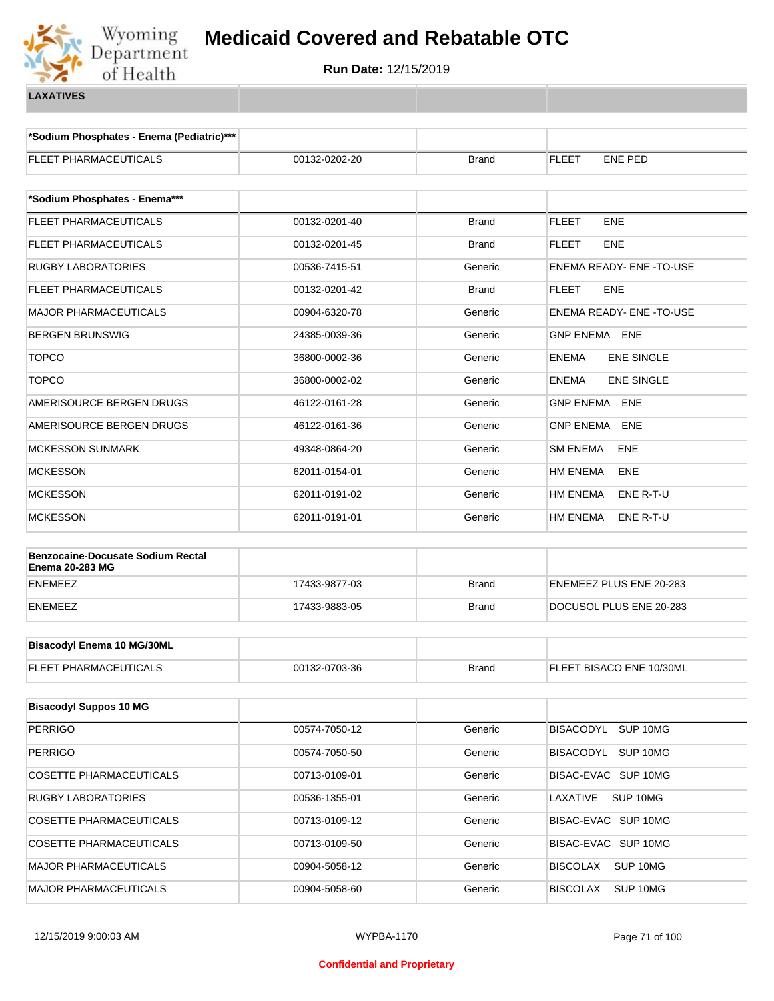

**\*Sodium Phosphates - Enema (Pediatric)\*\*\***

| FLEET PHARMACEUTICALS                                       | 00132-0202-20 | <b>Brand</b> | <b>FLEET</b><br><b>ENE PED</b>    |
|-------------------------------------------------------------|---------------|--------------|-----------------------------------|
|                                                             |               |              |                                   |
| *Sodium Phosphates - Enema***                               |               |              |                                   |
| FLEET PHARMACEUTICALS                                       | 00132-0201-40 | <b>Brand</b> | <b>FLEET</b><br><b>ENE</b>        |
| <b>FLEET PHARMACEUTICALS</b>                                | 00132-0201-45 | <b>Brand</b> | <b>FLEET</b><br><b>ENE</b>        |
| <b>RUGBY LABORATORIES</b>                                   | 00536-7415-51 | Generic      | ENEMA READY- ENE -TO-USE          |
| FLEET PHARMACEUTICALS                                       | 00132-0201-42 | <b>Brand</b> | <b>FLEET</b><br><b>ENE</b>        |
| <b>MAJOR PHARMACEUTICALS</b>                                | 00904-6320-78 | Generic      | ENEMA READY- ENE -TO-USE          |
| <b>BERGEN BRUNSWIG</b>                                      | 24385-0039-36 | Generic      | GNP ENEMA ENE                     |
| <b>TOPCO</b>                                                | 36800-0002-36 | Generic      | <b>ENEMA</b><br><b>ENE SINGLE</b> |
| <b>TOPCO</b>                                                | 36800-0002-02 | Generic      | <b>ENEMA</b><br><b>ENE SINGLE</b> |
| AMERISOURCE BERGEN DRUGS                                    | 46122-0161-28 | Generic      | <b>GNP ENEMA ENE</b>              |
| AMERISOURCE BERGEN DRUGS                                    | 46122-0161-36 | Generic      | GNP ENEMA ENE                     |
| <b>MCKESSON SUNMARK</b>                                     | 49348-0864-20 | Generic      | <b>SM ENEMA</b><br>ENE            |
| <b>MCKESSON</b>                                             | 62011-0154-01 | Generic      | HM ENEMA<br><b>ENE</b>            |
| <b>MCKESSON</b>                                             | 62011-0191-02 | Generic      | HM ENEMA<br>ENE R-T-U             |
| <b>MCKESSON</b>                                             | 62011-0191-01 | Generic      | HM ENEMA<br>ENE R-T-U             |
|                                                             |               |              |                                   |
| Benzocaine-Docusate Sodium Rectal<br><b>Enema 20-283 MG</b> |               |              |                                   |
| <b>ENEMEEZ</b>                                              | 17433-9877-03 | <b>Brand</b> | ENEMEEZ PLUS ENE 20-283           |
| <b>ENEMEEZ</b>                                              | 17433-9883-05 | <b>Brand</b> | DOCUSOL PLUS ENE 20-283           |
|                                                             |               |              |                                   |
| <b>Bisacodyl Enema 10 MG/30ML</b>                           |               |              |                                   |
| FLEET PHARMACEUTICALS                                       | 00132-0703-36 | <b>Brand</b> | FLEET BISACO ENE 10/30ML          |
| <b>Bisacodyl Suppos 10 MG</b>                               |               |              |                                   |
| <b>PERRIGO</b>                                              | 00574-7050-12 | Generic      | BISACODYL SUP 10MG                |
| <b>PERRIGO</b>                                              | 00574-7050-50 | Generic      | BISACODYL SUP 10MG                |
| COSETTE PHARMACEUTICALS                                     | 00713-0109-01 | Generic      | BISAC-EVAC SUP 10MG               |
| RUGBY LABORATORIES                                          | 00536-1355-01 | Generic      | LAXATIVE<br>SUP 10MG              |
| COSETTE PHARMACEUTICALS                                     | 00713-0109-12 | Generic      | BISAC-EVAC SUP 10MG               |
| COSETTE PHARMACEUTICALS                                     | 00713-0109-50 | Generic      | BISAC-EVAC SUP 10MG               |
| <b>MAJOR PHARMACEUTICALS</b>                                | 00904-5058-12 | Generic      | <b>BISCOLAX</b><br>SUP 10MG       |
| <b>MAJOR PHARMACEUTICALS</b>                                | 00904-5058-60 | Generic      | <b>BISCOLAX</b><br>SUP 10MG       |
|                                                             |               |              |                                   |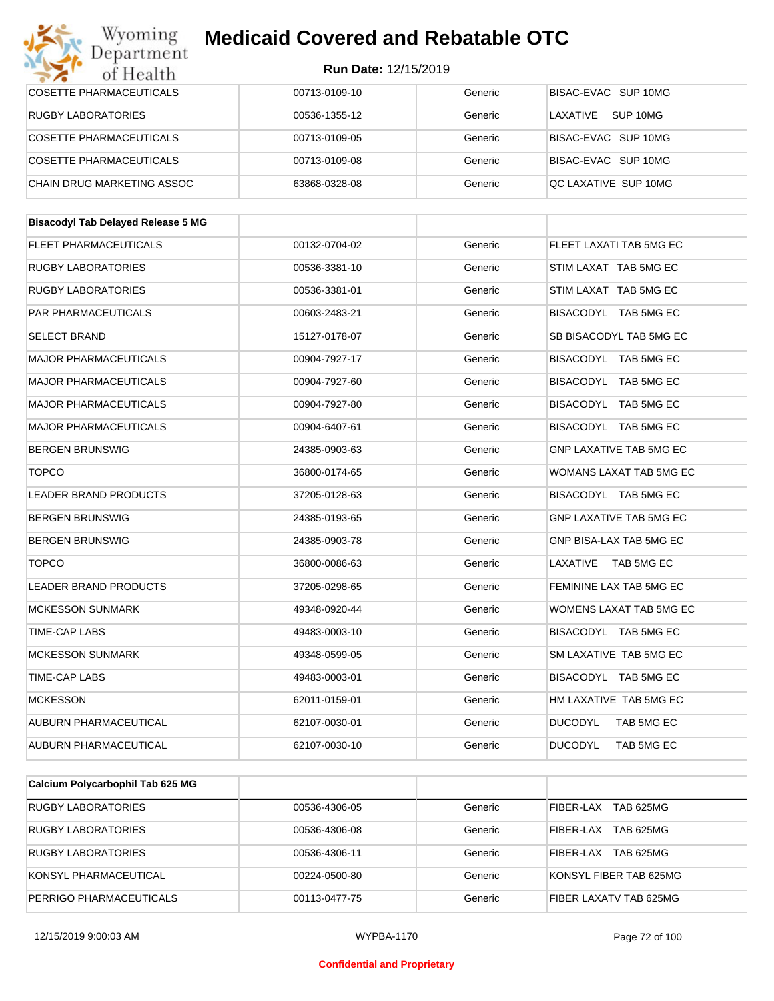#### Wyoming<br>Department **Medicaid Covered and Rebatable OTC**

| of Health                                 | <b>Run Date: 12/15/2019</b> |         |                                |  |
|-------------------------------------------|-----------------------------|---------|--------------------------------|--|
| <b>COSETTE PHARMACEUTICALS</b>            | 00713-0109-10               | Generic | BISAC-EVAC SUP 10MG            |  |
| <b>RUGBY LABORATORIES</b>                 | 00536-1355-12               | Generic | LAXATIVE<br>SUP 10MG           |  |
| COSETTE PHARMACEUTICALS                   | 00713-0109-05               | Generic | BISAC-EVAC SUP 10MG            |  |
| COSETTE PHARMACEUTICALS                   | 00713-0109-08               | Generic | BISAC-EVAC SUP 10MG            |  |
| <b>CHAIN DRUG MARKETING ASSOC</b>         | 63868-0328-08               | Generic | QC LAXATIVE SUP 10MG           |  |
|                                           |                             |         |                                |  |
| <b>Bisacodyl Tab Delayed Release 5 MG</b> |                             |         |                                |  |
| FLEET PHARMACEUTICALS                     | 00132-0704-02               | Generic | FLEET LAXATI TAB 5MG EC        |  |
| <b>RUGBY LABORATORIES</b>                 | 00536-3381-10               | Generic | STIM LAXAT TAB 5MG EC          |  |
| <b>RUGBY LABORATORIES</b>                 | 00536-3381-01               | Generic | STIM LAXAT TAB 5MG EC          |  |
| PAR PHARMACEUTICALS                       | 00603-2483-21               | Generic | BISACODYL TAB 5MG EC           |  |
| <b>SELECT BRAND</b>                       | 15127-0178-07               | Generic | SB BISACODYL TAB 5MG EC        |  |
| <b>MAJOR PHARMACEUTICALS</b>              | 00904-7927-17               | Generic | BISACODYL TAB 5MG EC           |  |
| <b>MAJOR PHARMACEUTICALS</b>              | 00904-7927-60               | Generic | BISACODYL TAB 5MG EC           |  |
| <b>MAJOR PHARMACEUTICALS</b>              | 00904-7927-80               | Generic | BISACODYL TAB 5MG EC           |  |
| <b>MAJOR PHARMACEUTICALS</b>              | 00904-6407-61               | Generic | BISACODYL TAB 5MG EC           |  |
| <b>BERGEN BRUNSWIG</b>                    | 24385-0903-63               | Generic | <b>GNP LAXATIVE TAB 5MG EC</b> |  |
| <b>TOPCO</b>                              | 36800-0174-65               | Generic | WOMANS LAXAT TAB 5MG EC        |  |
| <b>LEADER BRAND PRODUCTS</b>              | 37205-0128-63               | Generic | BISACODYL TAB 5MG EC           |  |
| <b>BERGEN BRUNSWIG</b>                    | 24385-0193-65               | Generic | <b>GNP LAXATIVE TAB 5MG EC</b> |  |
| <b>BERGEN BRUNSWIG</b>                    | 24385-0903-78               | Generic | GNP BISA-LAX TAB 5MG EC        |  |
| <b>TOPCO</b>                              | 36800-0086-63               | Generic | LAXATIVE TAB 5MG EC            |  |
| <b>LEADER BRAND PRODUCTS</b>              | 37205-0298-65               | Generic | FEMININE LAX TAB 5MG EC        |  |
| <b>MCKESSON SUNMARK</b>                   | 49348-0920-44               | Generic | WOMENS LAXAT TAB 5MG EC        |  |
| TIME-CAP LABS                             | 49483-0003-10               | Generic | BISACODYL TAB 5MG EC           |  |
| <b>MCKESSON SUNMARK</b>                   | 49348-0599-05               | Generic | SM LAXATIVE TAB 5MG EC         |  |
| TIME-CAP LABS                             | 49483-0003-01               | Generic | BISACODYL TAB 5MG EC           |  |
| <b>MCKESSON</b>                           | 62011-0159-01               | Generic | HM LAXATIVE TAB 5MG EC         |  |
| AUBURN PHARMACEUTICAL                     | 62107-0030-01               | Generic | <b>DUCODYL</b><br>TAB 5MG EC   |  |
| AUBURN PHARMACEUTICAL                     | 62107-0030-10               | Generic | <b>DUCODYL</b><br>TAB 5MG EC   |  |
|                                           |                             |         |                                |  |

| Calcium Polycarbophil Tab 625 MG |               |         |                               |
|----------------------------------|---------------|---------|-------------------------------|
| RUGBY LABORATORIES               | 00536-4306-05 | Generic | FIBER-LAX<br>TAB 625MG        |
| RUGBY LABORATORIES               | 00536-4306-08 | Generic | <b>TAB 625MG</b><br>FIBER-LAX |
| RUGBY LABORATORIES               | 00536-4306-11 | Generic | TAB 625MG<br>FIBER-LAX        |
| KONSYL PHARMACEUTICAL            | 00224-0500-80 | Generic | KONSYL FIBER TAB 625MG        |
| PERRIGO PHARMACEUTICALS          | 00113-0477-75 | Generic | FIBER LAXATV TAB 625MG        |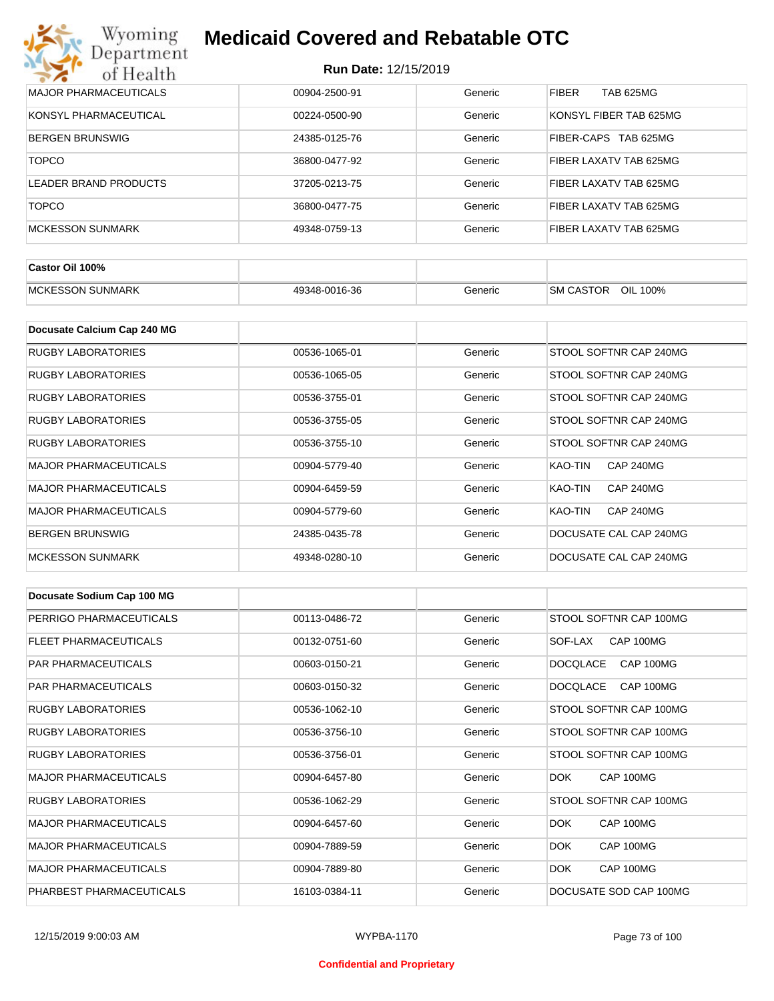| Wyoming<br><b>Medicaid Covered and Rebatable OTC</b><br>Department |                             |         |                                  |  |
|--------------------------------------------------------------------|-----------------------------|---------|----------------------------------|--|
| of Health                                                          | <b>Run Date: 12/15/2019</b> |         |                                  |  |
| <b>MAJOR PHARMACEUTICALS</b>                                       | 00904-2500-91               | Generic | <b>FIBER</b><br><b>TAB 625MG</b> |  |
| KONSYL PHARMACEUTICAL                                              | 00224-0500-90               | Generic | KONSYL FIBER TAB 625MG           |  |
| <b>BERGEN BRUNSWIG</b>                                             | 24385-0125-76               | Generic | FIBER-CAPS<br>TAB 625MG          |  |
| <b>TOPCO</b>                                                       | 36800-0477-92               | Generic | FIBER LAXATV TAB 625MG           |  |
| LEADER BRAND PRODUCTS                                              | 37205-0213-75               | Generic | FIBER LAXATV TAB 625MG           |  |
| <b>TOPCO</b>                                                       | 36800-0477-75               | Generic | FIBER LAXATV TAB 625MG           |  |
| <b>MCKESSON SUNMARK</b>                                            | 49348-0759-13               | Generic | FIBER LAXATV TAB 625MG           |  |

| Castor Oil 100%         |               |         |                                 |
|-------------------------|---------------|---------|---------------------------------|
| <b>MCKESSON SUNMARK</b> | 49348-0016-36 | Beneric | OIL<br><b>SM CASTOR</b><br>100% |

| Docusate Calcium Cap 240 MG  |               |         |                             |
|------------------------------|---------------|---------|-----------------------------|
| <b>RUGBY LABORATORIES</b>    | 00536-1065-01 | Generic | STOOL SOFTNR CAP 240MG      |
| RUGBY LABORATORIES           | 00536-1065-05 | Generic | STOOL SOFTNR CAP 240MG      |
| RUGBY LABORATORIES           | 00536-3755-01 | Generic | STOOL SOFTNR CAP 240MG      |
| RUGBY LABORATORIES           | 00536-3755-05 | Generic | STOOL SOFTNR CAP 240MG      |
| RUGBY LABORATORIES           | 00536-3755-10 | Generic | STOOL SOFTNR CAP 240MG      |
| <b>MAJOR PHARMACEUTICALS</b> | 00904-5779-40 | Generic | CAP 240MG<br>KAO-TIN        |
| <b>MAJOR PHARMACEUTICALS</b> | 00904-6459-59 | Generic | KAO-TIN<br><b>CAP 240MG</b> |
| <b>MAJOR PHARMACEUTICALS</b> | 00904-5779-60 | Generic | KAO-TIN<br><b>CAP 240MG</b> |
| <b>BERGEN BRUNSWIG</b>       | 24385-0435-78 | Generic | DOCUSATE CAL CAP 240MG      |
| <b>MCKESSON SUNMARK</b>      | 49348-0280-10 | Generic | DOCUSATE CAL CAP 240MG      |

| Docusate Sodium Cap 100 MG   |               |         |                              |
|------------------------------|---------------|---------|------------------------------|
| PERRIGO PHARMACEUTICALS      | 00113-0486-72 | Generic | STOOL SOFTNR CAP 100MG       |
| FLEET PHARMACEUTICALS        | 00132-0751-60 | Generic | CAP 100MG<br>SOF-LAX         |
| <b>PAR PHARMACEUTICALS</b>   | 00603-0150-21 | Generic | CAP 100MG<br><b>DOCQLACE</b> |
| <b>PAR PHARMACEUTICALS</b>   | 00603-0150-32 | Generic | <b>DOCQLACE</b><br>CAP 100MG |
| <b>RUGBY LABORATORIES</b>    | 00536-1062-10 | Generic | STOOL SOFTNR CAP 100MG       |
| <b>RUGBY LABORATORIES</b>    | 00536-3756-10 | Generic | STOOL SOFTNR CAP 100MG       |
| <b>RUGBY LABORATORIES</b>    | 00536-3756-01 | Generic | STOOL SOFTNR CAP 100MG       |
| <b>MAJOR PHARMACEUTICALS</b> | 00904-6457-80 | Generic | CAP 100MG<br>DOK.            |
| <b>RUGBY LABORATORIES</b>    | 00536-1062-29 | Generic | STOOL SOFTNR CAP 100MG       |
| <b>MAJOR PHARMACEUTICALS</b> | 00904-6457-60 | Generic | DOK.<br>CAP 100MG            |
| <b>MAJOR PHARMACEUTICALS</b> | 00904-7889-59 | Generic | DOK.<br>CAP 100MG            |
| <b>MAJOR PHARMACEUTICALS</b> | 00904-7889-80 | Generic | DOK.<br>CAP 100MG            |
| PHARBEST PHARMACEUTICALS     | 16103-0384-11 | Generic | DOCUSATE SOD CAP 100MG       |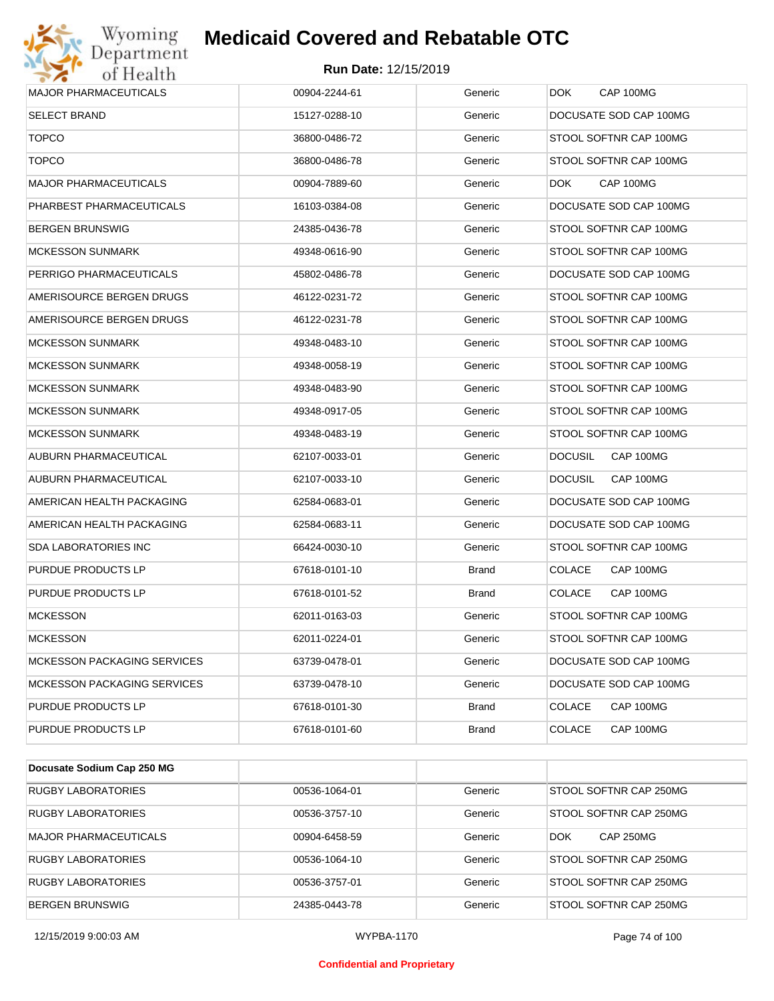# Wyoming<br>Department<br>of Health

### **Medicaid Covered and Rebatable OTC**

| <b>MAJOR PHARMACEUTICALS</b>       | 00904-2244-61 | Generic      | DOK.<br>CAP 100MG           |
|------------------------------------|---------------|--------------|-----------------------------|
| <b>SELECT BRAND</b>                | 15127-0288-10 | Generic      | DOCUSATE SOD CAP 100MG      |
| <b>TOPCO</b>                       | 36800-0486-72 | Generic      | STOOL SOFTNR CAP 100MG      |
| <b>TOPCO</b>                       | 36800-0486-78 | Generic      | STOOL SOFTNR CAP 100MG      |
| <b>MAJOR PHARMACEUTICALS</b>       | 00904-7889-60 | Generic      | DOK.<br>CAP 100MG           |
| PHARBEST PHARMACEUTICALS           | 16103-0384-08 | Generic      | DOCUSATE SOD CAP 100MG      |
| <b>BERGEN BRUNSWIG</b>             | 24385-0436-78 | Generic      | STOOL SOFTNR CAP 100MG      |
| <b>MCKESSON SUNMARK</b>            | 49348-0616-90 | Generic      | STOOL SOFTNR CAP 100MG      |
| PERRIGO PHARMACEUTICALS            | 45802-0486-78 | Generic      | DOCUSATE SOD CAP 100MG      |
| AMERISOURCE BERGEN DRUGS           | 46122-0231-72 | Generic      | STOOL SOFTNR CAP 100MG      |
| AMERISOURCE BERGEN DRUGS           | 46122-0231-78 | Generic      | STOOL SOFTNR CAP 100MG      |
| <b>MCKESSON SUNMARK</b>            | 49348-0483-10 | Generic      | STOOL SOFTNR CAP 100MG      |
| <b>MCKESSON SUNMARK</b>            | 49348-0058-19 | Generic      | STOOL SOFTNR CAP 100MG      |
| <b>MCKESSON SUNMARK</b>            | 49348-0483-90 | Generic      | STOOL SOFTNR CAP 100MG      |
| <b>MCKESSON SUNMARK</b>            | 49348-0917-05 | Generic      | STOOL SOFTNR CAP 100MG      |
| <b>MCKESSON SUNMARK</b>            | 49348-0483-19 | Generic      | STOOL SOFTNR CAP 100MG      |
| AUBURN PHARMACEUTICAL              | 62107-0033-01 | Generic      | <b>DOCUSIL</b><br>CAP 100MG |
| AUBURN PHARMACEUTICAL              | 62107-0033-10 | Generic      | <b>DOCUSIL</b><br>CAP 100MG |
| AMERICAN HEALTH PACKAGING          | 62584-0683-01 | Generic      | DOCUSATE SOD CAP 100MG      |
| AMERICAN HEALTH PACKAGING          | 62584-0683-11 | Generic      | DOCUSATE SOD CAP 100MG      |
| SDA LABORATORIES INC               | 66424-0030-10 | Generic      | STOOL SOFTNR CAP 100MG      |
| PURDUE PRODUCTS LP                 | 67618-0101-10 | Brand        | <b>COLACE</b><br>CAP 100MG  |
| PURDUE PRODUCTS LP                 | 67618-0101-52 | Brand        | CAP 100MG<br><b>COLACE</b>  |
| <b>MCKESSON</b>                    | 62011-0163-03 | Generic      | STOOL SOFTNR CAP 100MG      |
| <b>MCKESSON</b>                    | 62011-0224-01 | Generic      | STOOL SOFTNR CAP 100MG      |
| <b>MCKESSON PACKAGING SERVICES</b> | 63739-0478-01 | Generic      | DOCUSATE SOD CAP 100MG      |
| <b>MCKESSON PACKAGING SERVICES</b> | 63739-0478-10 | Generic      | DOCUSATE SOD CAP 100MG      |
| PURDUE PRODUCTS LP                 | 67618-0101-30 | <b>Brand</b> | <b>COLACE</b><br>CAP 100MG  |
| PURDUE PRODUCTS LP                 | 67618-0101-60 | <b>Brand</b> | <b>COLACE</b><br>CAP 100MG  |

| Docusate Sodium Cap 250 MG   |               |         |                                |
|------------------------------|---------------|---------|--------------------------------|
| <b>RUGBY LABORATORIES</b>    | 00536-1064-01 | Generic | STOOL SOFTNR CAP 250MG         |
| <b>RUGBY LABORATORIES</b>    | 00536-3757-10 | Generic | STOOL SOFTNR CAP 250MG         |
| <b>MAJOR PHARMACEUTICALS</b> | 00904-6458-59 | Generic | <b>DOK</b><br><b>CAP 250MG</b> |
| <b>RUGBY LABORATORIES</b>    | 00536-1064-10 | Generic | STOOL SOFTNR CAP 250MG         |
| <b>RUGBY LABORATORIES</b>    | 00536-3757-01 | Generic | STOOL SOFTNR CAP 250MG         |
| <b>BERGEN BRUNSWIG</b>       | 24385-0443-78 | Generic | STOOL SOFTNR CAP 250MG         |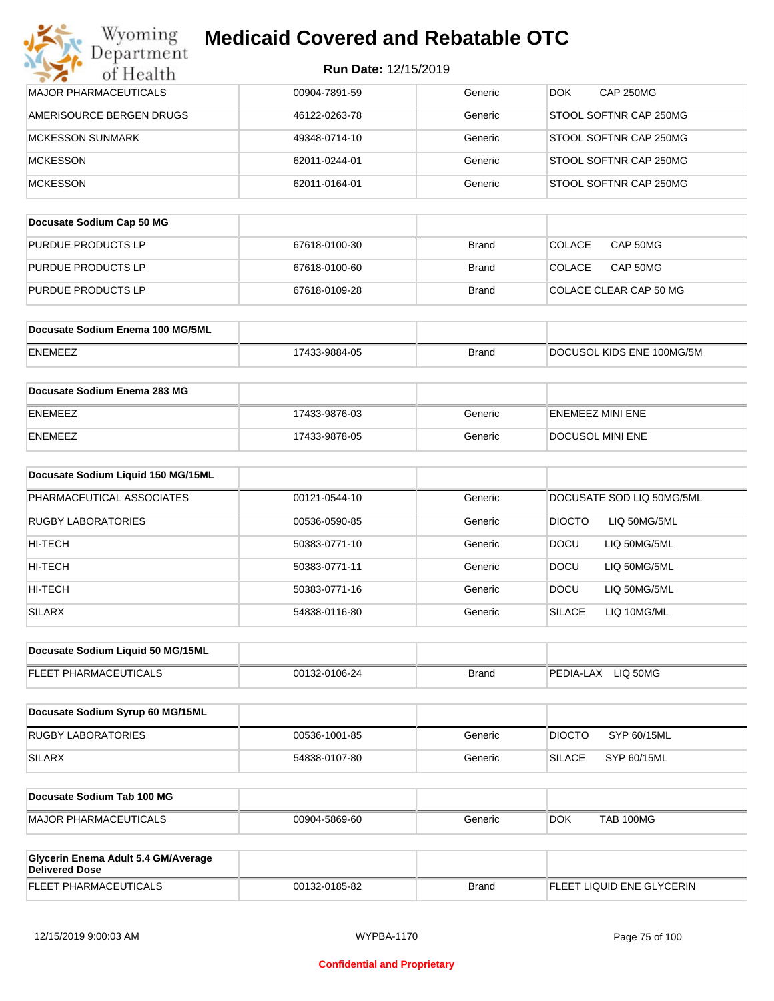|  | Run Date: 12/15/2019 |
|--|----------------------|
|--|----------------------|

| Wyoming<br>Department                                        | <b>Medicaid Covered and Rebatable OTC</b> |              |                                |
|--------------------------------------------------------------|-------------------------------------------|--------------|--------------------------------|
| of Health                                                    | Run Date: 12/15/2019                      |              |                                |
| MAJOR PHARMACEUTICALS                                        | 00904-7891-59                             | Generic      | CAP 250MG<br>DOK.              |
| AMERISOURCE BERGEN DRUGS                                     | 46122-0263-78                             | Generic      | STOOL SOFTNR CAP 250MG         |
| <b>MCKESSON SUNMARK</b>                                      | 49348-0714-10                             | Generic      | STOOL SOFTNR CAP 250MG         |
| <b>MCKESSON</b>                                              | 62011-0244-01                             | Generic      | STOOL SOFTNR CAP 250MG         |
| <b>MCKESSON</b>                                              | 62011-0164-01                             | Generic      | STOOL SOFTNR CAP 250MG         |
| Docusate Sodium Cap 50 MG                                    |                                           |              |                                |
| PURDUE PRODUCTS LP                                           | 67618-0100-30                             | <b>Brand</b> | <b>COLACE</b><br>CAP 50MG      |
| PURDUE PRODUCTS LP                                           | 67618-0100-60                             | <b>Brand</b> | <b>COLACE</b><br>CAP 50MG      |
| <b>PURDUE PRODUCTS LP</b>                                    | 67618-0109-28                             | <b>Brand</b> | COLACE CLEAR CAP 50 MG         |
| Docusate Sodium Enema 100 MG/5ML                             |                                           |              |                                |
| ENEMEEZ                                                      | 17433-9884-05                             | <b>Brand</b> | DOCUSOL KIDS ENE 100MG/5M      |
|                                                              |                                           |              |                                |
| Docusate Sodium Enema 283 MG                                 |                                           |              |                                |
| ENEMEEZ                                                      | 17433-9876-03                             | Generic      | <b>ENEMEEZ MINI ENE</b>        |
| ENEMEEZ                                                      | 17433-9878-05                             | Generic      | DOCUSOL MINI ENE               |
| Docusate Sodium Liquid 150 MG/15ML                           |                                           |              |                                |
| PHARMACEUTICAL ASSOCIATES                                    | 00121-0544-10                             | Generic      | DOCUSATE SOD LIQ 50MG/5ML      |
| RUGBY LABORATORIES                                           | 00536-0590-85                             | Generic      | <b>DIOCTO</b><br>LIQ 50MG/5ML  |
| HI-TECH                                                      | 50383-0771-10                             | Generic      | <b>DOCU</b><br>LIQ 50MG/5ML    |
| HI-TECH                                                      | 50383-0771-11                             | Generic      | LIQ 50MG/5ML<br><b>DOCU</b>    |
| HI-TECH                                                      | 50383-0771-16                             | Generic      | <b>DOCU</b><br>LIQ 50MG/5ML    |
| <b>SILARX</b>                                                | 54838-0116-80                             | Generic      | <b>SILACE</b><br>LIQ 10MG/ML   |
| Docusate Sodium Liquid 50 MG/15ML                            |                                           |              |                                |
| FLEET PHARMACEUTICALS                                        | 00132-0106-24                             | <b>Brand</b> | PEDIA-LAX LIQ 50MG             |
| Docusate Sodium Syrup 60 MG/15ML                             |                                           |              |                                |
| RUGBY LABORATORIES                                           | 00536-1001-85                             | Generic      | <b>DIOCTO</b><br>SYP 60/15ML   |
| <b>SILARX</b>                                                | 54838-0107-80                             | Generic      | <b>SILACE</b><br>SYP 60/15ML   |
| Docusate Sodium Tab 100 MG                                   |                                           |              |                                |
| MAJOR PHARMACEUTICALS                                        | 00904-5869-60                             | Generic      | <b>TAB 100MG</b><br><b>DOK</b> |
|                                                              |                                           |              |                                |
| Glycerin Enema Adult 5.4 GM/Average<br><b>Delivered Dose</b> |                                           |              |                                |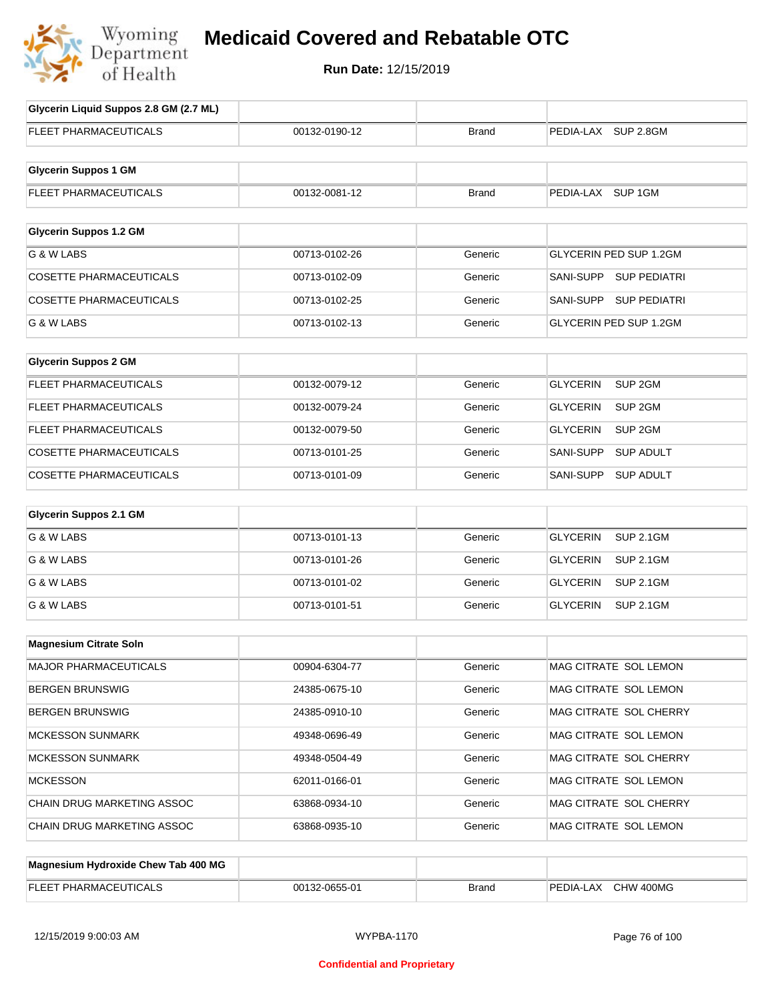

### **Medicaid Covered and Rebatable OTC**

| Glycerin Liquid Suppos 2.8 GM (2.7 ML) |               |              |                                       |
|----------------------------------------|---------------|--------------|---------------------------------------|
| <b>FLEET PHARMACEUTICALS</b>           | 00132-0190-12 | <b>Brand</b> | PEDIA-LAX SUP 2.8GM                   |
|                                        |               |              |                                       |
| <b>Glycerin Suppos 1 GM</b>            |               |              |                                       |
| FLEET PHARMACEUTICALS                  | 00132-0081-12 | <b>Brand</b> | PEDIA-LAX SUP 1GM                     |
| <b>Glycerin Suppos 1.2 GM</b>          |               |              |                                       |
| G & W LABS                             | 00713-0102-26 | Generic      | <b>GLYCERIN PED SUP 1.2GM</b>         |
| <b>COSETTE PHARMACEUTICALS</b>         | 00713-0102-09 | Generic      | SANI-SUPP SUP PEDIATRI                |
| <b>COSETTE PHARMACEUTICALS</b>         | 00713-0102-25 | Generic      | SANI-SUPP SUP PEDIATRI                |
| G & W LABS                             | 00713-0102-13 | Generic      | <b>GLYCERIN PED SUP 1.2GM</b>         |
|                                        |               |              |                                       |
| <b>Glycerin Suppos 2 GM</b>            |               |              |                                       |
| FLEET PHARMACEUTICALS                  | 00132-0079-12 | Generic      | SUP <sub>2GM</sub><br><b>GLYCERIN</b> |
| <b>FLEET PHARMACEUTICALS</b>           | 00132-0079-24 | Generic      | <b>GLYCERIN</b><br>SUP <sub>2GM</sub> |
| FLEET PHARMACEUTICALS                  | 00132-0079-50 | Generic      | <b>GLYCERIN</b><br>SUP <sub>2GM</sub> |
| <b>COSETTE PHARMACEUTICALS</b>         | 00713-0101-25 | Generic      | SANI-SUPP<br><b>SUP ADULT</b>         |
| <b>COSETTE PHARMACEUTICALS</b>         | 00713-0101-09 | Generic      | SANI-SUPP<br><b>SUP ADULT</b>         |
|                                        |               |              |                                       |
| <b>Glycerin Suppos 2.1 GM</b>          |               |              |                                       |
| G & W LABS                             | 00713-0101-13 | Generic      | <b>GLYCERIN</b><br><b>SUP 2.1GM</b>   |
| G & W LABS                             | 00713-0101-26 | Generic      | <b>GLYCERIN</b><br><b>SUP 2.1GM</b>   |
| G & W LABS                             | 00713-0101-02 | Generic      | <b>GLYCERIN</b><br><b>SUP 2.1GM</b>   |
| G & W LABS                             | 00713-0101-51 | Generic      | <b>GLYCERIN</b><br><b>SUP 2.1GM</b>   |
|                                        |               |              |                                       |
| <b>Magnesium Citrate Soln</b>          |               |              |                                       |
| <b>MAJOR PHARMACEUTICALS</b>           | 00904-6304-77 | Generic      | MAG CITRATE SOL LEMON                 |
| <b>BERGEN BRUNSWIG</b>                 | 24385-0675-10 | Generic      | MAG CITRATE SOL LEMON                 |
| <b>BERGEN BRUNSWIG</b>                 | 24385-0910-10 | Generic      | MAG CITRATE SOL CHERRY                |
| <b>MCKESSON SUNMARK</b>                | 49348-0696-49 | Generic      | MAG CITRATE SOL LEMON                 |
| <b>MCKESSON SUNMARK</b>                | 49348-0504-49 | Generic      | MAG CITRATE SOL CHERRY                |
| <b>MCKESSON</b>                        | 62011-0166-01 | Generic      | MAG CITRATE SOL LEMON                 |
| CHAIN DRUG MARKETING ASSOC             | 63868-0934-10 | Generic      | MAG CITRATE SOL CHERRY                |
| CHAIN DRUG MARKETING ASSOC             | 63868-0935-10 | Generic      | MAG CITRATE SOL LEMON                 |
|                                        |               |              |                                       |
| Magnesium Hydroxide Chew Tab 400 MG    |               |              |                                       |

| EL EET<br>'TICALC<br><b>PHARMA</b><br>-- | OCHC<br>32-0655-01<br>,,,, | Brand | 400MG<br>$\sim$<br>ÞЕ<br>CUIA-LAX<br>∵∨⊓ب |
|------------------------------------------|----------------------------|-------|-------------------------------------------|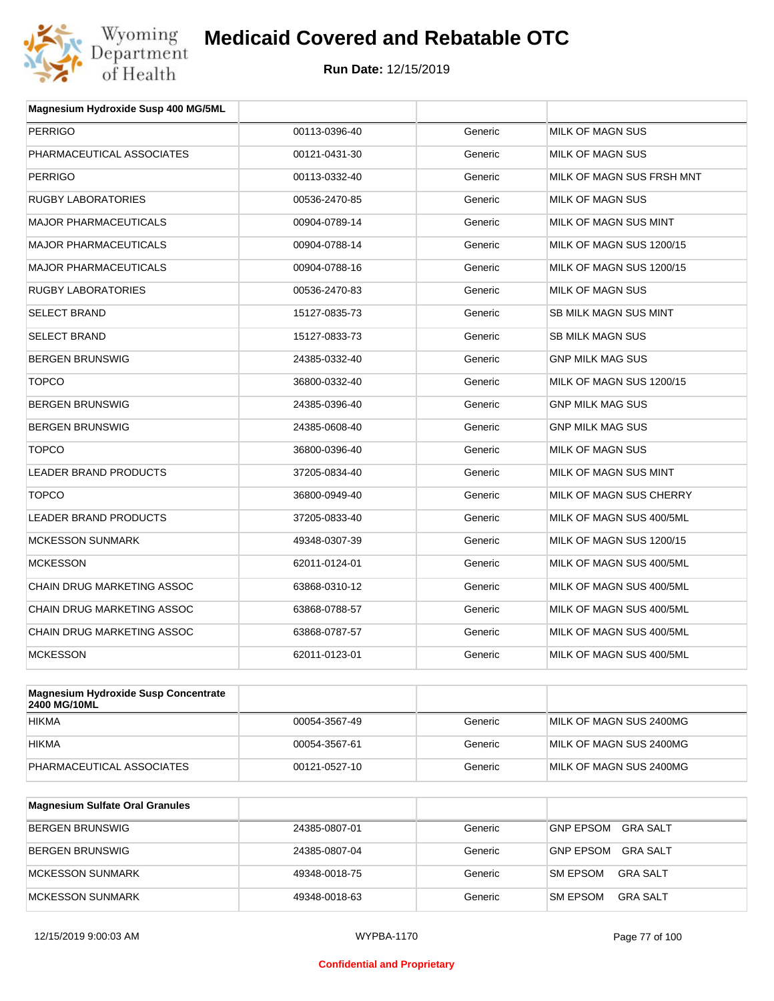

| Magnesium Hydroxide Susp 400 MG/5ML |               |         |                              |
|-------------------------------------|---------------|---------|------------------------------|
| <b>PERRIGO</b>                      | 00113-0396-40 | Generic | MILK OF MAGN SUS             |
| PHARMACEUTICAL ASSOCIATES           | 00121-0431-30 | Generic | MILK OF MAGN SUS             |
| <b>PERRIGO</b>                      | 00113-0332-40 | Generic | MILK OF MAGN SUS FRSH MNT    |
| <b>RUGBY LABORATORIES</b>           | 00536-2470-85 | Generic | MILK OF MAGN SUS             |
| <b>MAJOR PHARMACEUTICALS</b>        | 00904-0789-14 | Generic | MILK OF MAGN SUS MINT        |
| <b>MAJOR PHARMACEUTICALS</b>        | 00904-0788-14 | Generic | MILK OF MAGN SUS 1200/15     |
| <b>MAJOR PHARMACEUTICALS</b>        | 00904-0788-16 | Generic | MILK OF MAGN SUS 1200/15     |
| <b>RUGBY LABORATORIES</b>           | 00536-2470-83 | Generic | MILK OF MAGN SUS             |
| <b>SELECT BRAND</b>                 | 15127-0835-73 | Generic | <b>SB MILK MAGN SUS MINT</b> |
| <b>SELECT BRAND</b>                 | 15127-0833-73 | Generic | <b>SB MILK MAGN SUS</b>      |
| <b>BERGEN BRUNSWIG</b>              | 24385-0332-40 | Generic | <b>GNP MILK MAG SUS</b>      |
| <b>TOPCO</b>                        | 36800-0332-40 | Generic | MILK OF MAGN SUS 1200/15     |
| <b>BERGEN BRUNSWIG</b>              | 24385-0396-40 | Generic | <b>GNP MILK MAG SUS</b>      |
| <b>BERGEN BRUNSWIG</b>              | 24385-0608-40 | Generic | GNP MILK MAG SUS             |
| <b>TOPCO</b>                        | 36800-0396-40 | Generic | MILK OF MAGN SUS             |
| LEADER BRAND PRODUCTS               | 37205-0834-40 | Generic | MILK OF MAGN SUS MINT        |
| <b>TOPCO</b>                        | 36800-0949-40 | Generic | MILK OF MAGN SUS CHERRY      |
| LEADER BRAND PRODUCTS               | 37205-0833-40 | Generic | MILK OF MAGN SUS 400/5ML     |
| <b>MCKESSON SUNMARK</b>             | 49348-0307-39 | Generic | MILK OF MAGN SUS 1200/15     |
| <b>MCKESSON</b>                     | 62011-0124-01 | Generic | MILK OF MAGN SUS 400/5ML     |
| CHAIN DRUG MARKETING ASSOC          | 63868-0310-12 | Generic | MILK OF MAGN SUS 400/5ML     |
| CHAIN DRUG MARKETING ASSOC          | 63868-0788-57 | Generic | MILK OF MAGN SUS 400/5ML     |
| CHAIN DRUG MARKETING ASSOC          | 63868-0787-57 | Generic | MILK OF MAGN SUS 400/5ML     |
| <b>MCKESSON</b>                     | 62011-0123-01 | Generic | MILK OF MAGN SUS 400/5ML     |
|                                     |               |         |                              |

| <b>Magnesium Hydroxide Susp Concentrate</b><br>2400 MG/10ML |               |         |                         |
|-------------------------------------------------------------|---------------|---------|-------------------------|
| <b>HIKMA</b>                                                | 00054-3567-49 | Generic | MILK OF MAGN SUS 2400MG |
| <b>HIKMA</b>                                                | 00054-3567-61 | Generic | MILK OF MAGN SUS 2400MG |
| PHARMACEUTICAL ASSOCIATES                                   | 00121-0527-10 | Generic | MILK OF MAGN SUS 2400MG |

| Magnesium Sulfate Oral Granules |               |         |                                    |
|---------------------------------|---------------|---------|------------------------------------|
| <b>BERGEN BRUNSWIG</b>          | 24385-0807-01 | Generic | GNP EPSOM<br>GRA SALT              |
| BERGEN BRUNSWIG                 | 24385-0807-04 | Generic | GRA SALT<br><b>GNP EPSOM</b>       |
| <b>IMCKESSON SUNMARK</b>        | 49348-0018-75 | Generic | <b>SM EPSOM</b><br>GRA SALT        |
| MCKESSON SUNMARK                | 49348-0018-63 | Generic | <b>SM EPSOM</b><br><b>GRA SALT</b> |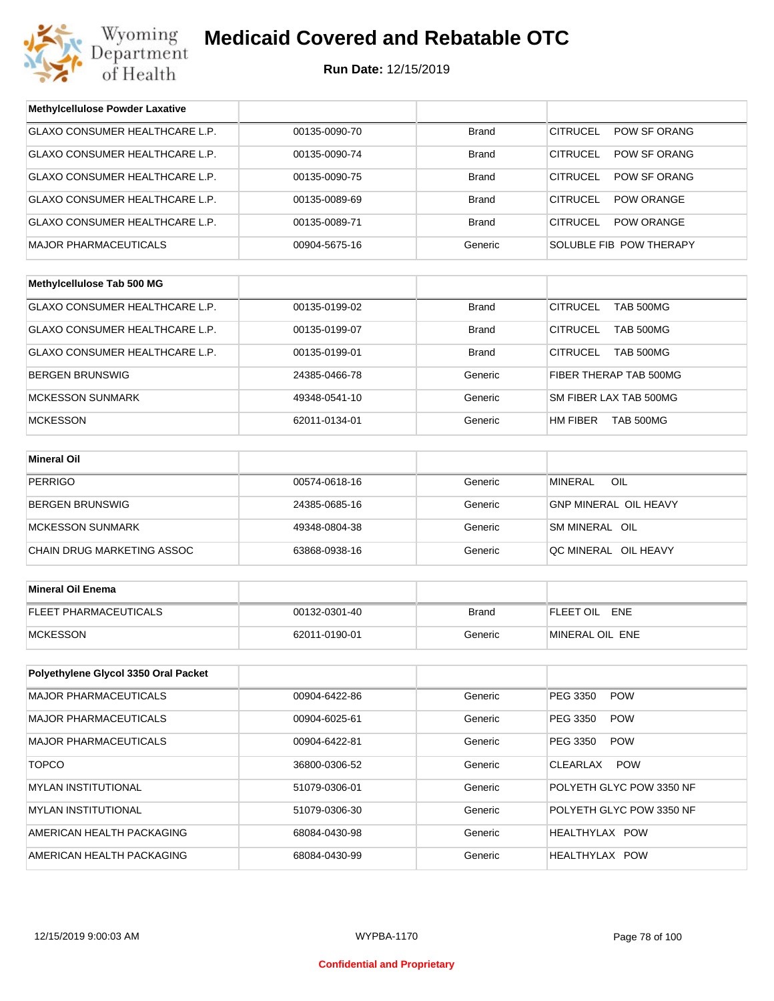

### **Medicaid Covered and Rebatable OTC**

**Run Date:** 12/15/2019

| <b>Methylcellulose Powder Laxative</b> |               |              |                                      |  |
|----------------------------------------|---------------|--------------|--------------------------------------|--|
| <b>GLAXO CONSUMER HEALTHCARE L.P.</b>  | 00135-0090-70 | <b>Brand</b> | <b>CITRUCEL</b><br>POW SF ORANG      |  |
| GLAXO CONSUMER HEALTHCARE L.P.         | 00135-0090-74 | <b>Brand</b> | <b>CITRUCEL</b><br>POW SF ORANG      |  |
| GLAXO CONSUMER HEALTHCARE L.P.         | 00135-0090-75 | <b>Brand</b> | <b>CITRUCEL</b><br>POW SF ORANG      |  |
| GLAXO CONSUMER HEALTHCARE L.P.         | 00135-0089-69 | <b>Brand</b> | <b>CITRUCEL</b><br><b>POW ORANGE</b> |  |
| GLAXO CONSUMER HEALTHCARE L.P.         | 00135-0089-71 | <b>Brand</b> | <b>CITRUCEL</b><br><b>POW ORANGE</b> |  |
| <b>MAJOR PHARMACEUTICALS</b>           | 00904-5675-16 | Generic      | SOLUBLE FIB POW THERAPY              |  |
|                                        |               |              |                                      |  |
| Methylcellulose Tab 500 MG             |               |              |                                      |  |
| GLAXO CONSUMER HEALTHCARE L.P.         | 00135-0199-02 | <b>Brand</b> | <b>CITRUCEL</b><br><b>TAB 500MG</b>  |  |
| GLAXO CONSUMER HEALTHCARE L.P.         | 00135-0199-07 | <b>Brand</b> | <b>CITRUCEL</b><br><b>TAB 500MG</b>  |  |
| GLAXO CONSUMER HEALTHCARE L.P.         | 00135-0199-01 | Brand        | <b>CITRUCEL</b><br>TAB 500MG         |  |
| <b>BERGEN BRUNSWIG</b>                 | 24385-0466-78 | Generic      | FIBER THERAP TAB 500MG               |  |
| <b>MCKESSON SUNMARK</b>                | 49348-0541-10 | Generic      | SM FIBER LAX TAB 500MG               |  |
| <b>MCKESSON</b>                        | 62011-0134-01 | Generic      | HM FIBER<br><b>TAB 500MG</b>         |  |
|                                        |               |              |                                      |  |
| <b>Mineral Oil</b>                     |               |              |                                      |  |
| <b>PERRIGO</b>                         | 00574-0618-16 | Generic      | <b>MINERAL</b><br>OIL                |  |
| <b>BERGEN BRUNSWIG</b>                 | 24385-0685-16 | Generic      | GNP MINERAL OIL HEAVY                |  |
| <b>MCKESSON SUNMARK</b>                | 49348-0804-38 | Generic      | SM MINERAL OIL                       |  |
| CHAIN DRUG MARKETING ASSOC             | 63868-0938-16 | Generic      | QC MINERAL OIL HEAVY                 |  |
|                                        |               |              |                                      |  |
| <b>Mineral Oil Enema</b>               |               |              |                                      |  |
| <b>FLEET PHARMACEUTICALS</b>           | 00132-0301-40 | <b>Brand</b> | FLEET OIL ENE                        |  |
| <b>MCKESSON</b>                        | 62011-0190-01 | Generic      | MINERAL OIL ENE                      |  |
|                                        |               |              |                                      |  |
| Polyethylene Glycol 3350 Oral Packet   |               |              |                                      |  |
| <b>MAJOR PHARMACEUTICALS</b>           | 00904-6422-86 | Generic      | PEG 3350<br><b>POW</b>               |  |
| <b>MAJOR PHARMACEUTICALS</b>           | 00904-6025-61 | Generic      | PEG 3350<br><b>POW</b>               |  |
| <b>MAJOR PHARMACEUTICALS</b>           | 00904-6422-81 | Generic      | PEG 3350<br><b>POW</b>               |  |
| <b>TOPCO</b>                           | 36800-0306-52 | Generic      | <b>CLEARLAX</b><br><b>POW</b>        |  |
| <b>MYLAN INSTITUTIONAL</b>             | 51079-0306-01 | Generic      | POLYETH GLYC POW 3350 NF             |  |
| <b>MYLAN INSTITUTIONAL</b>             | 51079-0306-30 | Generic      | POLYETH GLYC POW 3350 NF             |  |
| AMERICAN HEALTH PACKAGING              | 68084-0430-98 | Generic      | HEALTHYLAX POW                       |  |
| AMERICAN HEALTH PACKAGING              | 68084-0430-99 | Generic      | HEALTHYLAX POW                       |  |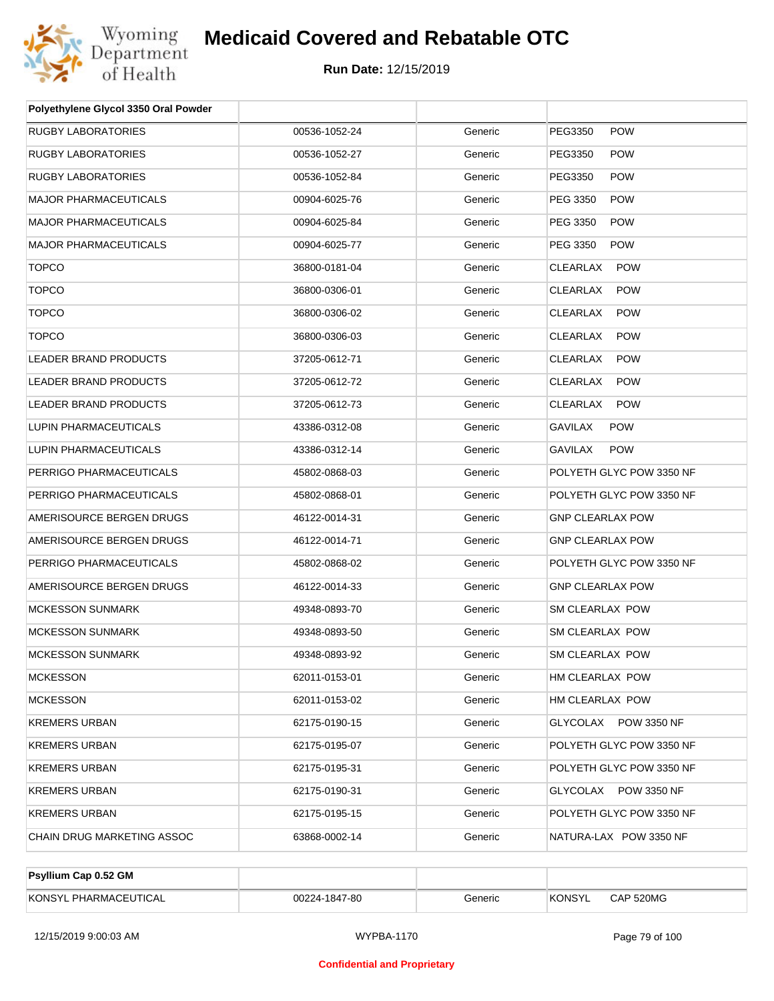

| Polyethylene Glycol 3350 Oral Powder |               |         |                               |
|--------------------------------------|---------------|---------|-------------------------------|
| RUGBY LABORATORIES                   | 00536-1052-24 | Generic | PEG3350<br><b>POW</b>         |
| RUGBY LABORATORIES                   | 00536-1052-27 | Generic | PEG3350<br><b>POW</b>         |
| RUGBY LABORATORIES                   | 00536-1052-84 | Generic | PEG3350<br><b>POW</b>         |
| <b>MAJOR PHARMACEUTICALS</b>         | 00904-6025-76 | Generic | <b>POW</b><br>PEG 3350        |
| <b>MAJOR PHARMACEUTICALS</b>         | 00904-6025-84 | Generic | PEG 3350<br><b>POW</b>        |
| <b>MAJOR PHARMACEUTICALS</b>         | 00904-6025-77 | Generic | PEG 3350<br><b>POW</b>        |
| <b>TOPCO</b>                         | 36800-0181-04 | Generic | <b>POW</b><br>CLEARLAX        |
| <b>TOPCO</b>                         | 36800-0306-01 | Generic | <b>CLEARLAX</b><br><b>POW</b> |
| <b>TOPCO</b>                         | 36800-0306-02 | Generic | <b>CLEARLAX</b><br><b>POW</b> |
| <b>TOPCO</b>                         | 36800-0306-03 | Generic | <b>CLEARLAX</b><br><b>POW</b> |
| LEADER BRAND PRODUCTS                | 37205-0612-71 | Generic | <b>CLEARLAX</b><br><b>POW</b> |
| LEADER BRAND PRODUCTS                | 37205-0612-72 | Generic | CLEARLAX<br><b>POW</b>        |
| <b>LEADER BRAND PRODUCTS</b>         | 37205-0612-73 | Generic | CLEARLAX<br><b>POW</b>        |
| LUPIN PHARMACEUTICALS                | 43386-0312-08 | Generic | <b>GAVILAX</b><br><b>POW</b>  |
| LUPIN PHARMACEUTICALS                | 43386-0312-14 | Generic | <b>GAVILAX</b><br><b>POW</b>  |
| PERRIGO PHARMACEUTICALS              | 45802-0868-03 | Generic | POLYETH GLYC POW 3350 NF      |
| PERRIGO PHARMACEUTICALS              | 45802-0868-01 | Generic | POLYETH GLYC POW 3350 NF      |
| AMERISOURCE BERGEN DRUGS             | 46122-0014-31 | Generic | <b>GNP CLEARLAX POW</b>       |
| AMERISOURCE BERGEN DRUGS             | 46122-0014-71 | Generic | <b>GNP CLEARLAX POW</b>       |
| PERRIGO PHARMACEUTICALS              | 45802-0868-02 | Generic | POLYETH GLYC POW 3350 NF      |
| AMERISOURCE BERGEN DRUGS             | 46122-0014-33 | Generic | <b>GNP CLEARLAX POW</b>       |
| <b>MCKESSON SUNMARK</b>              | 49348-0893-70 | Generic | SM CLEARLAX POW               |
| <b>MCKESSON SUNMARK</b>              | 49348-0893-50 | Generic | SM CLEARLAX POW               |
| MCKESSON SUNMARK                     | 49348-0893-92 | Generic | SM CLEARLAX POW               |
| MCKESSON                             | 62011-0153-01 | Generic | HM CLEARLAX POW               |
| <b>MCKESSON</b>                      | 62011-0153-02 | Generic | HM CLEARLAX POW               |
| KREMERS URBAN                        | 62175-0190-15 | Generic | GLYCOLAX POW 3350 NF          |
| KREMERS URBAN                        | 62175-0195-07 | Generic | POLYETH GLYC POW 3350 NF      |
| KREMERS URBAN                        | 62175-0195-31 | Generic | POLYETH GLYC POW 3350 NF      |
| KREMERS URBAN                        | 62175-0190-31 | Generic | GLYCOLAX POW 3350 NF          |
| KREMERS URBAN                        | 62175-0195-15 | Generic | POLYETH GLYC POW 3350 NF      |
| CHAIN DRUG MARKETING ASSOC           | 63868-0002-14 | Generic | NATURA-LAX POW 3350 NF        |

| Psyllium Cap 0.52 GM  |               |         |               |           |
|-----------------------|---------------|---------|---------------|-----------|
| KONSYL PHARMACEUTICAL | 00224-1847-80 | Generic | <b>KONSYL</b> | CAP 520MG |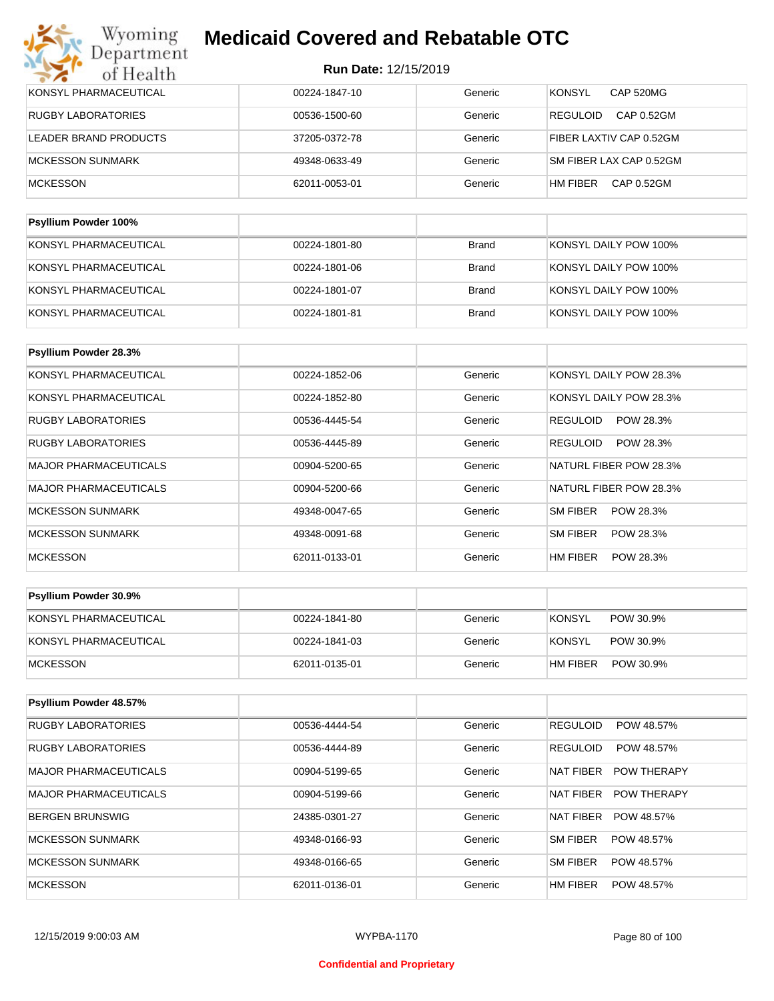| KONSYL PHARMACEUTICAL<br><b>RUGBY LABORATORIES</b><br><b>REGULOID</b><br>00536-1500-60<br>Generic<br>LEADER BRAND PRODUCTS<br>Generic<br>37205-0372-78<br>MCKESSON SUNMARK<br>49348-0633-49<br>Generic<br>HM FIBER<br><b>MCKESSON</b><br>62011-0053-01<br>Generic | Bardthouse Barriston 4000/ |         |                                   |
|-------------------------------------------------------------------------------------------------------------------------------------------------------------------------------------------------------------------------------------------------------------------|----------------------------|---------|-----------------------------------|
|                                                                                                                                                                                                                                                                   |                            |         |                                   |
|                                                                                                                                                                                                                                                                   |                            |         | CAP 0.52GM                        |
|                                                                                                                                                                                                                                                                   |                            |         | SM FIBER LAX CAP 0.52GM           |
|                                                                                                                                                                                                                                                                   |                            |         | FIBER LAXTIV CAP 0.52GM           |
|                                                                                                                                                                                                                                                                   |                            |         | CAP 0.52GM                        |
|                                                                                                                                                                                                                                                                   | 00224-1847-10              | Generic | <b>KONSYL</b><br><b>CAP 520MG</b> |

| <b>Psyllium Powder 100%</b> |               |              |                       |
|-----------------------------|---------------|--------------|-----------------------|
| KONSYL PHARMACEUTICAL       | 00224-1801-80 | <b>Brand</b> | KONSYL DAILY POW 100% |
| KONSYL PHARMACEUTICAL       | 00224-1801-06 | <b>Brand</b> | KONSYL DAILY POW 100% |
| KONSYL PHARMACEUTICAL       | 00224-1801-07 | <b>Brand</b> | KONSYL DAILY POW 100% |
| KONSYL PHARMACEUTICAL       | 00224-1801-81 | <b>Brand</b> | KONSYL DAILY POW 100% |

| <b>Psyllium Powder 28.3%</b> |               |         |                        |
|------------------------------|---------------|---------|------------------------|
| KONSYL PHARMACEUTICAL        | 00224-1852-06 | Generic | KONSYL DAILY POW 28.3% |
| KONSYL PHARMACEUTICAL        | 00224-1852-80 | Generic | KONSYL DAILY POW 28.3% |
| <b>RUGBY LABORATORIES</b>    | 00536-4445-54 | Generic | POW 28.3%<br>REGULOID  |
| <b>RUGBY LABORATORIES</b>    | 00536-4445-89 | Generic | POW 28.3%<br>REGULOID  |
| <b>MAJOR PHARMACEUTICALS</b> | 00904-5200-65 | Generic | NATURL FIBER POW 28.3% |
| <b>MAJOR PHARMACEUTICALS</b> | 00904-5200-66 | Generic | NATURL FIBER POW 28.3% |
| <b>MCKESSON SUNMARK</b>      | 49348-0047-65 | Generic | SM FIBER<br>POW 28.3%  |
| <b>MCKESSON SUNMARK</b>      | 49348-0091-68 | Generic | SM FIBER<br>POW 28.3%  |
| <b>MCKESSON</b>              | 62011-0133-01 | Generic | HM FIBER<br>POW 28.3%  |

| <b>Psyllium Powder 30.9%</b> |               |         |                            |
|------------------------------|---------------|---------|----------------------------|
| KONSYL PHARMACEUTICAL        | 00224-1841-80 | Generic | <b>KONSYL</b><br>POW 30.9% |
| KONSYL PHARMACEUTICAL        | 00224-1841-03 | Generic | KONSYL<br>POW 30.9%        |
| MCKESSON                     | 62011-0135-01 | Generic | HM FIBER<br>POW 30.9%      |

| Psyllium Powder 48.57%    |               |         |                                 |
|---------------------------|---------------|---------|---------------------------------|
| <b>RUGBY LABORATORIES</b> | 00536-4444-54 | Generic | <b>REGULOID</b><br>POW 48.57%   |
| <b>RUGBY LABORATORIES</b> | 00536-4444-89 | Generic | <b>REGULOID</b><br>POW 48.57%   |
| MAJOR PHARMACEUTICALS     | 00904-5199-65 | Generic | NAT FIBER<br><b>POW THERAPY</b> |
| MAJOR PHARMACEUTICALS     | 00904-5199-66 | Generic | NAT FIBER<br><b>POW THERAPY</b> |
| BERGEN BRUNSWIG           | 24385-0301-27 | Generic | <b>NAT FIBER</b><br>POW 48.57%  |
| MCKESSON SUNMARK          | 49348-0166-93 | Generic | SM FIBER<br>POW 48.57%          |
| MCKESSON SUNMARK          | 49348-0166-65 | Generic | SM FIBER<br>POW 48.57%          |
| <b>MCKESSON</b>           | 62011-0136-01 | Generic | HM FIBER<br>POW 48.57%          |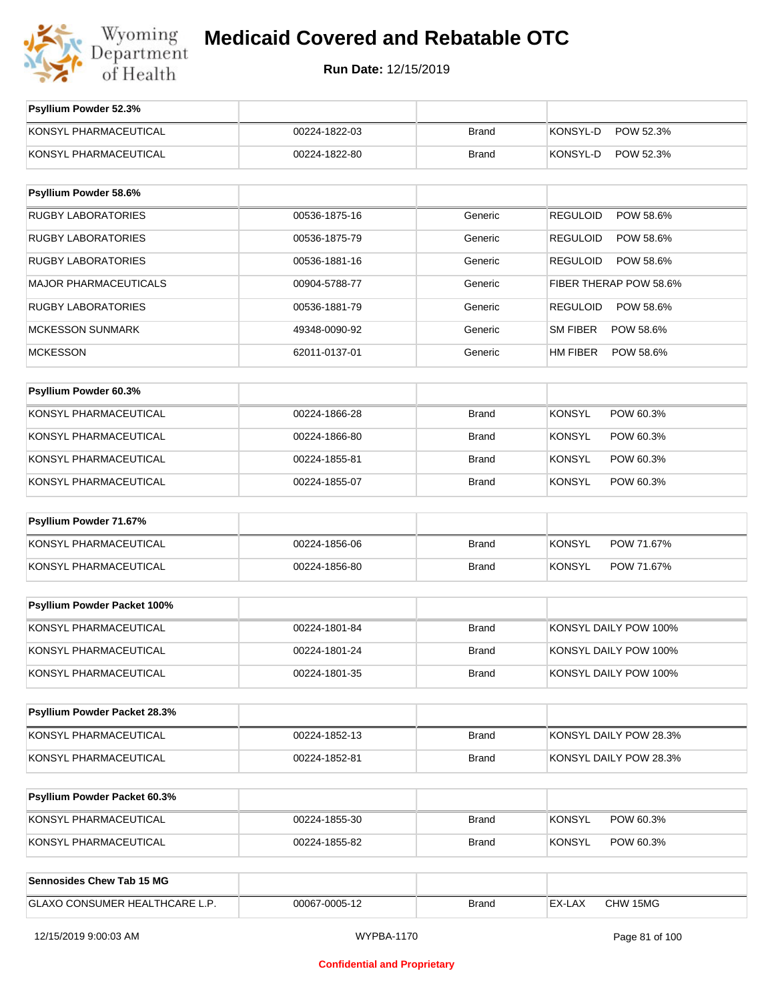

| GLAXO CONSUMER HEALTHCARE L.P.                         | 00067-0005-12                  | <b>Brand</b>                 | EX-LAX<br>CHW 15MG                               |
|--------------------------------------------------------|--------------------------------|------------------------------|--------------------------------------------------|
| Sennosides Chew Tab 15 MG                              |                                |                              |                                                  |
| KONSYL PHARMACEUTICAL                                  | 00224-1855-82                  | <b>Brand</b>                 | <b>KONSYL</b><br>POW 60.3%                       |
| KONSYL PHARMACEUTICAL                                  | 00224-1855-30                  | <b>Brand</b>                 | <b>KONSYL</b><br>POW 60.3%                       |
| Psyllium Powder Packet 60.3%                           |                                |                              |                                                  |
|                                                        |                                |                              |                                                  |
| KONSYL PHARMACEUTICAL<br>KONSYL PHARMACEUTICAL         | 00224-1852-13<br>00224-1852-81 | <b>Brand</b><br><b>Brand</b> | KONSYL DAILY POW 28.3%<br>KONSYL DAILY POW 28.3% |
|                                                        |                                |                              |                                                  |
| Psyllium Powder Packet 28.3%                           |                                |                              |                                                  |
| KONSYL PHARMACEUTICAL                                  | 00224-1801-35                  | Brand                        | KONSYL DAILY POW 100%                            |
| KONSYL PHARMACEUTICAL                                  | 00224-1801-24                  | <b>Brand</b>                 | KONSYL DAILY POW 100%                            |
| KONSYL PHARMACEUTICAL                                  | 00224-1801-84                  | <b>Brand</b>                 | KONSYL DAILY POW 100%                            |
| Psyllium Powder Packet 100%                            |                                |                              |                                                  |
|                                                        |                                |                              |                                                  |
| KONSYL PHARMACEUTICAL                                  | 00224-1856-80                  | <b>Brand</b>                 | <b>KONSYL</b><br>POW 71.67%                      |
| Psyllium Powder 71.67%<br>KONSYL PHARMACEUTICAL        | 00224-1856-06                  | <b>Brand</b>                 | <b>KONSYL</b><br>POW 71.67%                      |
|                                                        |                                |                              |                                                  |
| KONSYL PHARMACEUTICAL                                  | 00224-1855-07                  | <b>Brand</b>                 | <b>KONSYL</b><br>POW 60.3%                       |
| KONSYL PHARMACEUTICAL                                  | 00224-1855-81                  | <b>Brand</b>                 | <b>KONSYL</b><br>POW 60.3%                       |
| KONSYL PHARMACEUTICAL                                  | 00224-1866-80                  | <b>Brand</b>                 | <b>KONSYL</b><br>POW 60.3%                       |
| KONSYL PHARMACEUTICAL                                  | 00224-1866-28                  | <b>Brand</b>                 | <b>KONSYL</b><br>POW 60.3%                       |
| Psyllium Powder 60.3%                                  |                                |                              |                                                  |
|                                                        |                                |                              |                                                  |
| <b>MCKESSON</b>                                        | 62011-0137-01                  | Generic                      | <b>HM FIBER</b><br>POW 58.6%                     |
| <b>MCKESSON SUNMARK</b>                                | 49348-0090-92                  | Generic                      | SM FIBER<br>POW 58.6%                            |
| <b>RUGBY LABORATORIES</b>                              | 00536-1881-79                  | Generic                      | <b>REGULOID</b><br>POW 58.6%                     |
| <b>MAJOR PHARMACEUTICALS</b>                           | 00536-1881-16<br>00904-5788-77 | Generic                      | FIBER THERAP POW 58.6%                           |
| <b>RUGBY LABORATORIES</b><br><b>RUGBY LABORATORIES</b> | 00536-1875-79                  | Generic<br>Generic           | POW 58.6%<br><b>REGULOID</b><br>POW 58.6%        |
| <b>RUGBY LABORATORIES</b>                              | 00536-1875-16                  | Generic                      | <b>REGULOID</b><br>POW 58.6%<br><b>REGULOID</b>  |
| Psyllium Powder 58.6%                                  |                                |                              |                                                  |
|                                                        |                                |                              |                                                  |
| KONSYL PHARMACEUTICAL                                  | 00224-1822-80                  | <b>Brand</b>                 | KONSYL-D<br>POW 52.3%                            |
| KONSYL PHARMACEUTICAL                                  | 00224-1822-03                  | <b>Brand</b>                 | KONSYL-D<br>POW 52.3%                            |
| Psyllium Powder 52.3%                                  |                                |                              |                                                  |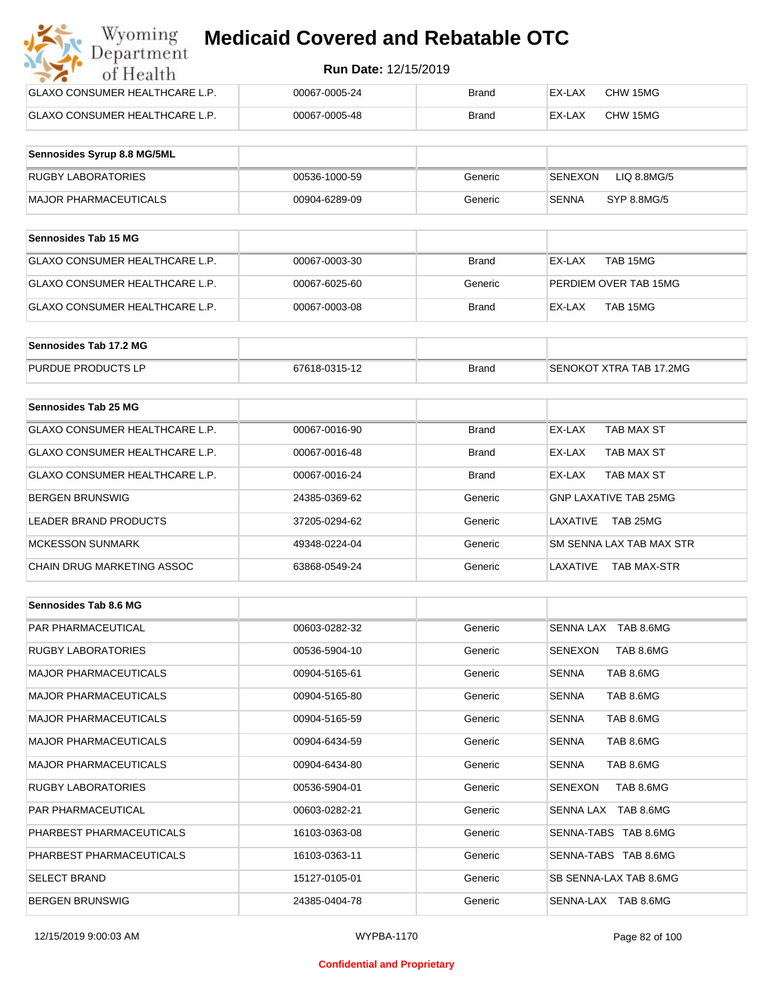| Wyoming<br><b>Medicaid Covered and Rebatable OTC</b><br>Department |                             |              |        |          |  |
|--------------------------------------------------------------------|-----------------------------|--------------|--------|----------|--|
| of Health                                                          | <b>Run Date: 12/15/2019</b> |              |        |          |  |
| <b>GLAXO CONSUMER HEALTHCARE L.P.</b>                              | 00067-0005-24               | <b>Brand</b> | EX-LAX | CHW 15MG |  |
| <b>GLAXO CONSUMER HEALTHCARE L.P.</b>                              | 00067-0005-48               | <b>Brand</b> | EX-LAX | CHW 15MG |  |

| Sennosides Syrup 8.8 MG/5ML |               |         |                        |
|-----------------------------|---------------|---------|------------------------|
| <b>RUGBY LABORATORIES</b>   | 00536-1000-59 | Generic | SENEXON<br>LIQ 8.8MG/5 |
| MAJOR PHARMACEUTICALS       | 00904-6289-09 | Generic | SYP 8.8MG/5<br>SENNA   |

| <b>Sennosides Tab 15 MG</b>    |               |         |                       |
|--------------------------------|---------------|---------|-----------------------|
| GLAXO CONSUMER HEALTHCARE L.P. | 00067-0003-30 | Brand   | TAB 15MG<br>EX-LAX    |
| GLAXO CONSUMER HEALTHCARE L.P. | 00067-6025-60 | Generic | PERDIEM OVER TAB 15MG |
| GLAXO CONSUMER HEALTHCARE L.P. | 00067-0003-08 | Brand   | TAB 15MG<br>EX-LAX    |

| Sennosides Tab 17.2 MG    |               |              |                         |
|---------------------------|---------------|--------------|-------------------------|
| <b>PURDUE PRODUCTS LP</b> | 67618-0315-12 | <b>Brand</b> | SENOKOT XTRA TAB 17.2MG |

| Sennosides Tab 25 MG           |               |              |                                |
|--------------------------------|---------------|--------------|--------------------------------|
| GLAXO CONSUMER HEALTHCARE L.P. | 00067-0016-90 | <b>Brand</b> | EX-LAX<br>TAB MAX ST           |
| GLAXO CONSUMER HEALTHCARE L.P. | 00067-0016-48 | <b>Brand</b> | TAB MAX ST<br>EX-LAX           |
| GLAXO CONSUMER HEALTHCARE L.P. | 00067-0016-24 | <b>Brand</b> | TAB MAX ST<br>EX-LAX           |
| <b>BERGEN BRUNSWIG</b>         | 24385-0369-62 | Generic      | <b>GNP LAXATIVE TAB 25MG</b>   |
| LEADER BRAND PRODUCTS          | 37205-0294-62 | Generic      | TAB 25MG<br>LAXATIVE           |
| <b>MCKESSON SUNMARK</b>        | 49348-0224-04 | Generic      | SM SENNA LAX TAB MAX STR       |
| CHAIN DRUG MARKETING ASSOC     | 63868-0549-24 | Generic      | LAXATIVE<br><b>TAB MAX-STR</b> |

| Sennosides Tab 8.6 MG        |               |         |                             |
|------------------------------|---------------|---------|-----------------------------|
| <b>PAR PHARMACEUTICAL</b>    | 00603-0282-32 | Generic | SENNA LAX TAB 8.6MG         |
| <b>RUGBY LABORATORIES</b>    | 00536-5904-10 | Generic | SENEXON<br>TAB 8.6MG        |
| <b>MAJOR PHARMACEUTICALS</b> | 00904-5165-61 | Generic | TAB 8.6MG<br><b>SENNA</b>   |
| <b>MAJOR PHARMACEUTICALS</b> | 00904-5165-80 | Generic | TAB 8.6MG<br><b>SENNA</b>   |
| <b>MAJOR PHARMACEUTICALS</b> | 00904-5165-59 | Generic | <b>SENNA</b><br>TAB 8.6MG   |
| <b>MAJOR PHARMACEUTICALS</b> | 00904-6434-59 | Generic | TAB 8.6MG<br><b>SENNA</b>   |
| <b>MAJOR PHARMACEUTICALS</b> | 00904-6434-80 | Generic | TAB 8.6MG<br><b>SENNA</b>   |
| <b>RUGBY LABORATORIES</b>    | 00536-5904-01 | Generic | <b>SENEXON</b><br>TAB 8.6MG |
| <b>PAR PHARMACEUTICAL</b>    | 00603-0282-21 | Generic | SENNA LAX TAB 8.6MG         |
| PHARBEST PHARMACEUTICALS     | 16103-0363-08 | Generic | SENNA-TABS TAB 8.6MG        |
| PHARBEST PHARMACEUTICALS     | 16103-0363-11 | Generic | SENNA-TABS TAB 8.6MG        |
| <b>SELECT BRAND</b>          | 15127-0105-01 | Generic | SB SENNA-LAX TAB 8.6MG      |
| <b>BERGEN BRUNSWIG</b>       | 24385-0404-78 | Generic | SENNA-LAX TAB 8.6MG         |

#### **Confidential and Proprietary**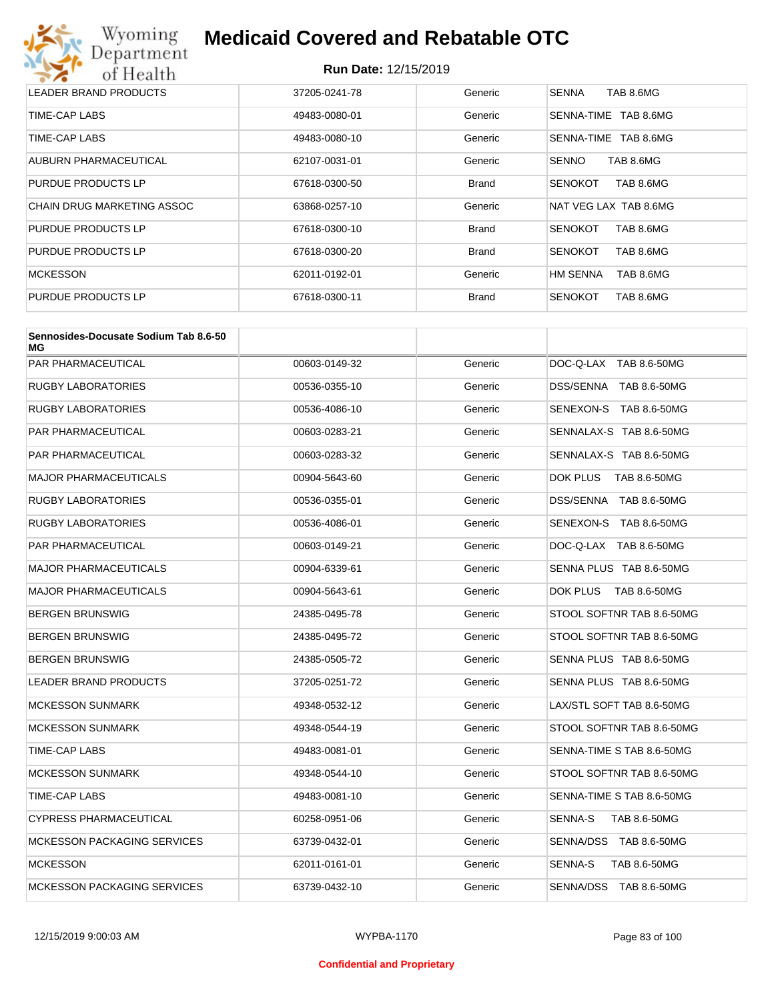

| LEADER BRAND PRODUCTS      | 37205-0241-78 | Generic      | <b>SENNA</b><br>TAB 8.6MG   |
|----------------------------|---------------|--------------|-----------------------------|
| TIME-CAP LABS              | 49483-0080-01 | Generic      | SENNA-TIME<br>TAB 8.6MG     |
| TIME-CAP LABS              | 49483-0080-10 | Generic      | TAB 8.6MG<br>SENNA-TIME     |
| AUBURN PHARMACEUTICAL      | 62107-0031-01 | Generic      | <b>SENNO</b><br>TAB 8.6MG   |
| PURDUE PRODUCTS LP         | 67618-0300-50 | <b>Brand</b> | TAB 8.6MG<br><b>SENOKOT</b> |
| CHAIN DRUG MARKETING ASSOC | 63868-0257-10 | Generic      | NAT VEG LAX TAB 8.6MG       |
| PURDUE PRODUCTS LP         | 67618-0300-10 | <b>Brand</b> | TAB 8.6MG<br><b>SENOKOT</b> |
| PURDUE PRODUCTS LP         | 67618-0300-20 | <b>Brand</b> | TAB 8.6MG<br><b>SENOKOT</b> |
| <b>MCKESSON</b>            | 62011-0192-01 | Generic      | HM SENNA<br>TAB 8.6MG       |
| PURDUE PRODUCTS LP         | 67618-0300-11 | <b>Brand</b> | <b>SENOKOT</b><br>TAB 8.6MG |

| Sennosides-Docusate Sodium Tab 8.6-50<br>МG |               |         |                           |
|---------------------------------------------|---------------|---------|---------------------------|
| PAR PHARMACEUTICAL                          | 00603-0149-32 | Generic | DOC-Q-LAX TAB 8.6-50MG    |
| <b>RUGBY LABORATORIES</b>                   | 00536-0355-10 | Generic | DSS/SENNA TAB 8.6-50MG    |
| RUGBY LABORATORIES                          | 00536-4086-10 | Generic | SENEXON-S TAB 8.6-50MG    |
| PAR PHARMACEUTICAL                          | 00603-0283-21 | Generic | SENNALAX-S TAB 8.6-50MG   |
| PAR PHARMACEUTICAL                          | 00603-0283-32 | Generic | SENNALAX-S TAB 8.6-50MG   |
| MAJOR PHARMACEUTICALS                       | 00904-5643-60 | Generic | DOK PLUS<br>TAB 8.6-50MG  |
| <b>RUGBY LABORATORIES</b>                   | 00536-0355-01 | Generic | DSS/SENNA TAB 8.6-50MG    |
| RUGBY LABORATORIES                          | 00536-4086-01 | Generic | SENEXON-S TAB 8.6-50MG    |
| PAR PHARMACEUTICAL                          | 00603-0149-21 | Generic | DOC-Q-LAX TAB 8.6-50MG    |
| MAJOR PHARMACEUTICALS                       | 00904-6339-61 | Generic | SENNA PLUS TAB 8.6-50MG   |
| MAJOR PHARMACEUTICALS                       | 00904-5643-61 | Generic | DOK PLUS<br>TAB 8.6-50MG  |
| BERGEN BRUNSWIG                             | 24385-0495-78 | Generic | STOOL SOFTNR TAB 8.6-50MG |
| BERGEN BRUNSWIG                             | 24385-0495-72 | Generic | STOOL SOFTNR TAB 8.6-50MG |
| BERGEN BRUNSWIG                             | 24385-0505-72 | Generic | SENNA PLUS TAB 8.6-50MG   |
| LEADER BRAND PRODUCTS                       | 37205-0251-72 | Generic | SENNA PLUS TAB 8.6-50MG   |
| <b>MCKESSON SUNMARK</b>                     | 49348-0532-12 | Generic | LAX/STL SOFT TAB 8.6-50MG |
| <b>MCKESSON SUNMARK</b>                     | 49348-0544-19 | Generic | STOOL SOFTNR TAB 8.6-50MG |
| TIME-CAP LABS                               | 49483-0081-01 | Generic | SENNA-TIME S TAB 8.6-50MG |
| <b>MCKESSON SUNMARK</b>                     | 49348-0544-10 | Generic | STOOL SOFTNR TAB 8.6-50MG |
| TIME-CAP LABS                               | 49483-0081-10 | Generic | SENNA-TIME S TAB 8.6-50MG |
| <b>CYPRESS PHARMACEUTICAL</b>               | 60258-0951-06 | Generic | SENNA-S<br>TAB 8.6-50MG   |
| <b>MCKESSON PACKAGING SERVICES</b>          | 63739-0432-01 | Generic | SENNA/DSS TAB 8.6-50MG    |
| <b>MCKESSON</b>                             | 62011-0161-01 | Generic | SENNA-S<br>TAB 8.6-50MG   |
| <b>MCKESSON PACKAGING SERVICES</b>          | 63739-0432-10 | Generic | SENNA/DSS TAB 8.6-50MG    |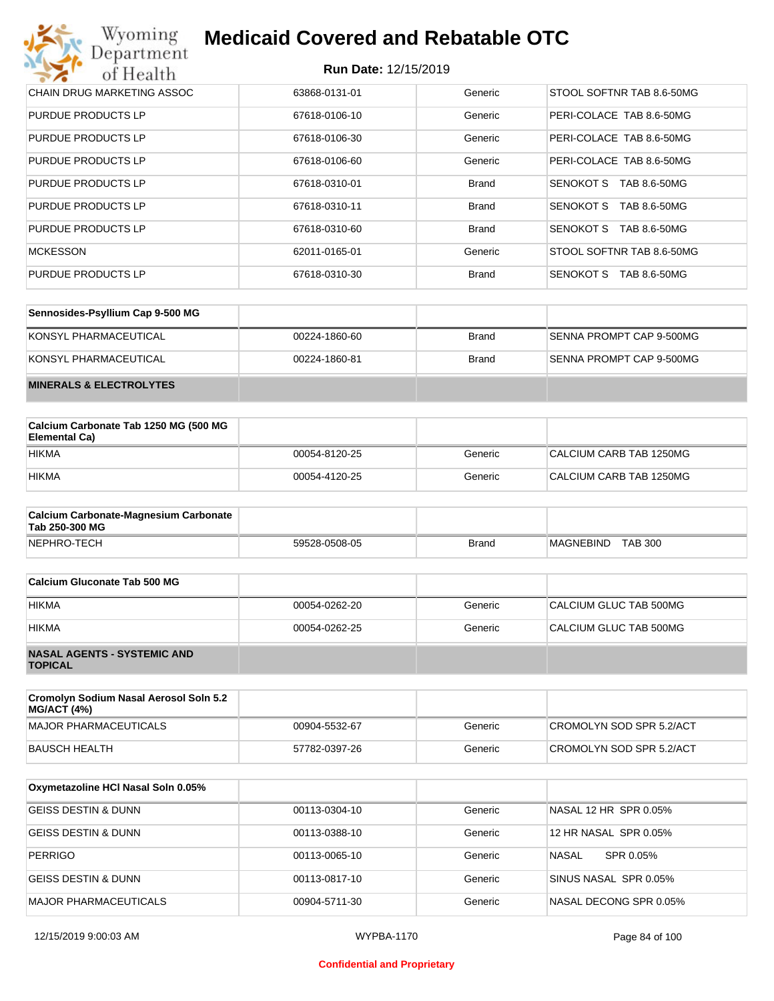#### **Run Date:** 12/15/2019

| Wyoming<br><b>Medicaid Covered and Rebatable OTC</b><br>Department |                             |              |                                  |  |
|--------------------------------------------------------------------|-----------------------------|--------------|----------------------------------|--|
| of Health                                                          | <b>Run Date: 12/15/2019</b> |              |                                  |  |
| CHAIN DRUG MARKETING ASSOC                                         | 63868-0131-01               | Generic      | STOOL SOFTNR TAB 8.6-50MG        |  |
| <b>PURDUE PRODUCTS LP</b>                                          | 67618-0106-10               | Generic      | PERI-COLACE TAB 8.6-50MG         |  |
| <b>PURDUE PRODUCTS LP</b>                                          | 67618-0106-30               | Generic      | PERI-COLACE TAB 8.6-50MG         |  |
| <b>PURDUE PRODUCTS LP</b>                                          | 67618-0106-60               | Generic      | PERI-COLACE TAB 8.6-50MG         |  |
| <b>PURDUE PRODUCTS LP</b>                                          | 67618-0310-01               | <b>Brand</b> | SENOKOT S<br>TAB 8.6-50MG        |  |
| PURDUE PRODUCTS LP                                                 | 67618-0310-11               | <b>Brand</b> | SENOKOT S<br>TAB 8.6-50MG        |  |
| PURDUE PRODUCTS LP                                                 | 67618-0310-60               | <b>Brand</b> | <b>SENOKOT S</b><br>TAB 8.6-50MG |  |
| <b>MCKESSON</b>                                                    | 62011-0165-01               | Generic      | STOOL SOFTNR TAB 8.6-50MG        |  |
| <b>PURDUE PRODUCTS LP</b>                                          | 67618-0310-30               | <b>Brand</b> | <b>SENOKOT S</b><br>TAB 8.6-50MG |  |

| Sennosides-Psyllium Cap 9-500 MG   |               |              |                          |
|------------------------------------|---------------|--------------|--------------------------|
| KONSYL PHARMACEUTICAL              | 00224-1860-60 | <b>Brand</b> | SENNA PROMPT CAP 9-500MG |
| KONSYL PHARMACEUTICAL              | 00224-1860-81 | <b>Brand</b> | SENNA PROMPT CAP 9-500MG |
| <b>MINERALS &amp; ELECTROLYTES</b> |               |              |                          |

| Calcium Carbonate Tab 1250 MG (500 MG<br>Elemental Ca) |               |         |                         |
|--------------------------------------------------------|---------------|---------|-------------------------|
| <b>HIKMA</b>                                           | 00054-8120-25 | Generic | CALCIUM CARB TAB 1250MG |
| <b>HIKMA</b>                                           | 00054-4120-25 | Generic | CALCIUM CARB TAB 1250MG |

| <b>Calcium Carbonate-Magnesium Carbonate</b><br>Tab 250-300 MG |               |              |                                    |
|----------------------------------------------------------------|---------------|--------------|------------------------------------|
| NEPHRO-TECH                                                    | 59528-0508-05 | <b>Brand</b> | <b>TAB 300</b><br><b>MAGNEBIND</b> |

| Calcium Gluconate Tab 500 MG                         |               |         |                        |
|------------------------------------------------------|---------------|---------|------------------------|
| <b>HIKMA</b>                                         | 00054-0262-20 | Generic | CALCIUM GLUC TAB 500MG |
| <b>HIKMA</b>                                         | 00054-0262-25 | Generic | CALCIUM GLUC TAB 500MG |
| <b>NASAL AGENTS - SYSTEMIC AND</b><br><b>TOPICAL</b> |               |         |                        |

| Cromolyn Sodium Nasal Aerosol Soln 5.2<br><b>MG/ACT (4%)</b> |               |         |                          |
|--------------------------------------------------------------|---------------|---------|--------------------------|
| MAJOR PHARMACEUTICALS                                        | 00904-5532-67 | Generic | CROMOLYN SOD SPR 5.2/ACT |
| BAUSCH HEALTH                                                | 57782-0397-26 | Generic | CROMOLYN SOD SPR 5.2/ACT |

| Oxymetazoline HCI Nasal Soln 0.05% |               |         |                        |
|------------------------------------|---------------|---------|------------------------|
| <b>GEISS DESTIN &amp; DUNN</b>     | 00113-0304-10 | Generic | NASAL 12 HR SPR 0.05%  |
| <b>GEISS DESTIN &amp; DUNN</b>     | 00113-0388-10 | Generic | 12 HR NASAL SPR 0.05%  |
| <b>PERRIGO</b>                     | 00113-0065-10 | Generic | NASAL<br>SPR 0.05%     |
| IGEISS DESTIN & DUNN               | 00113-0817-10 | Generic | SINUS NASAL SPR 0.05%  |
| <b>MAJOR PHARMACEUTICALS</b>       | 00904-5711-30 | Generic | NASAL DECONG SPR 0.05% |

#### **Confidential and Proprietary**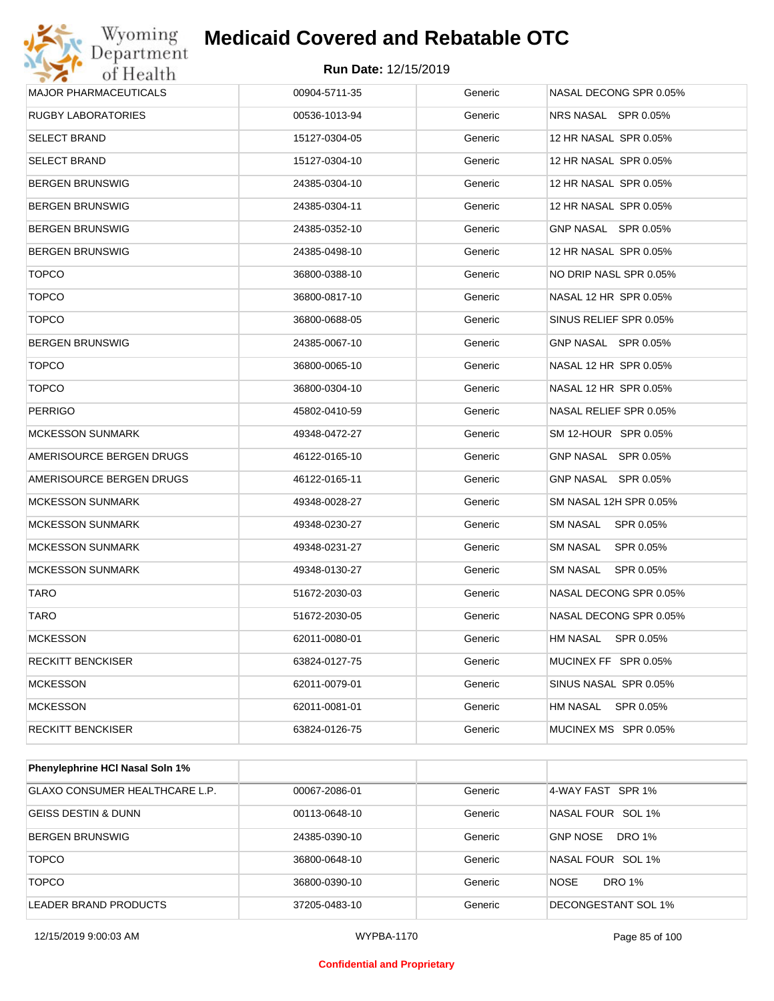

| <b>MAJOR PHARMACEUTICALS</b> | 00904-5711-35 | Generic | NASAL DECONG SPR 0.05% |
|------------------------------|---------------|---------|------------------------|
| <b>RUGBY LABORATORIES</b>    | 00536-1013-94 | Generic | NRS NASAL SPR 0.05%    |
| SELECT BRAND                 | 15127-0304-05 | Generic | 12 HR NASAL SPR 0.05%  |
| <b>SELECT BRAND</b>          | 15127-0304-10 | Generic | 12 HR NASAL SPR 0.05%  |
| <b>BERGEN BRUNSWIG</b>       | 24385-0304-10 | Generic | 12 HR NASAL SPR 0.05%  |
| <b>BERGEN BRUNSWIG</b>       | 24385-0304-11 | Generic | 12 HR NASAL SPR 0.05%  |
| <b>BERGEN BRUNSWIG</b>       | 24385-0352-10 | Generic | GNP NASAL SPR 0.05%    |
| <b>BERGEN BRUNSWIG</b>       | 24385-0498-10 | Generic | 12 HR NASAL SPR 0.05%  |
| <b>TOPCO</b>                 | 36800-0388-10 | Generic | NO DRIP NASL SPR 0.05% |
| <b>TOPCO</b>                 | 36800-0817-10 | Generic | NASAL 12 HR SPR 0.05%  |
| <b>TOPCO</b>                 | 36800-0688-05 | Generic | SINUS RELIEF SPR 0.05% |
| <b>BERGEN BRUNSWIG</b>       | 24385-0067-10 | Generic | GNP NASAL SPR 0.05%    |
| <b>TOPCO</b>                 | 36800-0065-10 | Generic | NASAL 12 HR SPR 0.05%  |
| <b>TOPCO</b>                 | 36800-0304-10 | Generic | NASAL 12 HR SPR 0.05%  |
| <b>PERRIGO</b>               | 45802-0410-59 | Generic | NASAL RELIEF SPR 0.05% |
| <b>MCKESSON SUNMARK</b>      | 49348-0472-27 | Generic | SM 12-HOUR SPR 0.05%   |
| AMERISOURCE BERGEN DRUGS     | 46122-0165-10 | Generic | GNP NASAL SPR 0.05%    |
| AMERISOURCE BERGEN DRUGS     | 46122-0165-11 | Generic | GNP NASAL SPR 0.05%    |
| <b>MCKESSON SUNMARK</b>      | 49348-0028-27 | Generic | SM NASAL 12H SPR 0.05% |
| <b>MCKESSON SUNMARK</b>      | 49348-0230-27 | Generic | SM NASAL SPR 0.05%     |
| <b>MCKESSON SUNMARK</b>      | 49348-0231-27 | Generic | SM NASAL<br>SPR 0.05%  |
| <b>MCKESSON SUNMARK</b>      | 49348-0130-27 | Generic | SM NASAL SPR 0.05%     |
| <b>TARO</b>                  | 51672-2030-03 | Generic | NASAL DECONG SPR 0.05% |
| TARO                         | 51672-2030-05 | Generic | NASAL DECONG SPR 0.05% |
| <b>MCKESSON</b>              | 62011-0080-01 | Generic | HM NASAL SPR 0.05%     |
| <b>RECKITT BENCKISER</b>     | 63824-0127-75 | Generic | MUCINEX FF SPR 0.05%   |
| MCKESSON                     | 62011-0079-01 | Generic | SINUS NASAL SPR 0.05%  |
| <b>MCKESSON</b>              | 62011-0081-01 | Generic | HM NASAL SPR 0.05%     |
| <b>RECKITT BENCKISER</b>     | 63824-0126-75 | Generic | MUCINEX MS SPR 0.05%   |
|                              |               |         |                        |

| <b>Phenylephrine HCI Nasal Soln 1%</b> |               |         |                                  |
|----------------------------------------|---------------|---------|----------------------------------|
| <b>GLAXO CONSUMER HEALTHCARE L.P.</b>  | 00067-2086-01 | Generic | 4-WAY FAST SPR 1%                |
| <b>GEISS DESTIN &amp; DUNN</b>         | 00113-0648-10 | Generic | NASAL FOUR SOL 1%                |
| <b>BERGEN BRUNSWIG</b>                 | 24385-0390-10 | Generic | <b>GNP NOSE</b><br><b>DRO 1%</b> |
| <b>TOPCO</b>                           | 36800-0648-10 | Generic | NASAL FOUR SOL 1%                |
| <b>TOPCO</b>                           | 36800-0390-10 | Generic | <b>NOSE</b><br><b>DRO 1%</b>     |
| LEADER BRAND PRODUCTS                  | 37205-0483-10 | Generic | DECONGESTANT SOL 1%              |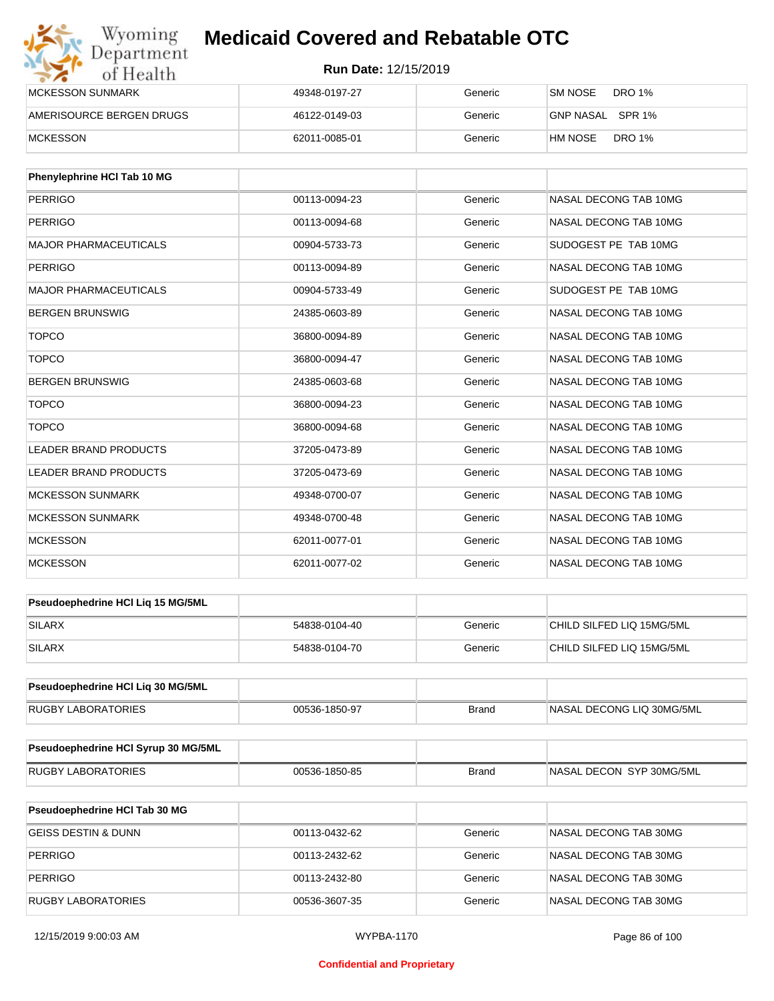| Wyoming<br>Department    | <b>Medicaid Covered and Rebatable OTC</b><br><b>Run Date: 12/15/2019</b> |         |                          |  |
|--------------------------|--------------------------------------------------------------------------|---------|--------------------------|--|
| of Health                |                                                                          |         |                          |  |
| <b>MCKESSON SUNMARK</b>  | 49348-0197-27                                                            | Generic | DRO 1%<br>SM NOSE        |  |
| AMERISOURCE BERGEN DRUGS | 46122-0149-03                                                            | Generic | GNP NASAL SPR 1%         |  |
| <b>MCKESSON</b>          | 62011-0085-01                                                            | Generic | <b>DRO 1%</b><br>HM NOSE |  |

| Phenylephrine HCI Tab 10 MG  |               |         |                       |
|------------------------------|---------------|---------|-----------------------|
| <b>PERRIGO</b>               | 00113-0094-23 | Generic | NASAL DECONG TAB 10MG |
| <b>PERRIGO</b>               | 00113-0094-68 | Generic | NASAL DECONG TAB 10MG |
| <b>MAJOR PHARMACEUTICALS</b> | 00904-5733-73 | Generic | SUDOGEST PE TAB 10MG  |
| <b>PERRIGO</b>               | 00113-0094-89 | Generic | NASAL DECONG TAB 10MG |
| <b>MAJOR PHARMACEUTICALS</b> | 00904-5733-49 | Generic | SUDOGEST PE TAB 10MG  |
| <b>BERGEN BRUNSWIG</b>       | 24385-0603-89 | Generic | NASAL DECONG TAB 10MG |
| <b>TOPCO</b>                 | 36800-0094-89 | Generic | NASAL DECONG TAB 10MG |
| <b>TOPCO</b>                 | 36800-0094-47 | Generic | NASAL DECONG TAB 10MG |
| <b>BERGEN BRUNSWIG</b>       | 24385-0603-68 | Generic | NASAL DECONG TAB 10MG |
| <b>TOPCO</b>                 | 36800-0094-23 | Generic | NASAL DECONG TAB 10MG |
| <b>TOPCO</b>                 | 36800-0094-68 | Generic | NASAL DECONG TAB 10MG |
| <b>LEADER BRAND PRODUCTS</b> | 37205-0473-89 | Generic | NASAL DECONG TAB 10MG |
| LEADER BRAND PRODUCTS        | 37205-0473-69 | Generic | NASAL DECONG TAB 10MG |
| <b>MCKESSON SUNMARK</b>      | 49348-0700-07 | Generic | NASAL DECONG TAB 10MG |
| <b>MCKESSON SUNMARK</b>      | 49348-0700-48 | Generic | NASAL DECONG TAB 10MG |
| <b>MCKESSON</b>              | 62011-0077-01 | Generic | NASAL DECONG TAB 10MG |
| <b>MCKESSON</b>              | 62011-0077-02 | Generic | NASAL DECONG TAB 10MG |

| <b>Pseudoephedrine HCI Lig 15 MG/5ML</b> |               |         |                           |
|------------------------------------------|---------------|---------|---------------------------|
| <b>SILARX</b>                            | 54838-0104-40 | Generic | CHILD SILFED LIQ 15MG/5ML |
| <b>SILARX</b>                            | 54838-0104-70 | Generic | CHILD SILFED LIQ 15MG/5ML |

| <b>Pseudoephedrine HCI Lig 30 MG/5ML</b> |               |       |                            |
|------------------------------------------|---------------|-------|----------------------------|
| <b>RUGBY LABORATORIES</b>                | 00536-1850-97 | Brand | INASAL DECONG LIQ 30MG/5ML |

| Pseudoephedrine HCI Syrup 30 MG/5ML |               |       |                           |
|-------------------------------------|---------------|-------|---------------------------|
| LABORATORIES<br>RUGBY               | 00536-1850-85 | Brand | INASAL DECON SYP 30MG/5ML |

| <b>Pseudoephedrine HCI Tab 30 MG</b> |               |         |                       |
|--------------------------------------|---------------|---------|-----------------------|
| GEISS DESTIN & DUNN                  | 00113-0432-62 | Generic | NASAL DECONG TAB 30MG |
| PERRIGO                              | 00113-2432-62 | Generic | NASAL DECONG TAB 30MG |
| PERRIGO                              | 00113-2432-80 | Generic | NASAL DECONG TAB 30MG |
| RUGBY LABORATORIES                   | 00536-3607-35 | Generic | NASAL DECONG TAB 30MG |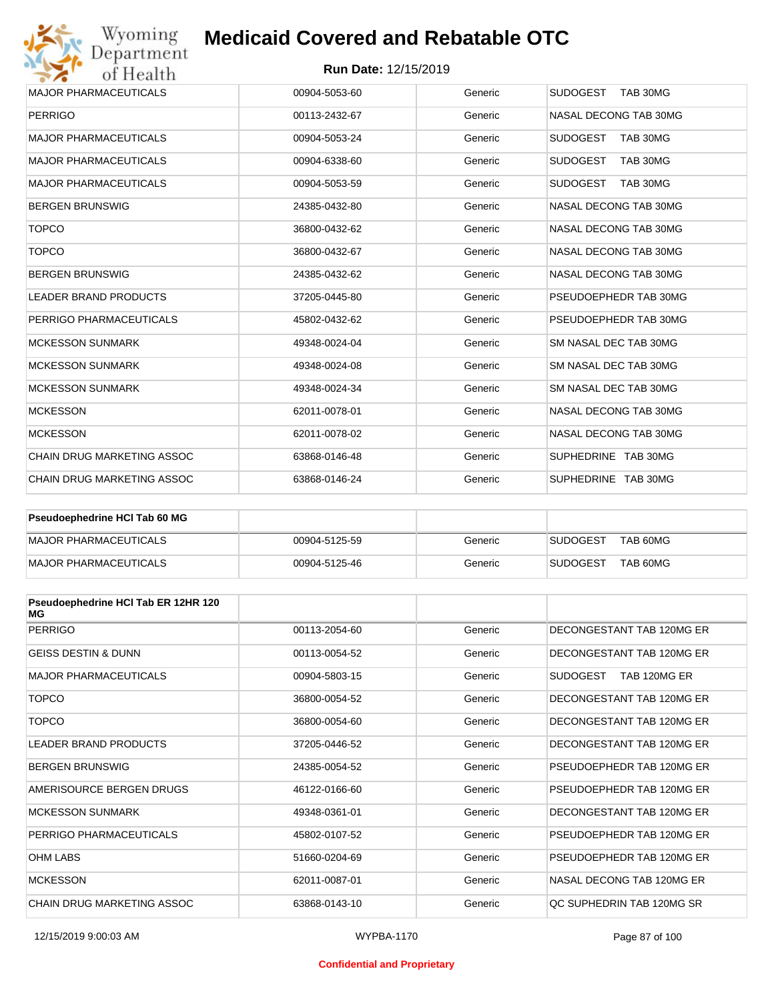

#### **Run Date:** 12/15/2019

| <b>MAJOR PHARMACEUTICALS</b>      | 00904-5053-60 | Generic | <b>SUDOGEST</b><br>TAB 30MG |
|-----------------------------------|---------------|---------|-----------------------------|
| <b>PERRIGO</b>                    | 00113-2432-67 | Generic | NASAL DECONG TAB 30MG       |
| <b>MAJOR PHARMACEUTICALS</b>      | 00904-5053-24 | Generic | <b>SUDOGEST</b><br>TAB 30MG |
| <b>MAJOR PHARMACEUTICALS</b>      | 00904-6338-60 | Generic | <b>SUDOGEST</b><br>TAB 30MG |
| <b>MAJOR PHARMACEUTICALS</b>      | 00904-5053-59 | Generic | <b>SUDOGEST</b><br>TAB 30MG |
| <b>BERGEN BRUNSWIG</b>            | 24385-0432-80 | Generic | NASAL DECONG TAB 30MG       |
| <b>TOPCO</b>                      | 36800-0432-62 | Generic | NASAL DECONG TAB 30MG       |
| <b>TOPCO</b>                      | 36800-0432-67 | Generic | NASAL DECONG TAB 30MG       |
| <b>BERGEN BRUNSWIG</b>            | 24385-0432-62 | Generic | NASAL DECONG TAB 30MG       |
| <b>LEADER BRAND PRODUCTS</b>      | 37205-0445-80 | Generic | PSEUDOEPHEDR TAB 30MG       |
| PERRIGO PHARMACEUTICALS           | 45802-0432-62 | Generic | PSEUDOEPHEDR TAB 30MG       |
| <b>MCKESSON SUNMARK</b>           | 49348-0024-04 | Generic | SM NASAL DEC TAB 30MG       |
| <b>MCKESSON SUNMARK</b>           | 49348-0024-08 | Generic | SM NASAL DEC TAB 30MG       |
| <b>MCKESSON SUNMARK</b>           | 49348-0024-34 | Generic | SM NASAL DEC TAB 30MG       |
| <b>MCKESSON</b>                   | 62011-0078-01 | Generic | NASAL DECONG TAB 30MG       |
| <b>MCKESSON</b>                   | 62011-0078-02 | Generic | NASAL DECONG TAB 30MG       |
| <b>CHAIN DRUG MARKETING ASSOC</b> | 63868-0146-48 | Generic | SUPHEDRINE TAB 30MG         |
| <b>CHAIN DRUG MARKETING ASSOC</b> | 63868-0146-24 | Generic | SUPHEDRINE TAB 30MG         |

| <b>Pseudoephedrine HCI Tab 60 MG</b> |               |         |                             |
|--------------------------------------|---------------|---------|-----------------------------|
| MAJOR PHARMACEUTICALS                | 00904-5125-59 | Generic | TAB 60MG<br><b>SUDOGEST</b> |
| MAJOR PHARMACEUTICALS                | 00904-5125-46 | Generic | TAB 60MG<br><b>SUDOGEST</b> |

| Pseudoephedrine HCI Tab ER 12HR 120<br>МG |               |         |                                 |
|-------------------------------------------|---------------|---------|---------------------------------|
| <b>PERRIGO</b>                            | 00113-2054-60 | Generic | DECONGESTANT TAB 120MG ER       |
| <b>GEISS DESTIN &amp; DUNN</b>            | 00113-0054-52 | Generic | DECONGESTANT TAB 120MG ER       |
| <b>MAJOR PHARMACEUTICALS</b>              | 00904-5803-15 | Generic | <b>SUDOGEST</b><br>TAB 120MG ER |
| <b>TOPCO</b>                              | 36800-0054-52 | Generic | DECONGESTANT TAB 120MG ER       |
| <b>TOPCO</b>                              | 36800-0054-60 | Generic | DECONGESTANT TAB 120MG ER       |
| <b>LEADER BRAND PRODUCTS</b>              | 37205-0446-52 | Generic | DECONGESTANT TAB 120MG ER       |
| <b>BERGEN BRUNSWIG</b>                    | 24385-0054-52 | Generic | PSEUDOEPHEDR TAB 120MG ER       |
| AMERISOURCE BERGEN DRUGS                  | 46122-0166-60 | Generic | PSEUDOEPHEDR TAB 120MG ER       |
| <b>MCKESSON SUNMARK</b>                   | 49348-0361-01 | Generic | DECONGESTANT TAB 120MG ER       |
| PERRIGO PHARMACEUTICALS                   | 45802-0107-52 | Generic | PSEUDOEPHEDR TAB 120MG ER       |
| <b>OHM LABS</b>                           | 51660-0204-69 | Generic | PSEUDOEPHEDR TAB 120MG ER       |
| <b>MCKESSON</b>                           | 62011-0087-01 | Generic | NASAL DECONG TAB 120MG ER       |
| <b>CHAIN DRUG MARKETING ASSOC</b>         | 63868-0143-10 | Generic | OC SUPHEDRIN TAB 120MG SR       |

#### **Confidential and Proprietary**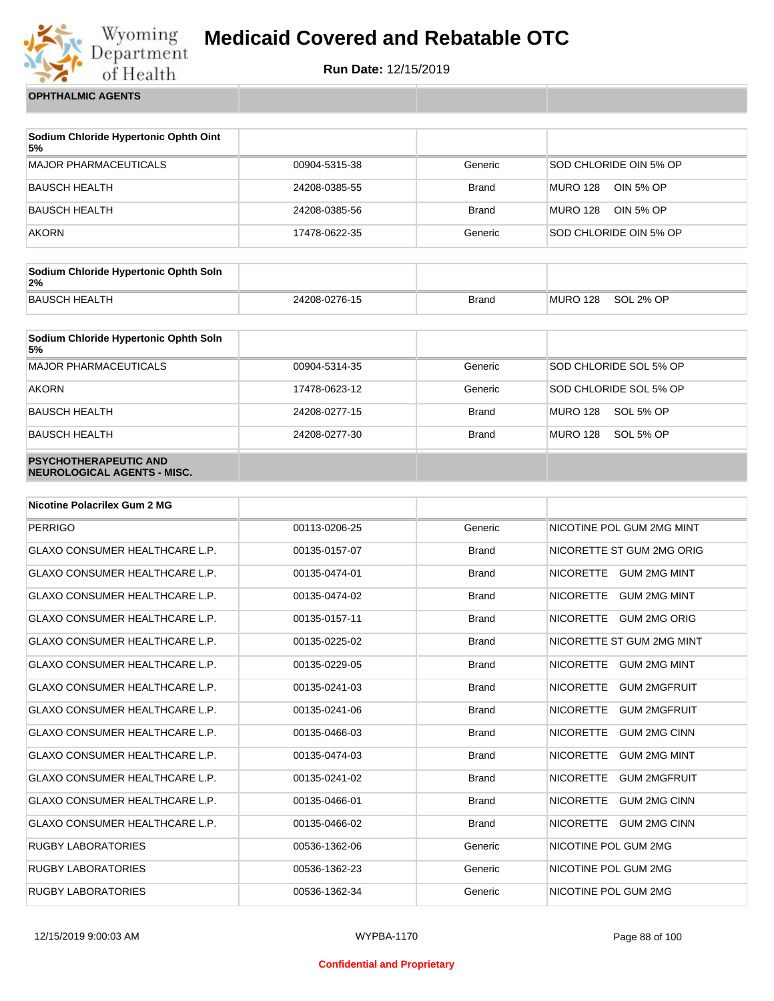

**Run Date:** 12/15/2019

**OPHTHALMIC AGENTS**

| Sodium Chloride Hypertonic Ophth Oint<br>5% |               |              |                              |
|---------------------------------------------|---------------|--------------|------------------------------|
| <b>MAJOR PHARMACEUTICALS</b>                | 00904-5315-38 | Generic      | SOD CHLORIDE OIN 5% OP       |
| <b>BAUSCH HEALTH</b>                        | 24208-0385-55 | <b>Brand</b> | <b>MURO 128</b><br>OIN 5% OP |
| <b>BAUSCH HEALTH</b>                        | 24208-0385-56 | <b>Brand</b> | <b>MURO 128</b><br>OIN 5% OP |
| <b>AKORN</b>                                | 17478-0622-35 | Generic      | SOD CHLORIDE OIN 5% OP       |

| Sodium Chloride Hypertonic Ophth Soln<br>2% |               |              |          |           |
|---------------------------------------------|---------------|--------------|----------|-----------|
| <b>BAUSCH HEALTH</b>                        | 24208-0276-15 | <b>Brand</b> | MURO 128 | SOL 2% OP |

| Sodium Chloride Hypertonic Ophth Soln<br>5%                 |               |              |                              |
|-------------------------------------------------------------|---------------|--------------|------------------------------|
| <b>MAJOR PHARMACEUTICALS</b>                                | 00904-5314-35 | Generic      | SOD CHLORIDE SOL 5% OP       |
| <b>AKORN</b>                                                | 17478-0623-12 | Generic      | SOD CHLORIDE SOL 5% OP       |
| <b>BAUSCH HEALTH</b>                                        | 24208-0277-15 | <b>Brand</b> | <b>MURO 128</b><br>SOL 5% OP |
| <b>BAUSCH HEALTH</b>                                        | 24208-0277-30 | <b>Brand</b> | <b>MURO 128</b><br>SOL 5% OP |
| <b>PSYCHOTHERAPEUTIC AND</b><br>NEUROLOGICAL AGENTS - MISC. |               |              |                              |

| <b>Nicotine Polacrilex Gum 2 MG</b>   |               |              |                                         |
|---------------------------------------|---------------|--------------|-----------------------------------------|
| <b>PERRIGO</b>                        | 00113-0206-25 | Generic      | NICOTINE POL GUM 2MG MINT               |
| <b>GLAXO CONSUMER HEALTHCARE L.P.</b> | 00135-0157-07 | <b>Brand</b> | NICORETTE ST GUM 2MG ORIG               |
| <b>GLAXO CONSUMER HEALTHCARE L.P.</b> | 00135-0474-01 | <b>Brand</b> | NICORETTE GUM 2MG MINT                  |
| <b>GLAXO CONSUMER HEALTHCARE L.P.</b> | 00135-0474-02 | <b>Brand</b> | NICORETTE GUM 2MG MINT                  |
| <b>GLAXO CONSUMER HEALTHCARE L.P.</b> | 00135-0157-11 | <b>Brand</b> | NICORETTE GUM 2MG ORIG                  |
| <b>GLAXO CONSUMER HEALTHCARE L.P.</b> | 00135-0225-02 | <b>Brand</b> | NICORETTE ST GUM 2MG MINT               |
| <b>GLAXO CONSUMER HEALTHCARE L.P.</b> | 00135-0229-05 | <b>Brand</b> | <b>NICORETTE</b><br><b>GUM 2MG MINT</b> |
| <b>GLAXO CONSUMER HEALTHCARE L.P.</b> | 00135-0241-03 | <b>Brand</b> | <b>NICORETTE</b><br><b>GUM 2MGFRUIT</b> |
| <b>GLAXO CONSUMER HEALTHCARE L.P.</b> | 00135-0241-06 | <b>Brand</b> | <b>NICORETTE</b><br><b>GUM 2MGFRUIT</b> |
| <b>GLAXO CONSUMER HEALTHCARE L.P.</b> | 00135-0466-03 | <b>Brand</b> | <b>NICORETTE</b><br><b>GUM 2MG CINN</b> |
| <b>GLAXO CONSUMER HEALTHCARE L.P.</b> | 00135-0474-03 | <b>Brand</b> | <b>NICORETTE</b><br><b>GUM 2MG MINT</b> |
| <b>GLAXO CONSUMER HEALTHCARE L.P.</b> | 00135-0241-02 | <b>Brand</b> | <b>NICORETTE</b><br><b>GUM 2MGFRUIT</b> |
| <b>GLAXO CONSUMER HEALTHCARE L.P.</b> | 00135-0466-01 | <b>Brand</b> | <b>NICORETTE</b><br><b>GUM 2MG CINN</b> |
| <b>GLAXO CONSUMER HEALTHCARE L.P.</b> | 00135-0466-02 | <b>Brand</b> | NICORETTE GUM 2MG CINN                  |
| <b>RUGBY LABORATORIES</b>             | 00536-1362-06 | Generic      | NICOTINE POL GUM 2MG                    |
| <b>RUGBY LABORATORIES</b>             | 00536-1362-23 | Generic      | NICOTINE POL GUM 2MG                    |
| <b>RUGBY LABORATORIES</b>             | 00536-1362-34 | Generic      | NICOTINE POL GUM 2MG                    |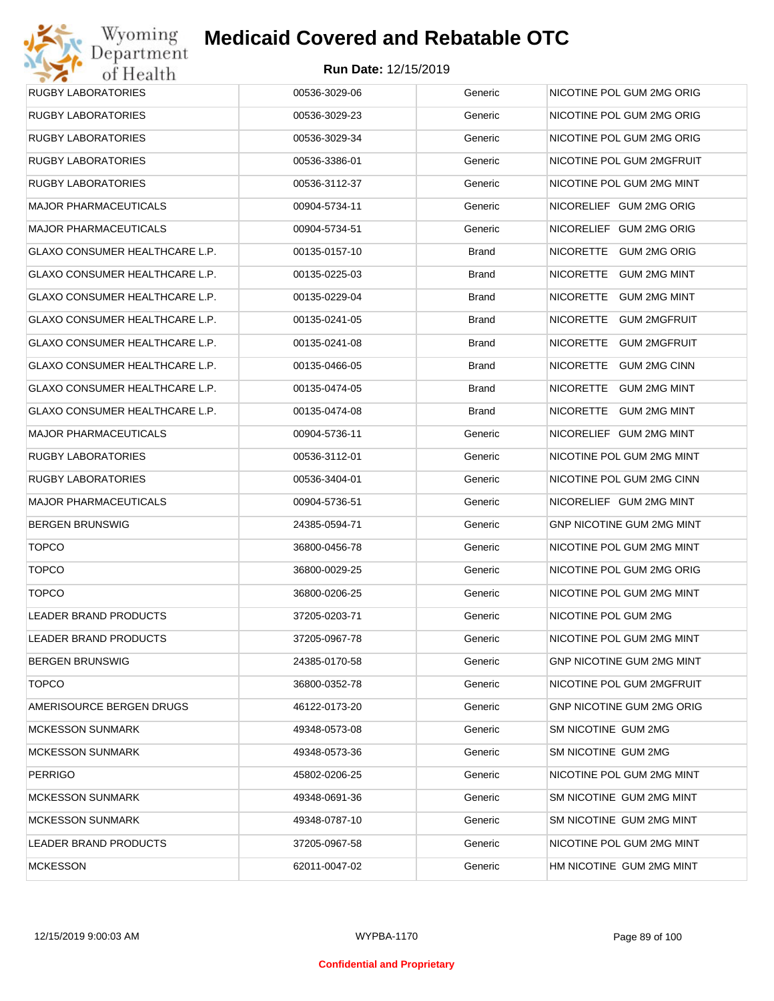

| <b>RUGBY LABORATORIES</b>      | 00536-3029-06 | Generic      | NICOTINE POL GUM 2MG ORIG        |
|--------------------------------|---------------|--------------|----------------------------------|
| <b>RUGBY LABORATORIES</b>      | 00536-3029-23 | Generic      | NICOTINE POL GUM 2MG ORIG        |
| <b>RUGBY LABORATORIES</b>      | 00536-3029-34 | Generic      | NICOTINE POL GUM 2MG ORIG        |
| <b>RUGBY LABORATORIES</b>      | 00536-3386-01 | Generic      | NICOTINE POL GUM 2MGFRUIT        |
| <b>RUGBY LABORATORIES</b>      | 00536-3112-37 | Generic      | NICOTINE POL GUM 2MG MINT        |
| <b>MAJOR PHARMACEUTICALS</b>   | 00904-5734-11 | Generic      | NICORELIEF GUM 2MG ORIG          |
| <b>MAJOR PHARMACEUTICALS</b>   | 00904-5734-51 | Generic      | NICORELIEF GUM 2MG ORIG          |
| GLAXO CONSUMER HEALTHCARE L.P. | 00135-0157-10 | <b>Brand</b> | NICORETTE GUM 2MG ORIG           |
| GLAXO CONSUMER HEALTHCARE L.P. | 00135-0225-03 | Brand        | NICORETTE GUM 2MG MINT           |
| GLAXO CONSUMER HEALTHCARE L.P. | 00135-0229-04 | <b>Brand</b> | NICORETTE GUM 2MG MINT           |
| GLAXO CONSUMER HEALTHCARE L.P. | 00135-0241-05 | Brand        | NICORETTE GUM 2MGFRUIT           |
| GLAXO CONSUMER HEALTHCARE L.P. | 00135-0241-08 | <b>Brand</b> | NICORETTE GUM 2MGFRUIT           |
| GLAXO CONSUMER HEALTHCARE L.P. | 00135-0466-05 | Brand        | NICORETTE GUM 2MG CINN           |
| GLAXO CONSUMER HEALTHCARE L.P. | 00135-0474-05 | <b>Brand</b> | NICORETTE GUM 2MG MINT           |
| GLAXO CONSUMER HEALTHCARE L.P. | 00135-0474-08 | <b>Brand</b> | NICORETTE GUM 2MG MINT           |
| <b>MAJOR PHARMACEUTICALS</b>   | 00904-5736-11 | Generic      | NICORELIEF GUM 2MG MINT          |
| <b>RUGBY LABORATORIES</b>      | 00536-3112-01 | Generic      | NICOTINE POL GUM 2MG MINT        |
| <b>RUGBY LABORATORIES</b>      | 00536-3404-01 | Generic      | NICOTINE POL GUM 2MG CINN        |
| <b>MAJOR PHARMACEUTICALS</b>   | 00904-5736-51 | Generic      | NICORELIEF GUM 2MG MINT          |
| <b>BERGEN BRUNSWIG</b>         | 24385-0594-71 | Generic      | GNP NICOTINE GUM 2MG MINT        |
| <b>TOPCO</b>                   | 36800-0456-78 | Generic      | NICOTINE POL GUM 2MG MINT        |
| <b>TOPCO</b>                   | 36800-0029-25 | Generic      | NICOTINE POL GUM 2MG ORIG        |
| <b>TOPCO</b>                   | 36800-0206-25 | Generic      | NICOTINE POL GUM 2MG MINT        |
| <b>LEADER BRAND PRODUCTS</b>   | 37205-0203-71 | Generic      | NICOTINE POL GUM 2MG             |
| <b>LEADER BRAND PRODUCTS</b>   | 37205-0967-78 | Generic      | NICOTINE POL GUM 2MG MINT        |
| <b>BERGEN BRUNSWIG</b>         | 24385-0170-58 | Generic      | GNP NICOTINE GUM 2MG MINT        |
| <b>TOPCO</b>                   | 36800-0352-78 | Generic      | NICOTINE POL GUM 2MGFRUIT        |
| AMERISOURCE BERGEN DRUGS       | 46122-0173-20 | Generic      | <b>GNP NICOTINE GUM 2MG ORIG</b> |
| <b>MCKESSON SUNMARK</b>        | 49348-0573-08 | Generic      | SM NICOTINE GUM 2MG              |
| <b>MCKESSON SUNMARK</b>        | 49348-0573-36 | Generic      | SM NICOTINE GUM 2MG              |
| <b>PERRIGO</b>                 | 45802-0206-25 | Generic      | NICOTINE POL GUM 2MG MINT        |
| <b>MCKESSON SUNMARK</b>        | 49348-0691-36 | Generic      | SM NICOTINE GUM 2MG MINT         |
| <b>MCKESSON SUNMARK</b>        | 49348-0787-10 | Generic      | SM NICOTINE GUM 2MG MINT         |
| LEADER BRAND PRODUCTS          | 37205-0967-58 | Generic      | NICOTINE POL GUM 2MG MINT        |
| <b>MCKESSON</b>                | 62011-0047-02 | Generic      | HM NICOTINE GUM 2MG MINT         |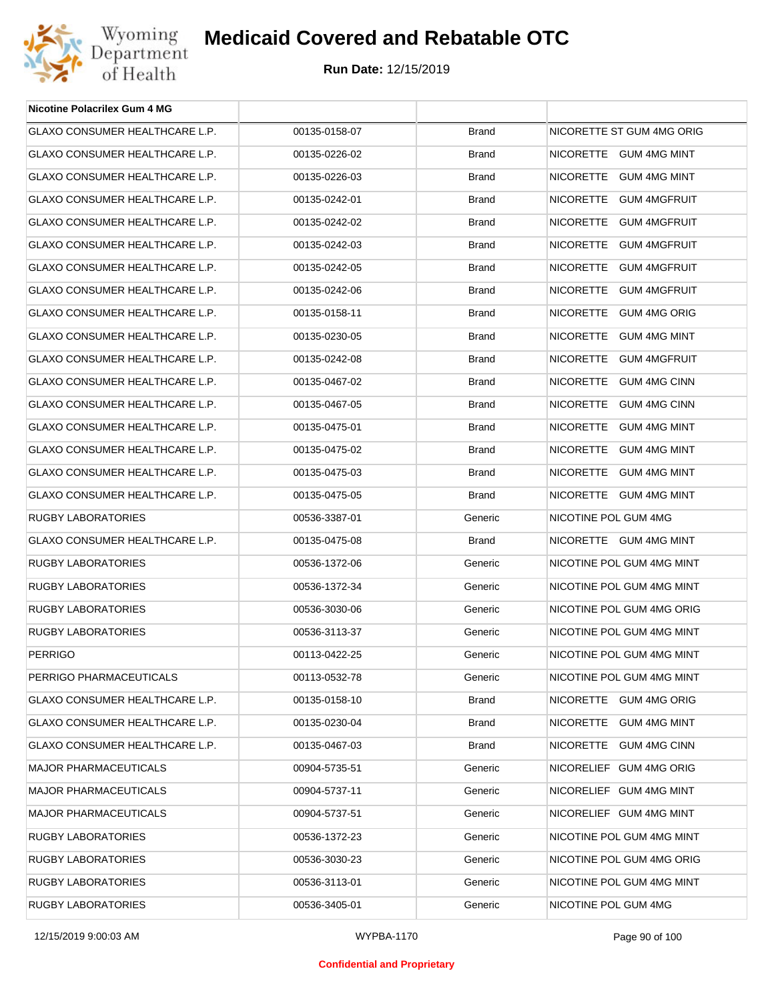

| <b>Nicotine Polacrilex Gum 4 MG</b>   |               |              |                           |
|---------------------------------------|---------------|--------------|---------------------------|
| GLAXO CONSUMER HEALTHCARE L.P.        | 00135-0158-07 | <b>Brand</b> | NICORETTE ST GUM 4MG ORIG |
| GLAXO CONSUMER HEALTHCARE L.P.        | 00135-0226-02 | <b>Brand</b> | NICORETTE GUM 4MG MINT    |
| GLAXO CONSUMER HEALTHCARE L.P.        | 00135-0226-03 | <b>Brand</b> | NICORETTE GUM 4MG MINT    |
| GLAXO CONSUMER HEALTHCARE L.P.        | 00135-0242-01 | <b>Brand</b> | NICORETTE GUM 4MGFRUIT    |
| GLAXO CONSUMER HEALTHCARE L.P.        | 00135-0242-02 | <b>Brand</b> | NICORETTE GUM 4MGFRUIT    |
| GLAXO CONSUMER HEALTHCARE L.P.        | 00135-0242-03 | <b>Brand</b> | NICORETTE GUM 4MGFRUIT    |
| GLAXO CONSUMER HEALTHCARE L.P.        | 00135-0242-05 | <b>Brand</b> | NICORETTE GUM 4MGFRUIT    |
| GLAXO CONSUMER HEALTHCARE L.P.        | 00135-0242-06 | <b>Brand</b> | NICORETTE GUM 4MGFRUIT    |
| GLAXO CONSUMER HEALTHCARE L.P.        | 00135-0158-11 | <b>Brand</b> | NICORETTE GUM 4MG ORIG    |
| GLAXO CONSUMER HEALTHCARE L.P.        | 00135-0230-05 | <b>Brand</b> | NICORETTE GUM 4MG MINT    |
| <b>GLAXO CONSUMER HEALTHCARE L.P.</b> | 00135-0242-08 | <b>Brand</b> | NICORETTE GUM 4MGFRUIT    |
| GLAXO CONSUMER HEALTHCARE L.P.        | 00135-0467-02 | <b>Brand</b> | NICORETTE GUM 4MG CINN    |
| GLAXO CONSUMER HEALTHCARE L.P.        | 00135-0467-05 | <b>Brand</b> | NICORETTE GUM 4MG CINN    |
| GLAXO CONSUMER HEALTHCARE L.P.        | 00135-0475-01 | <b>Brand</b> | NICORETTE GUM 4MG MINT    |
| GLAXO CONSUMER HEALTHCARE L.P.        | 00135-0475-02 | <b>Brand</b> | NICORETTE GUM 4MG MINT    |
| GLAXO CONSUMER HEALTHCARE L.P.        | 00135-0475-03 | <b>Brand</b> | NICORETTE GUM 4MG MINT    |
| GLAXO CONSUMER HEALTHCARE L.P.        | 00135-0475-05 | <b>Brand</b> | NICORETTE GUM 4MG MINT    |
| RUGBY LABORATORIES                    | 00536-3387-01 | Generic      | NICOTINE POL GUM 4MG      |
| GLAXO CONSUMER HEALTHCARE L.P.        | 00135-0475-08 | <b>Brand</b> | NICORETTE GUM 4MG MINT    |
| RUGBY LABORATORIES                    | 00536-1372-06 | Generic      | NICOTINE POL GUM 4MG MINT |
| <b>RUGBY LABORATORIES</b>             | 00536-1372-34 | Generic      | NICOTINE POL GUM 4MG MINT |
| RUGBY LABORATORIES                    | 00536-3030-06 | Generic      | NICOTINE POL GUM 4MG ORIG |
| <b>RUGBY LABORATORIES</b>             | 00536-3113-37 | Generic      | NICOTINE POL GUM 4MG MINT |
| <b>PERRIGO</b>                        | 00113-0422-25 | Generic      | NICOTINE POL GUM 4MG MINT |
| PERRIGO PHARMACEUTICALS               | 00113-0532-78 | Generic      | NICOTINE POL GUM 4MG MINT |
| GLAXO CONSUMER HEALTHCARE L.P.        | 00135-0158-10 | <b>Brand</b> | NICORETTE GUM 4MG ORIG    |
| <b>GLAXO CONSUMER HEALTHCARE L.P.</b> | 00135-0230-04 | <b>Brand</b> | NICORETTE GUM 4MG MINT    |
| GLAXO CONSUMER HEALTHCARE L.P.        | 00135-0467-03 | <b>Brand</b> | NICORETTE GUM 4MG CINN    |
| <b>MAJOR PHARMACEUTICALS</b>          | 00904-5735-51 | Generic      | NICORELIEF GUM 4MG ORIG   |
| <b>MAJOR PHARMACEUTICALS</b>          | 00904-5737-11 | Generic      | NICORELIEF GUM 4MG MINT   |
| <b>MAJOR PHARMACEUTICALS</b>          | 00904-5737-51 | Generic      | NICORELIEF GUM 4MG MINT   |
| RUGBY LABORATORIES                    | 00536-1372-23 | Generic      | NICOTINE POL GUM 4MG MINT |
| RUGBY LABORATORIES                    | 00536-3030-23 | Generic      | NICOTINE POL GUM 4MG ORIG |
| RUGBY LABORATORIES                    | 00536-3113-01 | Generic      | NICOTINE POL GUM 4MG MINT |
| RUGBY LABORATORIES                    | 00536-3405-01 | Generic      | NICOTINE POL GUM 4MG      |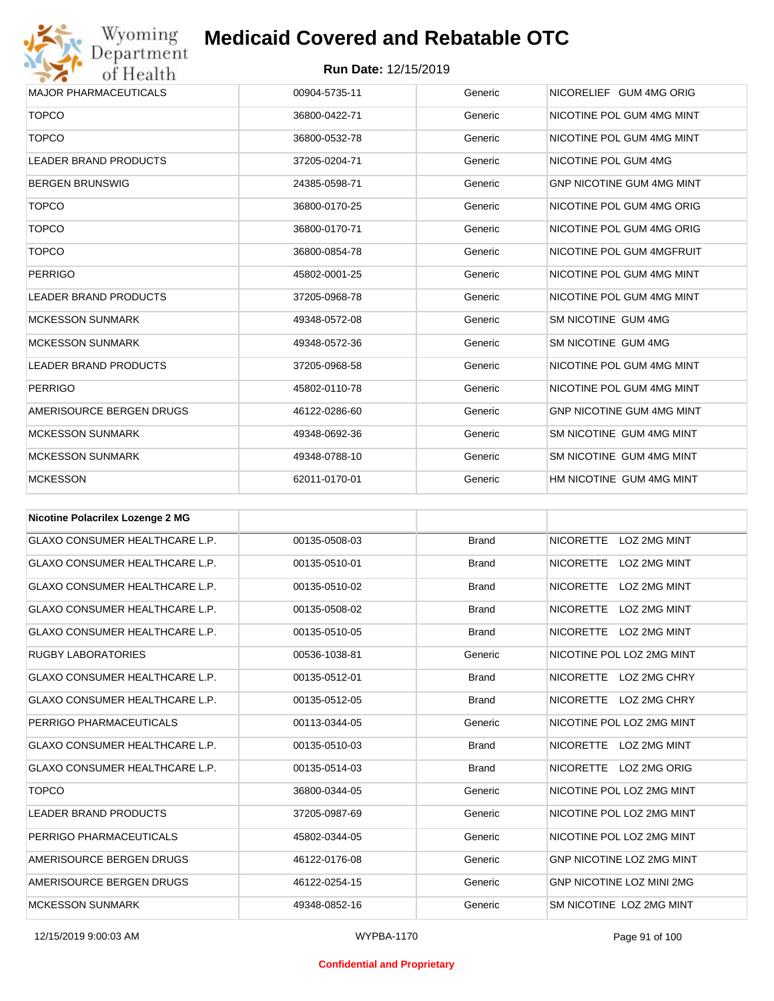

| <b>MAJOR PHARMACEUTICALS</b>      | 00904-5735-11 | Generic | NICORELIEF GUM 4MG ORIG          |
|-----------------------------------|---------------|---------|----------------------------------|
| <b>TOPCO</b>                      | 36800-0422-71 | Generic | NICOTINE POL GUM 4MG MINT        |
| <b>TOPCO</b>                      | 36800-0532-78 | Generic | NICOTINE POL GUM 4MG MINT        |
| <b>LEADER BRAND PRODUCTS</b>      | 37205-0204-71 | Generic | NICOTINE POL GUM 4MG             |
| <b>BERGEN BRUNSWIG</b>            | 24385-0598-71 | Generic | <b>GNP NICOTINE GUM 4MG MINT</b> |
| <b>TOPCO</b>                      | 36800-0170-25 | Generic | NICOTINE POL GUM 4MG ORIG        |
| <b>TOPCO</b>                      | 36800-0170-71 | Generic | NICOTINE POL GUM 4MG ORIG        |
| <b>TOPCO</b>                      | 36800-0854-78 | Generic | NICOTINE POL GUM 4MGFRUIT        |
| <b>PERRIGO</b>                    | 45802-0001-25 | Generic | NICOTINE POL GUM 4MG MINT        |
| <b>LEADER BRAND PRODUCTS</b>      | 37205-0968-78 | Generic | NICOTINE POL GUM 4MG MINT        |
| <b>MCKESSON SUNMARK</b>           | 49348-0572-08 | Generic | SM NICOTINE GUM 4MG              |
| <b>MCKESSON SUNMARK</b>           | 49348-0572-36 | Generic | SM NICOTINE GUM 4MG              |
| <b>LEADER BRAND PRODUCTS</b>      | 37205-0968-58 | Generic | NICOTINE POL GUM 4MG MINT        |
| <b>PERRIGO</b>                    | 45802-0110-78 | Generic | NICOTINE POL GUM 4MG MINT        |
| AMERISOURCE BERGEN DRUGS          | 46122-0286-60 | Generic | <b>GNP NICOTINE GUM 4MG MINT</b> |
| <b>MCKESSON SUNMARK</b>           | 49348-0692-36 | Generic | SM NICOTINE GUM 4MG MINT         |
| <b>MCKESSON SUNMARK</b>           | 49348-0788-10 | Generic | SM NICOTINE GUM 4MG MINT         |
| <b>MCKESSON</b>                   | 62011-0170-01 | Generic | HM NICOTINE GUM 4MG MINT         |
|                                   |               |         |                                  |
| Alisatina Delessilev Legense O MO |               |         |                                  |

| Nicotine Polacrilex Lozenge 2 MG      |               |              |                                  |
|---------------------------------------|---------------|--------------|----------------------------------|
| <b>GLAXO CONSUMER HEALTHCARE L.P.</b> | 00135-0508-03 | <b>Brand</b> | <b>NICORETTE</b><br>LOZ 2MG MINT |
| <b>GLAXO CONSUMER HEALTHCARE L.P.</b> | 00135-0510-01 | <b>Brand</b> | <b>NICORETTE</b><br>LOZ 2MG MINT |
| <b>GLAXO CONSUMER HEALTHCARE L.P.</b> | 00135-0510-02 | <b>Brand</b> | <b>NICORETTE</b><br>LOZ 2MG MINT |
| <b>GLAXO CONSUMER HEALTHCARE L.P.</b> | 00135-0508-02 | <b>Brand</b> | <b>NICORETTE</b><br>LOZ 2MG MINT |
| <b>GLAXO CONSUMER HEALTHCARE L.P.</b> | 00135-0510-05 | <b>Brand</b> | LOZ 2MG MINT<br><b>NICORETTE</b> |
| <b>RUGBY LABORATORIES</b>             | 00536-1038-81 | Generic      | NICOTINE POL LOZ 2MG MINT        |
| <b>GLAXO CONSUMER HEALTHCARE L.P.</b> | 00135-0512-01 | <b>Brand</b> | LOZ 2MG CHRY<br><b>NICORETTE</b> |
| <b>GLAXO CONSUMER HEALTHCARE L.P.</b> | 00135-0512-05 | <b>Brand</b> | <b>NICORETTE</b><br>LOZ 2MG CHRY |
| PERRIGO PHARMACEUTICALS               | 00113-0344-05 | Generic      | NICOTINE POL LOZ 2MG MINT        |
| <b>GLAXO CONSUMER HEALTHCARE L.P.</b> | 00135-0510-03 | <b>Brand</b> | <b>NICORETTE</b><br>LOZ 2MG MINT |
| <b>GLAXO CONSUMER HEALTHCARE L.P.</b> | 00135-0514-03 | <b>Brand</b> | <b>NICORETTE</b><br>LOZ 2MG ORIG |
| <b>TOPCO</b>                          | 36800-0344-05 | Generic      | NICOTINE POL LOZ 2MG MINT        |
| <b>LEADER BRAND PRODUCTS</b>          | 37205-0987-69 | Generic      | NICOTINE POL LOZ 2MG MINT        |
| PERRIGO PHARMACEUTICALS               | 45802-0344-05 | Generic      | NICOTINE POL LOZ 2MG MINT        |
| AMERISOURCE BERGEN DRUGS              | 46122-0176-08 | Generic      | <b>GNP NICOTINE LOZ 2MG MINT</b> |
| AMERISOURCE BERGEN DRUGS              | 46122-0254-15 | Generic      | <b>GNP NICOTINE LOZ MINI 2MG</b> |
| <b>MCKESSON SUNMARK</b>               | 49348-0852-16 | Generic      | SM NICOTINE LOZ 2MG MINT         |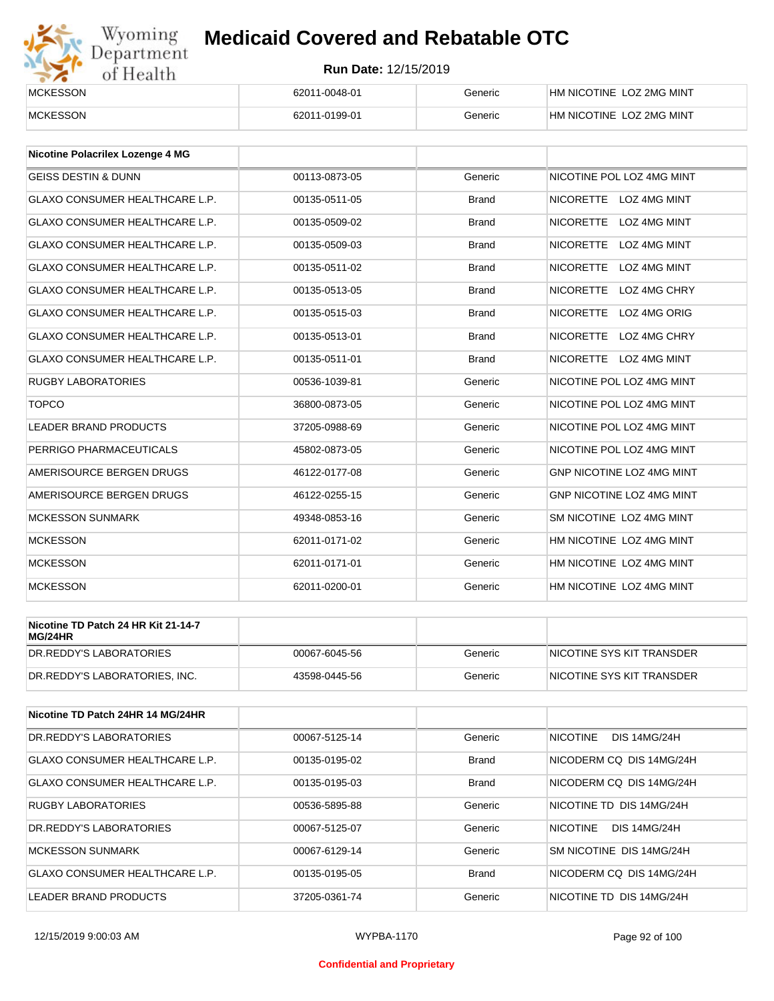

| _________<br><b>MCKESSON</b> | 62011-0048-01 | Generic | HM NICOTINE LOZ 2MG MINT |  |
|------------------------------|---------------|---------|--------------------------|--|
| <b>MCKESSON</b>              | 62011-0199-01 | Generic | HM NICOTINE LOZ 2MG MINT |  |

| <b>Nicotine Polacrilex Lozenge 4 MG</b> |               |              |                                         |
|-----------------------------------------|---------------|--------------|-----------------------------------------|
| <b>GEISS DESTIN &amp; DUNN</b>          | 00113-0873-05 | Generic      | NICOTINE POL LOZ 4MG MINT               |
| <b>GLAXO CONSUMER HEALTHCARE L.P.</b>   | 00135-0511-05 | <b>Brand</b> | NICORETTE LOZ 4MG MINT                  |
| <b>GLAXO CONSUMER HEALTHCARE L.P.</b>   | 00135-0509-02 | <b>Brand</b> | <b>NICORETTE</b><br>LOZ 4MG MINT        |
| <b>GLAXO CONSUMER HEALTHCARE L.P.</b>   | 00135-0509-03 | <b>Brand</b> | <b>NICORETTE</b><br><b>LOZ 4MG MINT</b> |
| <b>GLAXO CONSUMER HEALTHCARE L.P.</b>   | 00135-0511-02 | <b>Brand</b> | <b>NICORETTE</b><br>LOZ 4MG MINT        |
| <b>GLAXO CONSUMER HEALTHCARE L.P.</b>   | 00135-0513-05 | <b>Brand</b> | <b>NICORETTE</b><br>LOZ 4MG CHRY        |
| <b>GLAXO CONSUMER HEALTHCARE L.P.</b>   | 00135-0515-03 | <b>Brand</b> | NICORETTE LOZ 4MG ORIG                  |
| <b>GLAXO CONSUMER HEALTHCARE L.P.</b>   | 00135-0513-01 | <b>Brand</b> | <b>NICORETTE</b><br>LOZ 4MG CHRY        |
| <b>GLAXO CONSUMER HEALTHCARE L.P.</b>   | 00135-0511-01 | <b>Brand</b> | NICORETTE LOZ 4MG MINT                  |
| <b>RUGBY LABORATORIES</b>               | 00536-1039-81 | Generic      | NICOTINE POL LOZ 4MG MINT               |
| <b>TOPCO</b>                            | 36800-0873-05 | Generic      | NICOTINE POL LOZ 4MG MINT               |
| <b>LEADER BRAND PRODUCTS</b>            | 37205-0988-69 | Generic      | NICOTINE POL LOZ 4MG MINT               |
| PERRIGO PHARMACEUTICALS                 | 45802-0873-05 | Generic      | NICOTINE POL LOZ 4MG MINT               |
| AMERISOURCE BERGEN DRUGS                | 46122-0177-08 | Generic      | GNP NICOTINE LOZ 4MG MINT               |
| AMERISOURCE BERGEN DRUGS                | 46122-0255-15 | Generic      | <b>GNP NICOTINE LOZ 4MG MINT</b>        |
| <b>MCKESSON SUNMARK</b>                 | 49348-0853-16 | Generic      | SM NICOTINE LOZ 4MG MINT                |
| <b>MCKESSON</b>                         | 62011-0171-02 | Generic      | HM NICOTINE LOZ 4MG MINT                |
| <b>MCKESSON</b>                         | 62011-0171-01 | Generic      | HM NICOTINE LOZ 4MG MINT                |
| <b>MCKESSON</b>                         | 62011-0200-01 | Generic      | HM NICOTINE LOZ 4MG MINT                |

| Nicotine TD Patch 24 HR Kit 21-14-7<br>MG/24HR |               |         |                           |
|------------------------------------------------|---------------|---------|---------------------------|
| DR.REDDY'S LABORATORIES                        | 00067-6045-56 | Generic | NICOTINE SYS KIT TRANSDER |
| DR.REDDY'S LABORATORIES. INC.                  | 43598-0445-56 | Generic | NICOTINE SYS KIT TRANSDER |

| Nicotine TD Patch 24HR 14 MG/24HR     |               |              |                                 |
|---------------------------------------|---------------|--------------|---------------------------------|
| DR. REDDY'S LABORATORIES              | 00067-5125-14 | Generic      | NICOTINE<br><b>DIS 14MG/24H</b> |
| <b>GLAXO CONSUMER HEALTHCARE L.P.</b> | 00135-0195-02 | <b>Brand</b> | NICODERM CO DIS 14MG/24H        |
| <b>GLAXO CONSUMER HEALTHCARE L.P.</b> | 00135-0195-03 | <b>Brand</b> | NICODERM CO DIS 14MG/24H        |
| <b>RUGBY LABORATORIES</b>             | 00536-5895-88 | Generic      | NICOTINE TD DIS 14MG/24H        |
| DR.REDDY'S LABORATORIES               | 00067-5125-07 | Generic      | NICOTINE<br><b>DIS 14MG/24H</b> |
| <b>MCKESSON SUNMARK</b>               | 00067-6129-14 | Generic      | SM NICOTINE DIS 14MG/24H        |
| <b>GLAXO CONSUMER HEALTHCARE L.P.</b> | 00135-0195-05 | <b>Brand</b> | NICODERM CQ DIS 14MG/24H        |
| <b>LEADER BRAND PRODUCTS</b>          | 37205-0361-74 | Generic      | NICOTINE TD DIS 14MG/24H        |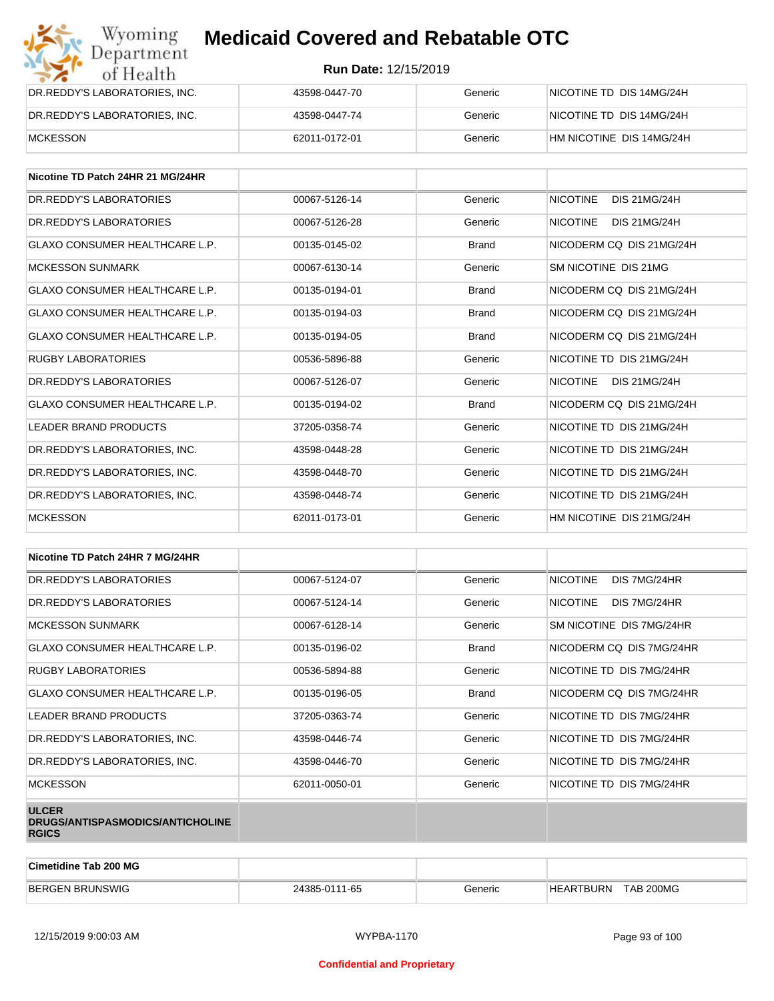| Wyoming<br>Department         | <b>Medicaid Covered and Rebatable OTC</b> |         |                          |  |  |
|-------------------------------|-------------------------------------------|---------|--------------------------|--|--|
| of Health                     | <b>Run Date: 12/15/2019</b>               |         |                          |  |  |
| DR.REDDY'S LABORATORIES, INC. | 43598-0447-70                             | Generic | NICOTINE TD DIS 14MG/24H |  |  |
| DR.REDDY'S LABORATORIES, INC. | 43598-0447-74                             | Generic | NICOTINE TD DIS 14MG/24H |  |  |
| <b>MCKESSON</b>               | 62011-0172-01                             | Generic | HM NICOTINE DIS 14MG/24H |  |  |

| Nicotine TD Patch 24HR 21 MG/24HR     |               |              |                                        |
|---------------------------------------|---------------|--------------|----------------------------------------|
| DR. REDDY'S LABORATORIES              | 00067-5126-14 | Generic      | <b>NICOTINE</b><br><b>DIS 21MG/24H</b> |
| DR. REDDY'S LABORATORIES              | 00067-5126-28 | Generic      | <b>NICOTINE</b><br><b>DIS 21MG/24H</b> |
| <b>GLAXO CONSUMER HEALTHCARE L.P.</b> | 00135-0145-02 | <b>Brand</b> | NICODERM CO DIS 21MG/24H               |
| <b>MCKESSON SUNMARK</b>               | 00067-6130-14 | Generic      | SM NICOTINE DIS 21MG                   |
| GLAXO CONSUMER HEALTHCARE L.P.        | 00135-0194-01 | <b>Brand</b> | NICODERM CO DIS 21MG/24H               |
| GLAXO CONSUMER HEALTHCARE L.P.        | 00135-0194-03 | <b>Brand</b> | NICODERM CO DIS 21MG/24H               |
| <b>GLAXO CONSUMER HEALTHCARE L.P.</b> | 00135-0194-05 | <b>Brand</b> | NICODERM CO DIS 21MG/24H               |
| <b>RUGBY LABORATORIES</b>             | 00536-5896-88 | Generic      | NICOTINE TD DIS 21MG/24H               |
| DR. REDDY'S LABORATORIES              | 00067-5126-07 | Generic      | <b>NICOTINE</b><br>DIS 21MG/24H        |
| <b>GLAXO CONSUMER HEALTHCARE L.P.</b> | 00135-0194-02 | <b>Brand</b> | NICODERM CO DIS 21MG/24H               |
| LEADER BRAND PRODUCTS                 | 37205-0358-74 | Generic      | NICOTINE TD DIS 21MG/24H               |
| DR.REDDY'S LABORATORIES, INC.         | 43598-0448-28 | Generic      | NICOTINE TD DIS 21MG/24H               |
| DR.REDDY'S LABORATORIES, INC.         | 43598-0448-70 | Generic      | NICOTINE TD DIS 21MG/24H               |
| DR. REDDY'S LABORATORIES. INC.        | 43598-0448-74 | Generic      | NICOTINE TD DIS 21MG/24H               |
| <b>MCKESSON</b>                       | 62011-0173-01 | Generic      | HM NICOTINE DIS 21MG/24H               |

| Nicotine TD Patch 24HR 7 MG/24HR                                 |               |              |                                 |
|------------------------------------------------------------------|---------------|--------------|---------------------------------|
| DR. REDDY'S LABORATORIES                                         | 00067-5124-07 | Generic      | <b>NICOTINE</b><br>DIS 7MG/24HR |
| DR. REDDY'S LABORATORIES                                         | 00067-5124-14 | Generic      | <b>NICOTINE</b><br>DIS 7MG/24HR |
| <b>MCKESSON SUNMARK</b>                                          | 00067-6128-14 | Generic      | SM NICOTINE DIS 7MG/24HR        |
| <b>GLAXO CONSUMER HEALTHCARE L.P.</b>                            | 00135-0196-02 | <b>Brand</b> | NICODERM CQ DIS 7MG/24HR        |
| <b>RUGBY LABORATORIES</b>                                        | 00536-5894-88 | Generic      | NICOTINE TD DIS 7MG/24HR        |
| <b>GLAXO CONSUMER HEALTHCARE L.P.</b>                            | 00135-0196-05 | <b>Brand</b> | NICODERM CQ DIS 7MG/24HR        |
| LEADER BRAND PRODUCTS                                            | 37205-0363-74 | Generic      | NICOTINE TD DIS 7MG/24HR        |
| DR.REDDY'S LABORATORIES, INC.                                    | 43598-0446-74 | Generic      | NICOTINE TD DIS 7MG/24HR        |
| DR.REDDY'S LABORATORIES, INC.                                    | 43598-0446-70 | Generic      | NICOTINE TD DIS 7MG/24HR        |
| <b>MCKESSON</b>                                                  | 62011-0050-01 | Generic      | NICOTINE TD DIS 7MG/24HR        |
| <b>ULCER</b><br>DRUGS/ANTISPASMODICS/ANTICHOLINE<br><b>RGICS</b> |               |              |                                 |

| <b>Cimetidine Tab 200 MG</b> |               |         |                                      |  |
|------------------------------|---------------|---------|--------------------------------------|--|
| <b>BERGEN BRUNSWIG</b>       | 24385-0111-65 | Generic | <b>TAB 200MG</b><br><b>HEARTBURN</b> |  |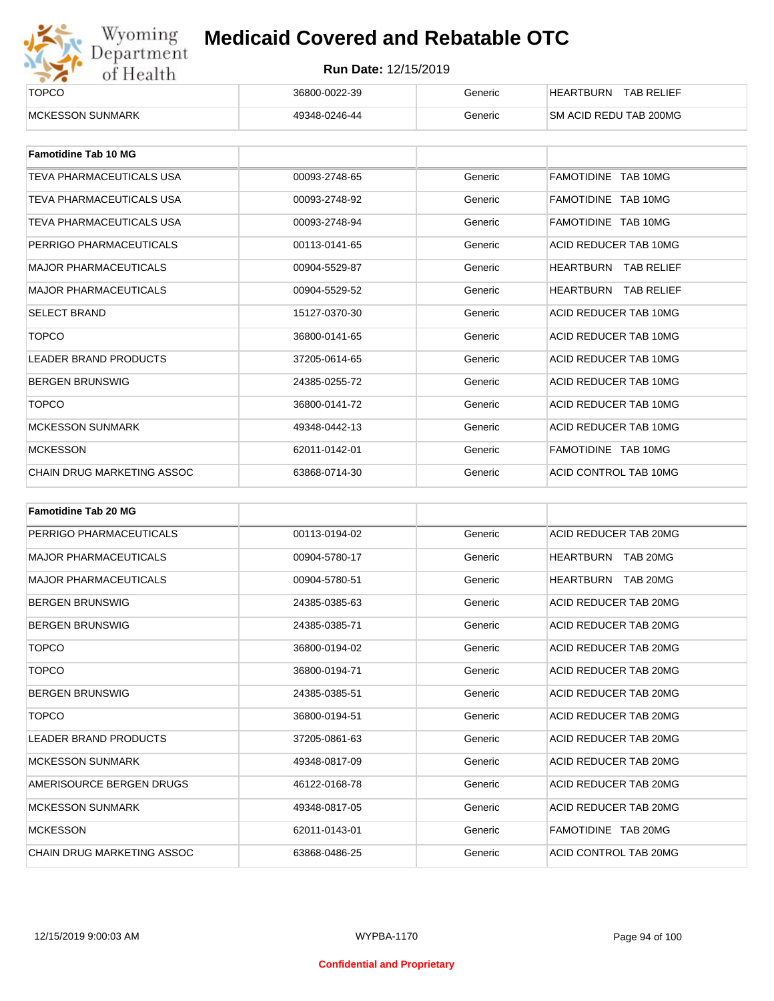

| ______<br><b>TOPCO</b>   | 36800-0022-39 | Beneric | <b>HEARTBURN</b><br><b>TAB RELIEF</b> |
|--------------------------|---------------|---------|---------------------------------------|
| <b>IMCKESSON SUNMARK</b> | 49348-0246-44 | 3eneric | SM ACID REDU TAB 200MG                |

| <b>Famotidine Tab 10 MG</b>  |               |         |                             |
|------------------------------|---------------|---------|-----------------------------|
| TEVA PHARMACEUTICALS USA     | 00093-2748-65 | Generic | FAMOTIDINE TAB 10MG         |
| TEVA PHARMACEUTICALS USA     | 00093-2748-92 | Generic | FAMOTIDINE TAB 10MG         |
| TEVA PHARMACEUTICALS USA     | 00093-2748-94 | Generic | FAMOTIDINE TAB 10MG         |
| PERRIGO PHARMACEUTICALS      | 00113-0141-65 | Generic | ACID REDUCER TAB 10MG       |
| <b>MAJOR PHARMACEUTICALS</b> | 00904-5529-87 | Generic | <b>HEARTBURN TAB RELIEF</b> |
| <b>MAJOR PHARMACEUTICALS</b> | 00904-5529-52 | Generic | <b>HEARTBURN TAB RELIEF</b> |
| <b>SELECT BRAND</b>          | 15127-0370-30 | Generic | ACID REDUCER TAB 10MG       |
| <b>TOPCO</b>                 | 36800-0141-65 | Generic | ACID REDUCER TAB 10MG       |
| LEADER BRAND PRODUCTS        | 37205-0614-65 | Generic | ACID REDUCER TAB 10MG       |
| <b>BERGEN BRUNSWIG</b>       | 24385-0255-72 | Generic | ACID REDUCER TAB 10MG       |
| <b>TOPCO</b>                 | 36800-0141-72 | Generic | ACID REDUCER TAB 10MG       |
| <b>MCKESSON SUNMARK</b>      | 49348-0442-13 | Generic | ACID REDUCER TAB 10MG       |
| <b>MCKESSON</b>              | 62011-0142-01 | Generic | FAMOTIDINE TAB 10MG         |
| CHAIN DRUG MARKETING ASSOC   | 63868-0714-30 | Generic | ACID CONTROL TAB 10MG       |

| <b>Famotidine Tab 20 MG</b>       |               |         |                              |
|-----------------------------------|---------------|---------|------------------------------|
| PERRIGO PHARMACEUTICALS           | 00113-0194-02 | Generic | ACID REDUCER TAB 20MG        |
| <b>MAJOR PHARMACEUTICALS</b>      | 00904-5780-17 | Generic | HEARTBURN TAB 20MG           |
| <b>MAJOR PHARMACEUTICALS</b>      | 00904-5780-51 | Generic | <b>HEARTBURN</b><br>TAB 20MG |
| <b>BERGEN BRUNSWIG</b>            | 24385-0385-63 | Generic | ACID REDUCER TAB 20MG        |
| <b>BERGEN BRUNSWIG</b>            | 24385-0385-71 | Generic | ACID REDUCER TAB 20MG        |
| <b>TOPCO</b>                      | 36800-0194-02 | Generic | ACID REDUCER TAB 20MG        |
| <b>TOPCO</b>                      | 36800-0194-71 | Generic | ACID REDUCER TAB 20MG        |
| <b>BERGEN BRUNSWIG</b>            | 24385-0385-51 | Generic | ACID REDUCER TAB 20MG        |
| <b>TOPCO</b>                      | 36800-0194-51 | Generic | ACID REDUCER TAB 20MG        |
| <b>LEADER BRAND PRODUCTS</b>      | 37205-0861-63 | Generic | ACID REDUCER TAB 20MG        |
| <b>MCKESSON SUNMARK</b>           | 49348-0817-09 | Generic | ACID REDUCER TAB 20MG        |
| AMERISOURCE BERGEN DRUGS          | 46122-0168-78 | Generic | ACID REDUCER TAB 20MG        |
| <b>MCKESSON SUNMARK</b>           | 49348-0817-05 | Generic | ACID REDUCER TAB 20MG        |
| <b>MCKESSON</b>                   | 62011-0143-01 | Generic | FAMOTIDINE TAB 20MG          |
| <b>CHAIN DRUG MARKETING ASSOC</b> | 63868-0486-25 | Generic | ACID CONTROL TAB 20MG        |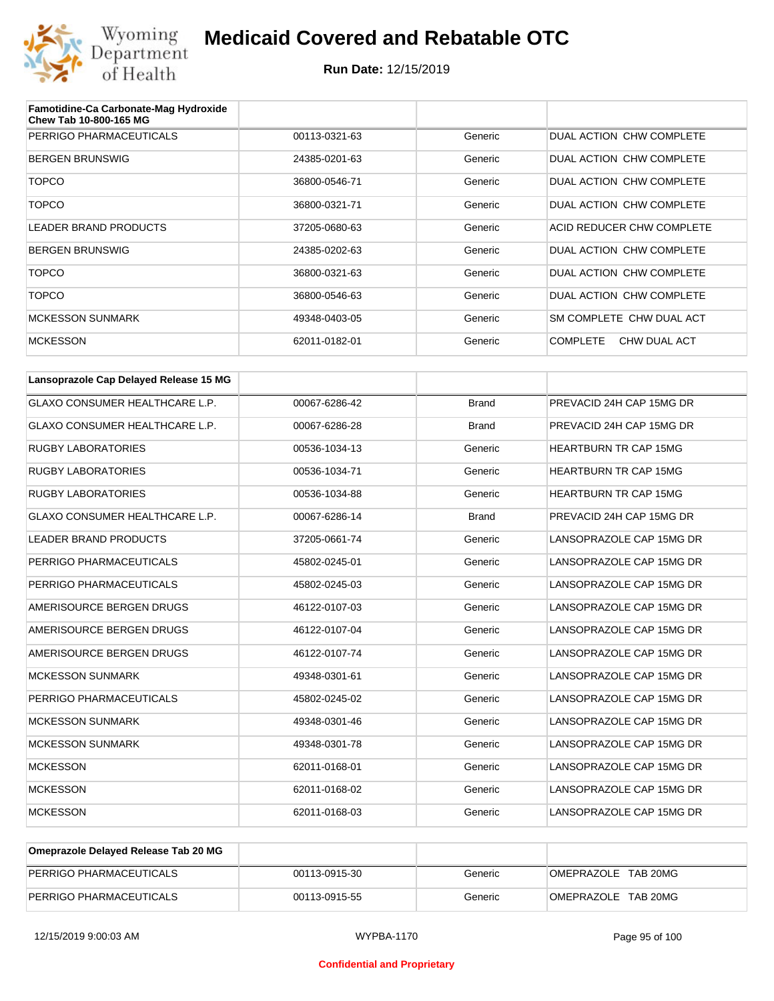

| Famotidine-Ca Carbonate-Mag Hydroxide<br>Chew Tab 10-800-165 MG |               |         |                                 |
|-----------------------------------------------------------------|---------------|---------|---------------------------------|
| PERRIGO PHARMACEUTICALS                                         | 00113-0321-63 | Generic | DUAL ACTION CHW COMPLETE        |
| <b>BERGEN BRUNSWIG</b>                                          | 24385-0201-63 | Generic | DUAL ACTION CHW COMPLETE        |
| <b>TOPCO</b>                                                    | 36800-0546-71 | Generic | DUAL ACTION CHW COMPLETE        |
| <b>TOPCO</b>                                                    | 36800-0321-71 | Generic | DUAL ACTION CHW COMPLETE        |
| <b>LEADER BRAND PRODUCTS</b>                                    | 37205-0680-63 | Generic | ACID REDUCER CHW COMPLETE       |
| <b>BERGEN BRUNSWIG</b>                                          | 24385-0202-63 | Generic | DUAL ACTION CHW COMPLETE        |
| <b>TOPCO</b>                                                    | 36800-0321-63 | Generic | DUAL ACTION CHW COMPLETE        |
| <b>TOPCO</b>                                                    | 36800-0546-63 | Generic | DUAL ACTION CHW COMPLETE        |
| <b>MCKESSON SUNMARK</b>                                         | 49348-0403-05 | Generic | SM COMPLETE CHW DUAL ACT        |
| <b>MCKESSON</b>                                                 | 62011-0182-01 | Generic | CHW DUAL ACT<br><b>COMPLETE</b> |

| Lansoprazole Cap Delayed Release 15 MG |               |              |                              |
|----------------------------------------|---------------|--------------|------------------------------|
| <b>GLAXO CONSUMER HEALTHCARE L.P.</b>  | 00067-6286-42 | <b>Brand</b> | PREVACID 24H CAP 15MG DR     |
| GLAXO CONSUMER HEALTHCARE L.P.         | 00067-6286-28 | <b>Brand</b> | PREVACID 24H CAP 15MG DR     |
| <b>RUGBY LABORATORIES</b>              | 00536-1034-13 | Generic      | <b>HEARTBURN TR CAP 15MG</b> |
| <b>RUGBY LABORATORIES</b>              | 00536-1034-71 | Generic      | <b>HEARTBURN TR CAP 15MG</b> |
| <b>RUGBY LABORATORIES</b>              | 00536-1034-88 | Generic      | <b>HEARTBURN TR CAP 15MG</b> |
| <b>GLAXO CONSUMER HEALTHCARE L.P.</b>  | 00067-6286-14 | <b>Brand</b> | PREVACID 24H CAP 15MG DR     |
| <b>LEADER BRAND PRODUCTS</b>           | 37205-0661-74 | Generic      | LANSOPRAZOLE CAP 15MG DR     |
| PERRIGO PHARMACEUTICALS                | 45802-0245-01 | Generic      | LANSOPRAZOLE CAP 15MG DR     |
| PERRIGO PHARMACEUTICALS                | 45802-0245-03 | Generic      | LANSOPRAZOLE CAP 15MG DR     |
| AMERISOURCE BERGEN DRUGS               | 46122-0107-03 | Generic      | LANSOPRAZOLE CAP 15MG DR     |
| AMERISOURCE BERGEN DRUGS               | 46122-0107-04 | Generic      | LANSOPRAZOLE CAP 15MG DR     |
| AMERISOURCE BERGEN DRUGS               | 46122-0107-74 | Generic      | LANSOPRAZOLE CAP 15MG DR     |
| <b>MCKESSON SUNMARK</b>                | 49348-0301-61 | Generic      | LANSOPRAZOLE CAP 15MG DR     |
| PERRIGO PHARMACEUTICALS                | 45802-0245-02 | Generic      | LANSOPRAZOLE CAP 15MG DR     |
| <b>MCKESSON SUNMARK</b>                | 49348-0301-46 | Generic      | LANSOPRAZOLE CAP 15MG DR     |
| <b>MCKESSON SUNMARK</b>                | 49348-0301-78 | Generic      | LANSOPRAZOLE CAP 15MG DR     |
| <b>MCKESSON</b>                        | 62011-0168-01 | Generic      | LANSOPRAZOLE CAP 15MG DR     |
| <b>MCKESSON</b>                        | 62011-0168-02 | Generic      | LANSOPRAZOLE CAP 15MG DR     |
| <b>MCKESSON</b>                        | 62011-0168-03 | Generic      | LANSOPRAZOLE CAP 15MG DR     |

| Omeprazole Delayed Release Tab 20 MG |               |         |                     |
|--------------------------------------|---------------|---------|---------------------|
| PERRIGO PHARMACEUTICALS              | 00113-0915-30 | Generic | OMEPRAZOLE TAB 20MG |
| PERRIGO PHARMACEUTICALS              | 00113-0915-55 | Generic | OMEPRAZOLE TAB 20MG |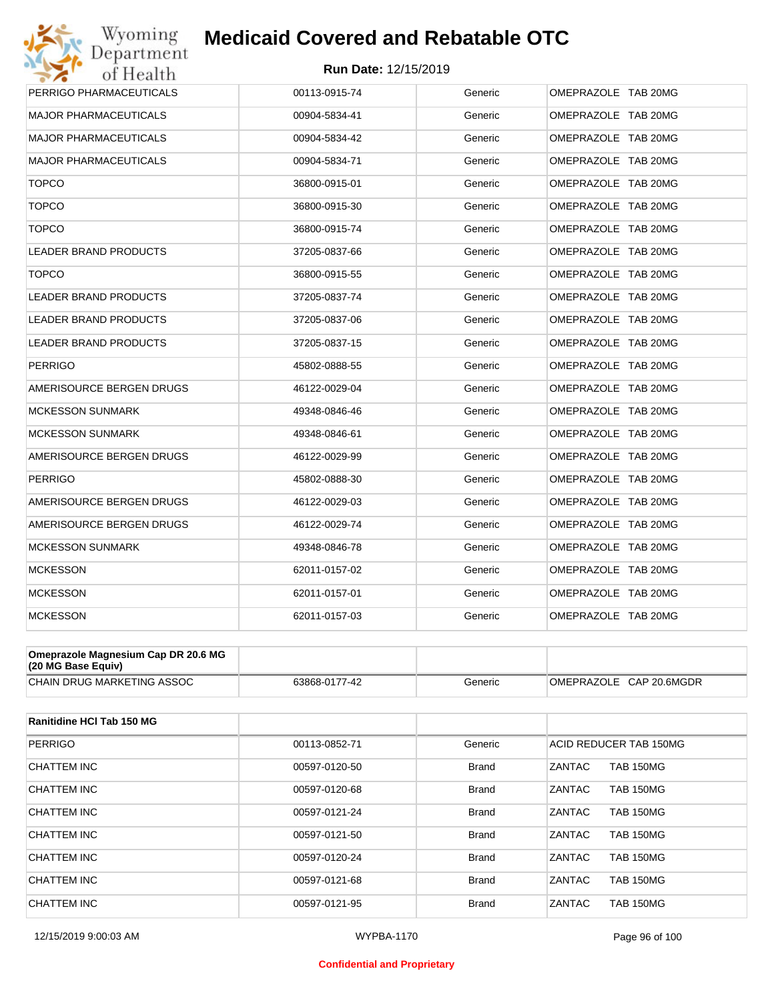# Wyoming<br>Department<br>of Health **Medicaid Covered and Rebatable OTC**



| <b>MAJOR PHARMACEUTICALS</b><br>00904-5834-41<br><b>MAJOR PHARMACEUTICALS</b><br>00904-5834-42<br><b>MAJOR PHARMACEUTICALS</b><br>00904-5834-71<br><b>TOPCO</b><br>36800-0915-01<br><b>TOPCO</b><br>36800-0915-30 | Generic<br>Generic<br>Generic<br>Generic<br>Generic | OMEPRAZOLE TAB 20MG<br>OMEPRAZOLE TAB 20MG<br>OMEPRAZOLE TAB 20MG<br>OMEPRAZOLE TAB 20MG<br>OMEPRAZOLE TAB 20MG |  |
|-------------------------------------------------------------------------------------------------------------------------------------------------------------------------------------------------------------------|-----------------------------------------------------|-----------------------------------------------------------------------------------------------------------------|--|
|                                                                                                                                                                                                                   |                                                     |                                                                                                                 |  |
|                                                                                                                                                                                                                   |                                                     |                                                                                                                 |  |
|                                                                                                                                                                                                                   |                                                     |                                                                                                                 |  |
|                                                                                                                                                                                                                   |                                                     |                                                                                                                 |  |
|                                                                                                                                                                                                                   |                                                     |                                                                                                                 |  |
| <b>TOPCO</b><br>36800-0915-74                                                                                                                                                                                     | Generic                                             | OMEPRAZOLE TAB 20MG                                                                                             |  |
| LEADER BRAND PRODUCTS<br>37205-0837-66                                                                                                                                                                            | Generic                                             | OMEPRAZOLE TAB 20MG                                                                                             |  |
| <b>TOPCO</b><br>36800-0915-55                                                                                                                                                                                     | Generic                                             | OMEPRAZOLE TAB 20MG                                                                                             |  |
| <b>LEADER BRAND PRODUCTS</b><br>37205-0837-74                                                                                                                                                                     | Generic                                             | OMEPRAZOLE TAB 20MG                                                                                             |  |
| <b>LEADER BRAND PRODUCTS</b><br>37205-0837-06                                                                                                                                                                     | Generic                                             | OMEPRAZOLE TAB 20MG                                                                                             |  |
| LEADER BRAND PRODUCTS<br>37205-0837-15                                                                                                                                                                            | Generic                                             | OMEPRAZOLE TAB 20MG                                                                                             |  |
| PERRIGO<br>45802-0888-55                                                                                                                                                                                          | Generic                                             | OMEPRAZOLE TAB 20MG                                                                                             |  |
| AMERISOURCE BERGEN DRUGS<br>46122-0029-04                                                                                                                                                                         | Generic                                             | OMEPRAZOLE TAB 20MG                                                                                             |  |
| <b>MCKESSON SUNMARK</b><br>49348-0846-46                                                                                                                                                                          | Generic                                             | OMEPRAZOLE TAB 20MG                                                                                             |  |
| <b>MCKESSON SUNMARK</b><br>49348-0846-61                                                                                                                                                                          | Generic                                             | OMEPRAZOLE TAB 20MG                                                                                             |  |
| AMERISOURCE BERGEN DRUGS<br>46122-0029-99                                                                                                                                                                         | Generic                                             | OMEPRAZOLE TAB 20MG                                                                                             |  |
| <b>PERRIGO</b><br>45802-0888-30                                                                                                                                                                                   | Generic                                             | OMEPRAZOLE TAB 20MG                                                                                             |  |
| AMERISOURCE BERGEN DRUGS<br>46122-0029-03                                                                                                                                                                         | Generic                                             | OMEPRAZOLE TAB 20MG                                                                                             |  |
| AMERISOURCE BERGEN DRUGS<br>46122-0029-74                                                                                                                                                                         | Generic                                             | OMEPRAZOLE TAB 20MG                                                                                             |  |
| <b>MCKESSON SUNMARK</b><br>49348-0846-78                                                                                                                                                                          | Generic                                             | OMEPRAZOLE TAB 20MG                                                                                             |  |
| <b>MCKESSON</b><br>62011-0157-02                                                                                                                                                                                  | Generic                                             | OMEPRAZOLE TAB 20MG                                                                                             |  |
| <b>MCKESSON</b><br>62011-0157-01                                                                                                                                                                                  | Generic                                             | OMEPRAZOLE TAB 20MG                                                                                             |  |
| <b>MCKESSON</b><br>62011-0157-03                                                                                                                                                                                  | Generic                                             | OMEPRAZOLE TAB 20MG                                                                                             |  |

| Omeprazole Magnesium Cap DR 20.6 MG<br>(20 MG Base Equiv) |               |         |                         |
|-----------------------------------------------------------|---------------|---------|-------------------------|
| CHAIN DRUG MARKETING ASSOC                                | 63868-0177-42 | Generic | OMEPRAZOLE CAP 20.6MGDR |

| Ranitidine HCI Tab 150 MG |               |              |                                   |
|---------------------------|---------------|--------------|-----------------------------------|
| <b>PERRIGO</b>            | 00113-0852-71 | Generic      | ACID REDUCER TAB 150MG            |
| CHATTEM INC               | 00597-0120-50 | <b>Brand</b> | <b>ZANTAC</b><br><b>TAB 150MG</b> |
| <b>CHATTEM INC</b>        | 00597-0120-68 | <b>Brand</b> | ZANTAC<br><b>TAB 150MG</b>        |
| CHATTEM INC               | 00597-0121-24 | <b>Brand</b> | <b>ZANTAC</b><br><b>TAB 150MG</b> |
| CHATTEM INC               | 00597-0121-50 | <b>Brand</b> | ZANTAC<br><b>TAB 150MG</b>        |
| <b>CHATTEM INC</b>        | 00597-0120-24 | <b>Brand</b> | <b>ZANTAC</b><br><b>TAB 150MG</b> |
| <b>CHATTEM INC</b>        | 00597-0121-68 | <b>Brand</b> | <b>ZANTAC</b><br><b>TAB 150MG</b> |
| CHATTEM INC               | 00597-0121-95 | <b>Brand</b> | ZANTAC<br><b>TAB 150MG</b>        |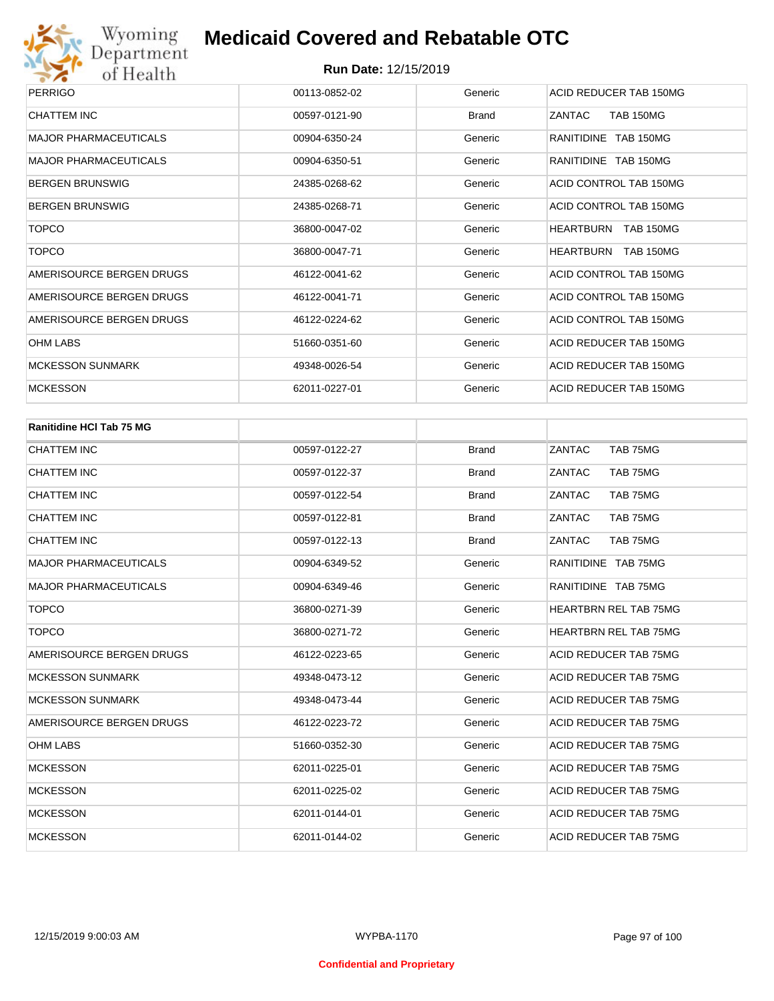

| <b>PERRIGO</b>               | 00113-0852-02 | Generic | ACID REDUCER TAB 150MG               |
|------------------------------|---------------|---------|--------------------------------------|
| CHATTEM INC                  | 00597-0121-90 | Brand   | ZANTAC<br><b>TAB 150MG</b>           |
| <b>MAJOR PHARMACEUTICALS</b> | 00904-6350-24 | Generic | RANITIDINE TAB 150MG                 |
| <b>MAJOR PHARMACEUTICALS</b> | 00904-6350-51 | Generic | RANITIDINE TAB 150MG                 |
| <b>BERGEN BRUNSWIG</b>       | 24385-0268-62 | Generic | ACID CONTROL TAB 150MG               |
| <b>BERGEN BRUNSWIG</b>       | 24385-0268-71 | Generic | ACID CONTROL TAB 150MG               |
| <b>TOPCO</b>                 | 36800-0047-02 | Generic | <b>HEARTBURN</b><br><b>TAB 150MG</b> |
| TOPCO                        | 36800-0047-71 | Generic | <b>HEARTBURN</b><br>TAB 150MG        |
| AMERISOURCE BERGEN DRUGS     | 46122-0041-62 | Generic | ACID CONTROL TAB 150MG               |
| AMERISOURCE BERGEN DRUGS     | 46122-0041-71 | Generic | ACID CONTROL TAB 150MG               |
| AMERISOURCE BERGEN DRUGS     | 46122-0224-62 | Generic | ACID CONTROL TAB 150MG               |
| <b>OHM LABS</b>              | 51660-0351-60 | Generic | ACID REDUCER TAB 150MG               |
| <b>MCKESSON SUNMARK</b>      | 49348-0026-54 | Generic | ACID REDUCER TAB 150MG               |
| <b>MCKESSON</b>              | 62011-0227-01 | Generic | ACID REDUCER TAB 150MG               |

| <b>Ranitidine HCI Tab 75 MG</b> |               |              |                              |
|---------------------------------|---------------|--------------|------------------------------|
| <b>CHATTEM INC</b>              | 00597-0122-27 | <b>Brand</b> | ZANTAC<br>TAB 75MG           |
| <b>CHATTEM INC</b>              | 00597-0122-37 | <b>Brand</b> | TAB 75MG<br>ZANTAC           |
| <b>CHATTEM INC</b>              | 00597-0122-54 | <b>Brand</b> | ZANTAC<br>TAB 75MG           |
| <b>CHATTEM INC</b>              | 00597-0122-81 | <b>Brand</b> | ZANTAC<br>TAB 75MG           |
| <b>CHATTEM INC</b>              | 00597-0122-13 | <b>Brand</b> | ZANTAC<br>TAB 75MG           |
| <b>MAJOR PHARMACEUTICALS</b>    | 00904-6349-52 | Generic      | RANITIDINE TAB 75MG          |
| <b>MAJOR PHARMACEUTICALS</b>    | 00904-6349-46 | Generic      | RANITIDINE TAB 75MG          |
| <b>TOPCO</b>                    | 36800-0271-39 | Generic      | <b>HEARTBRN REL TAB 75MG</b> |
| <b>TOPCO</b>                    | 36800-0271-72 | Generic      | <b>HEARTBRN REL TAB 75MG</b> |
| AMERISOURCE BERGEN DRUGS        | 46122-0223-65 | Generic      | ACID REDUCER TAB 75MG        |
| <b>MCKESSON SUNMARK</b>         | 49348-0473-12 | Generic      | ACID REDUCER TAB 75MG        |
| <b>MCKESSON SUNMARK</b>         | 49348-0473-44 | Generic      | ACID REDUCER TAB 75MG        |
| AMERISOURCE BERGEN DRUGS        | 46122-0223-72 | Generic      | ACID REDUCER TAB 75MG        |
| <b>OHM LABS</b>                 | 51660-0352-30 | Generic      | ACID REDUCER TAB 75MG        |
| <b>MCKESSON</b>                 | 62011-0225-01 | Generic      | ACID REDUCER TAB 75MG        |
| <b>MCKESSON</b>                 | 62011-0225-02 | Generic      | ACID REDUCER TAB 75MG        |
| <b>MCKESSON</b>                 | 62011-0144-01 | Generic      | ACID REDUCER TAB 75MG        |
| <b>MCKESSON</b>                 | 62011-0144-02 | Generic      | ACID REDUCER TAB 75MG        |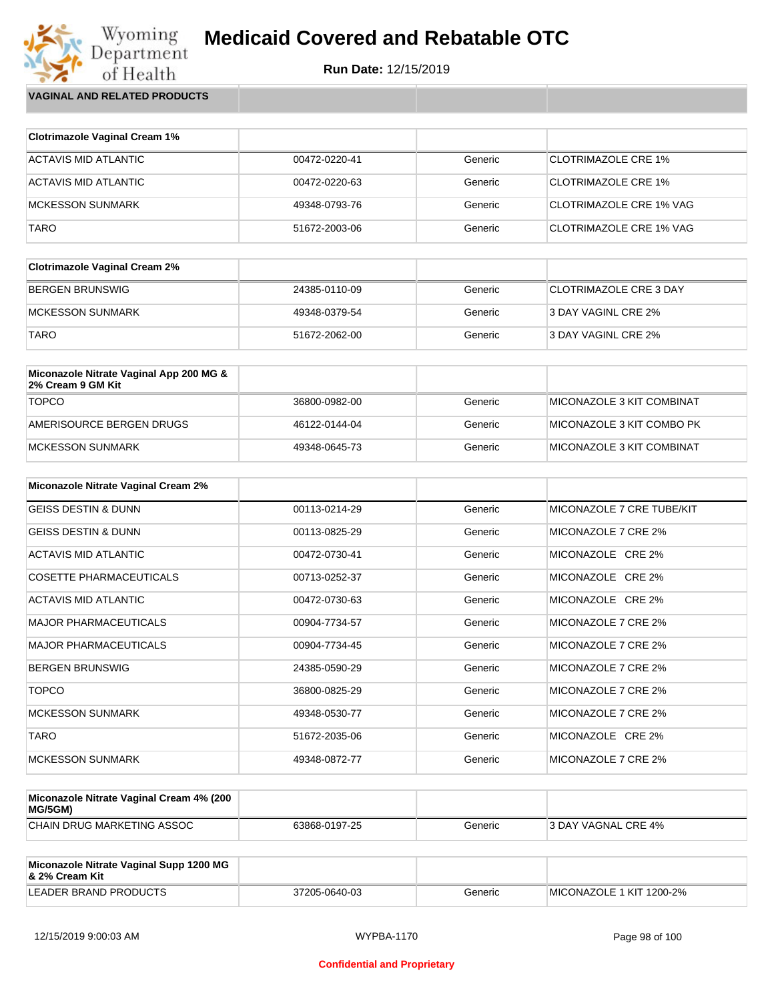

Wyoming<br>Department<br>of Health **VAGINAL AND RELATED PRODUCTS**

| <b>Clotrimazole Vaginal Cream 1%</b> |               |         |                                |
|--------------------------------------|---------------|---------|--------------------------------|
| ACTAVIS MID ATLANTIC                 | 00472-0220-41 | Generic | <b>CLOTRIMAZOLE CRE 1%</b>     |
| ACTAVIS MID ATLANTIC                 | 00472-0220-63 | Generic | <b>CLOTRIMAZOLE CRE 1%</b>     |
| MCKESSON SUNMARK                     | 49348-0793-76 | Generic | CLOTRIMAZOLE CRE 1% VAG        |
| <b>TARO</b>                          | 51672-2003-06 | Generic | <b>CLOTRIMAZOLE CRE 1% VAG</b> |

| <b>Clotrimazole Vaginal Cream 2%</b> |               |         |                               |
|--------------------------------------|---------------|---------|-------------------------------|
| BERGEN BRUNSWIG                      | 24385-0110-09 | Generic | <b>CLOTRIMAZOLE CRE 3 DAY</b> |
| IMCKESSON SUNMARK                    | 49348-0379-54 | Generic | 3 DAY VAGINL CRE 2%           |
| <b>TARO</b>                          | 51672-2062-00 | Generic | 3 DAY VAGINL CRE 2%           |

| Miconazole Nitrate Vaginal App 200 MG &<br>2% Cream 9 GM Kit |               |         |                                  |
|--------------------------------------------------------------|---------------|---------|----------------------------------|
| <b>TOPCO</b>                                                 | 36800-0982-00 | Generic | MICONAZOLE 3 KIT COMBINAT        |
| AMERISOURCE BERGEN DRUGS                                     | 46122-0144-04 | Generic | MICONAZOLE 3 KIT COMBO PK        |
| MCKESSON SUNMARK                                             | 49348-0645-73 | Generic | <b>MICONAZOLE 3 KIT COMBINAT</b> |

| <b>Miconazole Nitrate Vaginal Cream 2%</b> |               |         |                           |
|--------------------------------------------|---------------|---------|---------------------------|
| <b>GEISS DESTIN &amp; DUNN</b>             | 00113-0214-29 | Generic | MICONAZOLE 7 CRE TUBE/KIT |
| <b>GEISS DESTIN &amp; DUNN</b>             | 00113-0825-29 | Generic | MICONAZOLE 7 CRE 2%       |
| ACTAVIS MID ATLANTIC                       | 00472-0730-41 | Generic | MICONAZOLE CRE 2%         |
| <b>COSETTE PHARMACEUTICALS</b>             | 00713-0252-37 | Generic | MICONAZOLE CRE 2%         |
| ACTAVIS MID ATLANTIC                       | 00472-0730-63 | Generic | MICONAZOLE CRE 2%         |
| <b>MAJOR PHARMACEUTICALS</b>               | 00904-7734-57 | Generic | MICONAZOLE 7 CRE 2%       |
| <b>MAJOR PHARMACEUTICALS</b>               | 00904-7734-45 | Generic | MICONAZOLE 7 CRE 2%       |
| <b>BERGEN BRUNSWIG</b>                     | 24385-0590-29 | Generic | MICONAZOLE 7 CRE 2%       |
| <b>TOPCO</b>                               | 36800-0825-29 | Generic | MICONAZOLE 7 CRE 2%       |
| <b>MCKESSON SUNMARK</b>                    | 49348-0530-77 | Generic | MICONAZOLE 7 CRE 2%       |
| <b>TARO</b>                                | 51672-2035-06 | Generic | MICONAZOLE CRE 2%         |
| <b>MCKESSON SUNMARK</b>                    | 49348-0872-77 | Generic | MICONAZOLE 7 CRE 2%       |

| Miconazole Nitrate Vaginal Cream 4% (200<br>MG/5GM) |               |         |                            |
|-----------------------------------------------------|---------------|---------|----------------------------|
| CHAIN DRUG MARKETING ASSOC                          | 63868-0197-25 | Generic | <b>3 DAY VAGNAL CRE 4%</b> |

| Miconazole Nitrate Vaginal Supp 1200 MG<br>8. 2% Cream Kit |               |         |                          |
|------------------------------------------------------------|---------------|---------|--------------------------|
| LEADER BRAND PRODUCTS                                      | 37205-0640-03 | Generic | MICONAZOLE 1 KIT 1200-2% |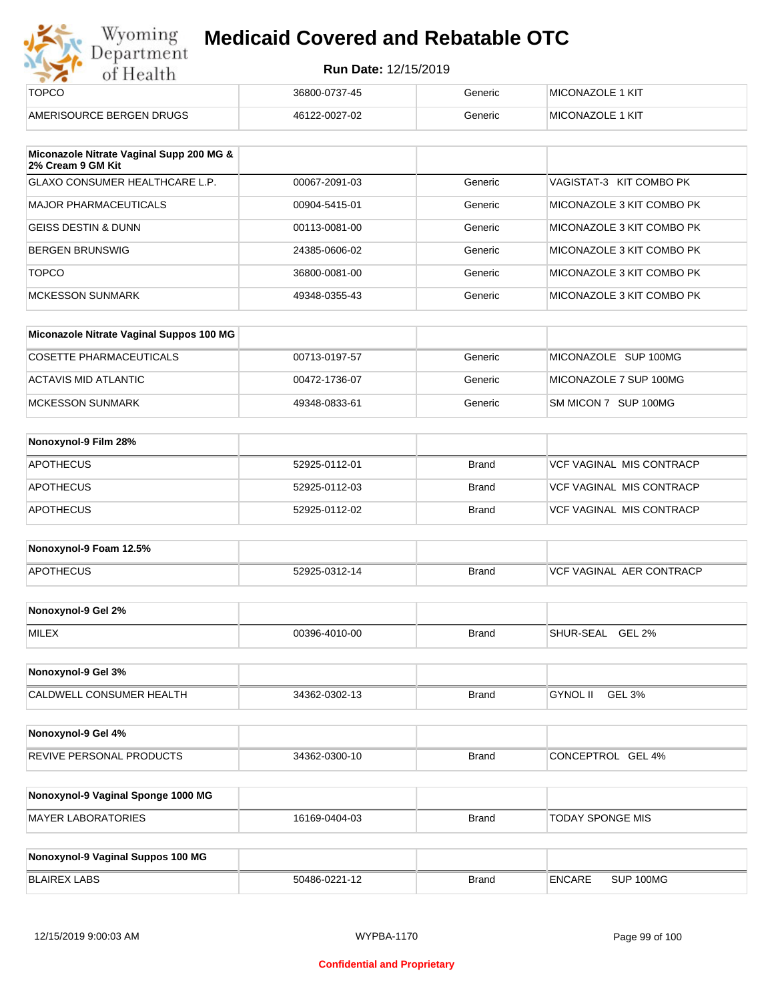|  | Run Date: 12/15/2019 |
|--|----------------------|
|--|----------------------|

| Wyoming<br>Department    | <b>Medicaid Covered and Rebatable OTC</b> |         |                         |  |
|--------------------------|-------------------------------------------|---------|-------------------------|--|
| of Health                | <b>Run Date: 12/15/2019</b>               |         |                         |  |
| <b>TOPCO</b>             | 36800-0737-45                             | Generic | <b>MICONAZOLE 1 KIT</b> |  |
| AMERISOURCE BERGEN DRUGS | 46122-0027-02                             | Generic | MICONAZOLE 1 KIT        |  |

| Miconazole Nitrate Vaginal Supp 200 MG &<br>2% Cream 9 GM Kit |               |         |                           |
|---------------------------------------------------------------|---------------|---------|---------------------------|
| <b>GLAXO CONSUMER HEALTHCARE L.P.</b>                         | 00067-2091-03 | Generic | VAGISTAT-3 KIT COMBO PK   |
| MAJOR PHARMACEUTICALS                                         | 00904-5415-01 | Generic | MICONAZOLE 3 KIT COMBO PK |
| GEISS DESTIN & DUNN                                           | 00113-0081-00 | Generic | MICONAZOLE 3 KIT COMBO PK |
| BERGEN BRUNSWIG                                               | 24385-0606-02 | Generic | MICONAZOLE 3 KIT COMBO PK |
| <b>TOPCO</b>                                                  | 36800-0081-00 | Generic | MICONAZOLE 3 KIT COMBO PK |
| MCKESSON SUNMARK                                              | 49348-0355-43 | Generic | MICONAZOLE 3 KIT COMBO PK |

| Miconazole Nitrate Vaginal Suppos 100 MG |               |         |                        |
|------------------------------------------|---------------|---------|------------------------|
| COSETTE PHARMACEUTICALS                  | 00713-0197-57 | Generic | MICONAZOLE SUP 100MG   |
| ACTAVIS MID ATLANTIC                     | 00472-1736-07 | Generic | MICONAZOLE 7 SUP 100MG |
| MCKESSON SUNMARK                         | 49348-0833-61 | Generic | SM MICON 7 SUP 100MG   |

| Nonoxynol-9 Film 28% |               |              |                                 |
|----------------------|---------------|--------------|---------------------------------|
| <b>APOTHECUS</b>     | 52925-0112-01 | <b>Brand</b> | <b>VCF VAGINAL MIS CONTRACP</b> |
| <b>APOTHECUS</b>     | 52925-0112-03 | <b>Brand</b> | VCF VAGINAL MIS CONTRACP        |
| <b>APOTHECUS</b>     | 52925-0112-02 | <b>Brand</b> | <b>VCF VAGINAL MIS CONTRACP</b> |

| Nonoxynol-9 Foam 12.5% |               |              |                          |
|------------------------|---------------|--------------|--------------------------|
| <b>APOTHECUS</b>       | 52925-0312-14 | <b>Brand</b> | VCF VAGINAL AER CONTRACP |

| Nonoxynol-9 Gel 2% |               |       |                            |
|--------------------|---------------|-------|----------------------------|
| <b>MILEX</b>       | 00396-4010-00 | Brand | GEL 2%<br><b>SHUR-SEAL</b> |

| Nonoxynol-9 Gel 3%              |               |              |                    |  |
|---------------------------------|---------------|--------------|--------------------|--|
| <b>CALDWELL CONSUMER HEALTH</b> | 34362-0302-13 | <b>Brand</b> | GEL 3%<br>GYNOL II |  |

| Nonoxynol-9 Gel 4%              |               |              |                             |
|---------------------------------|---------------|--------------|-----------------------------|
| <b>REVIVE PERSONAL PRODUCTS</b> | 34362-0300-10 | <b>Brand</b> | CONCEPTROL<br><b>GEL 4%</b> |

| Nonoxynol-9 Vaginal Sponge 1000 MG |               |       |                         |
|------------------------------------|---------------|-------|-------------------------|
| MAYER LABORATORIES                 | 16169-0404-03 | Brand | <b>TODAY SPONGE MIS</b> |

| Nonoxynol-9 Vaginal Suppos 100 MG |               |              |               |           |
|-----------------------------------|---------------|--------------|---------------|-----------|
| BLAIREX LABS                      | 50486-0221-12 | <b>Brand</b> | <b>ENCARE</b> | SUP 100MG |